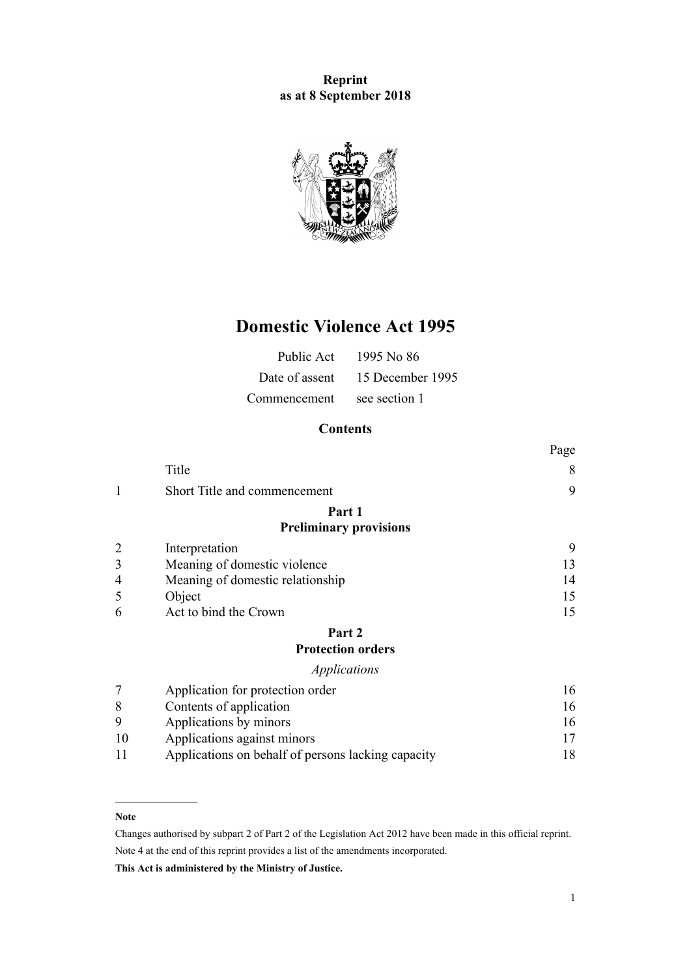## **Reprint as at 8 September 2018**



# **Domestic Violence Act 1995**

| Public Act     | 1995 No 86       |
|----------------|------------------|
| Date of assent | 15 December 1995 |
| Commencement   | see section 1    |

## **Contents**

|                |                                                    | Page |
|----------------|----------------------------------------------------|------|
|                | Title                                              | 8    |
| 1              | Short Title and commencement                       | 9    |
|                | Part 1                                             |      |
|                | <b>Preliminary provisions</b>                      |      |
|                | Interpretation                                     | 9    |
| 3              | Meaning of domestic violence                       | 13   |
| 4              | Meaning of domestic relationship                   | 14   |
| 5              | Object                                             | 15   |
| 6              | Act to bind the Crown                              | 15   |
|                | Part 2                                             |      |
|                | <b>Protection orders</b>                           |      |
|                | <i>Applications</i>                                |      |
| $\overline{7}$ | Application for protection order                   | 16   |
| 8              | Contents of application                            | 16   |
| 9              | Applications by minors                             | 16   |
| 10             | Applications against minors                        | 17   |
| 11             | Applications on behalf of persons lacking capacity | 18   |

#### **Note**

Changes authorised by [subpart 2](http://prd-lgnz-nlb.prd.pco.net.nz/pdflink.aspx?id=DLM2998524) of Part 2 of the Legislation Act 2012 have been made in this official reprint. Note 4 at the end of this reprint provides a list of the amendments incorporated.

**This Act is administered by the Ministry of Justice.**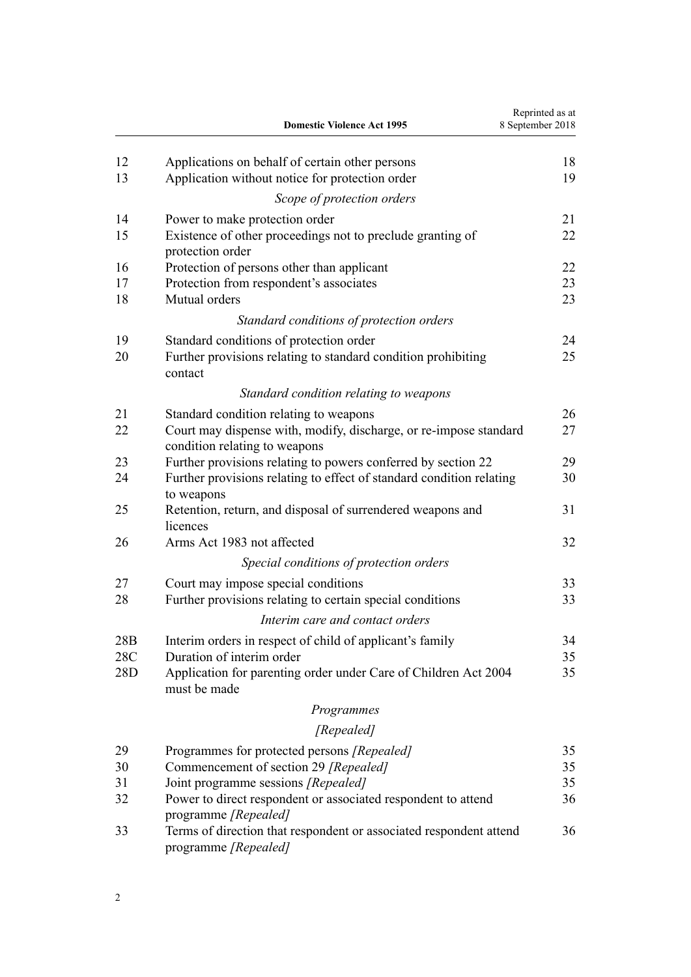|            | <b>Domestic Violence Act 1995</b>                                                                            | Reprinted as at<br>8 September 2018 |
|------------|--------------------------------------------------------------------------------------------------------------|-------------------------------------|
| 12         | Applications on behalf of certain other persons                                                              | 18                                  |
| 13         | Application without notice for protection order                                                              | 19                                  |
|            | Scope of protection orders                                                                                   |                                     |
| 14         | Power to make protection order                                                                               | 21                                  |
| 15         | Existence of other proceedings not to preclude granting of<br>protection order                               | 22                                  |
| 16         | Protection of persons other than applicant                                                                   | 22                                  |
| 17<br>18   | Protection from respondent's associates<br>Mutual orders                                                     | 23<br>23                            |
|            | Standard conditions of protection orders                                                                     |                                     |
| 19         | Standard conditions of protection order                                                                      | 24                                  |
| 20         | Further provisions relating to standard condition prohibiting<br>contact                                     | 25                                  |
|            | Standard condition relating to weapons                                                                       |                                     |
| 21         | Standard condition relating to weapons                                                                       | 26                                  |
| 22         | Court may dispense with, modify, discharge, or re-impose standard<br>condition relating to weapons           | 27                                  |
| 23         | Further provisions relating to powers conferred by section 22                                                | 29                                  |
| 24         | Further provisions relating to effect of standard condition relating<br>to weapons                           | 30                                  |
| 25         | Retention, return, and disposal of surrendered weapons and<br>licences                                       | 31                                  |
| 26         | Arms Act 1983 not affected                                                                                   | 32                                  |
|            | Special conditions of protection orders                                                                      |                                     |
| 27         | Court may impose special conditions                                                                          | 33                                  |
| 28         | Further provisions relating to certain special conditions                                                    | 33                                  |
|            | Interim care and contact orders                                                                              |                                     |
| 28B        | Interim orders in respect of child of applicant's family                                                     | 34                                  |
| 28C<br>28D | Duration of interim order<br>Application for parenting order under Care of Children Act 2004<br>must be made | 35<br>35                            |
|            | Programmes                                                                                                   |                                     |
|            | [Repealed]                                                                                                   |                                     |
| 29         | Programmes for protected persons [Repealed]                                                                  | 35                                  |
| 30         | Commencement of section 29 [Repealed]                                                                        | 35                                  |
| 31         | Joint programme sessions [Repealed]                                                                          | 35                                  |
| 32         | Power to direct respondent or associated respondent to attend<br>programme [Repealed]                        | 36                                  |
| 33         | Terms of direction that respondent or associated respondent attend<br>programme [Repealed]                   | 36                                  |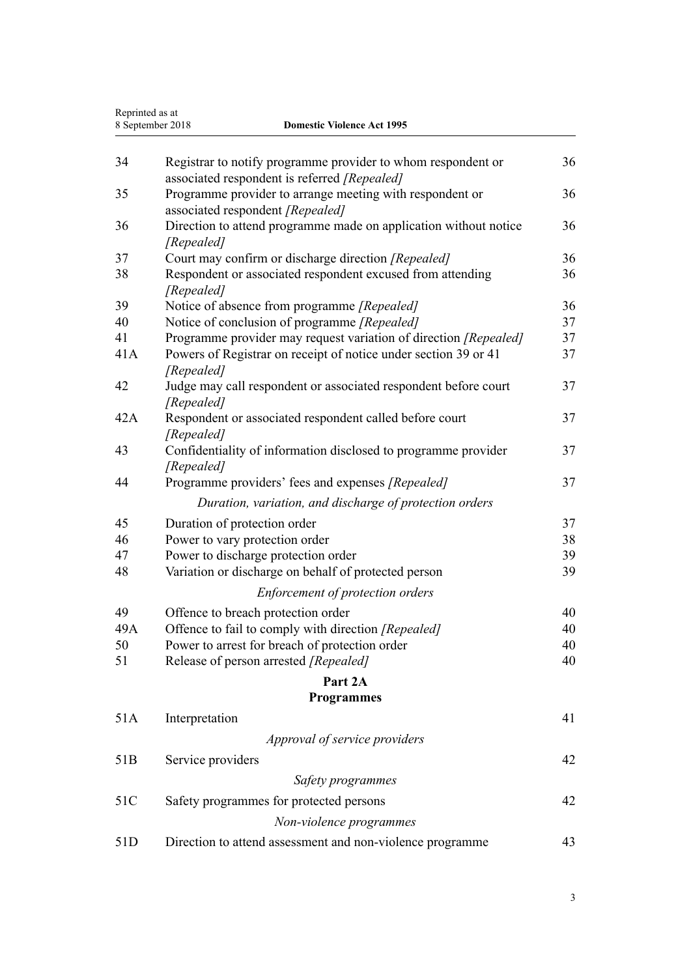| Reprinted as at<br>8 September 2018<br><b>Domestic Violence Act 1995</b> |                                                                                                              |    |
|--------------------------------------------------------------------------|--------------------------------------------------------------------------------------------------------------|----|
|                                                                          |                                                                                                              |    |
| 34                                                                       | Registrar to notify programme provider to whom respondent or<br>associated respondent is referred [Repealed] | 36 |
| 35                                                                       | Programme provider to arrange meeting with respondent or<br>associated respondent [Repealed]                 | 36 |
| 36                                                                       | Direction to attend programme made on application without notice<br>[Repealed]                               | 36 |
| 37                                                                       | Court may confirm or discharge direction [Repealed]                                                          | 36 |
| 38                                                                       | Respondent or associated respondent excused from attending<br>[Repealed]                                     | 36 |
| 39                                                                       | Notice of absence from programme [Repealed]                                                                  | 36 |
| 40                                                                       | Notice of conclusion of programme [Repealed]                                                                 | 37 |
| 41                                                                       | Programme provider may request variation of direction [Repealed]                                             | 37 |
| 41A                                                                      | Powers of Registrar on receipt of notice under section 39 or 41<br>[Repealed]                                | 37 |
| 42                                                                       | Judge may call respondent or associated respondent before court<br>[Repealed]                                | 37 |
| 42A                                                                      | Respondent or associated respondent called before court<br>[Repealed]                                        | 37 |
| 43                                                                       | Confidentiality of information disclosed to programme provider<br>[Repealed]                                 | 37 |
| 44                                                                       | Programme providers' fees and expenses [Repealed]                                                            | 37 |
|                                                                          | Duration, variation, and discharge of protection orders                                                      |    |
| 45                                                                       | Duration of protection order                                                                                 | 37 |
| 46                                                                       | Power to vary protection order                                                                               | 38 |
| 47                                                                       | Power to discharge protection order                                                                          | 39 |
| 48                                                                       | Variation or discharge on behalf of protected person                                                         | 39 |
|                                                                          | Enforcement of protection orders                                                                             |    |
| 49                                                                       | Offence to breach protection order                                                                           | 40 |
| 49A                                                                      | Offence to fail to comply with direction [Repealed]                                                          | 40 |
| 50                                                                       | Power to arrest for breach of protection order                                                               | 40 |
| 51                                                                       | Release of person arrested [Repealed]                                                                        | 40 |
|                                                                          | Part 2A                                                                                                      |    |
|                                                                          | <b>Programmes</b>                                                                                            |    |
| 51A                                                                      | Interpretation                                                                                               | 41 |
|                                                                          | Approval of service providers                                                                                |    |
| 51 <sub>B</sub>                                                          | Service providers                                                                                            | 42 |
|                                                                          | Safety programmes                                                                                            |    |
| 51C                                                                      | Safety programmes for protected persons                                                                      | 42 |
|                                                                          | Non-violence programmes                                                                                      |    |
| 51D                                                                      | Direction to attend assessment and non-violence programme                                                    | 43 |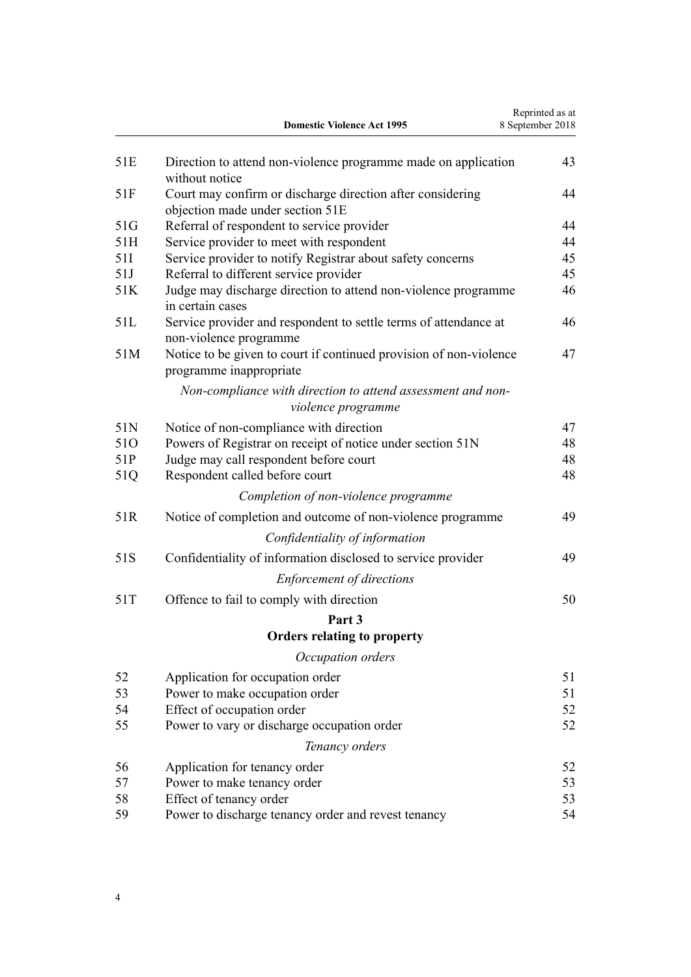|     | <b>Domestic Violence Act 1995</b>                                                              | Reprinted as at<br>8 September 2018 |
|-----|------------------------------------------------------------------------------------------------|-------------------------------------|
| 51E | Direction to attend non-violence programme made on application<br>without notice               | 43                                  |
| 51F | Court may confirm or discharge direction after considering<br>objection made under section 51E | 44                                  |
| 51G | Referral of respondent to service provider                                                     | 44                                  |
| 51H | Service provider to meet with respondent                                                       | 44                                  |
| 51I | Service provider to notify Registrar about safety concerns                                     | 45                                  |
| 51J | Referral to different service provider                                                         | 45                                  |
| 51K | Judge may discharge direction to attend non-violence programme<br>in certain cases             | 46                                  |
| 51L | Service provider and respondent to settle terms of attendance at<br>non-violence programme     | 46                                  |
| 51M | Notice to be given to court if continued provision of non-violence<br>programme inappropriate  | 47                                  |
|     | Non-compliance with direction to attend assessment and non-<br>violence programme              |                                     |
| 51N | Notice of non-compliance with direction                                                        | 47                                  |
| 510 | Powers of Registrar on receipt of notice under section 51N                                     | 48                                  |
| 51P | Judge may call respondent before court                                                         | 48                                  |
| 51Q | Respondent called before court                                                                 | 48                                  |
|     | Completion of non-violence programme                                                           |                                     |
| 51R | Notice of completion and outcome of non-violence programme                                     | 49                                  |
|     | Confidentiality of information                                                                 |                                     |
| 51S | Confidentiality of information disclosed to service provider                                   | 49                                  |
|     | <b>Enforcement of directions</b>                                                               |                                     |
| 51T | Offence to fail to comply with direction                                                       | 50                                  |
|     | Part 3                                                                                         |                                     |
|     | <b>Orders relating to property</b>                                                             |                                     |
|     | Occupation orders                                                                              |                                     |
| 52  | Application for occupation order                                                               | 51                                  |
| 53  | Power to make occupation order                                                                 | 51                                  |
| 54  | Effect of occupation order                                                                     | 52                                  |
| 55  | Power to vary or discharge occupation order                                                    | 52                                  |
|     | Tenancy orders                                                                                 |                                     |
| 56  | Application for tenancy order                                                                  | 52                                  |
| 57  | Power to make tenancy order                                                                    | 53                                  |
| 58  | Effect of tenancy order                                                                        | 53                                  |
| 59  | Power to discharge tenancy order and revest tenancy                                            | 54                                  |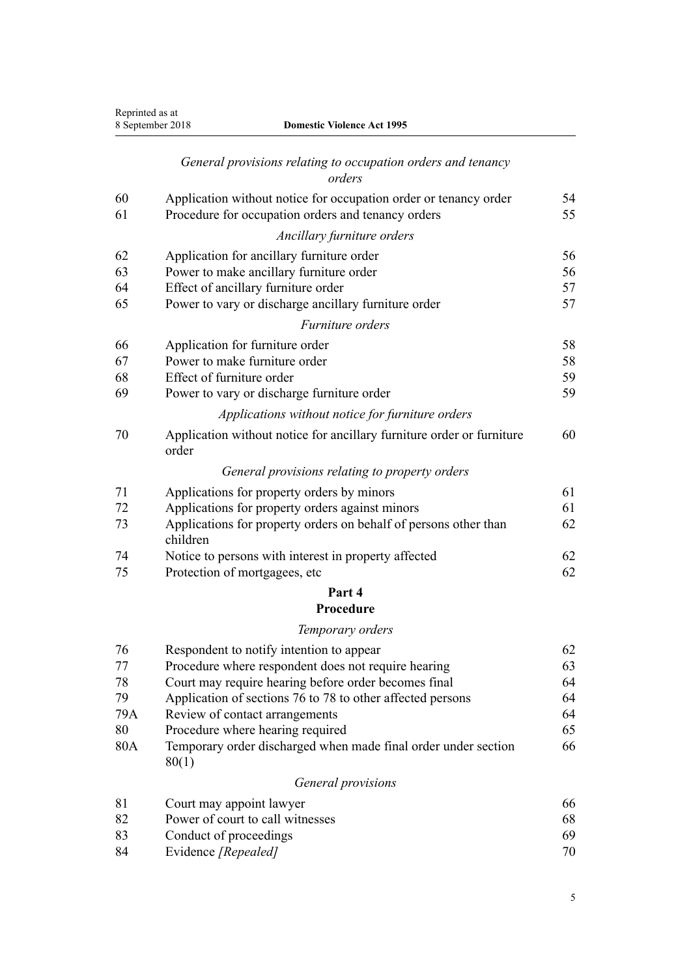| Reprinted as at | <b>Domestic Violence Act 1995</b><br>8 September 2018                          |    |
|-----------------|--------------------------------------------------------------------------------|----|
|                 | General provisions relating to occupation orders and tenancy<br>orders         |    |
| 60              | Application without notice for occupation order or tenancy order               | 54 |
| 61              | Procedure for occupation orders and tenancy orders                             | 55 |
|                 | Ancillary furniture orders                                                     |    |
| 62              | Application for ancillary furniture order                                      | 56 |
| 63              | Power to make ancillary furniture order                                        | 56 |
| 64              | Effect of ancillary furniture order                                            | 57 |
| 65              | Power to vary or discharge ancillary furniture order                           | 57 |
|                 | Furniture orders                                                               |    |
| 66              | Application for furniture order                                                | 58 |
| 67              | Power to make furniture order                                                  | 58 |
| 68              | Effect of furniture order                                                      | 59 |
| 69              | Power to vary or discharge furniture order                                     | 59 |
|                 | Applications without notice for furniture orders                               |    |
| 70              | Application without notice for ancillary furniture order or furniture<br>order | 60 |
|                 | General provisions relating to property orders                                 |    |
| 71              | Applications for property orders by minors                                     | 61 |
| 72              | Applications for property orders against minors                                | 61 |
| 73              | Applications for property orders on behalf of persons other than<br>children   | 62 |
| 74              | Notice to persons with interest in property affected                           | 62 |
| 75              | Protection of mortgagees, etc                                                  | 62 |
|                 | Part 4                                                                         |    |
|                 | Procedure                                                                      |    |
|                 | Temporary orders                                                               |    |
| 76              | Respondent to notify intention to appear                                       | 62 |
| 77              | Procedure where respondent does not require hearing                            | 63 |
| 78              | Court may require hearing before order becomes final                           | 64 |
| 79              | Application of sections 76 to 78 to other affected persons                     | 64 |
| 79A             | Review of contact arrangements                                                 | 64 |
| 80              | Procedure where hearing required                                               | 65 |
| 80A             | Temporary order discharged when made final order under section<br>80(1)        | 66 |
|                 | General provisions                                                             |    |
| 81              | Court may appoint lawyer                                                       | 66 |
| 82              | Power of court to call witnesses                                               | 68 |
| 83              | Conduct of proceedings                                                         | 69 |
|                 |                                                                                |    |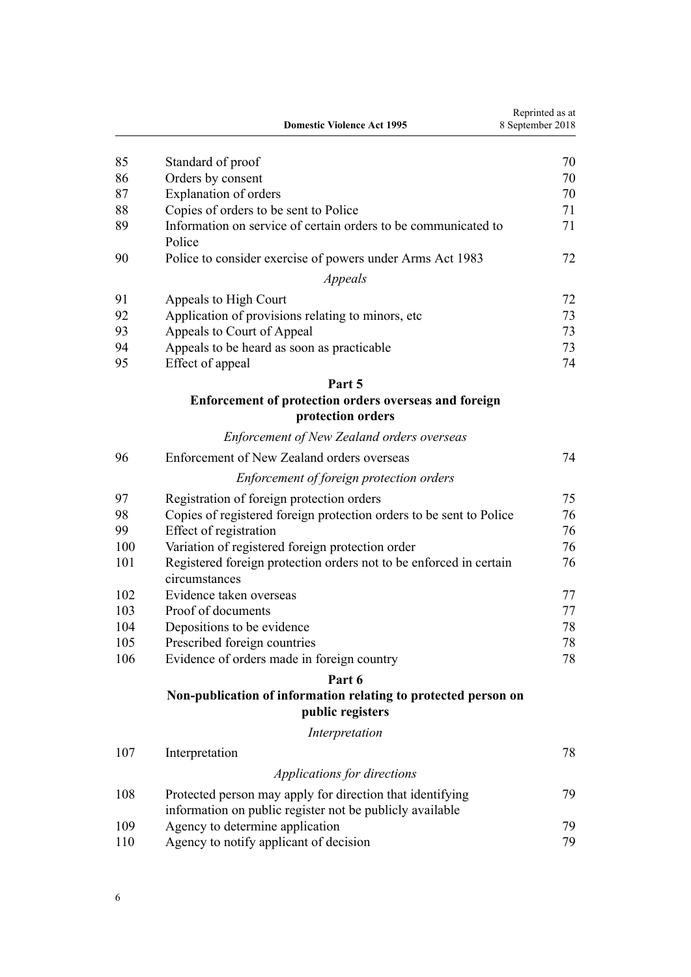|     | <b>Domestic Violence Act 1995</b>                                                   | Reprinted as at<br>8 September 2018 |
|-----|-------------------------------------------------------------------------------------|-------------------------------------|
| 85  | Standard of proof                                                                   | 70                                  |
| 86  | Orders by consent                                                                   | 70                                  |
| 87  | Explanation of orders                                                               | 70                                  |
| 88  | Copies of orders to be sent to Police                                               | 71                                  |
| 89  | Information on service of certain orders to be communicated to<br>Police            | 71                                  |
| 90  | Police to consider exercise of powers under Arms Act 1983                           | 72                                  |
|     | Appeals                                                                             |                                     |
| 91  | Appeals to High Court                                                               | 72                                  |
| 92  | Application of provisions relating to minors, etc.                                  | 73                                  |
| 93  | Appeals to Court of Appeal                                                          | 73                                  |
| 94  | Appeals to be heard as soon as practicable                                          | 73                                  |
| 95  | Effect of appeal                                                                    | 74                                  |
|     | Part 5                                                                              |                                     |
|     | Enforcement of protection orders overseas and foreign<br>protection orders          |                                     |
|     | <b>Enforcement of New Zealand orders overseas</b>                                   |                                     |
| 96  | Enforcement of New Zealand orders overseas                                          | 74                                  |
|     | Enforcement of foreign protection orders                                            |                                     |
| 97  | Registration of foreign protection orders                                           | 75                                  |
| 98  | Copies of registered foreign protection orders to be sent to Police                 | 76                                  |
| 99  | Effect of registration                                                              | 76                                  |
| 100 | Variation of registered foreign protection order                                    | 76                                  |
| 101 | Registered foreign protection orders not to be enforced in certain<br>circumstances | 76                                  |
| 102 | Evidence taken overseas                                                             | 77                                  |
| 103 | Proof of documents                                                                  | 77                                  |
| 104 | Depositions to be evidence                                                          | 78                                  |
| 105 | Prescribed foreign countries                                                        | 78                                  |
| 106 | Evidence of orders made in foreign country                                          | 78                                  |
|     | Part 6                                                                              |                                     |
|     | Non-publication of information relating to protected person on<br>public registers  |                                     |
|     | Interpretation                                                                      |                                     |
| 107 | Interpretation                                                                      | 78                                  |
|     | Applications for directions                                                         |                                     |
| 108 | Protected person may apply for direction that identifying                           | 79                                  |
|     | information on public register not be publicly available                            |                                     |
| 109 | Agency to determine application                                                     | 79                                  |
| 110 | Agency to notify applicant of decision                                              | 79                                  |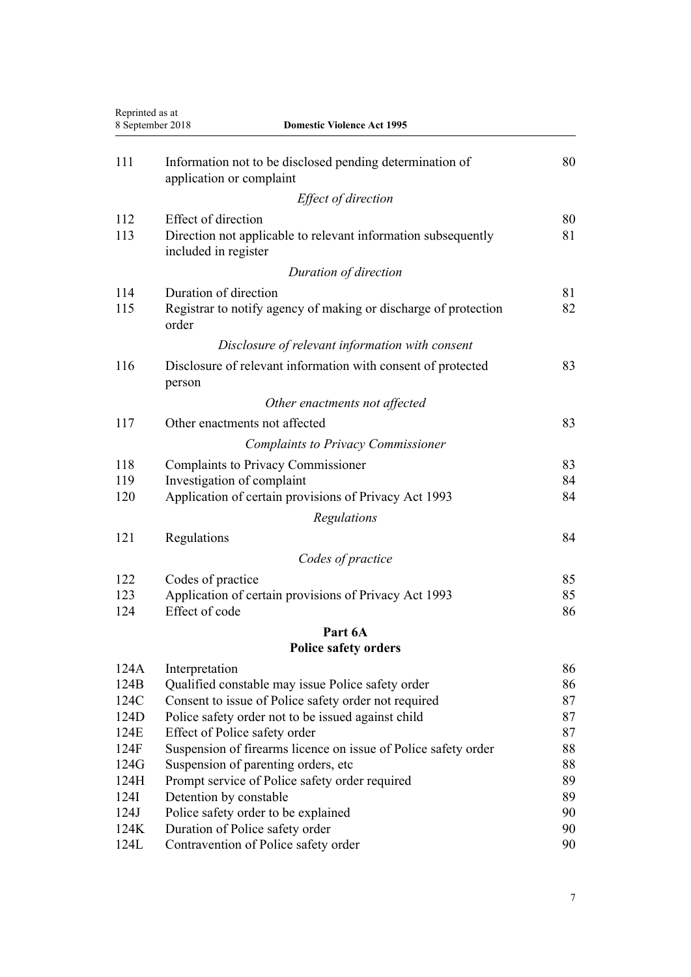| Reprinted as at<br>8 September 2018 | <b>Domestic Violence Act 1995</b>                                                     |    |
|-------------------------------------|---------------------------------------------------------------------------------------|----|
| 111                                 | Information not to be disclosed pending determination of<br>application or complaint  | 80 |
|                                     | Effect of direction                                                                   |    |
| 112                                 | <b>Effect of direction</b>                                                            | 80 |
| 113                                 | Direction not applicable to relevant information subsequently<br>included in register | 81 |
|                                     | Duration of direction                                                                 |    |
| 114                                 | Duration of direction                                                                 | 81 |
| 115                                 | Registrar to notify agency of making or discharge of protection<br>order              | 82 |
|                                     | Disclosure of relevant information with consent                                       |    |
| 116                                 | Disclosure of relevant information with consent of protected<br>person                | 83 |
|                                     | Other enactments not affected                                                         |    |
| 117                                 | Other enactments not affected                                                         | 83 |
|                                     | <b>Complaints to Privacy Commissioner</b>                                             |    |
| 118                                 | <b>Complaints to Privacy Commissioner</b>                                             | 83 |
| 119                                 | Investigation of complaint                                                            | 84 |
| 120                                 | Application of certain provisions of Privacy Act 1993                                 | 84 |
|                                     | Regulations                                                                           |    |
| 121                                 | Regulations                                                                           | 84 |
|                                     | Codes of practice                                                                     |    |
| 122                                 | Codes of practice                                                                     | 85 |
| 123                                 | Application of certain provisions of Privacy Act 1993                                 | 85 |
| 124                                 | Effect of code                                                                        | 86 |
|                                     | Part 6A                                                                               |    |
|                                     | <b>Police safety orders</b>                                                           |    |
| 124A                                | Interpretation                                                                        | 86 |
| 124B                                | Qualified constable may issue Police safety order                                     | 86 |
| 124C                                | Consent to issue of Police safety order not required                                  | 87 |
| 124D                                | Police safety order not to be issued against child                                    | 87 |
| 124E                                | Effect of Police safety order                                                         | 87 |
| 124F                                | Suspension of firearms licence on issue of Police safety order                        | 88 |
| 124G                                | Suspension of parenting orders, etc.                                                  | 88 |
| 124H                                | Prompt service of Police safety order required                                        | 89 |
| 124I                                | Detention by constable                                                                | 89 |
| 124J                                | Police safety order to be explained                                                   | 90 |
| 124K                                | Duration of Police safety order                                                       | 90 |
| 124L                                | Contravention of Police safety order                                                  | 90 |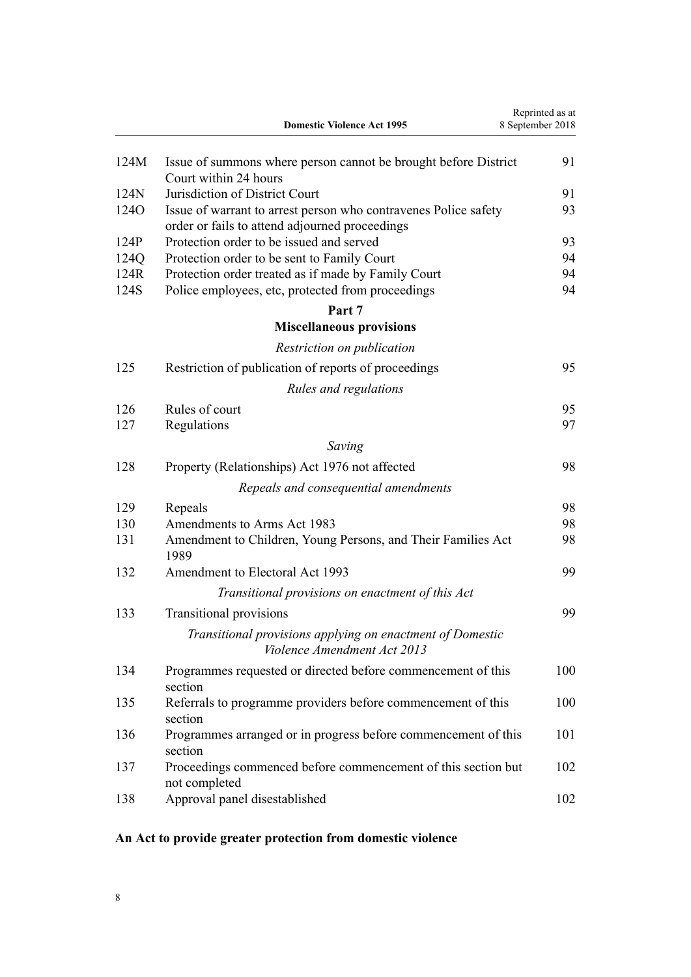<span id="page-7-0"></span>

|                  | <b>Domestic Violence Act 1995</b>                                                                                 | Reprinted as at<br>8 September 2018 |
|------------------|-------------------------------------------------------------------------------------------------------------------|-------------------------------------|
| 124M             | Issue of summons where person cannot be brought before District                                                   | 91                                  |
|                  | Court within 24 hours                                                                                             |                                     |
| 124N             | Jurisdiction of District Court                                                                                    | 91                                  |
| 124 <sub>O</sub> | Issue of warrant to arrest person who contravenes Police safety<br>order or fails to attend adjourned proceedings | 93                                  |
| 124P             | Protection order to be issued and served                                                                          | 93                                  |
| 124Q             | Protection order to be sent to Family Court                                                                       | 94                                  |
| 124R             | Protection order treated as if made by Family Court                                                               | 94                                  |
| 124S             | Police employees, etc, protected from proceedings                                                                 | 94                                  |
|                  | Part 7<br><b>Miscellaneous provisions</b>                                                                         |                                     |
|                  |                                                                                                                   |                                     |
|                  | Restriction on publication                                                                                        |                                     |
| 125              | Restriction of publication of reports of proceedings                                                              | 95                                  |
|                  | Rules and regulations                                                                                             |                                     |
| 126              | Rules of court                                                                                                    | 95                                  |
| 127              | Regulations                                                                                                       | 97                                  |
|                  | Saving                                                                                                            |                                     |
| 128              | Property (Relationships) Act 1976 not affected                                                                    | 98                                  |
|                  | Repeals and consequential amendments                                                                              |                                     |
| 129              | Repeals                                                                                                           | 98                                  |
| 130              | Amendments to Arms Act 1983                                                                                       | 98                                  |
| 131              | Amendment to Children, Young Persons, and Their Families Act<br>1989                                              | 98                                  |
| 132              | Amendment to Electoral Act 1993                                                                                   | 99                                  |
|                  | Transitional provisions on enactment of this Act                                                                  |                                     |
| 133              | Transitional provisions                                                                                           | 99                                  |
|                  | Transitional provisions applying on enactment of Domestic<br>Violence Amendment Act 2013                          |                                     |
| 134              | Programmes requested or directed before commencement of this<br>section                                           | 100                                 |
| 135              | Referrals to programme providers before commencement of this<br>section                                           | 100                                 |
| 136              | Programmes arranged or in progress before commencement of this<br>section                                         | 101                                 |
| 137              | Proceedings commenced before commencement of this section but<br>not completed                                    | 102                                 |
| 138              | Approval panel disestablished                                                                                     | 102                                 |

# **An Act to provide greater protection from domestic violence**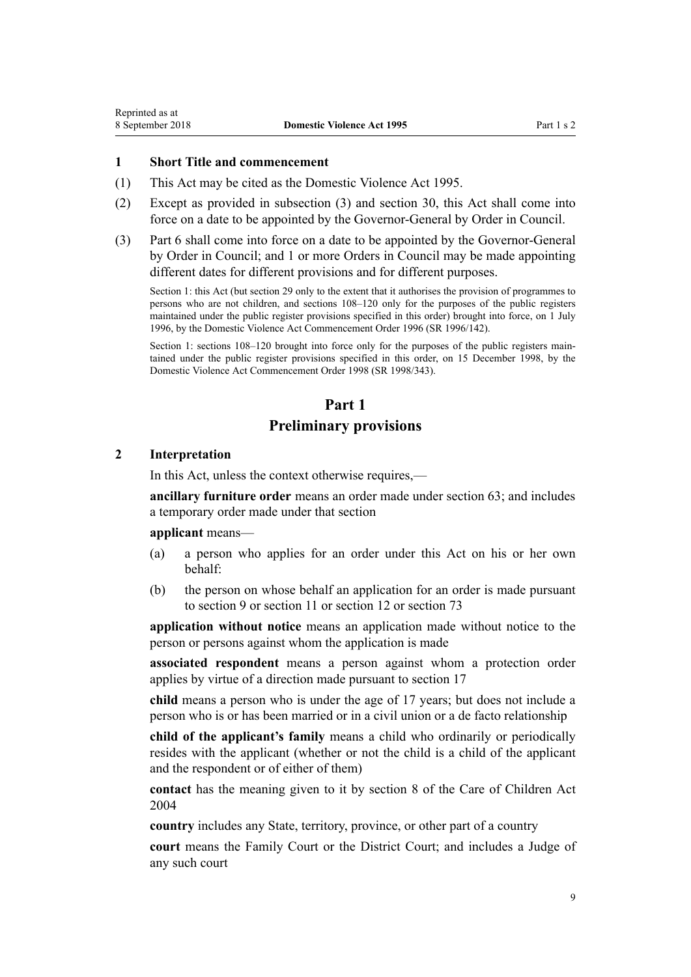#### <span id="page-8-0"></span>**1 Short Title and commencement**

- (1) This Act may be cited as the Domestic Violence Act 1995.
- (2) Except as provided in subsection (3) and [section 30](#page-34-0), this Act shall come into force on a date to be appointed by the Governor-General by Order in Council.
- (3) [Part 6](#page-77-0) shall come into force on a date to be appointed by the Governor-General by Order in Council; and 1 or more Orders in Council may be made appointing different dates for different provisions and for different purposes.

Section 1: this Act (but section 29 only to the extent that it authorises the provision of programmes to persons who are not children, and sections 108–120 only for the purposes of the public registers maintained under the public register provisions specified in this order) brought into force, on 1 July 1996, by the [Domestic Violence Act Commencement Order 1996](http://prd-lgnz-nlb.prd.pco.net.nz/pdflink.aspx?id=DLM212125) (SR 1996/142).

Section 1: sections 108–120 brought into force only for the purposes of the public registers maintained under the public register provisions specified in this order, on 15 December 1998, by the [Domestic Violence Act Commencement Order 1998](http://prd-lgnz-nlb.prd.pco.net.nz/pdflink.aspx?id=DLM264465) (SR 1998/343).

## **Part 1**

## **Preliminary provisions**

#### **2 Interpretation**

In this Act, unless the context otherwise requires,—

**ancillary furniture order** means an order made under [section 63;](#page-55-0) and includes a temporary order made under that section

#### **applicant** means—

- (a) a person who applies for an order under this Act on his or her own behalf:
- (b) the person on whose behalf an application for an order is made pursuant to [section 9](#page-15-0) or [section 11](#page-17-0) or [section 12](#page-17-0) or [section 73](#page-61-0)

**application without notice** means an application made without notice to the person or persons against whom the application is made

**associated respondent** means a person against whom a protection order applies by virtue of a direction made pursuant to [section 17](#page-22-0)

**child** means a person who is under the age of 17 years; but does not include a person who is or has been married or in a civil union or a de facto relationship

**child of the applicant's family** means a child who ordinarily or periodically resides with the applicant (whether or not the child is a child of the applicant and the respondent or of either of them)

**contact** has the meaning given to it by [section 8](http://prd-lgnz-nlb.prd.pco.net.nz/pdflink.aspx?id=DLM317244) of the Care of Children Act 2004

**country** includes any State, territory, province, or other part of a country

**court** means the Family Court or the District Court; and includes a Judge of any such court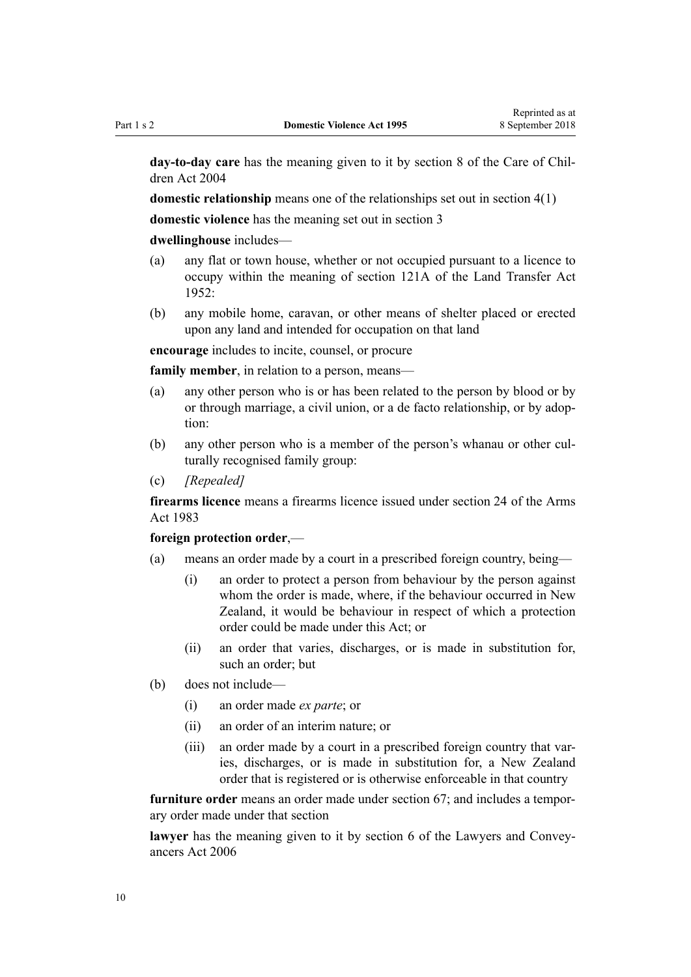**day-to-day care** has the meaning given to it by [section 8](http://prd-lgnz-nlb.prd.pco.net.nz/pdflink.aspx?id=DLM317244) of the Care of Children Act 2004

**domestic relationship** means one of the relationships set out in [section 4\(1\)](#page-13-0)

**domestic violence** has the meaning set out in [section 3](#page-12-0)

#### **dwellinghouse** includes—

- (a) any flat or town house, whether or not occupied pursuant to a licence to occupy within the meaning of [section 121A](http://prd-lgnz-nlb.prd.pco.net.nz/pdflink.aspx?id=DLM271049) of the Land Transfer Act  $1952$
- (b) any mobile home, caravan, or other means of shelter placed or erected upon any land and intended for occupation on that land

**encourage** includes to incite, counsel, or procure

**family member**, in relation to a person, means—

- (a) any other person who is or has been related to the person by blood or by or through marriage, a civil union, or a de facto relationship, or by adoption:
- (b) any other person who is a member of the person's whanau or other culturally recognised family group:
- (c) *[Repealed]*

**firearms licence** means a firearms licence issued under [section 24](http://prd-lgnz-nlb.prd.pco.net.nz/pdflink.aspx?id=DLM72923) of the Arms Act 1983

#### **foreign protection order**,—

- (a) means an order made by a court in a prescribed foreign country, being—
	- (i) an order to protect a person from behaviour by the person against whom the order is made, where, if the behaviour occurred in New Zealand, it would be behaviour in respect of which a protection order could be made under this Act; or
	- (ii) an order that varies, discharges, or is made in substitution for, such an order; but
- (b) does not include—
	- (i) an order made *ex parte*; or
	- (ii) an order of an interim nature; or
	- (iii) an order made by a court in a prescribed foreign country that varies, discharges, or is made in substitution for, a New Zealand order that is registered or is otherwise enforceable in that country

**furniture order** means an order made under [section 67;](#page-57-0) and includes a temporary order made under that section

**lawyer** has the meaning given to it by [section 6](http://prd-lgnz-nlb.prd.pco.net.nz/pdflink.aspx?id=DLM364948) of the Lawyers and Conveyancers Act 2006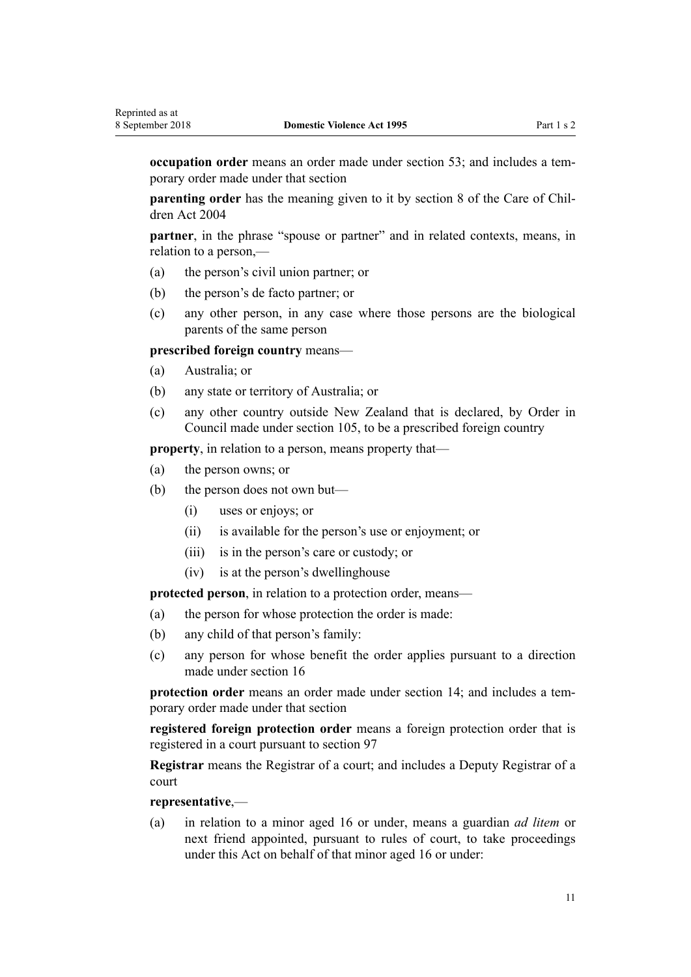**occupation order** means an order made under [section 53;](#page-50-0) and includes a temporary order made under that section

**parenting order** has the meaning given to it by [section 8](http://prd-lgnz-nlb.prd.pco.net.nz/pdflink.aspx?id=DLM317244) of the Care of Children Act 2004

**partner**, in the phrase "spouse or partner" and in related contexts, means, in relation to a person,—

- (a) the person's civil union partner; or
- (b) the person's de facto partner; or
- (c) any other person, in any case where those persons are the biological parents of the same person

**prescribed foreign country** means—

- (a) Australia; or
- (b) any state or territory of Australia; or
- (c) any other country outside New Zealand that is declared, by Order in Council made under [section 105](#page-77-0), to be a prescribed foreign country

**property**, in relation to a person, means property that—

- (a) the person owns; or
- (b) the person does not own but—
	- (i) uses or enjoys; or
	- (ii) is available for the person's use or enjoyment; or
	- (iii) is in the person's care or custody; or
	- (iv) is at the person's dwellinghouse

**protected person**, in relation to a protection order, means—

- (a) the person for whose protection the order is made:
- (b) any child of that person's family:
- (c) any person for whose benefit the order applies pursuant to a direction made under [section 16](#page-21-0)

**protection order** means an order made under [section 14;](#page-20-0) and includes a temporary order made under that section

**registered foreign protection order** means a foreign protection order that is registered in a court pursuant to [section 97](#page-74-0)

**Registrar** means the Registrar of a court; and includes a Deputy Registrar of a court

#### **representative**,—

(a) in relation to a minor aged 16 or under, means a guardian *ad litem* or next friend appointed, pursuant to rules of court, to take proceedings under this Act on behalf of that minor aged 16 or under: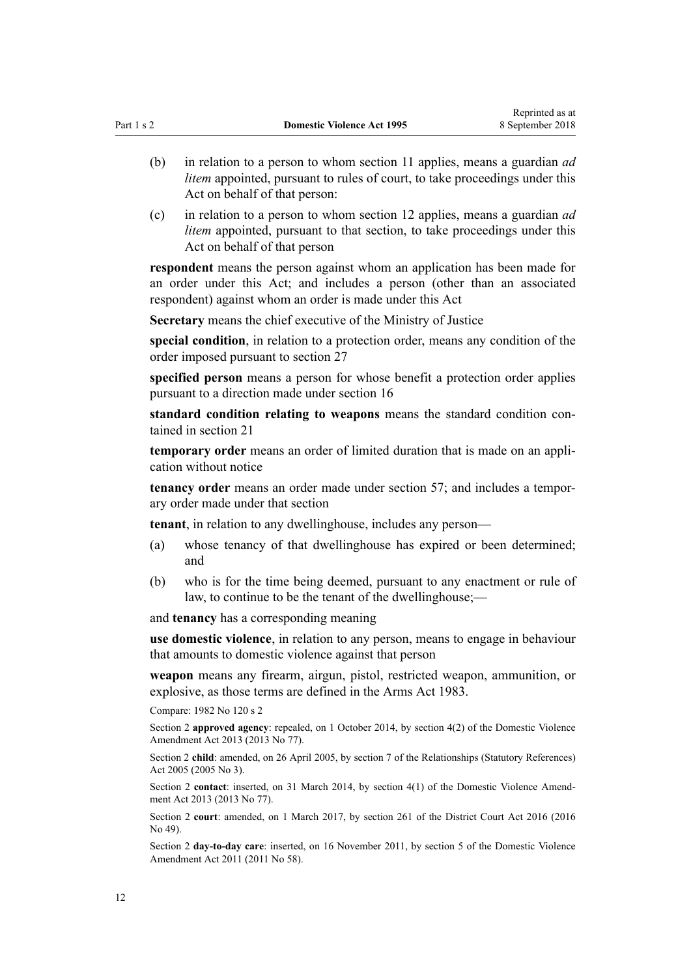- (b) in relation to a person to whom [section 11](#page-17-0) applies, means a guardian *ad litem* appointed, pursuant to rules of court, to take proceedings under this Act on behalf of that person:
- (c) in relation to a person to whom [section 12](#page-17-0) applies, means a guardian *ad litem* appointed, pursuant to that section, to take proceedings under this Act on behalf of that person

**respondent** means the person against whom an application has been made for an order under this Act; and includes a person (other than an associated respondent) against whom an order is made under this Act

**Secretary** means the chief executive of the Ministry of Justice

**special condition**, in relation to a protection order, means any condition of the order imposed pursuant to [section 27](#page-32-0)

**specified person** means a person for whose benefit a protection order applies pursuant to a direction made under [section 16](#page-21-0)

**standard condition relating to weapons** means the standard condition contained in [section 21](#page-25-0)

**temporary order** means an order of limited duration that is made on an application without notice

**tenancy order** means an order made under [section 57;](#page-52-0) and includes a temporary order made under that section

**tenant**, in relation to any dwellinghouse, includes any person—

- (a) whose tenancy of that dwellinghouse has expired or been determined; and
- (b) who is for the time being deemed, pursuant to any enactment or rule of law, to continue to be the tenant of the dwellinghouse;—

and **tenancy** has a corresponding meaning

**use domestic violence**, in relation to any person, means to engage in behaviour that amounts to domestic violence against that person

**weapon** means any firearm, airgun, pistol, restricted weapon, ammunition, or explosive, as those terms are defined in the [Arms Act 1983.](http://prd-lgnz-nlb.prd.pco.net.nz/pdflink.aspx?id=DLM72621)

Compare: 1982 No 120 [s 2](http://prd-lgnz-nlb.prd.pco.net.nz/pdflink.aspx?id=DLM81596)

Section 2 **approved agency**: repealed, on 1 October 2014, by [section 4\(2\)](http://prd-lgnz-nlb.prd.pco.net.nz/pdflink.aspx?id=DLM5615642) of the Domestic Violence Amendment Act 2013 (2013 No 77).

Section 2 **child**: amended, on 26 April 2005, by [section 7](http://prd-lgnz-nlb.prd.pco.net.nz/pdflink.aspx?id=DLM333795) of the Relationships (Statutory References) Act 2005 (2005 No 3).

Section 2 **contact**: inserted, on 31 March 2014, by [section 4\(1\)](http://prd-lgnz-nlb.prd.pco.net.nz/pdflink.aspx?id=DLM5615642) of the Domestic Violence Amendment Act 2013 (2013 No 77).

Section 2 **court**: amended, on 1 March 2017, by [section 261](http://prd-lgnz-nlb.prd.pco.net.nz/pdflink.aspx?id=DLM6942680) of the District Court Act 2016 (2016 No 49).

Section 2 **day-to-day care**: inserted, on 16 November 2011, by [section 5](http://prd-lgnz-nlb.prd.pco.net.nz/pdflink.aspx?id=DLM1955505) of the Domestic Violence Amendment Act 2011 (2011 No 58).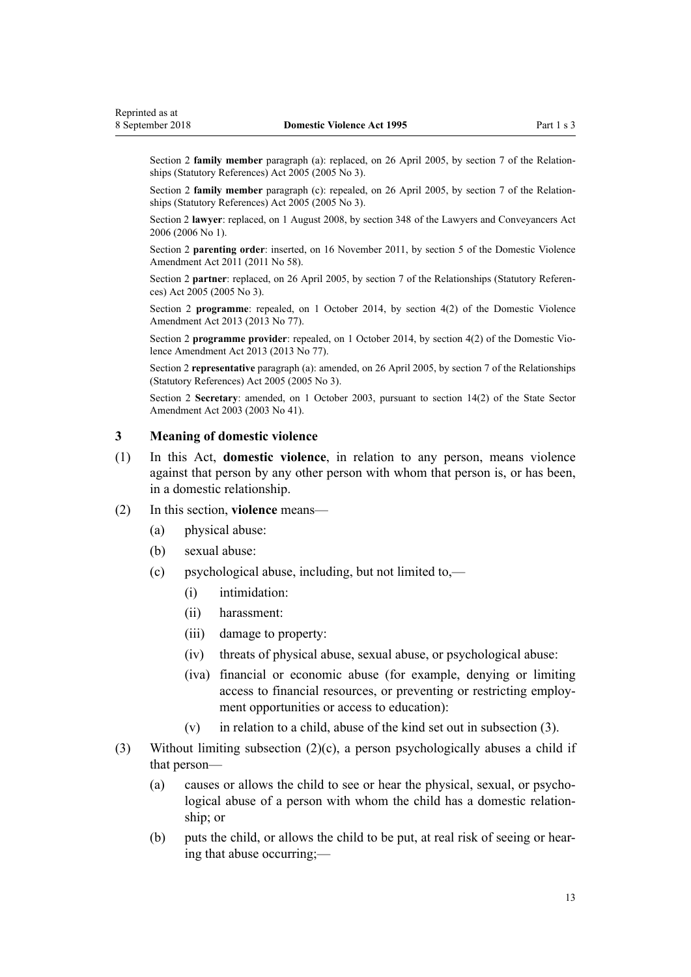<span id="page-12-0"></span>Section 2 **family member** paragraph (a): replaced, on 26 April 2005, by [section 7](http://prd-lgnz-nlb.prd.pco.net.nz/pdflink.aspx?id=DLM333795) of the Relationships (Statutory References) Act 2005 (2005 No 3).

Section 2 **family member** paragraph (c): repealed, on 26 April 2005, by [section 7](http://prd-lgnz-nlb.prd.pco.net.nz/pdflink.aspx?id=DLM333795) of the Relationships (Statutory References) Act 2005 (2005 No 3).

Section 2 **lawyer**: replaced, on 1 August 2008, by [section 348](http://prd-lgnz-nlb.prd.pco.net.nz/pdflink.aspx?id=DLM367849) of the Lawyers and Conveyancers Act 2006 (2006 No 1).

Section 2 **parenting order**: inserted, on 16 November 2011, by [section 5](http://prd-lgnz-nlb.prd.pco.net.nz/pdflink.aspx?id=DLM1955505) of the Domestic Violence Amendment Act 2011 (2011 No 58).

Section 2 **partner**: replaced, on 26 April 2005, by [section 7](http://prd-lgnz-nlb.prd.pco.net.nz/pdflink.aspx?id=DLM333795) of the Relationships (Statutory References) Act 2005 (2005 No 3).

Section 2 **programme**: repealed, on 1 October 2014, by [section 4\(2\)](http://prd-lgnz-nlb.prd.pco.net.nz/pdflink.aspx?id=DLM5615642) of the Domestic Violence Amendment Act 2013 (2013 No 77).

Section 2 **programme provider**: repealed, on 1 October 2014, by [section 4\(2\)](http://prd-lgnz-nlb.prd.pco.net.nz/pdflink.aspx?id=DLM5615642) of the Domestic Violence Amendment Act 2013 (2013 No 77).

Section 2 **representative** paragraph (a): amended, on 26 April 2005, by [section 7](http://prd-lgnz-nlb.prd.pco.net.nz/pdflink.aspx?id=DLM333795) of the Relationships (Statutory References) Act 2005 (2005 No 3).

Section 2 **Secretary**: amended, on 1 October 2003, pursuant to [section 14\(2\)](http://prd-lgnz-nlb.prd.pco.net.nz/pdflink.aspx?id=DLM201378) of the State Sector Amendment Act 2003 (2003 No 41).

### **3 Meaning of domestic violence**

- (1) In this Act, **domestic violence**, in relation to any person, means violence against that person by any other person with whom that person is, or has been, in a domestic relationship.
- (2) In this section, **violence** means—
	- (a) physical abuse:
	- (b) sexual abuse:
	- (c) psychological abuse, including, but not limited to,—
		- (i) intimidation:
		- (ii) harassment:
		- (iii) damage to property:
		- (iv) threats of physical abuse, sexual abuse, or psychological abuse:
		- (iva) financial or economic abuse (for example, denying or limiting access to financial resources, or preventing or restricting employment opportunities or access to education):
		- (v) in relation to a child, abuse of the kind set out in subsection (3).
- (3) Without limiting subsection (2)(c), a person psychologically abuses a child if that person—
	- (a) causes or allows the child to see or hear the physical, sexual, or psychological abuse of a person with whom the child has a domestic relationship; or
	- (b) puts the child, or allows the child to be put, at real risk of seeing or hearing that abuse occurring;—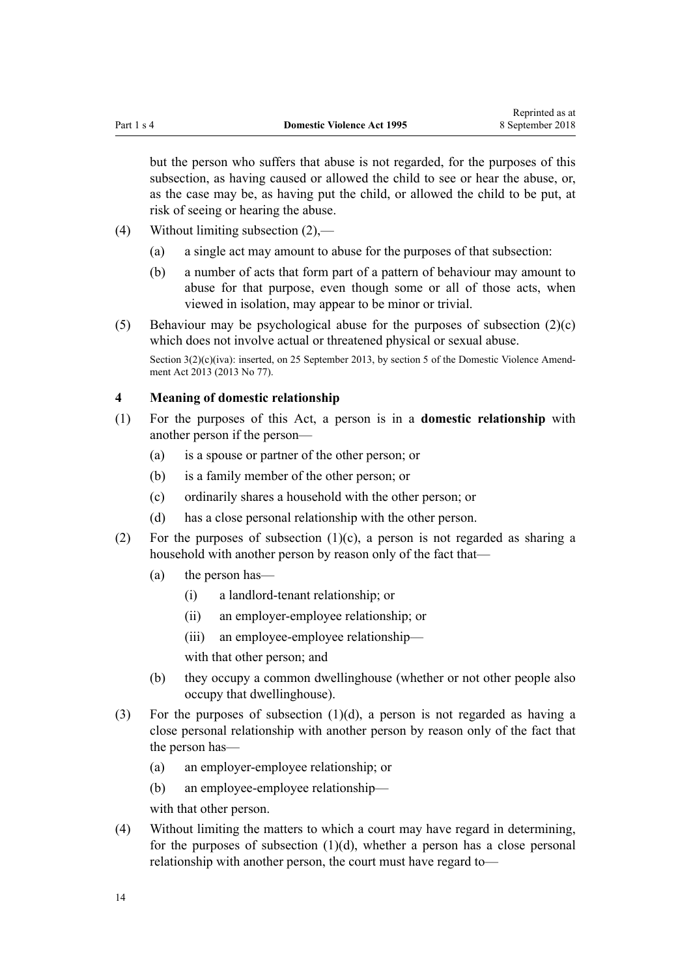<span id="page-13-0"></span>but the person who suffers that abuse is not regarded, for the purposes of this subsection, as having caused or allowed the child to see or hear the abuse, or, as the case may be, as having put the child, or allowed the child to be put, at risk of seeing or hearing the abuse.

- (4) Without limiting subsection (2),—
	- (a) a single act may amount to abuse for the purposes of that subsection:
	- (b) a number of acts that form part of a pattern of behaviour may amount to abuse for that purpose, even though some or all of those acts, when viewed in isolation, may appear to be minor or trivial.

(5) Behaviour may be psychological abuse for the purposes of subsection  $(2)(c)$ which does not involve actual or threatened physical or sexual abuse. Section  $3(2)(c)(iva)$ : inserted, on 25 September 2013, by [section 5](http://prd-lgnz-nlb.prd.pco.net.nz/pdflink.aspx?id=DLM5615651) of the Domestic Violence Amendment Act 2013 (2013 No 77).

## **4 Meaning of domestic relationship**

- (1) For the purposes of this Act, a person is in a **domestic relationship** with another person if the person—
	- (a) is a spouse or partner of the other person; or
	- (b) is a family member of the other person; or
	- (c) ordinarily shares a household with the other person; or
	- (d) has a close personal relationship with the other person.
- (2) For the purposes of subsection  $(1)(c)$ , a person is not regarded as sharing a household with another person by reason only of the fact that—
	- (a) the person has—
		- (i) a landlord-tenant relationship; or
		- (ii) an employer-employee relationship; or
		- (iii) an employee-employee relationship—

with that other person; and

- (b) they occupy a common dwellinghouse (whether or not other people also occupy that dwellinghouse).
- (3) For the purposes of subsection (1)(d), a person is not regarded as having a close personal relationship with another person by reason only of the fact that the person has—
	- (a) an employer-employee relationship; or
	- (b) an employee-employee relationship—

with that other person.

(4) Without limiting the matters to which a court may have regard in determining, for the purposes of subsection  $(1)(d)$ , whether a person has a close personal relationship with another person, the court must have regard to—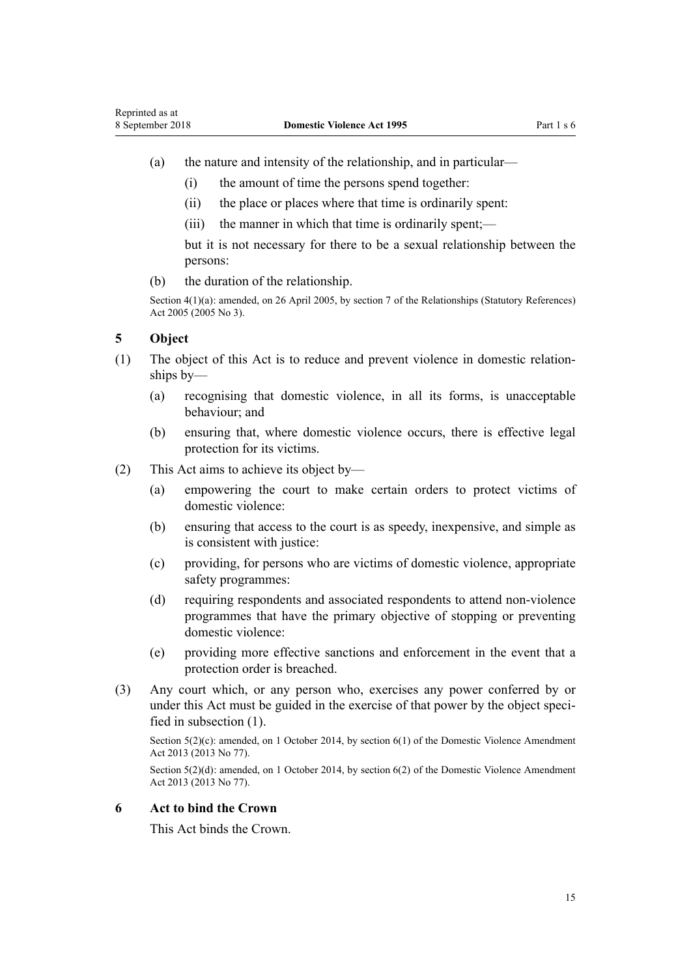- <span id="page-14-0"></span>(a) the nature and intensity of the relationship, and in particular—
	- (i) the amount of time the persons spend together:
	- (ii) the place or places where that time is ordinarily spent:
	- (iii) the manner in which that time is ordinarily spent;—

but it is not necessary for there to be a sexual relationship between the persons:

(b) the duration of the relationship.

Section 4(1)(a): amended, on 26 April 2005, by [section 7](http://prd-lgnz-nlb.prd.pco.net.nz/pdflink.aspx?id=DLM333795) of the Relationships (Statutory References) Act 2005 (2005 No 3).

## **5 Object**

- (1) The object of this Act is to reduce and prevent violence in domestic relationships by—
	- (a) recognising that domestic violence, in all its forms, is unacceptable behaviour; and
	- (b) ensuring that, where domestic violence occurs, there is effective legal protection for its victims.
- (2) This Act aims to achieve its object by—
	- (a) empowering the court to make certain orders to protect victims of domestic violence:
	- (b) ensuring that access to the court is as speedy, inexpensive, and simple as is consistent with justice:
	- (c) providing, for persons who are victims of domestic violence, appropriate safety programmes:
	- (d) requiring respondents and associated respondents to attend non-violence programmes that have the primary objective of stopping or preventing domestic violence:
	- (e) providing more effective sanctions and enforcement in the event that a protection order is breached.
- (3) Any court which, or any person who, exercises any power conferred by or under this Act must be guided in the exercise of that power by the object specified in subsection (1).

Section 5(2)(c): amended, on 1 October 2014, by [section 6\(1\)](http://prd-lgnz-nlb.prd.pco.net.nz/pdflink.aspx?id=DLM5615652) of the Domestic Violence Amendment Act 2013 (2013 No 77).

Section 5(2)(d): amended, on 1 October 2014, by [section 6\(2\)](http://prd-lgnz-nlb.prd.pco.net.nz/pdflink.aspx?id=DLM5615652) of the Domestic Violence Amendment Act 2013 (2013 No 77).

## **6 Act to bind the Crown**

This Act binds the Crown.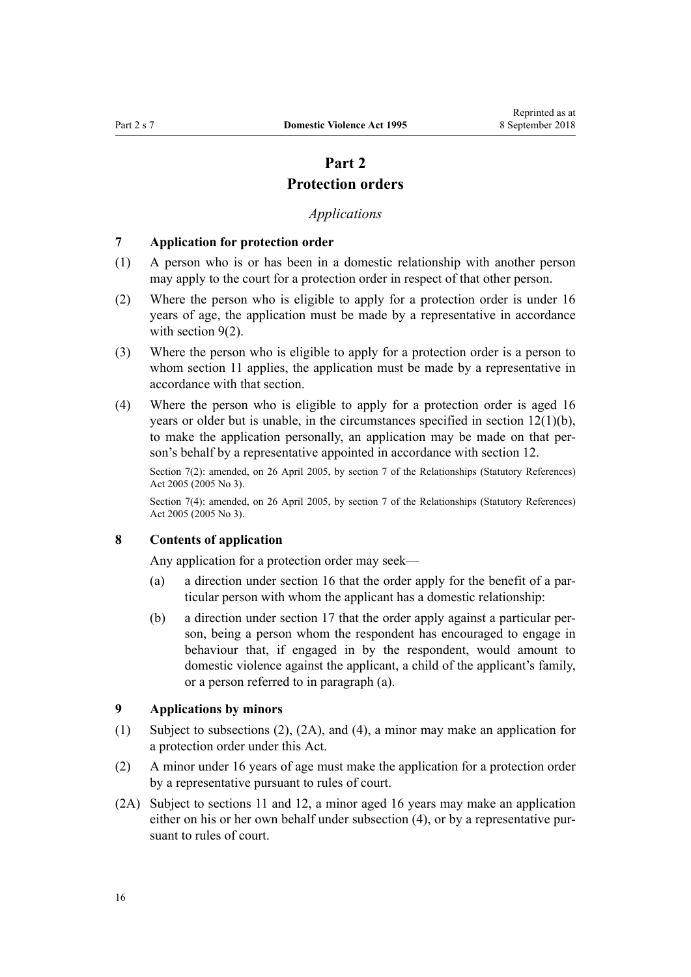# **Part 2**

## **Protection orders**

## *Applications*

#### <span id="page-15-0"></span>**7 Application for protection order**

- (1) A person who is or has been in a domestic relationship with another person may apply to the court for a protection order in respect of that other person.
- (2) Where the person who is eligible to apply for a protection order is under 16 years of age, the application must be made by a representative in accordance with section  $9(2)$ .
- (3) Where the person who is eligible to apply for a protection order is a person to whom [section 11](#page-17-0) applies, the application must be made by a representative in accordance with that section.
- (4) Where the person who is eligible to apply for a protection order is aged 16 years or older but is unable, in the circumstances specified in [section 12\(1\)\(b\)](#page-17-0), to make the application personally, an application may be made on that person's behalf by a representative appointed in accordance with section 12.

Section 7(2): amended, on 26 April 2005, by [section 7](http://prd-lgnz-nlb.prd.pco.net.nz/pdflink.aspx?id=DLM333795) of the Relationships (Statutory References) Act 2005 (2005 No 3).

Section 7(4): amended, on 26 April 2005, by [section 7](http://prd-lgnz-nlb.prd.pco.net.nz/pdflink.aspx?id=DLM333795) of the Relationships (Statutory References) Act 2005 (2005 No 3).

## **8 Contents of application**

Any application for a protection order may seek—

- (a) a direction under [section 16](#page-21-0) that the order apply for the benefit of a particular person with whom the applicant has a domestic relationship:
- (b) a direction under [section 17](#page-22-0) that the order apply against a particular person, being a person whom the respondent has encouraged to engage in behaviour that, if engaged in by the respondent, would amount to domestic violence against the applicant, a child of the applicant's family, or a person referred to in paragraph (a).

## **9 Applications by minors**

- (1) Subject to subsections (2), (2A), and (4), a minor may make an application for a protection order under this Act.
- (2) A minor under 16 years of age must make the application for a protection order by a representative pursuant to rules of court.
- (2A) Subject to [sections 11](#page-17-0) and [12,](#page-17-0) a minor aged 16 years may make an application either on his or her own behalf under subsection (4), or by a representative pursuant to rules of court.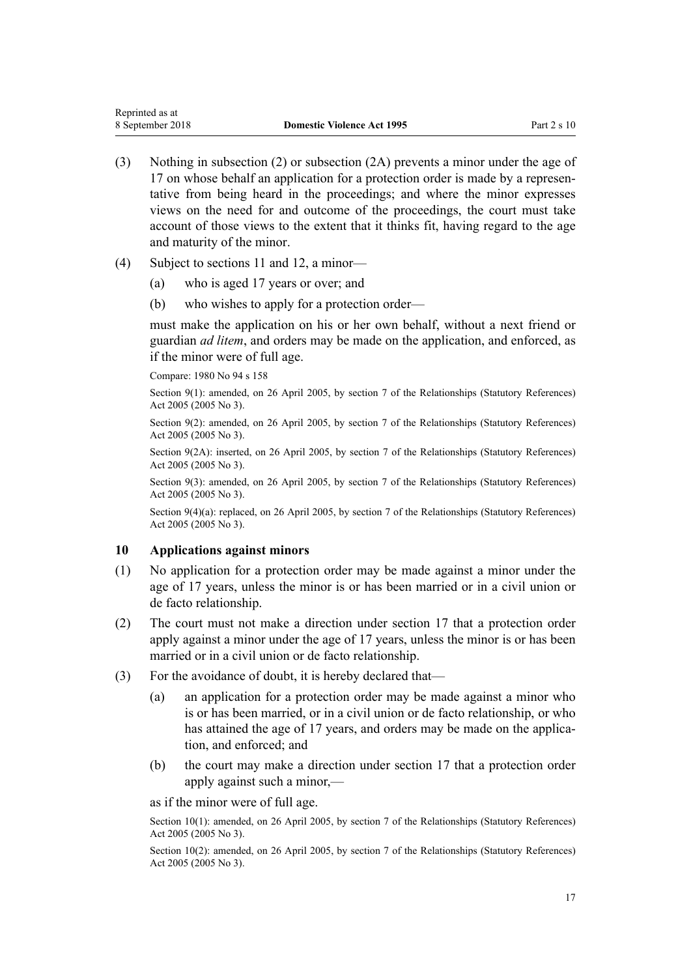- <span id="page-16-0"></span>(3) Nothing in subsection (2) or subsection (2A) prevents a minor under the age of 17 on whose behalf an application for a protection order is made by a representative from being heard in the proceedings; and where the minor expresses views on the need for and outcome of the proceedings, the court must take account of those views to the extent that it thinks fit, having regard to the age and maturity of the minor.
- (4) Subject to [sections 11](#page-17-0) and [12](#page-17-0), a minor—
	- (a) who is aged 17 years or over; and
	- (b) who wishes to apply for a protection order—

must make the application on his or her own behalf, without a next friend or guardian *ad litem*, and orders may be made on the application, and enforced, as if the minor were of full age.

Compare: 1980 No 94 [s 158](http://prd-lgnz-nlb.prd.pco.net.nz/pdflink.aspx?id=DLM41829)

Section 9(1): amended, on 26 April 2005, by [section 7](http://prd-lgnz-nlb.prd.pco.net.nz/pdflink.aspx?id=DLM333795) of the Relationships (Statutory References) Act 2005 (2005 No 3).

Section 9(2): amended, on 26 April 2005, by [section 7](http://prd-lgnz-nlb.prd.pco.net.nz/pdflink.aspx?id=DLM333795) of the Relationships (Statutory References) Act 2005 (2005 No 3).

Section 9(2A): inserted, on 26 April 2005, by [section 7](http://prd-lgnz-nlb.prd.pco.net.nz/pdflink.aspx?id=DLM333795) of the Relationships (Statutory References) Act 2005 (2005 No 3).

Section 9(3): amended, on 26 April 2005, by [section 7](http://prd-lgnz-nlb.prd.pco.net.nz/pdflink.aspx?id=DLM333795) of the Relationships (Statutory References) Act 2005 (2005 No 3).

Section 9(4)(a): replaced, on 26 April 2005, by [section 7](http://prd-lgnz-nlb.prd.pco.net.nz/pdflink.aspx?id=DLM333795) of the Relationships (Statutory References) Act 2005 (2005 No 3).

#### **10 Applications against minors**

- (1) No application for a protection order may be made against a minor under the age of 17 years, unless the minor is or has been married or in a civil union or de facto relationship.
- (2) The court must not make a direction under [section 17](#page-22-0) that a protection order apply against a minor under the age of 17 years, unless the minor is or has been married or in a civil union or de facto relationship.
- (3) For the avoidance of doubt, it is hereby declared that—
	- (a) an application for a protection order may be made against a minor who is or has been married, or in a civil union or de facto relationship, or who has attained the age of 17 years, and orders may be made on the application, and enforced; and
	- (b) the court may make a direction under [section 17](#page-22-0) that a protection order apply against such a minor,—

as if the minor were of full age.

Section 10(1): amended, on 26 April 2005, by [section 7](http://prd-lgnz-nlb.prd.pco.net.nz/pdflink.aspx?id=DLM333795) of the Relationships (Statutory References) Act 2005 (2005 No 3).

Section 10(2): amended, on 26 April 2005, by [section 7](http://prd-lgnz-nlb.prd.pco.net.nz/pdflink.aspx?id=DLM333795) of the Relationships (Statutory References) Act 2005 (2005 No 3).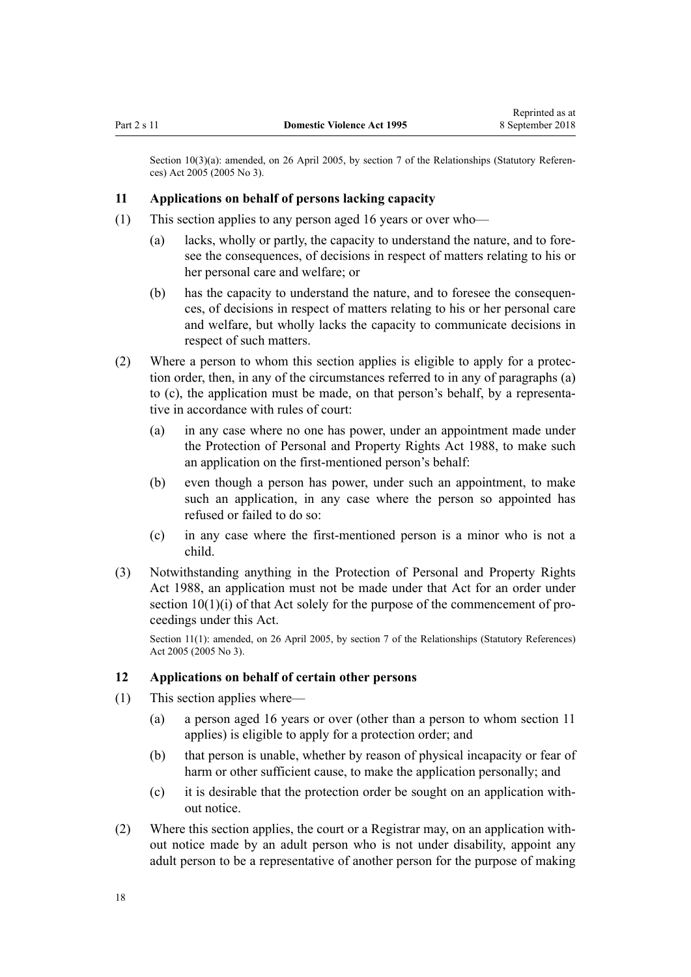<span id="page-17-0"></span>Section 10(3)(a): amended, on 26 April 2005, by [section 7](http://prd-lgnz-nlb.prd.pco.net.nz/pdflink.aspx?id=DLM333795) of the Relationships (Statutory References) Act 2005 (2005 No 3).

#### **11 Applications on behalf of persons lacking capacity**

- (1) This section applies to any person aged 16 years or over who—
	- (a) lacks, wholly or partly, the capacity to understand the nature, and to foresee the consequences, of decisions in respect of matters relating to his or her personal care and welfare; or
	- (b) has the capacity to understand the nature, and to foresee the consequences, of decisions in respect of matters relating to his or her personal care and welfare, but wholly lacks the capacity to communicate decisions in respect of such matters.
- (2) Where a person to whom this section applies is eligible to apply for a protection order, then, in any of the circumstances referred to in any of paragraphs (a) to (c), the application must be made, on that person's behalf, by a representative in accordance with rules of court:
	- (a) in any case where no one has power, under an appointment made under the [Protection of Personal and Property Rights Act 1988,](http://prd-lgnz-nlb.prd.pco.net.nz/pdflink.aspx?id=DLM126527) to make such an application on the first-mentioned person's behalf:
	- (b) even though a person has power, under such an appointment, to make such an application, in any case where the person so appointed has refused or failed to do so:
	- (c) in any case where the first-mentioned person is a minor who is not a child.
- (3) Notwithstanding anything in the [Protection of Personal and Property Rights](http://prd-lgnz-nlb.prd.pco.net.nz/pdflink.aspx?id=DLM126527) [Act 1988,](http://prd-lgnz-nlb.prd.pco.net.nz/pdflink.aspx?id=DLM126527) an application must not be made under that Act for an order under [section 10\(1\)\(i\)](http://prd-lgnz-nlb.prd.pco.net.nz/pdflink.aspx?id=DLM126583) of that Act solely for the purpose of the commencement of proceedings under this Act.

Section 11(1): amended, on 26 April 2005, by [section 7](http://prd-lgnz-nlb.prd.pco.net.nz/pdflink.aspx?id=DLM333795) of the Relationships (Statutory References) Act 2005 (2005 No 3).

## **12 Applications on behalf of certain other persons**

- (1) This section applies where—
	- (a) a person aged 16 years or over (other than a person to whom section 11 applies) is eligible to apply for a protection order; and
	- (b) that person is unable, whether by reason of physical incapacity or fear of harm or other sufficient cause, to make the application personally; and
	- (c) it is desirable that the protection order be sought on an application without notice.
- (2) Where this section applies, the court or a Registrar may, on an application without notice made by an adult person who is not under disability, appoint any adult person to be a representative of another person for the purpose of making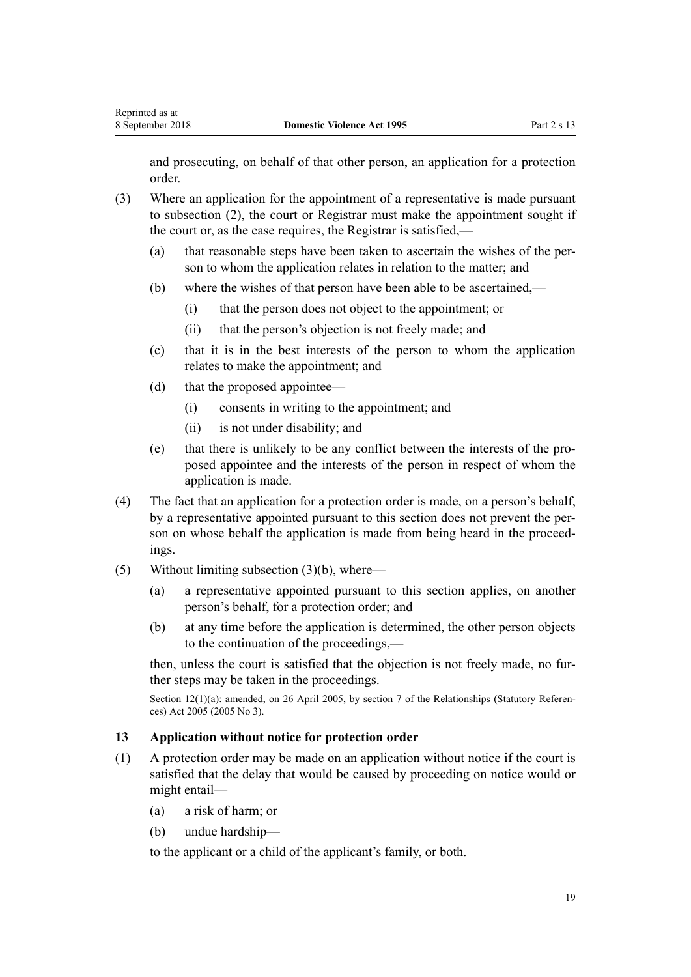<span id="page-18-0"></span>and prosecuting, on behalf of that other person, an application for a protection order.

- (3) Where an application for the appointment of a representative is made pursuant to subsection (2), the court or Registrar must make the appointment sought if the court or, as the case requires, the Registrar is satisfied,—
	- (a) that reasonable steps have been taken to ascertain the wishes of the person to whom the application relates in relation to the matter; and
	- (b) where the wishes of that person have been able to be ascertained,—
		- (i) that the person does not object to the appointment; or
		- (ii) that the person's objection is not freely made; and
	- (c) that it is in the best interests of the person to whom the application relates to make the appointment; and
	- (d) that the proposed appointee—
		- (i) consents in writing to the appointment; and
		- (ii) is not under disability; and
	- (e) that there is unlikely to be any conflict between the interests of the proposed appointee and the interests of the person in respect of whom the application is made.
- (4) The fact that an application for a protection order is made, on a person's behalf, by a representative appointed pursuant to this section does not prevent the person on whose behalf the application is made from being heard in the proceedings.
- (5) Without limiting subsection (3)(b), where—
	- (a) a representative appointed pursuant to this section applies, on another person's behalf, for a protection order; and
	- (b) at any time before the application is determined, the other person objects to the continuation of the proceedings,—

then, unless the court is satisfied that the objection is not freely made, no further steps may be taken in the proceedings.

Section 12(1)(a): amended, on 26 April 2005, by [section 7](http://prd-lgnz-nlb.prd.pco.net.nz/pdflink.aspx?id=DLM333795) of the Relationships (Statutory References) Act 2005 (2005 No 3).

#### **13 Application without notice for protection order**

- (1) A protection order may be made on an application without notice if the court is satisfied that the delay that would be caused by proceeding on notice would or might entail—
	- (a) a risk of harm; or
	- (b) undue hardship—

to the applicant or a child of the applicant's family, or both.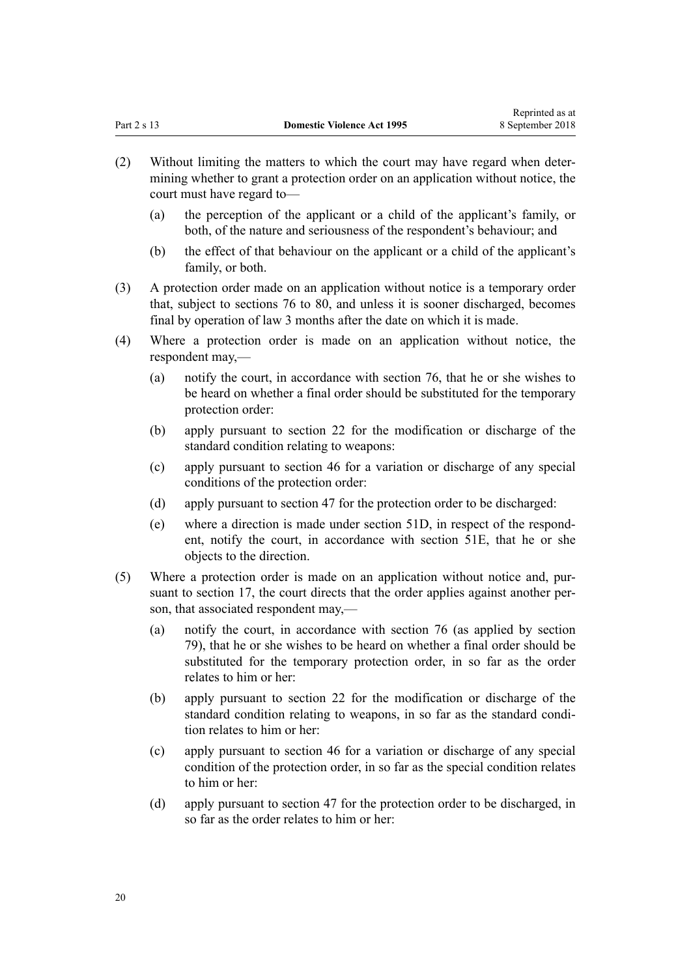- (2) Without limiting the matters to which the court may have regard when determining whether to grant a protection order on an application without notice, the court must have regard to—
	- (a) the perception of the applicant or a child of the applicant's family, or both, of the nature and seriousness of the respondent's behaviour; and
	- (b) the effect of that behaviour on the applicant or a child of the applicant's family, or both.
- (3) A protection order made on an application without notice is a temporary order that, subject to [sections 76 to 80](#page-61-0), and unless it is sooner discharged, becomes final by operation of law 3 months after the date on which it is made.
- (4) Where a protection order is made on an application without notice, the respondent may,—
	- (a) notify the court, in accordance with [section 76,](#page-61-0) that he or she wishes to be heard on whether a final order should be substituted for the temporary protection order:
	- (b) apply pursuant to [section 22](#page-26-0) for the modification or discharge of the standard condition relating to weapons:
	- (c) apply pursuant to [section 46](#page-37-0) for a variation or discharge of any special conditions of the protection order:
	- (d) apply pursuant to [section 47](#page-38-0) for the protection order to be discharged:
	- (e) where a direction is made under [section 51D,](#page-42-0) in respect of the respondent, notify the court, in accordance with [section 51E,](#page-42-0) that he or she objects to the direction.
- (5) Where a protection order is made on an application without notice and, pursuant to [section 17,](#page-22-0) the court directs that the order applies against another person, that associated respondent may,—
	- (a) notify the court, in accordance with [section 76](#page-61-0) (as applied by [section](#page-63-0) [79\)](#page-63-0), that he or she wishes to be heard on whether a final order should be substituted for the temporary protection order, in so far as the order relates to him or her:
	- (b) apply pursuant to [section 22](#page-26-0) for the modification or discharge of the standard condition relating to weapons, in so far as the standard condition relates to him or her:
	- (c) apply pursuant to [section 46](#page-37-0) for a variation or discharge of any special condition of the protection order, in so far as the special condition relates to him or her:
	- (d) apply pursuant to [section 47](#page-38-0) for the protection order to be discharged, in so far as the order relates to him or her: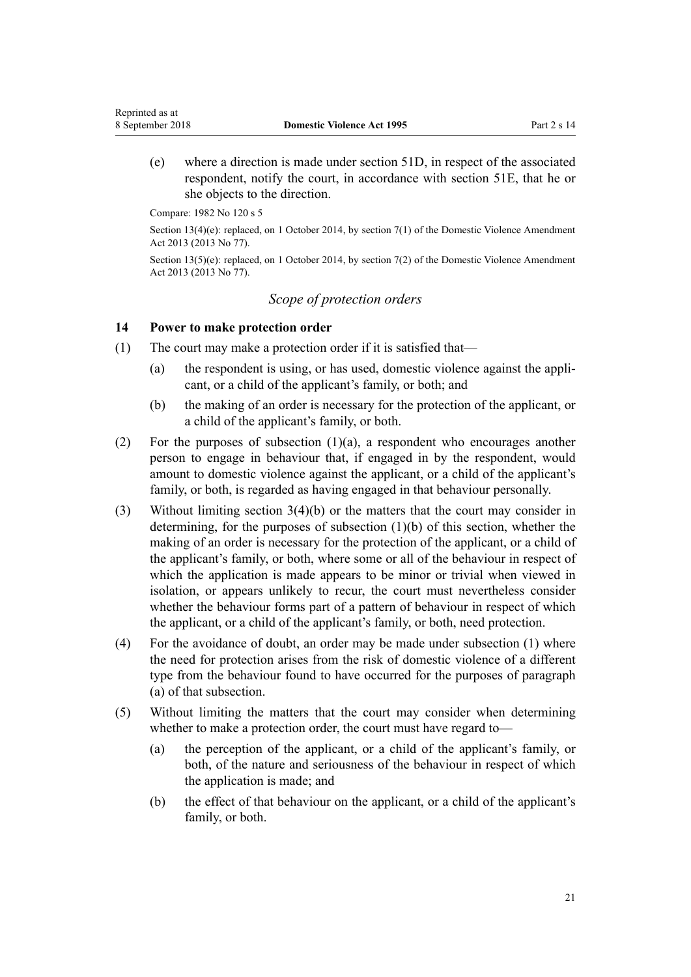(e) where a direction is made under [section 51D,](#page-42-0) in respect of the associated respondent, notify the court, in accordance with [section 51E,](#page-42-0) that he or she objects to the direction.

Compare: 1982 No 120 s 5

<span id="page-20-0"></span>Reprinted as at

Section 13(4)(e): replaced, on 1 October 2014, by [section 7\(1\)](http://prd-lgnz-nlb.prd.pco.net.nz/pdflink.aspx?id=DLM5615653) of the Domestic Violence Amendment Act 2013 (2013 No 77).

Section 13(5)(e): replaced, on 1 October 2014, by [section 7\(2\)](http://prd-lgnz-nlb.prd.pco.net.nz/pdflink.aspx?id=DLM5615653) of the Domestic Violence Amendment Act 2013 (2013 No 77).

## *Scope of protection orders*

#### **14 Power to make protection order**

- (1) The court may make a protection order if it is satisfied that—
	- (a) the respondent is using, or has used, domestic violence against the applicant, or a child of the applicant's family, or both; and
	- (b) the making of an order is necessary for the protection of the applicant, or a child of the applicant's family, or both.
- (2) For the purposes of subsection  $(1)(a)$ , a respondent who encourages another person to engage in behaviour that, if engaged in by the respondent, would amount to domestic violence against the applicant, or a child of the applicant's family, or both, is regarded as having engaged in that behaviour personally.
- (3) Without limiting [section 3\(4\)\(b\)](#page-12-0) or the matters that the court may consider in determining, for the purposes of subsection (1)(b) of this section, whether the making of an order is necessary for the protection of the applicant, or a child of the applicant's family, or both, where some or all of the behaviour in respect of which the application is made appears to be minor or trivial when viewed in isolation, or appears unlikely to recur, the court must nevertheless consider whether the behaviour forms part of a pattern of behaviour in respect of which the applicant, or a child of the applicant's family, or both, need protection.
- (4) For the avoidance of doubt, an order may be made under subsection (1) where the need for protection arises from the risk of domestic violence of a different type from the behaviour found to have occurred for the purposes of paragraph (a) of that subsection.
- (5) Without limiting the matters that the court may consider when determining whether to make a protection order, the court must have regard to—
	- (a) the perception of the applicant, or a child of the applicant's family, or both, of the nature and seriousness of the behaviour in respect of which the application is made; and
	- (b) the effect of that behaviour on the applicant, or a child of the applicant's family, or both.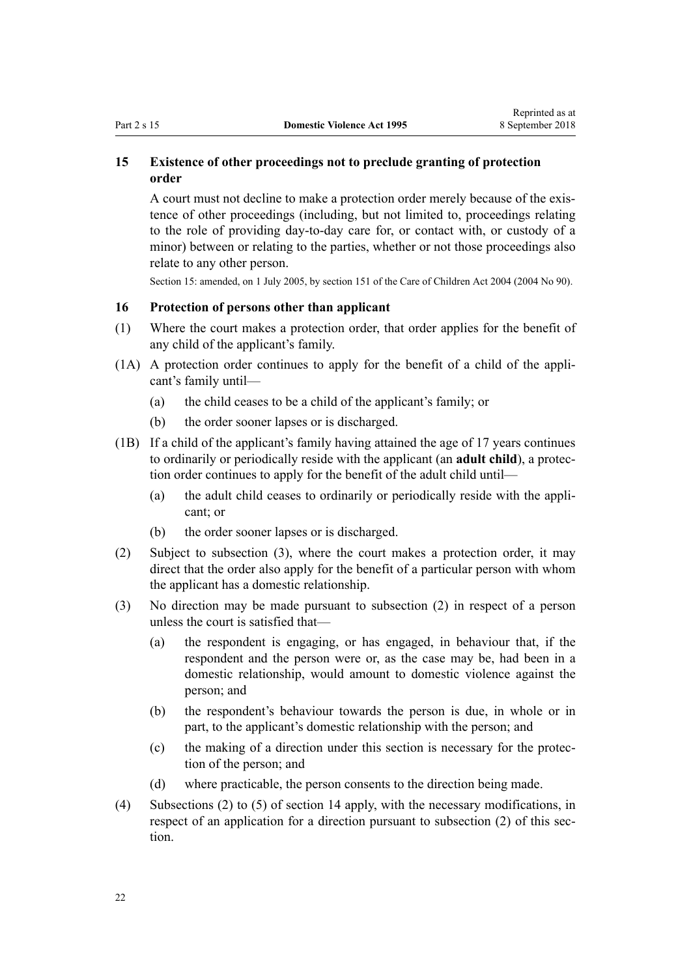## <span id="page-21-0"></span>**15 Existence of other proceedings not to preclude granting of protection order**

A court must not decline to make a protection order merely because of the existence of other proceedings (including, but not limited to, proceedings relating to the role of providing day-to-day care for, or contact with, or custody of a minor) between or relating to the parties, whether or not those proceedings also relate to any other person.

Section 15: amended, on 1 July 2005, by [section 151](http://prd-lgnz-nlb.prd.pco.net.nz/pdflink.aspx?id=DLM317988) of the Care of Children Act 2004 (2004 No 90).

## **16 Protection of persons other than applicant**

- (1) Where the court makes a protection order, that order applies for the benefit of any child of the applicant's family.
- (1A) A protection order continues to apply for the benefit of a child of the applicant's family until—
	- (a) the child ceases to be a child of the applicant's family; or
	- (b) the order sooner lapses or is discharged.
- (1B) If a child of the applicant's family having attained the age of 17 years continues to ordinarily or periodically reside with the applicant (an **adult child**), a protection order continues to apply for the benefit of the adult child until—
	- (a) the adult child ceases to ordinarily or periodically reside with the applicant; or
	- (b) the order sooner lapses or is discharged.
- (2) Subject to subsection (3), where the court makes a protection order, it may direct that the order also apply for the benefit of a particular person with whom the applicant has a domestic relationship.
- (3) No direction may be made pursuant to subsection (2) in respect of a person unless the court is satisfied that—
	- (a) the respondent is engaging, or has engaged, in behaviour that, if the respondent and the person were or, as the case may be, had been in a domestic relationship, would amount to domestic violence against the person; and
	- (b) the respondent's behaviour towards the person is due, in whole or in part, to the applicant's domestic relationship with the person; and
	- (c) the making of a direction under this section is necessary for the protection of the person; and
	- (d) where practicable, the person consents to the direction being made.
- (4) Subsections (2) to (5) of [section 14](#page-20-0) apply, with the necessary modifications, in respect of an application for a direction pursuant to subsection (2) of this section.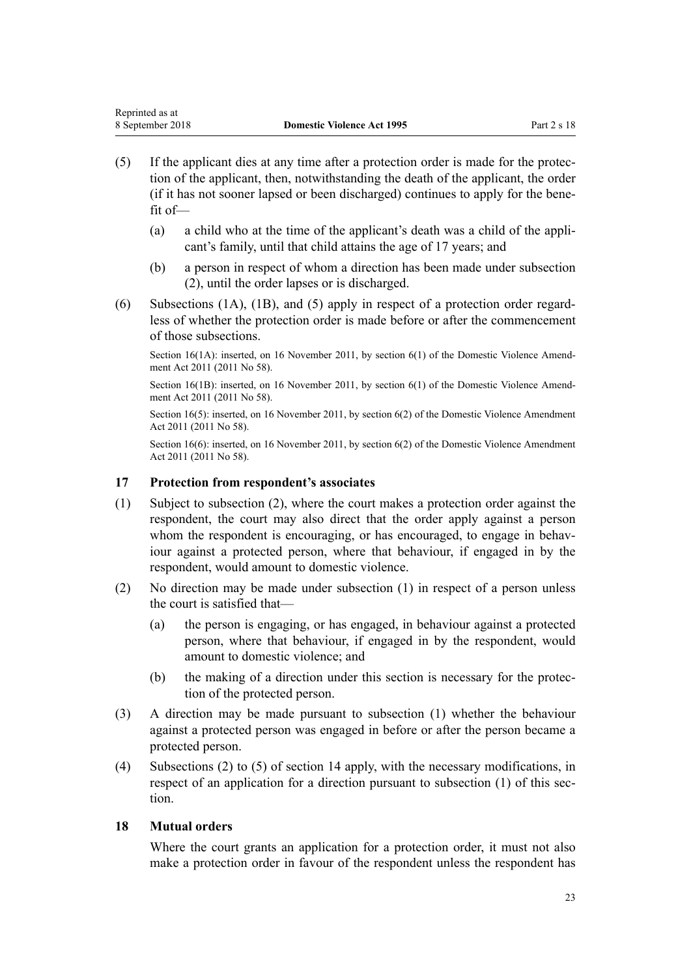- <span id="page-22-0"></span>(5) If the applicant dies at any time after a protection order is made for the protection of the applicant, then, notwithstanding the death of the applicant, the order (if it has not sooner lapsed or been discharged) continues to apply for the benefit of—
	- (a) a child who at the time of the applicant's death was a child of the applicant's family, until that child attains the age of 17 years; and
	- (b) a person in respect of whom a direction has been made under subsection (2), until the order lapses or is discharged.
- (6) Subsections (1A), (1B), and (5) apply in respect of a protection order regardless of whether the protection order is made before or after the commencement of those subsections.

Section 16(1A): inserted, on 16 November 2011, by [section 6\(1\)](http://prd-lgnz-nlb.prd.pco.net.nz/pdflink.aspx?id=DLM1955515) of the Domestic Violence Amendment Act 2011 (2011 No 58).

Section 16(1B): inserted, on 16 November 2011, by [section 6\(1\)](http://prd-lgnz-nlb.prd.pco.net.nz/pdflink.aspx?id=DLM1955515) of the Domestic Violence Amendment Act 2011 (2011 No 58).

Section 16(5): inserted, on 16 November 2011, by [section 6\(2\)](http://prd-lgnz-nlb.prd.pco.net.nz/pdflink.aspx?id=DLM1955515) of the Domestic Violence Amendment Act 2011 (2011 No 58).

Section 16(6): inserted, on 16 November 2011, by [section 6\(2\)](http://prd-lgnz-nlb.prd.pco.net.nz/pdflink.aspx?id=DLM1955515) of the Domestic Violence Amendment Act 2011 (2011 No 58).

## **17 Protection from respondent's associates**

- (1) Subject to subsection (2), where the court makes a protection order against the respondent, the court may also direct that the order apply against a person whom the respondent is encouraging, or has encouraged, to engage in behaviour against a protected person, where that behaviour, if engaged in by the respondent, would amount to domestic violence.
- (2) No direction may be made under subsection (1) in respect of a person unless the court is satisfied that—
	- (a) the person is engaging, or has engaged, in behaviour against a protected person, where that behaviour, if engaged in by the respondent, would amount to domestic violence; and
	- (b) the making of a direction under this section is necessary for the protection of the protected person.
- (3) A direction may be made pursuant to subsection (1) whether the behaviour against a protected person was engaged in before or after the person became a protected person.
- (4) Subsections (2) to (5) of [section 14](#page-20-0) apply, with the necessary modifications, in respect of an application for a direction pursuant to subsection (1) of this section.

## **18 Mutual orders**

Where the court grants an application for a protection order, it must not also make a protection order in favour of the respondent unless the respondent has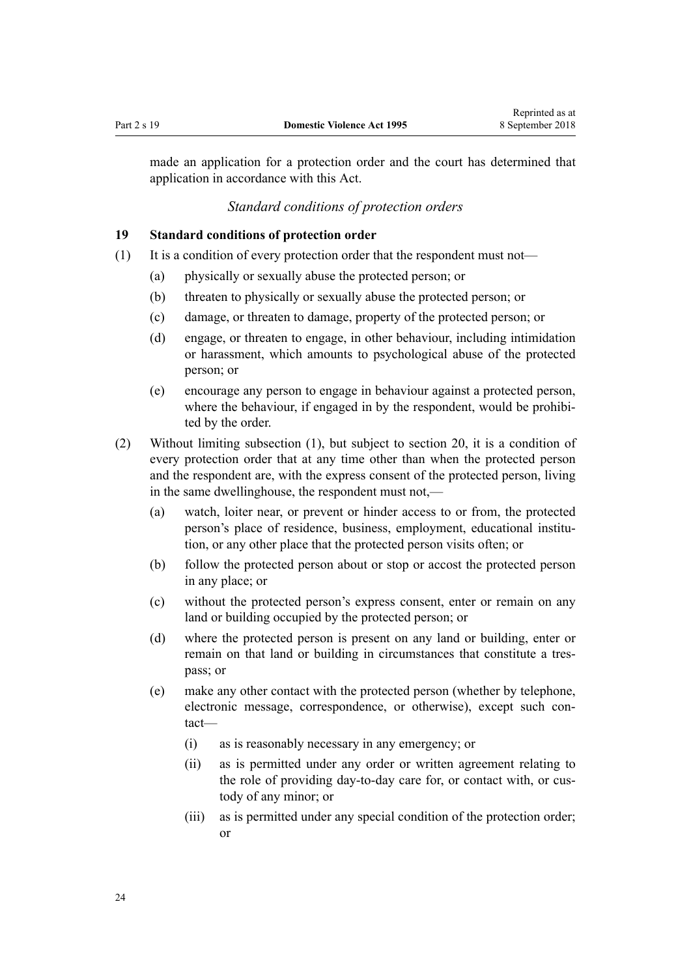<span id="page-23-0"></span>made an application for a protection order and the court has determined that application in accordance with this Act.

## *Standard conditions of protection orders*

#### **19 Standard conditions of protection order**

- (1) It is a condition of every protection order that the respondent must not—
	- (a) physically or sexually abuse the protected person; or
	- (b) threaten to physically or sexually abuse the protected person; or
	- (c) damage, or threaten to damage, property of the protected person; or
	- (d) engage, or threaten to engage, in other behaviour, including intimidation or harassment, which amounts to psychological abuse of the protected person; or
	- (e) encourage any person to engage in behaviour against a protected person, where the behaviour, if engaged in by the respondent, would be prohibited by the order.
- (2) Without limiting subsection (1), but subject to [section 20,](#page-24-0) it is a condition of every protection order that at any time other than when the protected person and the respondent are, with the express consent of the protected person, living in the same dwellinghouse, the respondent must not,—
	- (a) watch, loiter near, or prevent or hinder access to or from, the protected person's place of residence, business, employment, educational institution, or any other place that the protected person visits often; or
	- (b) follow the protected person about or stop or accost the protected person in any place; or
	- (c) without the protected person's express consent, enter or remain on any land or building occupied by the protected person; or
	- (d) where the protected person is present on any land or building, enter or remain on that land or building in circumstances that constitute a trespass; or
	- (e) make any other contact with the protected person (whether by telephone, electronic message, correspondence, or otherwise), except such contact—
		- (i) as is reasonably necessary in any emergency; or
		- (ii) as is permitted under any order or written agreement relating to the role of providing day-to-day care for, or contact with, or custody of any minor; or
		- (iii) as is permitted under any special condition of the protection order; or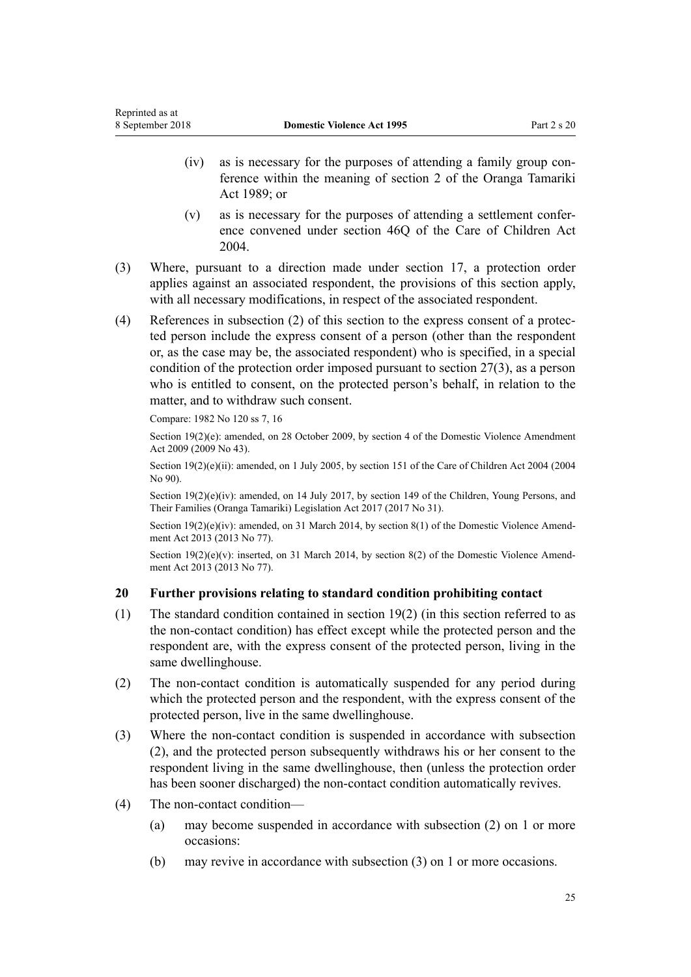- <span id="page-24-0"></span>(iv) as is necessary for the purposes of attending a family group conference within the meaning of [section 2](http://prd-lgnz-nlb.prd.pco.net.nz/pdflink.aspx?id=DLM147094) of the Oranga Tamariki Act 1989; or
- (v) as is necessary for the purposes of attending a settlement conference convened under [section 46Q](http://prd-lgnz-nlb.prd.pco.net.nz/pdflink.aspx?id=DLM6027393) of the Care of Children Act 2004.
- (3) Where, pursuant to a direction made under [section 17,](#page-22-0) a protection order applies against an associated respondent, the provisions of this section apply, with all necessary modifications, in respect of the associated respondent.
- (4) References in subsection (2) of this section to the express consent of a protected person include the express consent of a person (other than the respondent or, as the case may be, the associated respondent) who is specified, in a special condition of the protection order imposed pursuant to [section 27\(3\),](#page-32-0) as a person who is entitled to consent, on the protected person's behalf, in relation to the matter, and to withdraw such consent.

Compare: 1982 No 120 ss 7, 16

Section 19(2)(e): amended, on 28 October 2009, by [section 4](http://prd-lgnz-nlb.prd.pco.net.nz/pdflink.aspx?id=DLM2181002) of the Domestic Violence Amendment Act 2009 (2009 No 43).

Section 19(2)(e)(ii): amended, on 1 July 2005, by [section 151](http://prd-lgnz-nlb.prd.pco.net.nz/pdflink.aspx?id=DLM317988) of the Care of Children Act 2004 (2004) No 90).

Section 19(2)(e)(iv): amended, on 14 July 2017, by [section 149](http://prd-lgnz-nlb.prd.pco.net.nz/pdflink.aspx?id=DLM7287401) of the Children, Young Persons, and Their Families (Oranga Tamariki) Legislation Act 2017 (2017 No 31).

Section 19(2)(e)(iv): amended, on 31 March 2014, by [section 8\(1\)](http://prd-lgnz-nlb.prd.pco.net.nz/pdflink.aspx?id=DLM5615654) of the Domestic Violence Amendment Act 2013 (2013 No 77).

Section  $19(2)(e)(v)$ : inserted, on 31 March 2014, by [section 8\(2\)](http://prd-lgnz-nlb.prd.pco.net.nz/pdflink.aspx?id=DLM5615654) of the Domestic Violence Amendment Act 2013 (2013 No 77).

## **20 Further provisions relating to standard condition prohibiting contact**

- (1) The standard condition contained in [section 19\(2\)](#page-23-0) (in this section referred to as the non-contact condition) has effect except while the protected person and the respondent are, with the express consent of the protected person, living in the same dwellinghouse.
- (2) The non-contact condition is automatically suspended for any period during which the protected person and the respondent, with the express consent of the protected person, live in the same dwellinghouse.
- (3) Where the non-contact condition is suspended in accordance with subsection (2), and the protected person subsequently withdraws his or her consent to the respondent living in the same dwellinghouse, then (unless the protection order has been sooner discharged) the non-contact condition automatically revives.
- (4) The non-contact condition—
	- (a) may become suspended in accordance with subsection (2) on 1 or more occasions:
	- (b) may revive in accordance with subsection (3) on 1 or more occasions.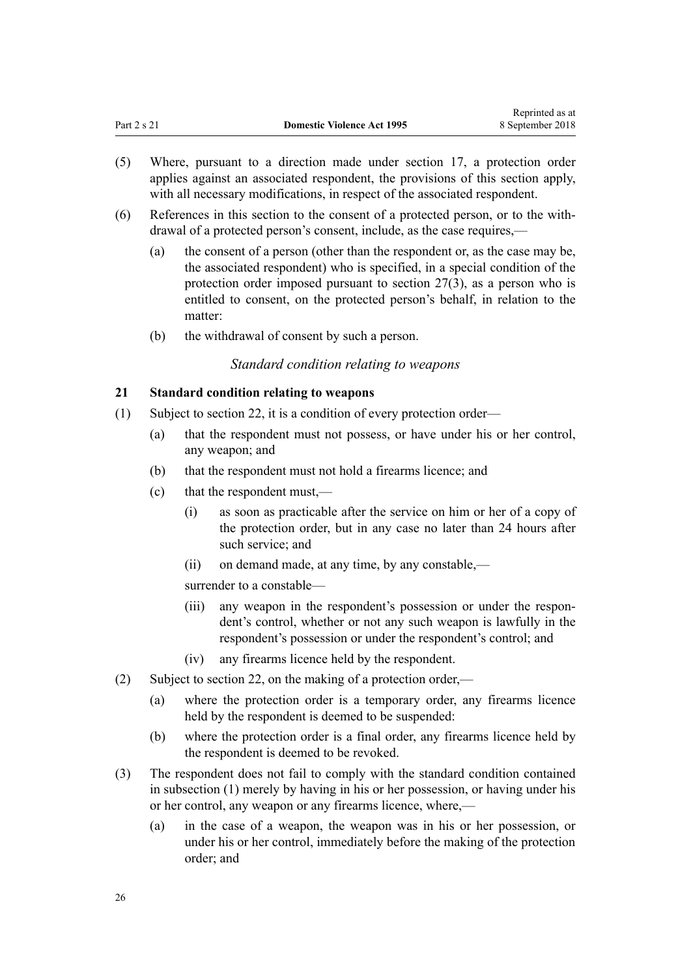Reprinted as at

- <span id="page-25-0"></span>(5) Where, pursuant to a direction made under [section 17,](#page-22-0) a protection order applies against an associated respondent, the provisions of this section apply, with all necessary modifications, in respect of the associated respondent.
- (6) References in this section to the consent of a protected person, or to the withdrawal of a protected person's consent, include, as the case requires,—
	- (a) the consent of a person (other than the respondent or, as the case may be, the associated respondent) who is specified, in a special condition of the protection order imposed pursuant to [section 27\(3\),](#page-32-0) as a person who is entitled to consent, on the protected person's behalf, in relation to the matter:
	- (b) the withdrawal of consent by such a person.

## *Standard condition relating to weapons*

## **21 Standard condition relating to weapons**

- (1) Subject to [section 22](#page-26-0), it is a condition of every protection order—
	- (a) that the respondent must not possess, or have under his or her control, any weapon; and
	- (b) that the respondent must not hold a firearms licence; and
	- (c) that the respondent must,—
		- (i) as soon as practicable after the service on him or her of a copy of the protection order, but in any case no later than 24 hours after such service; and
		- (ii) on demand made, at any time, by any constable,—

surrender to a constable—

- (iii) any weapon in the respondent's possession or under the respondent's control, whether or not any such weapon is lawfully in the respondent's possession or under the respondent's control; and
- (iv) any firearms licence held by the respondent.
- (2) Subject to [section 22](#page-26-0), on the making of a protection order,—
	- (a) where the protection order is a temporary order, any firearms licence held by the respondent is deemed to be suspended:
	- (b) where the protection order is a final order, any firearms licence held by the respondent is deemed to be revoked.
- (3) The respondent does not fail to comply with the standard condition contained in subsection (1) merely by having in his or her possession, or having under his or her control, any weapon or any firearms licence, where,—
	- (a) in the case of a weapon, the weapon was in his or her possession, or under his or her control, immediately before the making of the protection order; and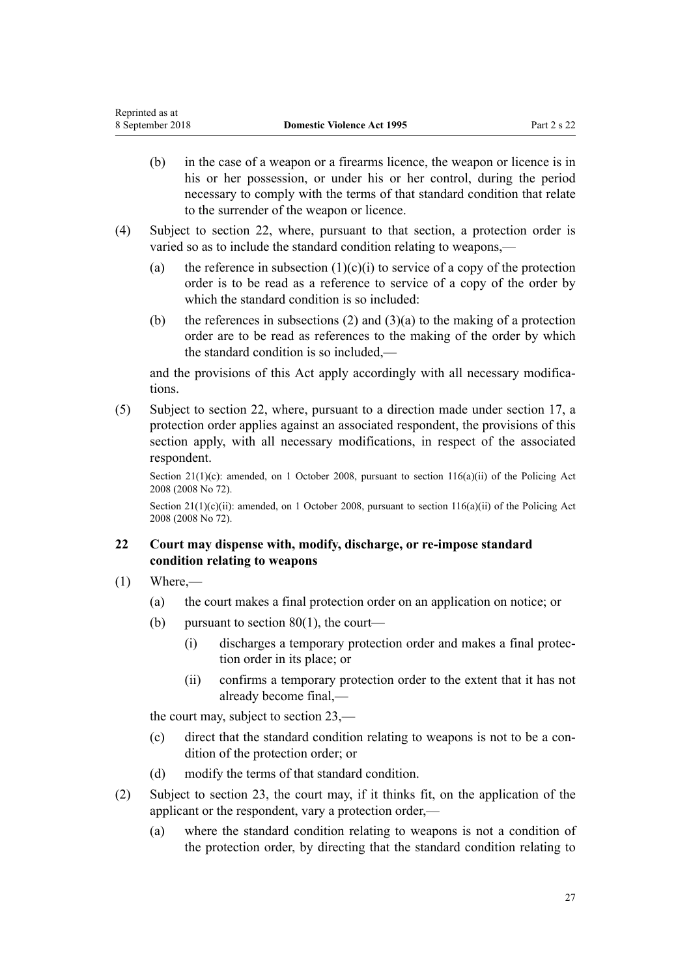- <span id="page-26-0"></span>(b) in the case of a weapon or a firearms licence, the weapon or licence is in his or her possession, or under his or her control, during the period necessary to comply with the terms of that standard condition that relate to the surrender of the weapon or licence.
- (4) Subject to section 22, where, pursuant to that section, a protection order is varied so as to include the standard condition relating to weapons,—
	- (a) the reference in subsection  $(1)(c)(i)$  to service of a copy of the protection order is to be read as a reference to service of a copy of the order by which the standard condition is so included:
	- (b) the references in subsections (2) and  $(3)(a)$  to the making of a protection order are to be read as references to the making of the order by which the standard condition is so included,—

and the provisions of this Act apply accordingly with all necessary modifications.

(5) Subject to section 22, where, pursuant to a direction made under [section 17](#page-22-0), a protection order applies against an associated respondent, the provisions of this section apply, with all necessary modifications, in respect of the associated respondent.

Section 21(1)(c): amended, on 1 October 2008, pursuant to [section 116\(a\)\(ii\)](http://prd-lgnz-nlb.prd.pco.net.nz/pdflink.aspx?id=DLM1102349) of the Policing Act 2008 (2008 No 72).

Section 21(1)(c)(ii): amended, on 1 October 2008, pursuant to [section 116\(a\)\(ii\)](http://prd-lgnz-nlb.prd.pco.net.nz/pdflink.aspx?id=DLM1102349) of the Policing Act 2008 (2008 No 72).

## **22 Court may dispense with, modify, discharge, or re-impose standard condition relating to weapons**

- $(1)$  Where,—
	- (a) the court makes a final protection order on an application on notice; or
	- (b) pursuant to section  $80(1)$ , the court—
		- (i) discharges a temporary protection order and makes a final protection order in its place; or
		- (ii) confirms a temporary protection order to the extent that it has not already become final,—

the court may, subject to [section 23,](#page-28-0)—

- (c) direct that the standard condition relating to weapons is not to be a condition of the protection order; or
- (d) modify the terms of that standard condition.
- (2) Subject to [section 23](#page-28-0), the court may, if it thinks fit, on the application of the applicant or the respondent, vary a protection order,—
	- (a) where the standard condition relating to weapons is not a condition of the protection order, by directing that the standard condition relating to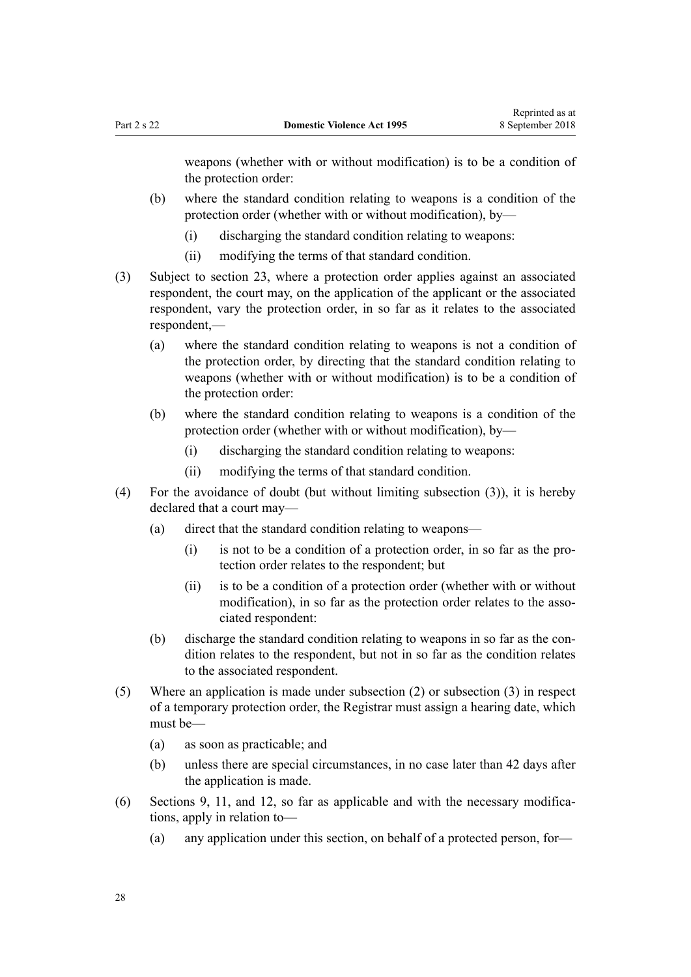weapons (whether with or without modification) is to be a condition of the protection order:

- (b) where the standard condition relating to weapons is a condition of the protection order (whether with or without modification), by—
	- (i) discharging the standard condition relating to weapons:
	- (ii) modifying the terms of that standard condition.
- (3) Subject to [section 23](#page-28-0), where a protection order applies against an associated respondent, the court may, on the application of the applicant or the associated respondent, vary the protection order, in so far as it relates to the associated respondent,—
	- (a) where the standard condition relating to weapons is not a condition of the protection order, by directing that the standard condition relating to weapons (whether with or without modification) is to be a condition of the protection order:
	- (b) where the standard condition relating to weapons is a condition of the protection order (whether with or without modification), by—
		- (i) discharging the standard condition relating to weapons:
		- (ii) modifying the terms of that standard condition.
- (4) For the avoidance of doubt (but without limiting subsection (3)), it is hereby declared that a court may—
	- (a) direct that the standard condition relating to weapons—
		- (i) is not to be a condition of a protection order, in so far as the protection order relates to the respondent; but
		- (ii) is to be a condition of a protection order (whether with or without modification), in so far as the protection order relates to the associated respondent:
	- (b) discharge the standard condition relating to weapons in so far as the condition relates to the respondent, but not in so far as the condition relates to the associated respondent.
- (5) Where an application is made under subsection (2) or subsection (3) in respect of a temporary protection order, the Registrar must assign a hearing date, which must be—
	- (a) as soon as practicable; and
	- (b) unless there are special circumstances, in no case later than 42 days after the application is made.
- (6) [Sections 9](#page-15-0), [11](#page-17-0), and [12](#page-17-0), so far as applicable and with the necessary modifications, apply in relation to—
	- (a) any application under this section, on behalf of a protected person, for—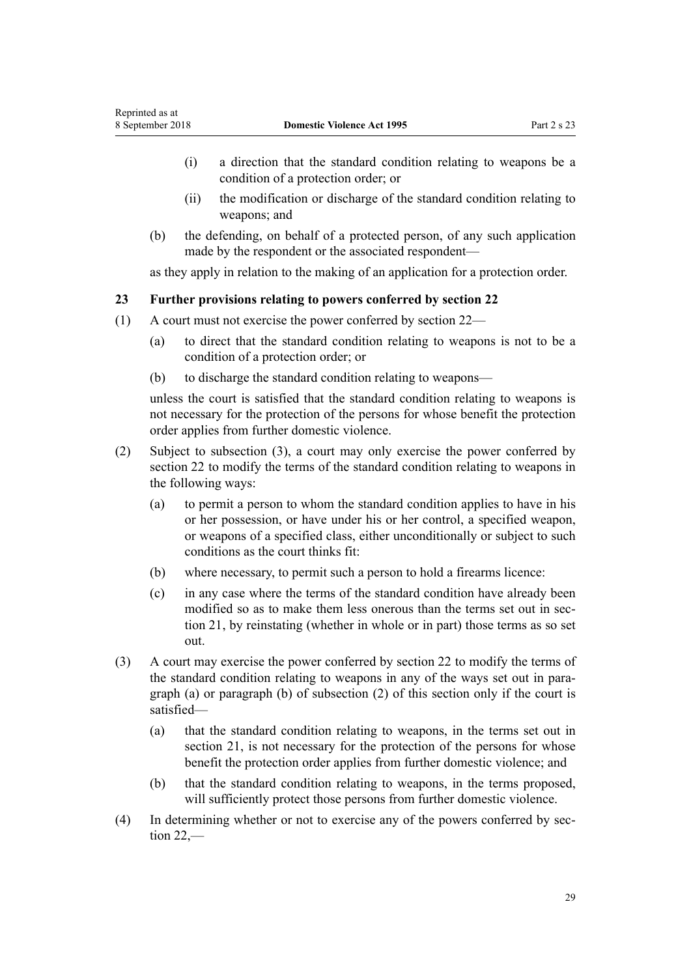- <span id="page-28-0"></span>(i) a direction that the standard condition relating to weapons be a condition of a protection order; or
- (ii) the modification or discharge of the standard condition relating to weapons; and
- (b) the defending, on behalf of a protected person, of any such application made by the respondent or the associated respondent—

as they apply in relation to the making of an application for a protection order.

## **23 Further provisions relating to powers conferred by section 22**

- (1) A court must not exercise the power conferred by [section 22](#page-26-0)
	- (a) to direct that the standard condition relating to weapons is not to be a condition of a protection order; or
	- (b) to discharge the standard condition relating to weapons—

unless the court is satisfied that the standard condition relating to weapons is not necessary for the protection of the persons for whose benefit the protection order applies from further domestic violence.

- (2) Subject to subsection (3), a court may only exercise the power conferred by [section 22](#page-26-0) to modify the terms of the standard condition relating to weapons in the following ways:
	- (a) to permit a person to whom the standard condition applies to have in his or her possession, or have under his or her control, a specified weapon, or weapons of a specified class, either unconditionally or subject to such conditions as the court thinks fit:
	- (b) where necessary, to permit such a person to hold a firearms licence:
	- (c) in any case where the terms of the standard condition have already been modified so as to make them less onerous than the terms set out in [sec](#page-25-0)[tion 21,](#page-25-0) by reinstating (whether in whole or in part) those terms as so set out.
- (3) A court may exercise the power conferred by [section 22](#page-26-0) to modify the terms of the standard condition relating to weapons in any of the ways set out in paragraph (a) or paragraph (b) of subsection (2) of this section only if the court is satisfied—
	- (a) that the standard condition relating to weapons, in the terms set out in [section 21](#page-25-0), is not necessary for the protection of the persons for whose benefit the protection order applies from further domestic violence; and
	- (b) that the standard condition relating to weapons, in the terms proposed, will sufficiently protect those persons from further domestic violence.
- (4) In determining whether or not to exercise any of the powers conferred by [sec](#page-26-0)[tion 22](#page-26-0),—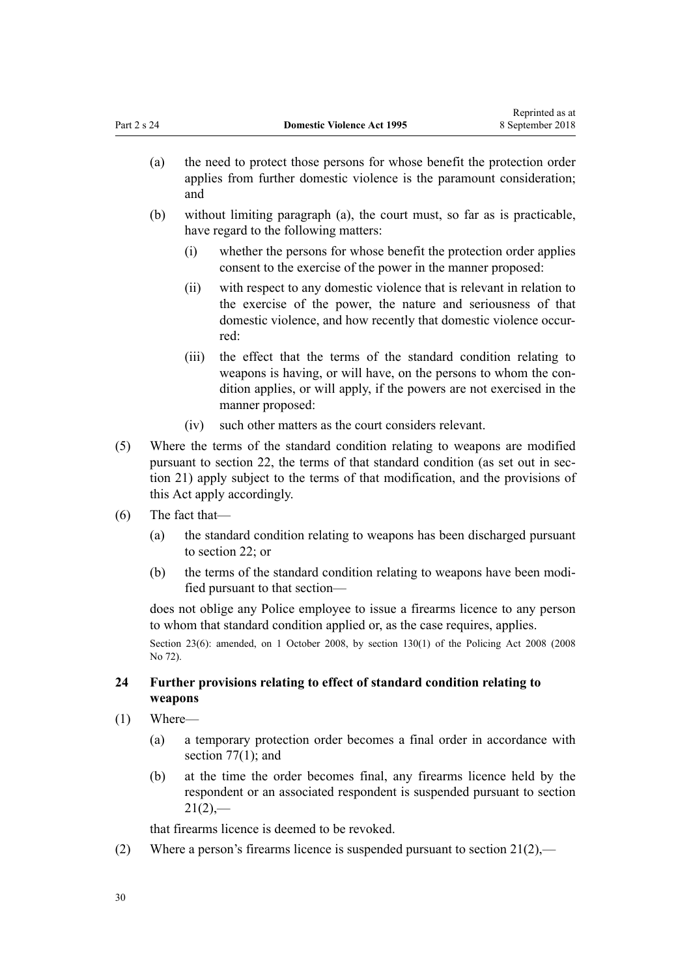- <span id="page-29-0"></span>(a) the need to protect those persons for whose benefit the protection order applies from further domestic violence is the paramount consideration; and
- (b) without limiting paragraph (a), the court must, so far as is practicable, have regard to the following matters:
	- (i) whether the persons for whose benefit the protection order applies consent to the exercise of the power in the manner proposed:
	- (ii) with respect to any domestic violence that is relevant in relation to the exercise of the power, the nature and seriousness of that domestic violence, and how recently that domestic violence occurred:
	- (iii) the effect that the terms of the standard condition relating to weapons is having, or will have, on the persons to whom the condition applies, or will apply, if the powers are not exercised in the manner proposed:
	- (iv) such other matters as the court considers relevant.
- (5) Where the terms of the standard condition relating to weapons are modified pursuant to [section 22](#page-26-0), the terms of that standard condition (as set out in [sec](#page-25-0)[tion 21](#page-25-0)) apply subject to the terms of that modification, and the provisions of this Act apply accordingly.
- (6) The fact that—
	- (a) the standard condition relating to weapons has been discharged pursuant to [section 22;](#page-26-0) or
	- (b) the terms of the standard condition relating to weapons have been modified pursuant to that section—

does not oblige any Police employee to issue a firearms licence to any person to whom that standard condition applied or, as the case requires, applies.

Section 23(6): amended, on 1 October 2008, by [section 130\(1\)](http://prd-lgnz-nlb.prd.pco.net.nz/pdflink.aspx?id=DLM1102383) of the Policing Act 2008 (2008) No 72).

## **24 Further provisions relating to effect of standard condition relating to weapons**

- (1) Where—
	- (a) a temporary protection order becomes a final order in accordance with section  $77(1)$ ; and
	- (b) at the time the order becomes final, any firearms licence held by the respondent or an associated respondent is suspended pursuant to [section](#page-25-0)  $21(2)$ ,—

that firearms licence is deemed to be revoked.

(2) Where a person's firearms licence is suspended pursuant to section  $21(2)$ ,—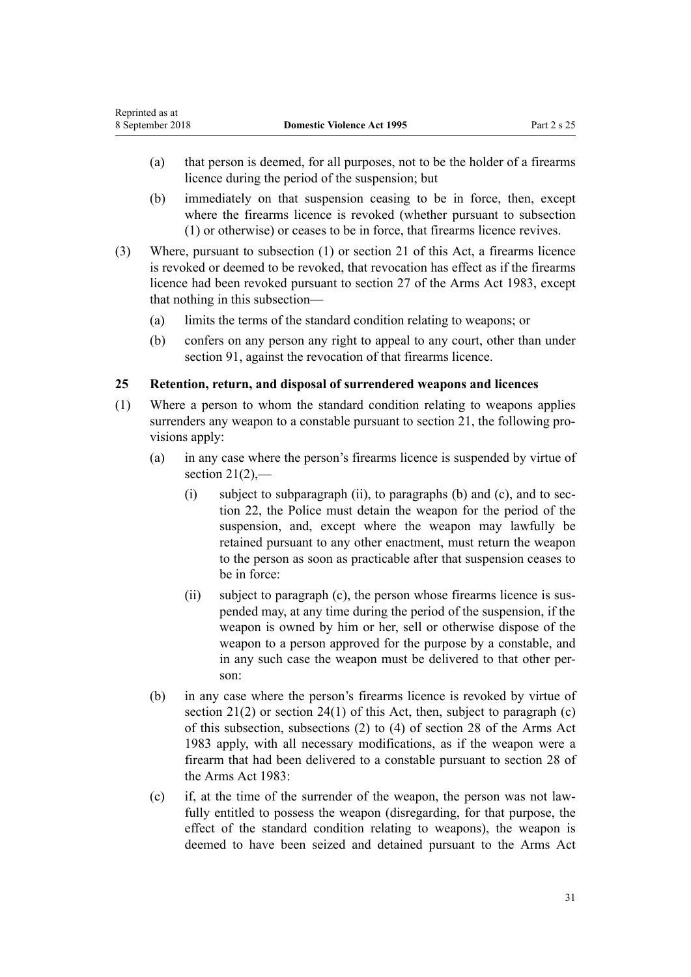- <span id="page-30-0"></span>(a) that person is deemed, for all purposes, not to be the holder of a firearms licence during the period of the suspension; but
- (b) immediately on that suspension ceasing to be in force, then, except where the firearms licence is revoked (whether pursuant to subsection (1) or otherwise) or ceases to be in force, that firearms licence revives.
- (3) Where, pursuant to subsection (1) or [section 21](#page-25-0) of this Act, a firearms licence is revoked or deemed to be revoked, that revocation has effect as if the firearms licence had been revoked pursuant to [section 27](http://prd-lgnz-nlb.prd.pco.net.nz/pdflink.aspx?id=DLM72928) of the Arms Act 1983, except that nothing in this subsection—
	- (a) limits the terms of the standard condition relating to weapons; or
	- (b) confers on any person any right to appeal to any court, other than under [section 91](#page-71-0), against the revocation of that firearms licence.

## **25 Retention, return, and disposal of surrendered weapons and licences**

- (1) Where a person to whom the standard condition relating to weapons applies surrenders any weapon to a constable pursuant to [section 21](#page-25-0), the following provisions apply:
	- (a) in any case where the person's firearms licence is suspended by virtue of section  $21(2)$ ,
		- (i) subject to subparagraph (ii), to paragraphs (b) and (c), and to [sec](#page-26-0)[tion 22,](#page-26-0) the Police must detain the weapon for the period of the suspension, and, except where the weapon may lawfully be retained pursuant to any other enactment, must return the weapon to the person as soon as practicable after that suspension ceases to be in force:
		- (ii) subject to paragraph (c), the person whose firearms licence is suspended may, at any time during the period of the suspension, if the weapon is owned by him or her, sell or otherwise dispose of the weapon to a person approved for the purpose by a constable, and in any such case the weapon must be delivered to that other person:
	- (b) in any case where the person's firearms licence is revoked by virtue of section  $21(2)$  or section  $24(1)$  of this Act, then, subject to paragraph (c) of this subsection, subsections (2) to (4) of [section 28](http://prd-lgnz-nlb.prd.pco.net.nz/pdflink.aspx?id=DLM72932) of the Arms Act 1983 apply, with all necessary modifications, as if the weapon were a firearm that had been delivered to a constable pursuant to section 28 of the Arms Act 1983:
	- (c) if, at the time of the surrender of the weapon, the person was not lawfully entitled to possess the weapon (disregarding, for that purpose, the effect of the standard condition relating to weapons), the weapon is deemed to have been seized and detained pursuant to the [Arms Act](http://prd-lgnz-nlb.prd.pco.net.nz/pdflink.aspx?id=DLM72621)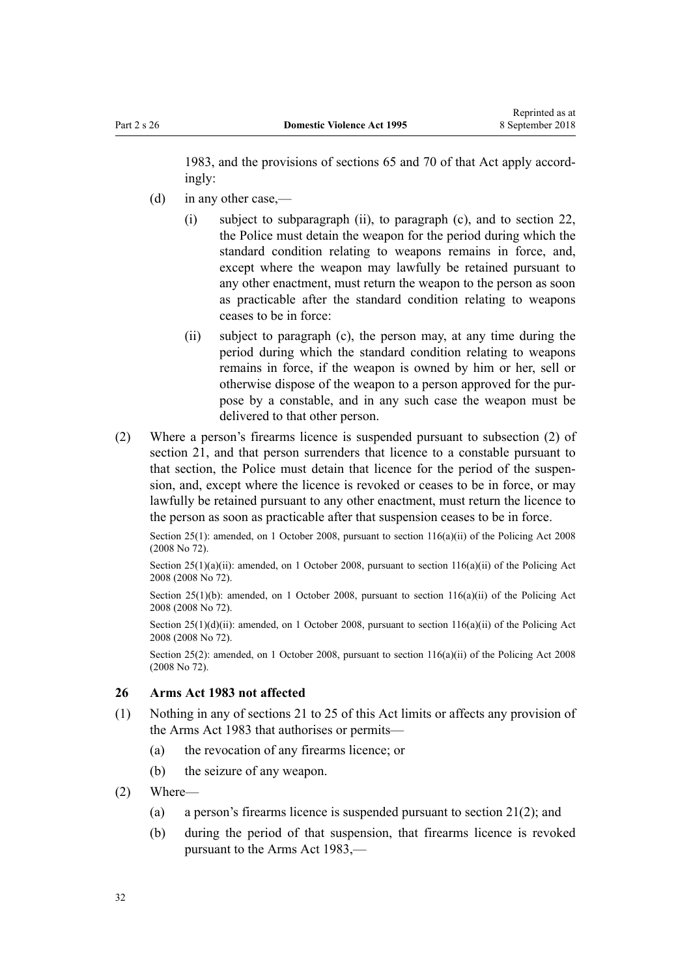<span id="page-31-0"></span>[1983](http://prd-lgnz-nlb.prd.pco.net.nz/pdflink.aspx?id=DLM72621), and the provisions of [sections 65](http://prd-lgnz-nlb.prd.pco.net.nz/pdflink.aspx?id=DLM73326) and [70](http://prd-lgnz-nlb.prd.pco.net.nz/pdflink.aspx?id=DLM73358) of that Act apply accordingly:

- (d) in any other case,—
	- (i) subject to subparagraph (ii), to paragraph (c), and to [section 22](#page-26-0), the Police must detain the weapon for the period during which the standard condition relating to weapons remains in force, and, except where the weapon may lawfully be retained pursuant to any other enactment, must return the weapon to the person as soon as practicable after the standard condition relating to weapons ceases to be in force:
	- (ii) subject to paragraph (c), the person may, at any time during the period during which the standard condition relating to weapons remains in force, if the weapon is owned by him or her, sell or otherwise dispose of the weapon to a person approved for the purpose by a constable, and in any such case the weapon must be delivered to that other person.
- (2) Where a person's firearms licence is suspended pursuant to subsection (2) of [section 21,](#page-25-0) and that person surrenders that licence to a constable pursuant to that section, the Police must detain that licence for the period of the suspension, and, except where the licence is revoked or ceases to be in force, or may lawfully be retained pursuant to any other enactment, must return the licence to the person as soon as practicable after that suspension ceases to be in force.

Section 25(1): amended, on 1 October 2008, pursuant to section  $116(a)(ii)$  of the Policing Act 2008 (2008 No 72).

Section  $25(1)(a)(ii)$ : amended, on 1 October 2008, pursuant to section  $116(a)(ii)$  of the Policing Act 2008 (2008 No 72).

Section  $25(1)(b)$ : amended, on 1 October 2008, pursuant to section  $116(a)(ii)$  of the Policing Act 2008 (2008 No 72).

Section  $25(1)(d)(ii)$ : amended, on 1 October 2008, pursuant to section  $116(a)(ii)$  of the Policing Act 2008 (2008 No 72).

Section 25(2): amended, on 1 October 2008, pursuant to section  $116(a)(ii)$  of the Policing Act 2008 (2008 No 72).

### **26 Arms Act 1983 not affected**

- (1) Nothing in any of [sections 21 to 25](#page-25-0) of this Act limits or affects any provision of the [Arms Act 1983](http://prd-lgnz-nlb.prd.pco.net.nz/pdflink.aspx?id=DLM72621) that authorises or permits—
	- (a) the revocation of any firearms licence; or
	- (b) the seizure of any weapon.
- (2) Where—
	- (a) a person's firearms licence is suspended pursuant to [section 21\(2\)](#page-25-0); and
	- (b) during the period of that suspension, that firearms licence is revoked pursuant to the [Arms Act 1983](http://prd-lgnz-nlb.prd.pco.net.nz/pdflink.aspx?id=DLM72621),—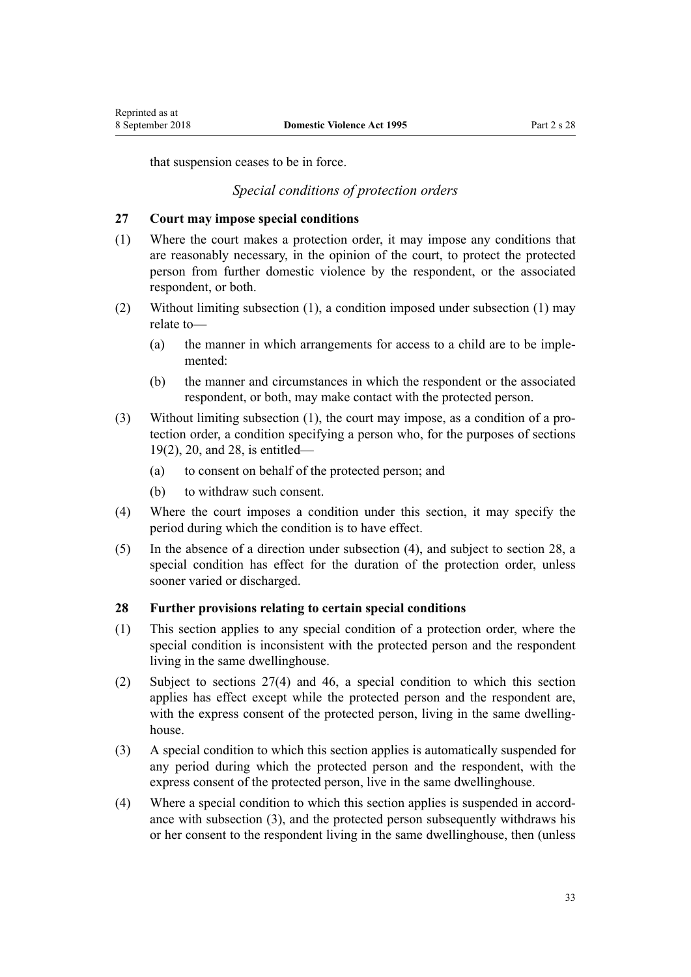<span id="page-32-0"></span>that suspension ceases to be in force.

## *Special conditions of protection orders*

#### **27 Court may impose special conditions**

- (1) Where the court makes a protection order, it may impose any conditions that are reasonably necessary, in the opinion of the court, to protect the protected person from further domestic violence by the respondent, or the associated respondent, or both.
- (2) Without limiting subsection (1), a condition imposed under subsection (1) may relate to—
	- (a) the manner in which arrangements for access to a child are to be implemented:
	- (b) the manner and circumstances in which the respondent or the associated respondent, or both, may make contact with the protected person.
- (3) Without limiting subsection (1), the court may impose, as a condition of a protection order, a condition specifying a person who, for the purposes of [sections](#page-23-0) [19\(2\)](#page-23-0), [20](#page-24-0), and 28, is entitled—
	- (a) to consent on behalf of the protected person; and
	- (b) to withdraw such consent.
- (4) Where the court imposes a condition under this section, it may specify the period during which the condition is to have effect.
- (5) In the absence of a direction under subsection (4), and subject to section 28, a special condition has effect for the duration of the protection order, unless sooner varied or discharged.

#### **28 Further provisions relating to certain special conditions**

- (1) This section applies to any special condition of a protection order, where the special condition is inconsistent with the protected person and the respondent living in the same dwellinghouse.
- (2) Subject to sections 27(4) and [46](#page-37-0), a special condition to which this section applies has effect except while the protected person and the respondent are, with the express consent of the protected person, living in the same dwellinghouse.
- (3) A special condition to which this section applies is automatically suspended for any period during which the protected person and the respondent, with the express consent of the protected person, live in the same dwellinghouse.
- (4) Where a special condition to which this section applies is suspended in accordance with subsection (3), and the protected person subsequently withdraws his or her consent to the respondent living in the same dwellinghouse, then (unless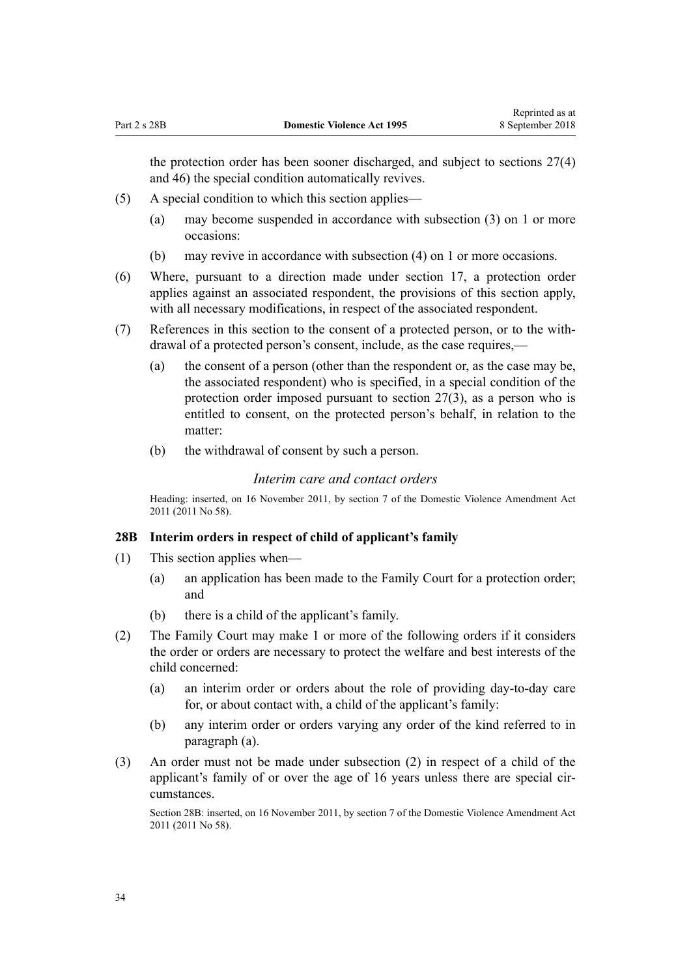<span id="page-33-0"></span>the protection order has been sooner discharged, and subject to [sections 27\(4\)](#page-32-0) and [46](#page-37-0)) the special condition automatically revives.

- (5) A special condition to which this section applies—
	- (a) may become suspended in accordance with subsection (3) on 1 or more occasions:
	- (b) may revive in accordance with subsection (4) on 1 or more occasions.
- (6) Where, pursuant to a direction made under [section 17,](#page-22-0) a protection order applies against an associated respondent, the provisions of this section apply, with all necessary modifications, in respect of the associated respondent.
- (7) References in this section to the consent of a protected person, or to the withdrawal of a protected person's consent, include, as the case requires,—
	- (a) the consent of a person (other than the respondent or, as the case may be, the associated respondent) who is specified, in a special condition of the protection order imposed pursuant to [section 27\(3\),](#page-32-0) as a person who is entitled to consent, on the protected person's behalf, in relation to the matter:
	- (b) the withdrawal of consent by such a person.

#### *Interim care and contact orders*

Heading: inserted, on 16 November 2011, by [section 7](http://prd-lgnz-nlb.prd.pco.net.nz/pdflink.aspx?id=DLM1955516) of the Domestic Violence Amendment Act 2011 (2011 No 58).

#### **28B Interim orders in respect of child of applicant's family**

- (1) This section applies when—
	- (a) an application has been made to the Family Court for a protection order; and
	- (b) there is a child of the applicant's family.
- (2) The Family Court may make 1 or more of the following orders if it considers the order or orders are necessary to protect the welfare and best interests of the child concerned:
	- (a) an interim order or orders about the role of providing day-to-day care for, or about contact with, a child of the applicant's family:
	- (b) any interim order or orders varying any order of the kind referred to in paragraph (a).
- (3) An order must not be made under subsection (2) in respect of a child of the applicant's family of or over the age of 16 years unless there are special circumstances.

Section 28B: inserted, on 16 November 2011, by [section 7](http://prd-lgnz-nlb.prd.pco.net.nz/pdflink.aspx?id=DLM1955516) of the Domestic Violence Amendment Act 2011 (2011 No 58).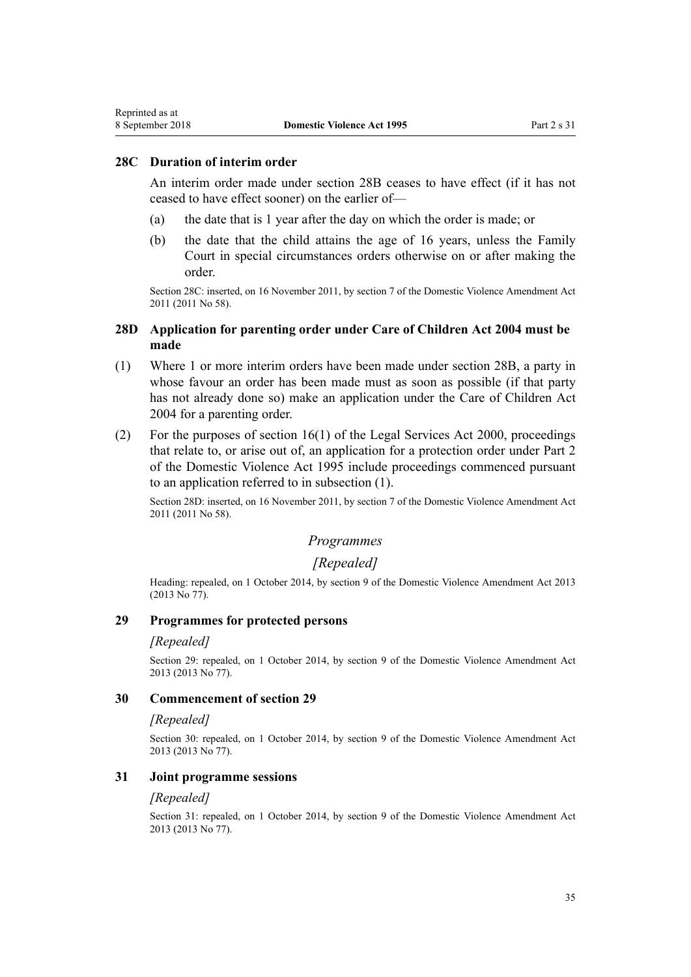#### **28C Duration of interim order**

<span id="page-34-0"></span>Reprinted as at

An interim order made under [section 28B](#page-33-0) ceases to have effect (if it has not ceased to have effect sooner) on the earlier of—

- (a) the date that is 1 year after the day on which the order is made; or
- (b) the date that the child attains the age of 16 years, unless the Family Court in special circumstances orders otherwise on or after making the order.

Section 28C: inserted, on 16 November 2011, by [section 7](http://prd-lgnz-nlb.prd.pco.net.nz/pdflink.aspx?id=DLM1955516) of the Domestic Violence Amendment Act 2011 (2011 No 58).

## **28D Application for parenting order under Care of Children Act 2004 must be made**

- (1) Where 1 or more interim orders have been made under [section 28B](#page-33-0), a party in whose favour an order has been made must as soon as possible (if that party has not already done so) make an application under the [Care of Children Act](http://prd-lgnz-nlb.prd.pco.net.nz/pdflink.aspx?id=DLM317232) [2004](http://prd-lgnz-nlb.prd.pco.net.nz/pdflink.aspx?id=DLM317232) for a parenting order.
- (2) For the purposes of [section 16\(1\)](http://prd-lgnz-nlb.prd.pco.net.nz/pdflink.aspx?id=DLM71961) of the Legal Services Act 2000, proceedings that relate to, or arise out of, an application for a protection order under [Part 2](#page-15-0) of the Domestic Violence Act 1995 include proceedings commenced pursuant to an application referred to in subsection (1).

Section 28D: inserted, on 16 November 2011, by [section 7](http://prd-lgnz-nlb.prd.pco.net.nz/pdflink.aspx?id=DLM1955516) of the Domestic Violence Amendment Act 2011 (2011 No 58).

## *Programmes*

#### *[Repealed]*

Heading: repealed, on 1 October 2014, by [section 9](http://prd-lgnz-nlb.prd.pco.net.nz/pdflink.aspx?id=DLM5615655) of the Domestic Violence Amendment Act 2013 (2013 No 77).

## **29 Programmes for protected persons**

#### *[Repealed]*

Section 29: repealed, on 1 October 2014, by [section 9](http://prd-lgnz-nlb.prd.pco.net.nz/pdflink.aspx?id=DLM5615655) of the Domestic Violence Amendment Act 2013 (2013 No 77).

#### **30 Commencement of section 29**

#### *[Repealed]*

Section 30: repealed, on 1 October 2014, by [section 9](http://prd-lgnz-nlb.prd.pco.net.nz/pdflink.aspx?id=DLM5615655) of the Domestic Violence Amendment Act 2013 (2013 No 77).

#### **31 Joint programme sessions**

#### *[Repealed]*

Section 31: repealed, on 1 October 2014, by [section 9](http://prd-lgnz-nlb.prd.pco.net.nz/pdflink.aspx?id=DLM5615655) of the Domestic Violence Amendment Act 2013 (2013 No 77).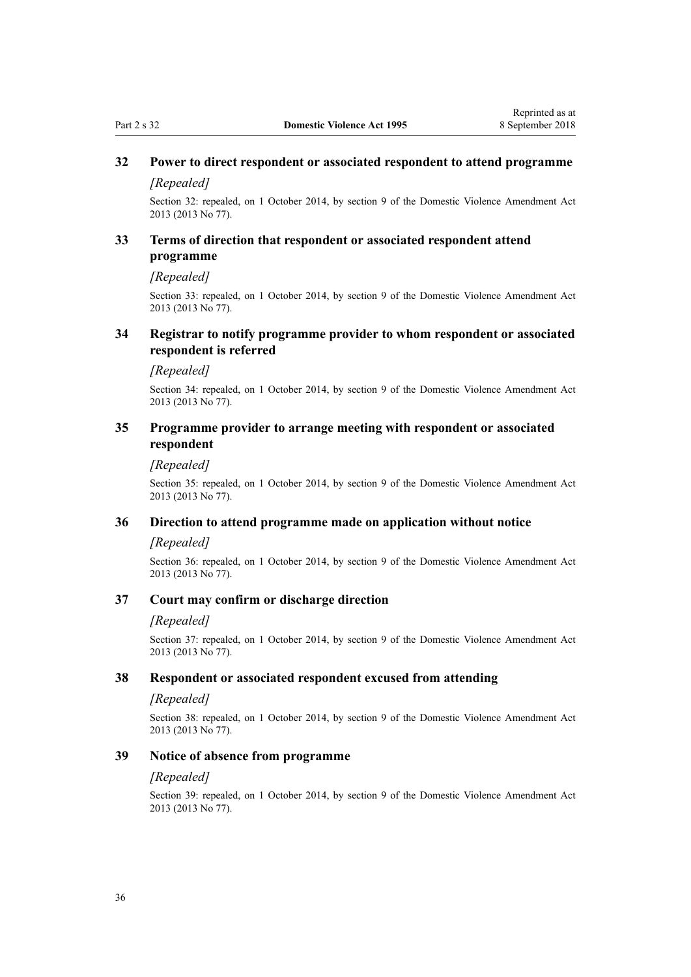## <span id="page-35-0"></span>**32 Power to direct respondent or associated respondent to attend programme**

#### *[Repealed]*

Section 32: repealed, on 1 October 2014, by [section 9](http://prd-lgnz-nlb.prd.pco.net.nz/pdflink.aspx?id=DLM5615655) of the Domestic Violence Amendment Act 2013 (2013 No 77).

## **33 Terms of direction that respondent or associated respondent attend programme**

*[Repealed]*

Section 33: repealed, on 1 October 2014, by [section 9](http://prd-lgnz-nlb.prd.pco.net.nz/pdflink.aspx?id=DLM5615655) of the Domestic Violence Amendment Act 2013 (2013 No 77).

#### **34 Registrar to notify programme provider to whom respondent or associated respondent is referred**

#### *[Repealed]*

Section 34: repealed, on 1 October 2014, by [section 9](http://prd-lgnz-nlb.prd.pco.net.nz/pdflink.aspx?id=DLM5615655) of the Domestic Violence Amendment Act 2013 (2013 No 77).

#### **35 Programme provider to arrange meeting with respondent or associated respondent**

#### *[Repealed]*

Section 35: repealed, on 1 October 2014, by [section 9](http://prd-lgnz-nlb.prd.pco.net.nz/pdflink.aspx?id=DLM5615655) of the Domestic Violence Amendment Act 2013 (2013 No 77).

#### **36 Direction to attend programme made on application without notice**

#### *[Repealed]*

Section 36: repealed, on 1 October 2014, by [section 9](http://prd-lgnz-nlb.prd.pco.net.nz/pdflink.aspx?id=DLM5615655) of the Domestic Violence Amendment Act 2013 (2013 No 77).

#### **37 Court may confirm or discharge direction**

#### *[Repealed]*

Section 37: repealed, on 1 October 2014, by [section 9](http://prd-lgnz-nlb.prd.pco.net.nz/pdflink.aspx?id=DLM5615655) of the Domestic Violence Amendment Act 2013 (2013 No 77).

#### **38 Respondent or associated respondent excused from attending**

#### *[Repealed]*

Section 38: repealed, on 1 October 2014, by [section 9](http://prd-lgnz-nlb.prd.pco.net.nz/pdflink.aspx?id=DLM5615655) of the Domestic Violence Amendment Act 2013 (2013 No 77).

#### **39 Notice of absence from programme**

#### *[Repealed]*

Section 39: repealed, on 1 October 2014, by [section 9](http://prd-lgnz-nlb.prd.pco.net.nz/pdflink.aspx?id=DLM5615655) of the Domestic Violence Amendment Act 2013 (2013 No 77).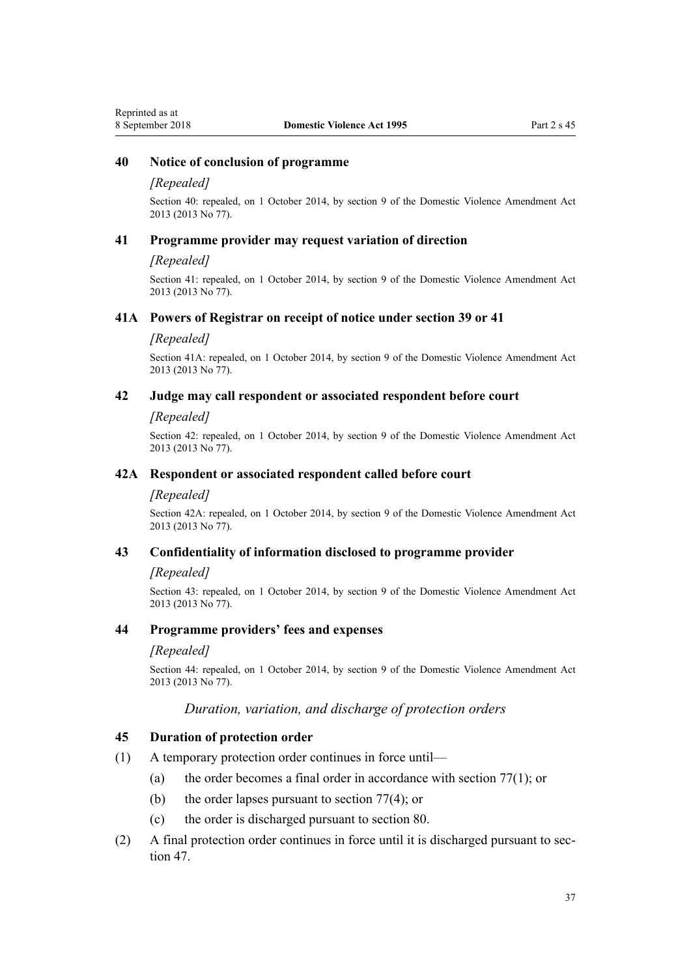## **40 Notice of conclusion of programme**

#### *[Repealed]*

Section 40: repealed, on 1 October 2014, by [section 9](http://prd-lgnz-nlb.prd.pco.net.nz/pdflink.aspx?id=DLM5615655) of the Domestic Violence Amendment Act 2013 (2013 No 77).

#### **41 Programme provider may request variation of direction**

#### *[Repealed]*

Section 41: repealed, on 1 October 2014, by [section 9](http://prd-lgnz-nlb.prd.pco.net.nz/pdflink.aspx?id=DLM5615655) of the Domestic Violence Amendment Act 2013 (2013 No 77).

#### **41A Powers of Registrar on receipt of notice under section 39 or 41**

#### *[Repealed]*

Section 41A: repealed, on 1 October 2014, by [section 9](http://prd-lgnz-nlb.prd.pco.net.nz/pdflink.aspx?id=DLM5615655) of the Domestic Violence Amendment Act 2013 (2013 No 77).

#### **42 Judge may call respondent or associated respondent before court**

#### *[Repealed]*

Section 42: repealed, on 1 October 2014, by [section 9](http://prd-lgnz-nlb.prd.pco.net.nz/pdflink.aspx?id=DLM5615655) of the Domestic Violence Amendment Act 2013 (2013 No 77).

#### **42A Respondent or associated respondent called before court**

#### *[Repealed]*

Section 42A: repealed, on 1 October 2014, by [section 9](http://prd-lgnz-nlb.prd.pco.net.nz/pdflink.aspx?id=DLM5615655) of the Domestic Violence Amendment Act 2013 (2013 No 77).

## **43 Confidentiality of information disclosed to programme provider**

#### *[Repealed]*

Section 43: repealed, on 1 October 2014, by [section 9](http://prd-lgnz-nlb.prd.pco.net.nz/pdflink.aspx?id=DLM5615655) of the Domestic Violence Amendment Act 2013 (2013 No 77).

## **44 Programme providers' fees and expenses**

#### *[Repealed]*

Section 44: repealed, on 1 October 2014, by [section 9](http://prd-lgnz-nlb.prd.pco.net.nz/pdflink.aspx?id=DLM5615655) of the Domestic Violence Amendment Act 2013 (2013 No 77).

## *Duration, variation, and discharge of protection orders*

#### **45 Duration of protection order**

- (1) A temporary protection order continues in force until—
	- (a) the order becomes a final order in accordance with section  $77(1)$ ; or
	- (b) the order lapses pursuant to [section 77\(4\);](#page-62-0) or
	- (c) the order is discharged pursuant to [section 80.](#page-64-0)
- (2) A final protection order continues in force until it is discharged pursuant to [sec](#page-38-0)[tion 47](#page-38-0).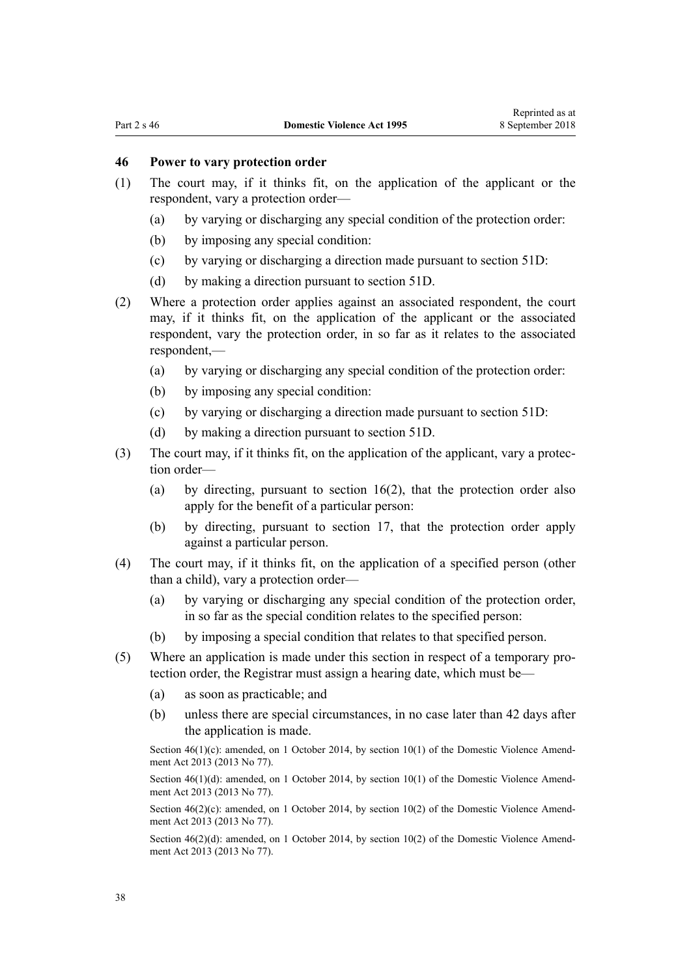## **46 Power to vary protection order**

- (1) The court may, if it thinks fit, on the application of the applicant or the respondent, vary a protection order—
	- (a) by varying or discharging any special condition of the protection order:
	- (b) by imposing any special condition:
	- (c) by varying or discharging a direction made pursuant to [section 51D](#page-42-0):
	- (d) by making a direction pursuant to [section 51D](#page-42-0).
- (2) Where a protection order applies against an associated respondent, the court may, if it thinks fit, on the application of the applicant or the associated respondent, vary the protection order, in so far as it relates to the associated respondent,—
	- (a) by varying or discharging any special condition of the protection order:
	- (b) by imposing any special condition:
	- (c) by varying or discharging a direction made pursuant to [section 51D](#page-42-0):
	- (d) by making a direction pursuant to [section 51D](#page-42-0).
- (3) The court may, if it thinks fit, on the application of the applicant, vary a protection order—
	- (a) by directing, pursuant to [section 16\(2\)](#page-21-0), that the protection order also apply for the benefit of a particular person:
	- (b) by directing, pursuant to [section 17](#page-22-0), that the protection order apply against a particular person.
- (4) The court may, if it thinks fit, on the application of a specified person (other than a child), vary a protection order—
	- (a) by varying or discharging any special condition of the protection order, in so far as the special condition relates to the specified person:
	- (b) by imposing a special condition that relates to that specified person.
- (5) Where an application is made under this section in respect of a temporary protection order, the Registrar must assign a hearing date, which must be—
	- (a) as soon as practicable; and
	- (b) unless there are special circumstances, in no case later than 42 days after the application is made.

Section  $46(1)(c)$ : amended, on 1 October 2014, by section  $10(1)$  of the Domestic Violence Amendment Act 2013 (2013 No 77).

Section 46(1)(d): amended, on 1 October 2014, by [section 10\(1\)](http://prd-lgnz-nlb.prd.pco.net.nz/pdflink.aspx?id=DLM5615656) of the Domestic Violence Amendment Act 2013 (2013 No 77).

Section  $46(2)(c)$ : amended, on 1 October 2014, by [section 10\(2\)](http://prd-lgnz-nlb.prd.pco.net.nz/pdflink.aspx?id=DLM5615656) of the Domestic Violence Amendment Act 2013 (2013 No 77).

Section  $46(2)(d)$ : amended, on 1 October 2014, by [section 10\(2\)](http://prd-lgnz-nlb.prd.pco.net.nz/pdflink.aspx?id=DLM5615656) of the Domestic Violence Amendment Act 2013 (2013 No 77).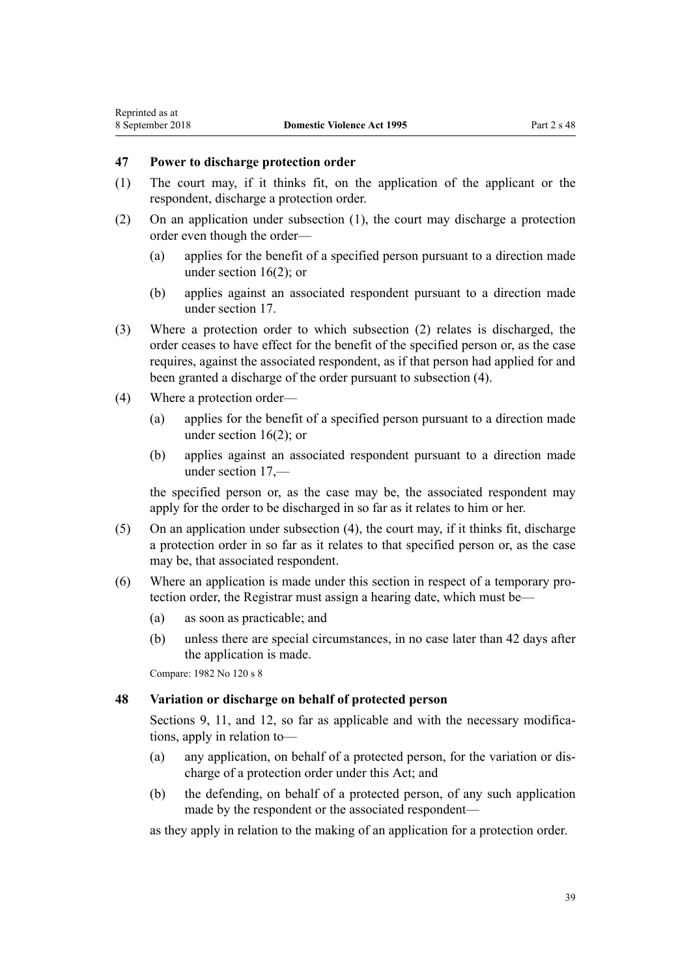## <span id="page-38-0"></span>**47 Power to discharge protection order**

- (1) The court may, if it thinks fit, on the application of the applicant or the respondent, discharge a protection order.
- (2) On an application under subsection (1), the court may discharge a protection order even though the order—
	- (a) applies for the benefit of a specified person pursuant to a direction made under [section 16\(2\);](#page-21-0) or
	- (b) applies against an associated respondent pursuant to a direction made under [section 17](#page-22-0).
- (3) Where a protection order to which subsection (2) relates is discharged, the order ceases to have effect for the benefit of the specified person or, as the case requires, against the associated respondent, as if that person had applied for and been granted a discharge of the order pursuant to subsection (4).
- (4) Where a protection order—
	- (a) applies for the benefit of a specified person pursuant to a direction made under [section 16\(2\);](#page-21-0) or
	- (b) applies against an associated respondent pursuant to a direction made under [section 17](#page-22-0),—

the specified person or, as the case may be, the associated respondent may apply for the order to be discharged in so far as it relates to him or her.

- (5) On an application under subsection (4), the court may, if it thinks fit, discharge a protection order in so far as it relates to that specified person or, as the case may be, that associated respondent.
- (6) Where an application is made under this section in respect of a temporary protection order, the Registrar must assign a hearing date, which must be—
	- (a) as soon as practicable; and
	- (b) unless there are special circumstances, in no case later than 42 days after the application is made.

Compare: 1982 No 120 s 8

## **48 Variation or discharge on behalf of protected person**

[Sections 9](#page-15-0), [11](#page-17-0), and [12](#page-17-0), so far as applicable and with the necessary modifications, apply in relation to—

- (a) any application, on behalf of a protected person, for the variation or discharge of a protection order under this Act; and
- (b) the defending, on behalf of a protected person, of any such application made by the respondent or the associated respondent—

as they apply in relation to the making of an application for a protection order.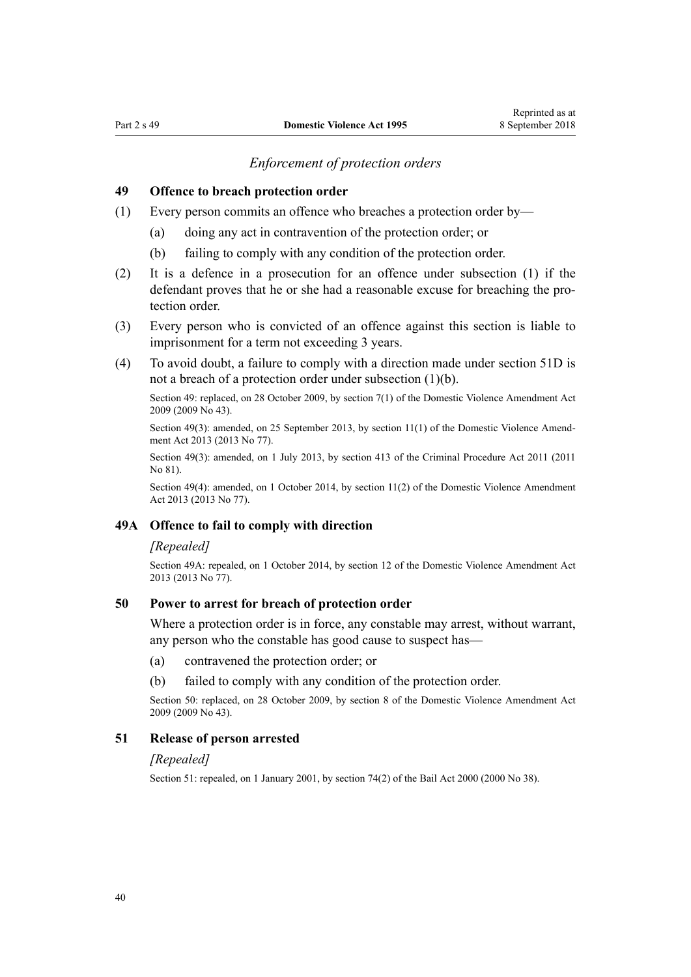## *Enforcement of protection orders*

#### **49 Offence to breach protection order**

- (1) Every person commits an offence who breaches a protection order by—
	- (a) doing any act in contravention of the protection order; or
	- (b) failing to comply with any condition of the protection order.
- (2) It is a defence in a prosecution for an offence under subsection (1) if the defendant proves that he or she had a reasonable excuse for breaching the protection order
- (3) Every person who is convicted of an offence against this section is liable to imprisonment for a term not exceeding 3 years.
- (4) To avoid doubt, a failure to comply with a direction made under [section 51D](#page-42-0) is not a breach of a protection order under subsection (1)(b).

Section 49: replaced, on 28 October 2009, by [section 7\(1\)](http://prd-lgnz-nlb.prd.pco.net.nz/pdflink.aspx?id=DLM1774213) of the Domestic Violence Amendment Act 2009 (2009 No 43).

Section 49(3): amended, on 25 September 2013, by [section 11\(1\)](http://prd-lgnz-nlb.prd.pco.net.nz/pdflink.aspx?id=DLM5615657) of the Domestic Violence Amendment Act 2013 (2013 No 77).

Section 49(3): amended, on 1 July 2013, by [section 413](http://prd-lgnz-nlb.prd.pco.net.nz/pdflink.aspx?id=DLM3360714) of the Criminal Procedure Act 2011 (2011 No 81).

Section 49(4): amended, on 1 October 2014, by [section 11\(2\)](http://prd-lgnz-nlb.prd.pco.net.nz/pdflink.aspx?id=DLM5615657) of the Domestic Violence Amendment Act 2013 (2013 No 77).

## **49A Offence to fail to comply with direction**

#### *[Repealed]*

Section 49A: repealed, on 1 October 2014, by [section 12](http://prd-lgnz-nlb.prd.pco.net.nz/pdflink.aspx?id=DLM5615658) of the Domestic Violence Amendment Act 2013 (2013 No 77).

## **50 Power to arrest for breach of protection order**

Where a protection order is in force, any constable may arrest, without warrant, any person who the constable has good cause to suspect has—

- (a) contravened the protection order; or
- (b) failed to comply with any condition of the protection order.

Section 50: replaced, on 28 October 2009, by [section 8](http://prd-lgnz-nlb.prd.pco.net.nz/pdflink.aspx?id=DLM1774216) of the Domestic Violence Amendment Act 2009 (2009 No 43).

#### **51 Release of person arrested**

#### *[Repealed]*

Section 51: repealed, on 1 January 2001, by [section 74\(2\)](http://prd-lgnz-nlb.prd.pco.net.nz/pdflink.aspx?id=DLM69643) of the Bail Act 2000 (2000 No 38).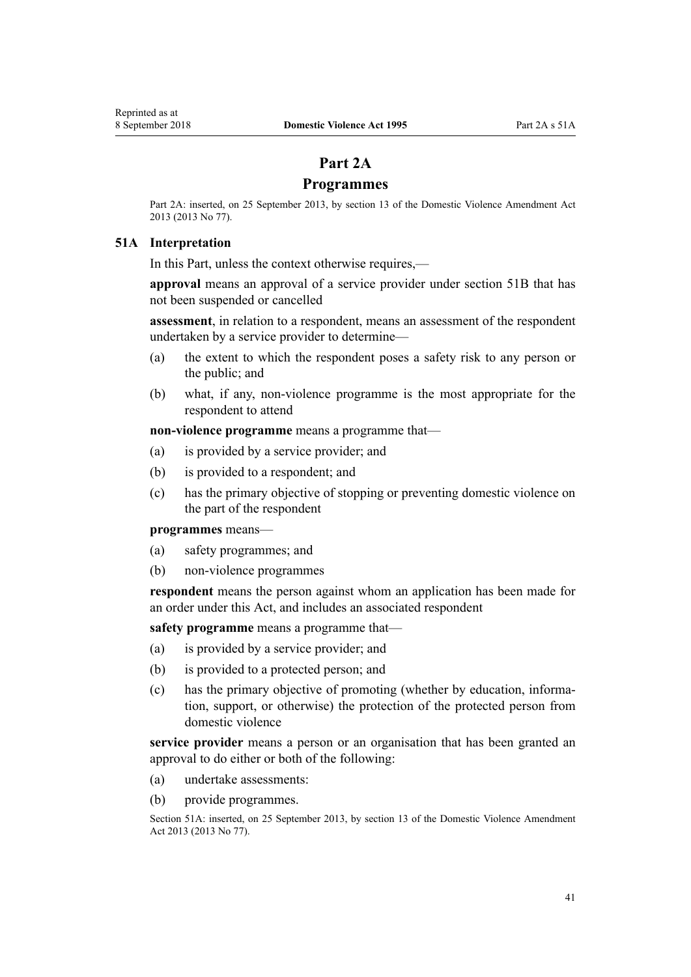# **Part 2A**

## **Programmes**

Part 2A: inserted, on 25 September 2013, by [section 13](http://prd-lgnz-nlb.prd.pco.net.nz/pdflink.aspx?id=DLM5615659) of the Domestic Violence Amendment Act 2013 (2013 No 77).

## **51A Interpretation**

In this Part, unless the context otherwise requires,—

**approval** means an approval of a service provider under [section 51B](#page-41-0) that has not been suspended or cancelled

**assessment**, in relation to a respondent, means an assessment of the respondent undertaken by a service provider to determine—

- (a) the extent to which the respondent poses a safety risk to any person or the public; and
- (b) what, if any, non-violence programme is the most appropriate for the respondent to attend

**non-violence programme** means a programme that—

- (a) is provided by a service provider; and
- (b) is provided to a respondent; and
- (c) has the primary objective of stopping or preventing domestic violence on the part of the respondent

#### **programmes** means—

- (a) safety programmes; and
- (b) non-violence programmes

**respondent** means the person against whom an application has been made for an order under this Act, and includes an associated respondent

**safety programme** means a programme that—

- (a) is provided by a service provider; and
- (b) is provided to a protected person; and
- (c) has the primary objective of promoting (whether by education, information, support, or otherwise) the protection of the protected person from domestic violence

**service provider** means a person or an organisation that has been granted an approval to do either or both of the following:

- (a) undertake assessments:
- (b) provide programmes.

Section 51A: inserted, on 25 September 2013, by [section 13](http://prd-lgnz-nlb.prd.pco.net.nz/pdflink.aspx?id=DLM5615659) of the Domestic Violence Amendment Act 2013 (2013 No 77).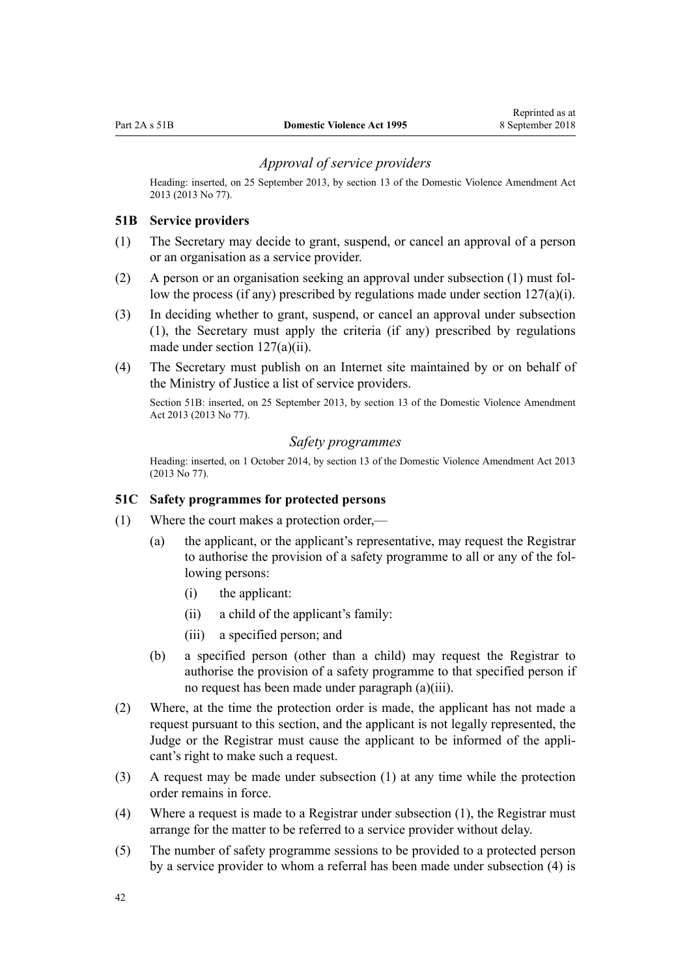## *Approval of service providers*

<span id="page-41-0"></span>Heading: inserted, on 25 September 2013, by [section 13](http://prd-lgnz-nlb.prd.pco.net.nz/pdflink.aspx?id=DLM5615659) of the Domestic Violence Amendment Act 2013 (2013 No 77).

## **51B Service providers**

- (1) The Secretary may decide to grant, suspend, or cancel an approval of a person or an organisation as a service provider.
- (2) A person or an organisation seeking an approval under subsection (1) must follow the process (if any) prescribed by regulations made under section  $127(a)(i)$ .
- (3) In deciding whether to grant, suspend, or cancel an approval under subsection (1), the Secretary must apply the criteria (if any) prescribed by regulations made under [section 127\(a\)\(ii\).](#page-96-0)
- (4) The Secretary must publish on an Internet site maintained by or on behalf of the Ministry of Justice a list of service providers.

Section 51B: inserted, on 25 September 2013, by [section 13](http://prd-lgnz-nlb.prd.pco.net.nz/pdflink.aspx?id=DLM5615659) of the Domestic Violence Amendment Act 2013 (2013 No 77).

#### *Safety programmes*

Heading: inserted, on 1 October 2014, by [section 13](http://prd-lgnz-nlb.prd.pco.net.nz/pdflink.aspx?id=DLM5615659) of the Domestic Violence Amendment Act 2013 (2013 No 77).

#### **51C Safety programmes for protected persons**

- (1) Where the court makes a protection order,—
	- (a) the applicant, or the applicant's representative, may request the Registrar to authorise the provision of a safety programme to all or any of the following persons:
		- (i) the applicant:
		- (ii) a child of the applicant's family:
		- (iii) a specified person; and
	- (b) a specified person (other than a child) may request the Registrar to authorise the provision of a safety programme to that specified person if no request has been made under paragraph (a)(iii).
- (2) Where, at the time the protection order is made, the applicant has not made a request pursuant to this section, and the applicant is not legally represented, the Judge or the Registrar must cause the applicant to be informed of the applicant's right to make such a request.
- (3) A request may be made under subsection (1) at any time while the protection order remains in force.
- (4) Where a request is made to a Registrar under subsection (1), the Registrar must arrange for the matter to be referred to a service provider without delay.
- (5) The number of safety programme sessions to be provided to a protected person by a service provider to whom a referral has been made under subsection (4) is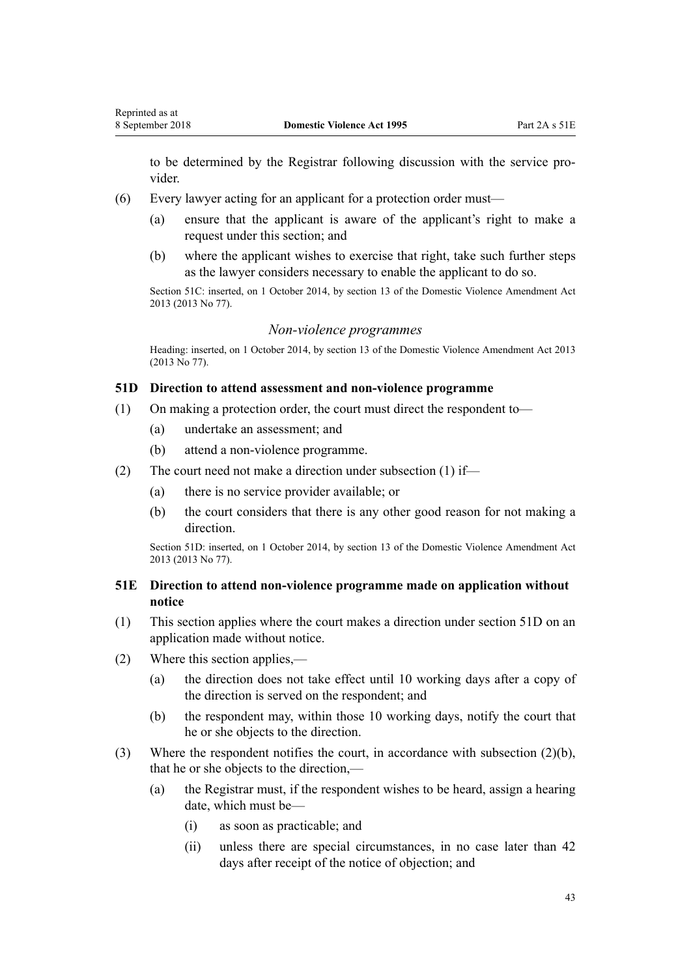<span id="page-42-0"></span>to be determined by the Registrar following discussion with the service provider.

- (6) Every lawyer acting for an applicant for a protection order must—
	- (a) ensure that the applicant is aware of the applicant's right to make a request under this section; and
	- (b) where the applicant wishes to exercise that right, take such further steps as the lawyer considers necessary to enable the applicant to do so.

Section 51C: inserted, on 1 October 2014, by [section 13](http://prd-lgnz-nlb.prd.pco.net.nz/pdflink.aspx?id=DLM5615659) of the Domestic Violence Amendment Act 2013 (2013 No 77).

#### *Non-violence programmes*

Heading: inserted, on 1 October 2014, by [section 13](http://prd-lgnz-nlb.prd.pco.net.nz/pdflink.aspx?id=DLM5615659) of the Domestic Violence Amendment Act 2013 (2013 No 77).

## **51D Direction to attend assessment and non-violence programme**

- (1) On making a protection order, the court must direct the respondent to—
	- (a) undertake an assessment; and
	- (b) attend a non-violence programme.
- (2) The court need not make a direction under subsection (1) if—
	- (a) there is no service provider available; or
	- (b) the court considers that there is any other good reason for not making a direction.

Section 51D: inserted, on 1 October 2014, by [section 13](http://prd-lgnz-nlb.prd.pco.net.nz/pdflink.aspx?id=DLM5615659) of the Domestic Violence Amendment Act 2013 (2013 No 77).

## **51E Direction to attend non-violence programme made on application without notice**

- (1) This section applies where the court makes a direction under section 51D on an application made without notice.
- (2) Where this section applies,—
	- (a) the direction does not take effect until 10 working days after a copy of the direction is served on the respondent; and
	- (b) the respondent may, within those 10 working days, notify the court that he or she objects to the direction.
- (3) Where the respondent notifies the court, in accordance with subsection (2)(b), that he or she objects to the direction,—
	- (a) the Registrar must, if the respondent wishes to be heard, assign a hearing date, which must be—
		- (i) as soon as practicable; and
		- (ii) unless there are special circumstances, in no case later than 42 days after receipt of the notice of objection; and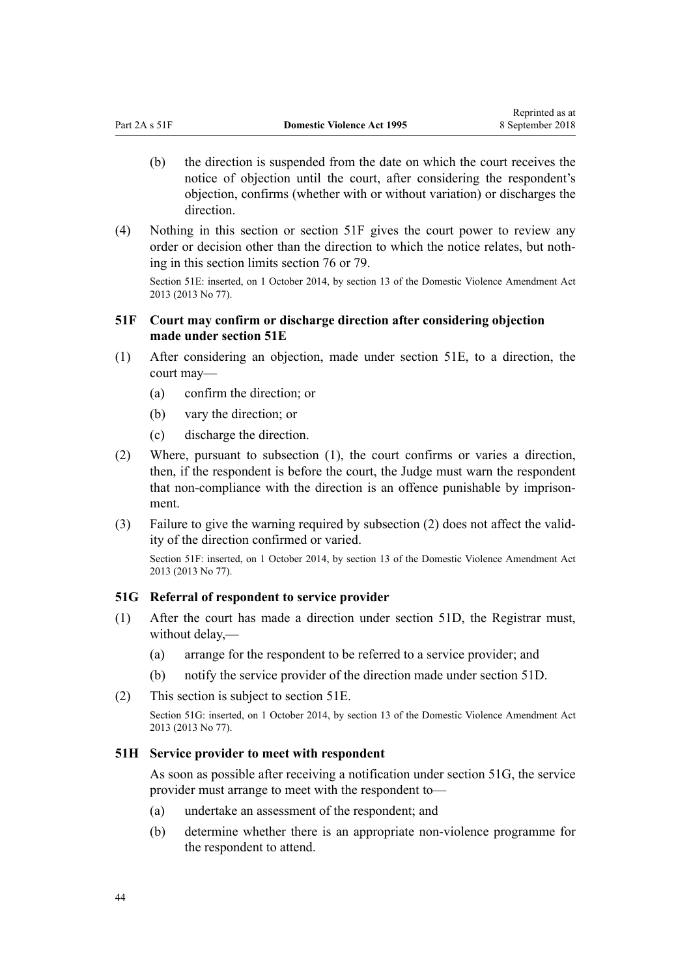- <span id="page-43-0"></span>(b) the direction is suspended from the date on which the court receives the notice of objection until the court, after considering the respondent's objection, confirms (whether with or without variation) or discharges the direction.
- (4) Nothing in this section or section 51F gives the court power to review any order or decision other than the direction to which the notice relates, but nothing in this section limits [section 76](#page-61-0) or [79](#page-63-0).

Section 51E: inserted, on 1 October 2014, by [section 13](http://prd-lgnz-nlb.prd.pco.net.nz/pdflink.aspx?id=DLM5615659) of the Domestic Violence Amendment Act 2013 (2013 No 77).

## **51F Court may confirm or discharge direction after considering objection made under section 51E**

- (1) After considering an objection, made under [section 51E](#page-42-0), to a direction, the court may—
	- (a) confirm the direction; or
	- (b) vary the direction; or
	- (c) discharge the direction.
- (2) Where, pursuant to subsection (1), the court confirms or varies a direction, then, if the respondent is before the court, the Judge must warn the respondent that non-compliance with the direction is an offence punishable by imprisonment.
- (3) Failure to give the warning required by subsection (2) does not affect the validity of the direction confirmed or varied.

Section 51F: inserted, on 1 October 2014, by [section 13](http://prd-lgnz-nlb.prd.pco.net.nz/pdflink.aspx?id=DLM5615659) of the Domestic Violence Amendment Act 2013 (2013 No 77).

#### **51G Referral of respondent to service provider**

- (1) After the court has made a direction under [section 51D,](#page-42-0) the Registrar must, without delay,—
	- (a) arrange for the respondent to be referred to a service provider; and
	- (b) notify the service provider of the direction made under [section 51D.](#page-42-0)
- (2) This section is subject to [section 51E.](#page-42-0)

Section 51G: inserted, on 1 October 2014, by [section 13](http://prd-lgnz-nlb.prd.pco.net.nz/pdflink.aspx?id=DLM5615659) of the Domestic Violence Amendment Act 2013 (2013 No 77).

#### **51H Service provider to meet with respondent**

As soon as possible after receiving a notification under section 51G, the service provider must arrange to meet with the respondent to—

- (a) undertake an assessment of the respondent; and
- (b) determine whether there is an appropriate non-violence programme for the respondent to attend.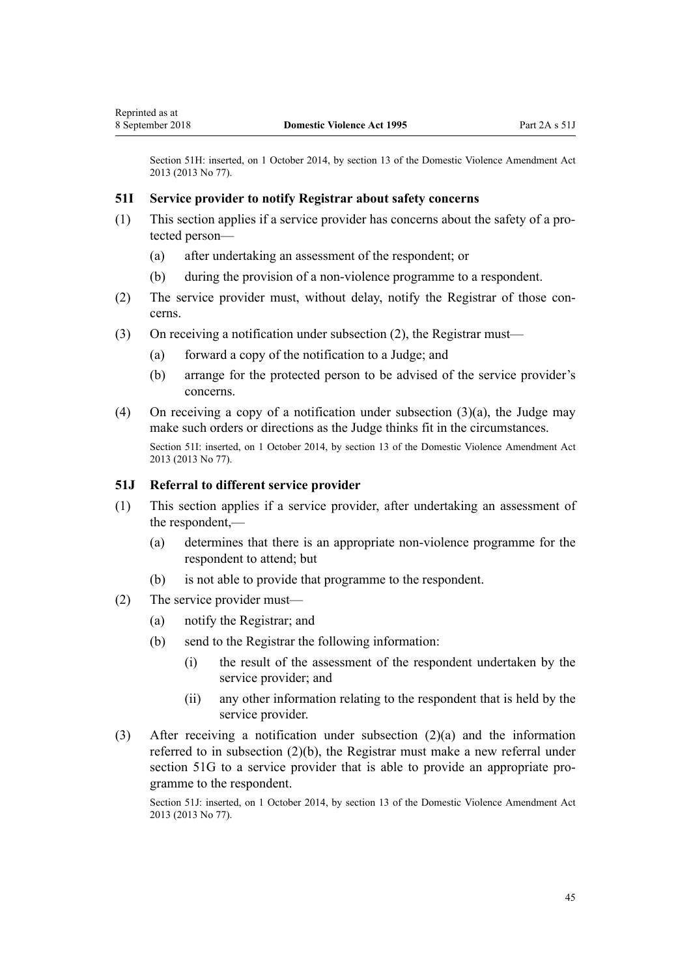<span id="page-44-0"></span>Section 51H: inserted, on 1 October 2014, by [section 13](http://prd-lgnz-nlb.prd.pco.net.nz/pdflink.aspx?id=DLM5615659) of the Domestic Violence Amendment Act 2013 (2013 No 77).

## **51I Service provider to notify Registrar about safety concerns**

- (1) This section applies if a service provider has concerns about the safety of a protected person—
	- (a) after undertaking an assessment of the respondent; or
	- (b) during the provision of a non-violence programme to a respondent.
- (2) The service provider must, without delay, notify the Registrar of those concerns.
- (3) On receiving a notification under subsection (2), the Registrar must—
	- (a) forward a copy of the notification to a Judge; and
	- (b) arrange for the protected person to be advised of the service provider's concerns.
- (4) On receiving a copy of a notification under subsection (3)(a), the Judge may make such orders or directions as the Judge thinks fit in the circumstances. Section 51I: inserted, on 1 October 2014, by [section 13](http://prd-lgnz-nlb.prd.pco.net.nz/pdflink.aspx?id=DLM5615659) of the Domestic Violence Amendment Act 2013 (2013 No 77).

## **51J Referral to different service provider**

- (1) This section applies if a service provider, after undertaking an assessment of the respondent,—
	- (a) determines that there is an appropriate non-violence programme for the respondent to attend; but
	- (b) is not able to provide that programme to the respondent.
- (2) The service provider must—
	- (a) notify the Registrar; and
	- (b) send to the Registrar the following information:
		- (i) the result of the assessment of the respondent undertaken by the service provider; and
		- (ii) any other information relating to the respondent that is held by the service provider.
- (3) After receiving a notification under subsection (2)(a) and the information referred to in subsection (2)(b), the Registrar must make a new referral under [section 51G](#page-43-0) to a service provider that is able to provide an appropriate programme to the respondent.

Section 51J: inserted, on 1 October 2014, by [section 13](http://prd-lgnz-nlb.prd.pco.net.nz/pdflink.aspx?id=DLM5615659) of the Domestic Violence Amendment Act 2013 (2013 No 77).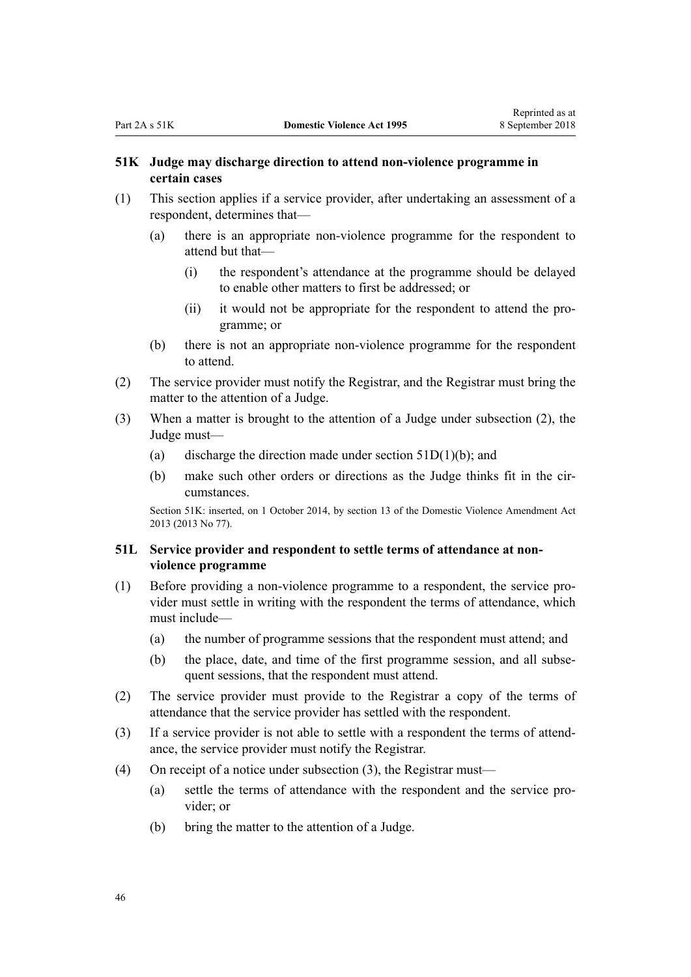## <span id="page-45-0"></span>**51K Judge may discharge direction to attend non-violence programme in certain cases**

- (1) This section applies if a service provider, after undertaking an assessment of a respondent, determines that—
	- (a) there is an appropriate non-violence programme for the respondent to attend but that—
		- (i) the respondent's attendance at the programme should be delayed to enable other matters to first be addressed; or
		- (ii) it would not be appropriate for the respondent to attend the programme; or
	- (b) there is not an appropriate non-violence programme for the respondent to attend.
- (2) The service provider must notify the Registrar, and the Registrar must bring the matter to the attention of a Judge.
- (3) When a matter is brought to the attention of a Judge under subsection (2), the Judge must—
	- (a) discharge the direction made under section  $51D(1)(b)$ ; and
	- (b) make such other orders or directions as the Judge thinks fit in the circumstances.

Section 51K: inserted, on 1 October 2014, by [section 13](http://prd-lgnz-nlb.prd.pco.net.nz/pdflink.aspx?id=DLM5615659) of the Domestic Violence Amendment Act 2013 (2013 No 77).

#### **51L Service provider and respondent to settle terms of attendance at nonviolence programme**

- (1) Before providing a non-violence programme to a respondent, the service provider must settle in writing with the respondent the terms of attendance, which must include—
	- (a) the number of programme sessions that the respondent must attend; and
	- (b) the place, date, and time of the first programme session, and all subsequent sessions, that the respondent must attend.
- (2) The service provider must provide to the Registrar a copy of the terms of attendance that the service provider has settled with the respondent.
- (3) If a service provider is not able to settle with a respondent the terms of attendance, the service provider must notify the Registrar.
- (4) On receipt of a notice under subsection (3), the Registrar must—
	- (a) settle the terms of attendance with the respondent and the service provider; or
	- (b) bring the matter to the attention of a Judge.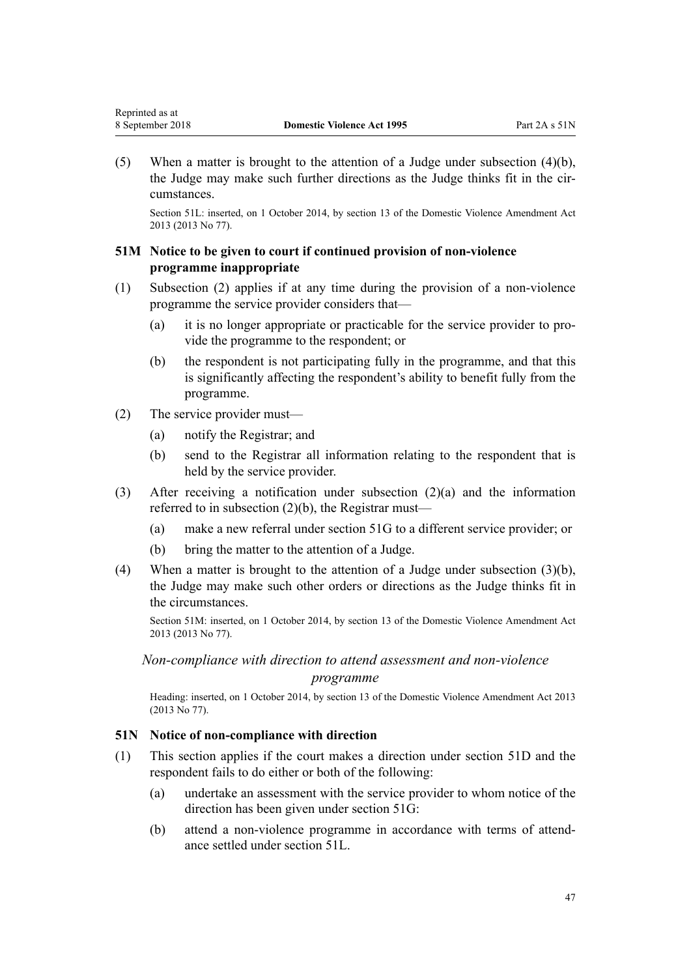<span id="page-46-0"></span>(5) When a matter is brought to the attention of a Judge under subsection (4)(b), the Judge may make such further directions as the Judge thinks fit in the circumstances.

Section 51L: inserted, on 1 October 2014, by [section 13](http://prd-lgnz-nlb.prd.pco.net.nz/pdflink.aspx?id=DLM5615659) of the Domestic Violence Amendment Act 2013 (2013 No 77).

## **51M Notice to be given to court if continued provision of non-violence programme inappropriate**

- (1) Subsection (2) applies if at any time during the provision of a non-violence programme the service provider considers that—
	- (a) it is no longer appropriate or practicable for the service provider to provide the programme to the respondent; or
	- (b) the respondent is not participating fully in the programme, and that this is significantly affecting the respondent's ability to benefit fully from the programme.
- (2) The service provider must—
	- (a) notify the Registrar; and
	- (b) send to the Registrar all information relating to the respondent that is held by the service provider.
- (3) After receiving a notification under subsection (2)(a) and the information referred to in subsection  $(2)(b)$ , the Registrar must—
	- (a) make a new referral under [section 51G](#page-43-0) to a different service provider; or
	- (b) bring the matter to the attention of a Judge.
- (4) When a matter is brought to the attention of a Judge under subsection (3)(b), the Judge may make such other orders or directions as the Judge thinks fit in the circumstances.

Section 51M: inserted, on 1 October 2014, by [section 13](http://prd-lgnz-nlb.prd.pco.net.nz/pdflink.aspx?id=DLM5615659) of the Domestic Violence Amendment Act 2013 (2013 No 77).

# *Non-compliance with direction to attend assessment and non-violence programme*

Heading: inserted, on 1 October 2014, by [section 13](http://prd-lgnz-nlb.prd.pco.net.nz/pdflink.aspx?id=DLM5615659) of the Domestic Violence Amendment Act 2013 (2013 No 77).

## **51N Notice of non-compliance with direction**

- (1) This section applies if the court makes a direction under [section 51D](#page-42-0) and the respondent fails to do either or both of the following:
	- (a) undertake an assessment with the service provider to whom notice of the direction has been given under [section 51G](#page-43-0):
	- (b) attend a non-violence programme in accordance with terms of attendance settled under [section 51L](#page-45-0).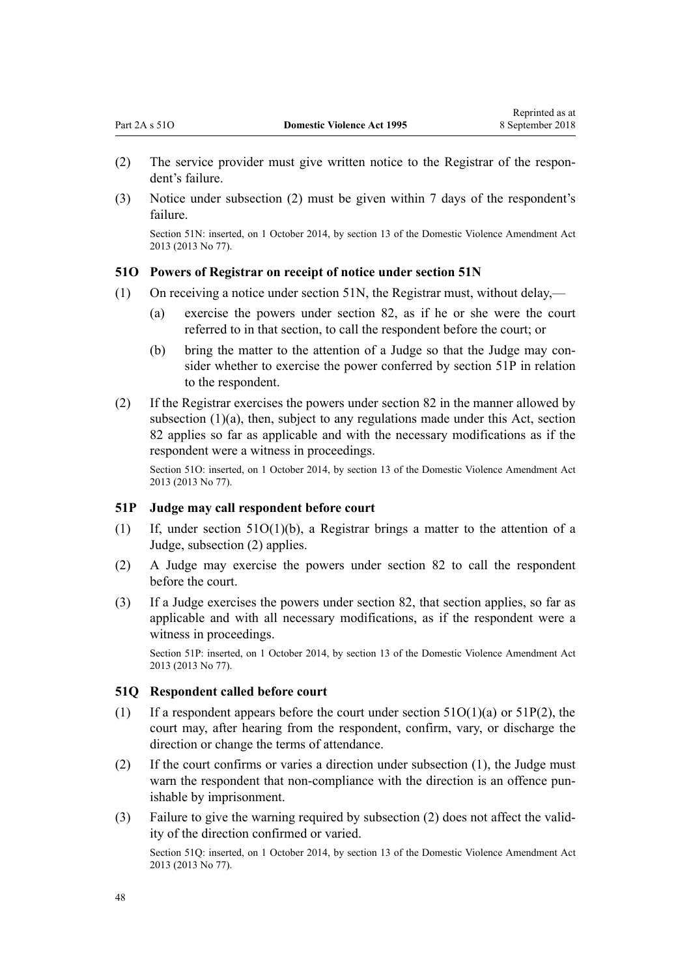- <span id="page-47-0"></span>(2) The service provider must give written notice to the Registrar of the respondent's failure.
- (3) Notice under subsection (2) must be given within 7 days of the respondent's failure.

Section 51N: inserted, on 1 October 2014, by [section 13](http://prd-lgnz-nlb.prd.pco.net.nz/pdflink.aspx?id=DLM5615659) of the Domestic Violence Amendment Act 2013 (2013 No 77).

## **51O Powers of Registrar on receipt of notice under section 51N**

- (1) On receiving a notice under [section 51N](#page-46-0), the Registrar must, without delay,—
	- (a) exercise the powers under [section 82,](#page-67-0) as if he or she were the court referred to in that section, to call the respondent before the court; or
	- (b) bring the matter to the attention of a Judge so that the Judge may consider whether to exercise the power conferred by section 51P in relation to the respondent.
- (2) If the Registrar exercises the powers under [section 82](#page-67-0) in the manner allowed by subsection  $(1)(a)$ , then, subject to any regulations made under this Act, section 82 applies so far as applicable and with the necessary modifications as if the respondent were a witness in proceedings.

Section 51O: inserted, on 1 October 2014, by [section 13](http://prd-lgnz-nlb.prd.pco.net.nz/pdflink.aspx?id=DLM5615659) of the Domestic Violence Amendment Act 2013 (2013 No 77).

#### **51P Judge may call respondent before court**

- (1) If, under section  $51O(1)(b)$ , a Registrar brings a matter to the attention of a Judge, subsection (2) applies.
- (2) A Judge may exercise the powers under [section 82](#page-67-0) to call the respondent before the court.
- (3) If a Judge exercises the powers under [section 82](#page-67-0), that section applies, so far as applicable and with all necessary modifications, as if the respondent were a witness in proceedings.

Section 51P: inserted, on 1 October 2014, by [section 13](http://prd-lgnz-nlb.prd.pco.net.nz/pdflink.aspx?id=DLM5615659) of the Domestic Violence Amendment Act 2013 (2013 No 77).

#### **51Q Respondent called before court**

- (1) If a respondent appears before the court under section  $51O(1)(a)$  or  $51P(2)$ , the court may, after hearing from the respondent, confirm, vary, or discharge the direction or change the terms of attendance.
- (2) If the court confirms or varies a direction under subsection (1), the Judge must warn the respondent that non-compliance with the direction is an offence punishable by imprisonment.
- (3) Failure to give the warning required by subsection (2) does not affect the validity of the direction confirmed or varied.

Section 51Q: inserted, on 1 October 2014, by [section 13](http://prd-lgnz-nlb.prd.pco.net.nz/pdflink.aspx?id=DLM5615659) of the Domestic Violence Amendment Act 2013 (2013 No 77).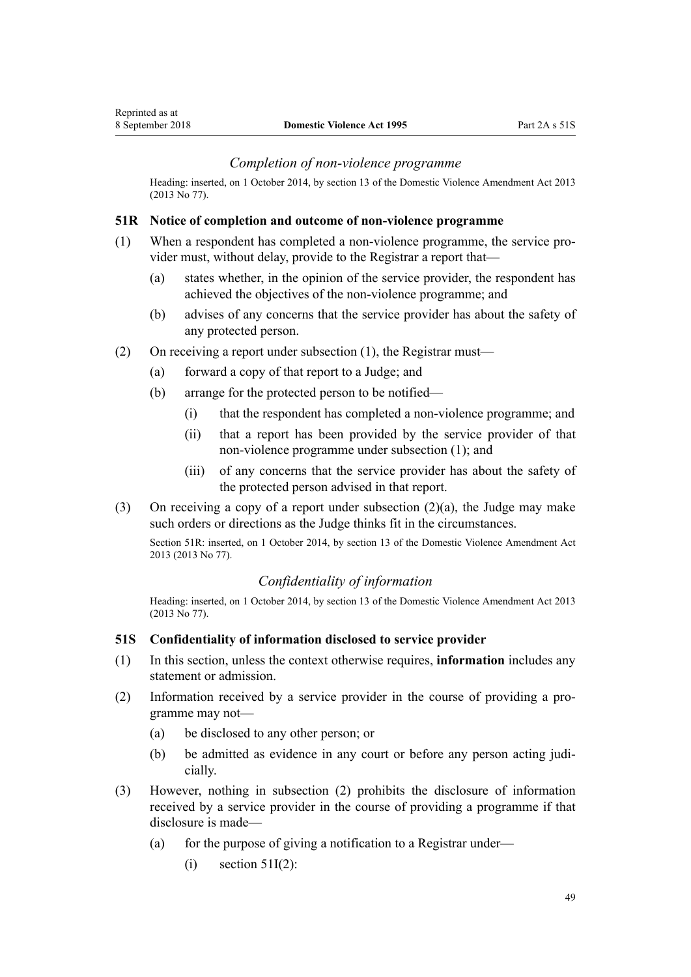## *Completion of non-violence programme*

Heading: inserted, on 1 October 2014, by [section 13](http://prd-lgnz-nlb.prd.pco.net.nz/pdflink.aspx?id=DLM5615659) of the Domestic Violence Amendment Act 2013 (2013 No 77).

#### **51R Notice of completion and outcome of non-violence programme**

- (1) When a respondent has completed a non-violence programme, the service provider must, without delay, provide to the Registrar a report that—
	- (a) states whether, in the opinion of the service provider, the respondent has achieved the objectives of the non-violence programme; and
	- (b) advises of any concerns that the service provider has about the safety of any protected person.
- (2) On receiving a report under subsection (1), the Registrar must—
	- (a) forward a copy of that report to a Judge; and
	- (b) arrange for the protected person to be notified—
		- (i) that the respondent has completed a non-violence programme; and
		- (ii) that a report has been provided by the service provider of that non-violence programme under subsection (1); and
		- (iii) of any concerns that the service provider has about the safety of the protected person advised in that report.
- (3) On receiving a copy of a report under subsection (2)(a), the Judge may make such orders or directions as the Judge thinks fit in the circumstances.

Section 51R: inserted, on 1 October 2014, by [section 13](http://prd-lgnz-nlb.prd.pco.net.nz/pdflink.aspx?id=DLM5615659) of the Domestic Violence Amendment Act 2013 (2013 No 77).

## *Confidentiality of information*

Heading: inserted, on 1 October 2014, by [section 13](http://prd-lgnz-nlb.prd.pco.net.nz/pdflink.aspx?id=DLM5615659) of the Domestic Violence Amendment Act 2013 (2013 No 77).

#### **51S Confidentiality of information disclosed to service provider**

- (1) In this section, unless the context otherwise requires, **information** includes any statement or admission.
- (2) Information received by a service provider in the course of providing a programme may not—
	- (a) be disclosed to any other person; or
	- (b) be admitted as evidence in any court or before any person acting judicially.
- (3) However, nothing in subsection (2) prohibits the disclosure of information received by a service provider in the course of providing a programme if that disclosure is made—
	- (a) for the purpose of giving a notification to a Registrar under—
		- $(i)$  [section 51I\(2\)](#page-44-0):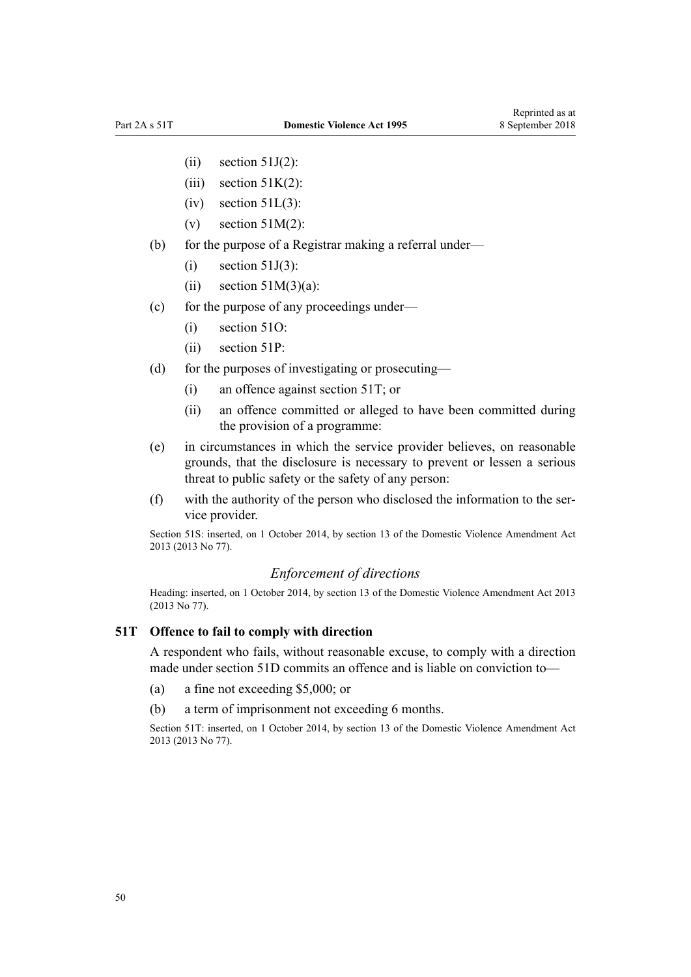- $(ii)$  [section 51J\(2\)](#page-44-0):
- (iii) section  $51K(2)$ :
- $(iv)$  section  $51L(3)$ :
- (v) section  $51M(2)$ :
- (b) for the purpose of a Registrar making a referral under—
	- $(i)$  [section 51J\(3\)](#page-44-0):
	- (ii) section  $51M(3)(a)$ :
- (c) for the purpose of any proceedings under—
	- (i) [section 51O](#page-47-0):
	- (ii) [section 51P:](#page-47-0)
- (d) for the purposes of investigating or prosecuting—
	- (i) an offence against section 51T; or
	- (ii) an offence committed or alleged to have been committed during the provision of a programme:
- (e) in circumstances in which the service provider believes, on reasonable grounds, that the disclosure is necessary to prevent or lessen a serious threat to public safety or the safety of any person:
- (f) with the authority of the person who disclosed the information to the service provider.

Section 51S: inserted, on 1 October 2014, by [section 13](http://prd-lgnz-nlb.prd.pco.net.nz/pdflink.aspx?id=DLM5615659) of the Domestic Violence Amendment Act 2013 (2013 No 77).

## *Enforcement of directions*

Heading: inserted, on 1 October 2014, by [section 13](http://prd-lgnz-nlb.prd.pco.net.nz/pdflink.aspx?id=DLM5615659) of the Domestic Violence Amendment Act 2013 (2013 No 77).

#### **51T Offence to fail to comply with direction**

A respondent who fails, without reasonable excuse, to comply with a direction made under [section 51D](#page-42-0) commits an offence and is liable on conviction to—

- (a) a fine not exceeding \$5,000; or
- (b) a term of imprisonment not exceeding 6 months.

Section 51T: inserted, on 1 October 2014, by [section 13](http://prd-lgnz-nlb.prd.pco.net.nz/pdflink.aspx?id=DLM5615659) of the Domestic Violence Amendment Act 2013 (2013 No 77).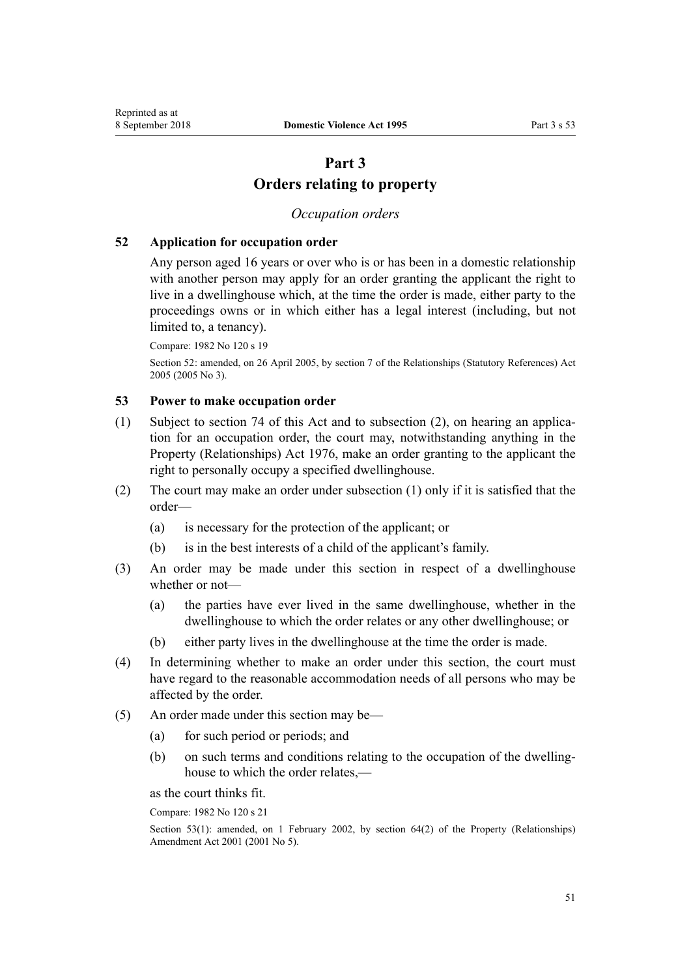# **Part 3 Orders relating to property**

## *Occupation orders*

## <span id="page-50-0"></span>**52 Application for occupation order**

Any person aged 16 years or over who is or has been in a domestic relationship with another person may apply for an order granting the applicant the right to live in a dwellinghouse which, at the time the order is made, either party to the proceedings owns or in which either has a legal interest (including, but not limited to, a tenancy).

Compare: 1982 No 120 s 19

Section 52: amended, on 26 April 2005, by [section 7](http://prd-lgnz-nlb.prd.pco.net.nz/pdflink.aspx?id=DLM333795) of the Relationships (Statutory References) Act 2005 (2005 No 3).

## **53 Power to make occupation order**

- (1) Subject to [section 74](#page-61-0) of this Act and to subsection (2), on hearing an application for an occupation order, the court may, notwithstanding anything in the [Property \(Relationships\) Act 1976,](http://prd-lgnz-nlb.prd.pco.net.nz/pdflink.aspx?id=DLM440944) make an order granting to the applicant the right to personally occupy a specified dwellinghouse.
- (2) The court may make an order under subsection (1) only if it is satisfied that the order—
	- (a) is necessary for the protection of the applicant; or
	- (b) is in the best interests of a child of the applicant's family.
- (3) An order may be made under this section in respect of a dwellinghouse whether or not—
	- (a) the parties have ever lived in the same dwellinghouse, whether in the dwellinghouse to which the order relates or any other dwellinghouse; or
	- (b) either party lives in the dwellinghouse at the time the order is made.
- (4) In determining whether to make an order under this section, the court must have regard to the reasonable accommodation needs of all persons who may be affected by the order.
- (5) An order made under this section may be—
	- (a) for such period or periods; and
	- (b) on such terms and conditions relating to the occupation of the dwellinghouse to which the order relates,—

as the court thinks fit.

Compare: 1982 No 120 s 21

Section 53(1): amended, on 1 February 2002, by [section 64\(2\)](http://prd-lgnz-nlb.prd.pco.net.nz/pdflink.aspx?id=DLM87570) of the Property (Relationships) Amendment Act 2001 (2001 No 5).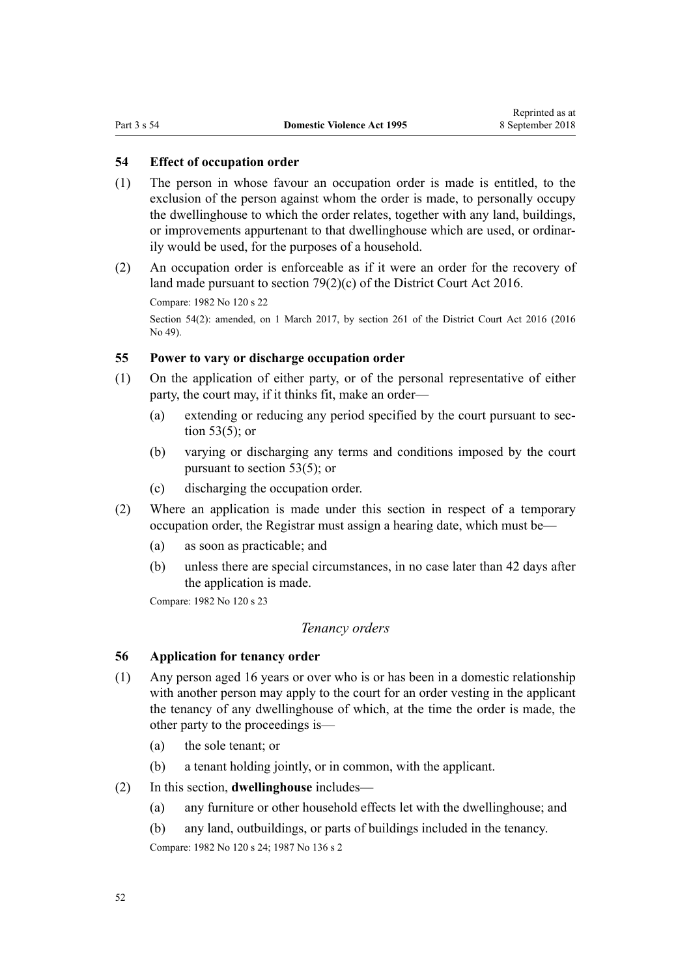## <span id="page-51-0"></span>**54 Effect of occupation order**

- (1) The person in whose favour an occupation order is made is entitled, to the exclusion of the person against whom the order is made, to personally occupy the dwellinghouse to which the order relates, together with any land, buildings, or improvements appurtenant to that dwellinghouse which are used, or ordinarily would be used, for the purposes of a household.
- (2) An occupation order is enforceable as if it were an order for the recovery of land made pursuant to [section 79\(2\)\(c\)](http://prd-lgnz-nlb.prd.pco.net.nz/pdflink.aspx?id=DLM6942376) of the District Court Act 2016.

Compare: 1982 No 120 s 22

Section 54(2): amended, on 1 March 2017, by [section 261](http://prd-lgnz-nlb.prd.pco.net.nz/pdflink.aspx?id=DLM6942680) of the District Court Act 2016 (2016) No 49).

#### **55 Power to vary or discharge occupation order**

- (1) On the application of either party, or of the personal representative of either party, the court may, if it thinks fit, make an order—
	- (a) extending or reducing any period specified by the court pursuant to [sec](#page-50-0)[tion 53\(5\);](#page-50-0) or
	- (b) varying or discharging any terms and conditions imposed by the court pursuant to [section 53\(5\);](#page-50-0) or
	- (c) discharging the occupation order.
- (2) Where an application is made under this section in respect of a temporary occupation order, the Registrar must assign a hearing date, which must be—
	- (a) as soon as practicable; and
	- (b) unless there are special circumstances, in no case later than 42 days after the application is made.

Compare: 1982 No 120 s 23

## *Tenancy orders*

## **56 Application for tenancy order**

- (1) Any person aged 16 years or over who is or has been in a domestic relationship with another person may apply to the court for an order vesting in the applicant the tenancy of any dwellinghouse of which, at the time the order is made, the other party to the proceedings is—
	- (a) the sole tenant; or
	- (b) a tenant holding jointly, or in common, with the applicant.
- (2) In this section, **dwellinghouse** includes—
	- (a) any furniture or other household effects let with the dwellinghouse; and
	- (b) any land, outbuildings, or parts of buildings included in the tenancy.

Compare: 1982 No 120 s 24; 1987 No 136 s 2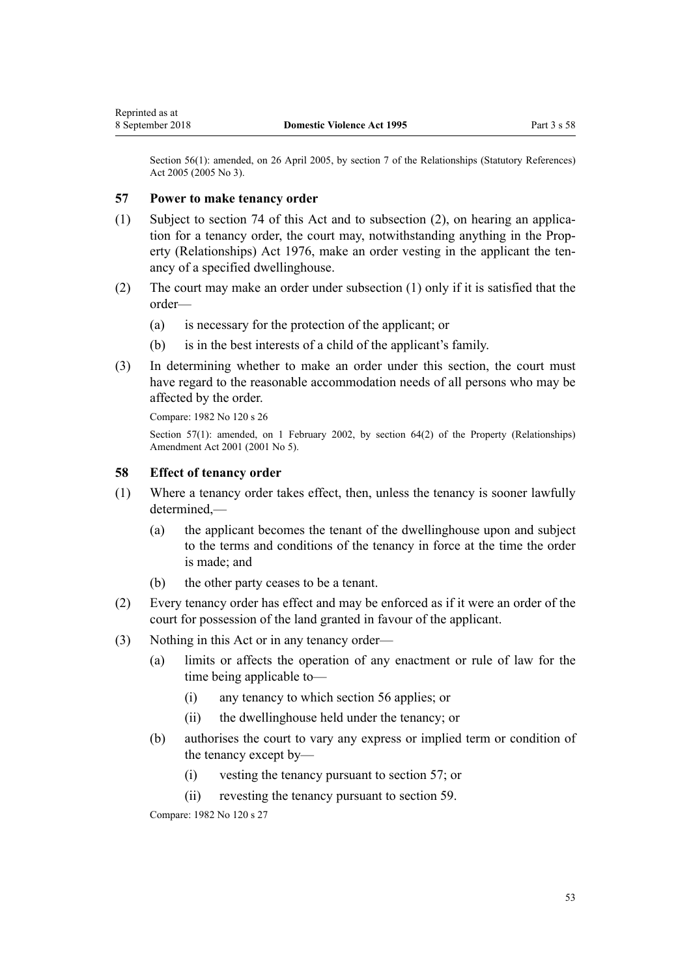Section 56(1): amended, on 26 April 2005, by [section 7](http://prd-lgnz-nlb.prd.pco.net.nz/pdflink.aspx?id=DLM333795) of the Relationships (Statutory References) Act 2005 (2005 No 3).

## **57 Power to make tenancy order**

- (1) Subject to [section 74](#page-61-0) of this Act and to subsection (2), on hearing an application for a tenancy order, the court may, notwithstanding anything in the [Prop](http://prd-lgnz-nlb.prd.pco.net.nz/pdflink.aspx?id=DLM440944)[erty \(Relationships\) Act 1976](http://prd-lgnz-nlb.prd.pco.net.nz/pdflink.aspx?id=DLM440944), make an order vesting in the applicant the tenancy of a specified dwellinghouse.
- (2) The court may make an order under subsection (1) only if it is satisfied that the order—
	- (a) is necessary for the protection of the applicant; or
	- (b) is in the best interests of a child of the applicant's family.
- (3) In determining whether to make an order under this section, the court must have regard to the reasonable accommodation needs of all persons who may be affected by the order.

Compare: 1982 No 120 s 26

Section 57(1): amended, on 1 February 2002, by [section 64\(2\)](http://prd-lgnz-nlb.prd.pco.net.nz/pdflink.aspx?id=DLM87570) of the Property (Relationships) Amendment Act 2001 (2001 No 5).

#### **58 Effect of tenancy order**

- (1) Where a tenancy order takes effect, then, unless the tenancy is sooner lawfully  $d$ etermined $-$ 
	- (a) the applicant becomes the tenant of the dwellinghouse upon and subject to the terms and conditions of the tenancy in force at the time the order is made; and
	- (b) the other party ceases to be a tenant.
- (2) Every tenancy order has effect and may be enforced as if it were an order of the court for possession of the land granted in favour of the applicant.
- (3) Nothing in this Act or in any tenancy order—
	- (a) limits or affects the operation of any enactment or rule of law for the time being applicable to—
		- (i) any tenancy to which [section 56](#page-51-0) applies; or
		- (ii) the dwellinghouse held under the tenancy; or
	- (b) authorises the court to vary any express or implied term or condition of the tenancy except by—
		- (i) vesting the tenancy pursuant to section 57; or
		- (ii) revesting the tenancy pursuant to [section 59](#page-53-0).

Compare: 1982 No 120 s 27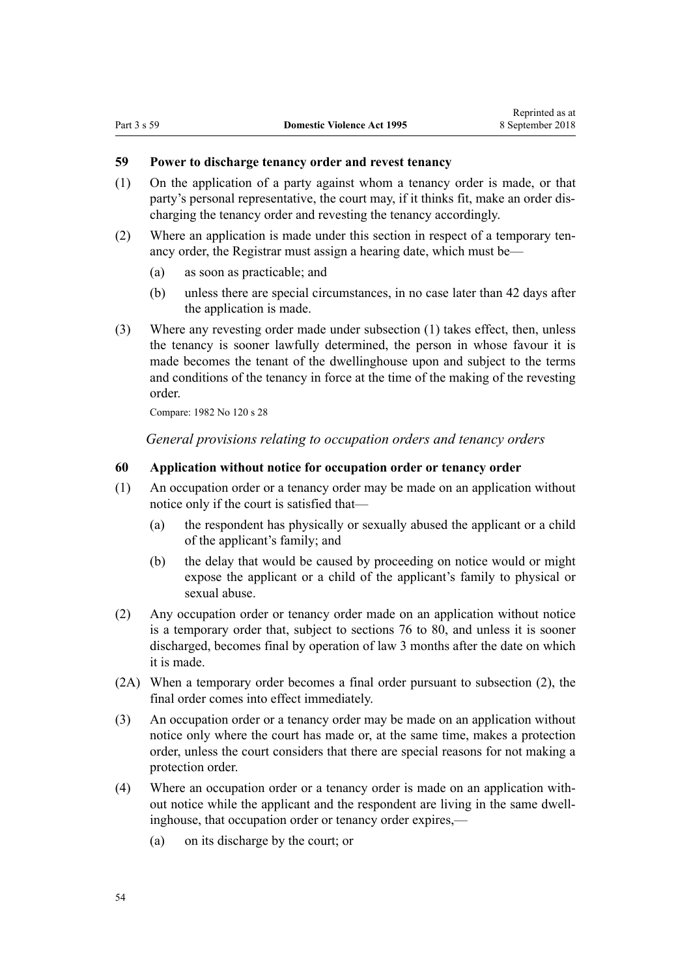## <span id="page-53-0"></span>**59 Power to discharge tenancy order and revest tenancy**

- (1) On the application of a party against whom a tenancy order is made, or that party's personal representative, the court may, if it thinks fit, make an order discharging the tenancy order and revesting the tenancy accordingly.
- (2) Where an application is made under this section in respect of a temporary tenancy order, the Registrar must assign a hearing date, which must be—
	- (a) as soon as practicable; and
	- (b) unless there are special circumstances, in no case later than 42 days after the application is made.
- (3) Where any revesting order made under subsection (1) takes effect, then, unless the tenancy is sooner lawfully determined, the person in whose favour it is made becomes the tenant of the dwellinghouse upon and subject to the terms and conditions of the tenancy in force at the time of the making of the revesting order.

Compare: 1982 No 120 s 28

*General provisions relating to occupation orders and tenancy orders*

## **60 Application without notice for occupation order or tenancy order**

- (1) An occupation order or a tenancy order may be made on an application without notice only if the court is satisfied that—
	- (a) the respondent has physically or sexually abused the applicant or a child of the applicant's family; and
	- (b) the delay that would be caused by proceeding on notice would or might expose the applicant or a child of the applicant's family to physical or sexual abuse.
- (2) Any occupation order or tenancy order made on an application without notice is a temporary order that, subject to [sections 76 to 80](#page-61-0), and unless it is sooner discharged, becomes final by operation of law 3 months after the date on which it is made.
- (2A) When a temporary order becomes a final order pursuant to subsection (2), the final order comes into effect immediately.
- (3) An occupation order or a tenancy order may be made on an application without notice only where the court has made or, at the same time, makes a protection order, unless the court considers that there are special reasons for not making a protection order.
- (4) Where an occupation order or a tenancy order is made on an application without notice while the applicant and the respondent are living in the same dwellinghouse, that occupation order or tenancy order expires,—
	- (a) on its discharge by the court; or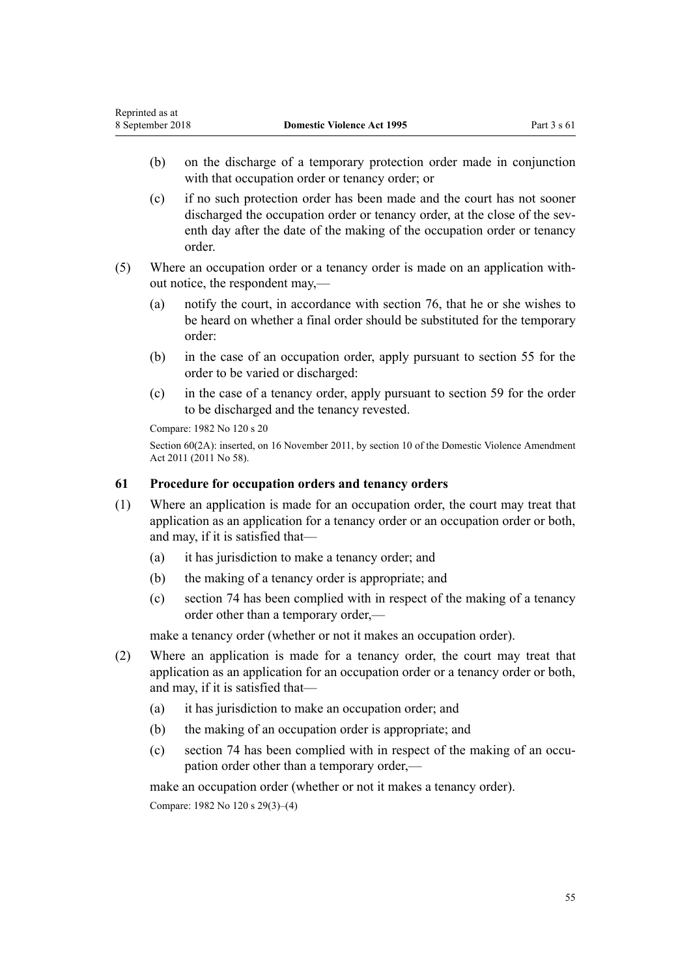- (b) on the discharge of a temporary protection order made in conjunction with that occupation order or tenancy order; or
- (c) if no such protection order has been made and the court has not sooner discharged the occupation order or tenancy order, at the close of the seventh day after the date of the making of the occupation order or tenancy order.
- (5) Where an occupation order or a tenancy order is made on an application without notice, the respondent may,—
	- (a) notify the court, in accordance with [section 76](#page-61-0), that he or she wishes to be heard on whether a final order should be substituted for the temporary order:
	- (b) in the case of an occupation order, apply pursuant to [section 55](#page-51-0) for the order to be varied or discharged:
	- (c) in the case of a tenancy order, apply pursuant to [section 59](#page-53-0) for the order to be discharged and the tenancy revested.

Compare: 1982 No 120 s 20

Section 60(2A): inserted, on 16 November 2011, by [section 10](http://prd-lgnz-nlb.prd.pco.net.nz/pdflink.aspx?id=DLM1955523) of the Domestic Violence Amendment Act 2011 (2011 No 58).

## **61 Procedure for occupation orders and tenancy orders**

- (1) Where an application is made for an occupation order, the court may treat that application as an application for a tenancy order or an occupation order or both, and may, if it is satisfied that—
	- (a) it has jurisdiction to make a tenancy order; and
	- (b) the making of a tenancy order is appropriate; and
	- (c) [section 74](#page-61-0) has been complied with in respect of the making of a tenancy order other than a temporary order,—

make a tenancy order (whether or not it makes an occupation order).

- (2) Where an application is made for a tenancy order, the court may treat that application as an application for an occupation order or a tenancy order or both, and may, if it is satisfied that—
	- (a) it has jurisdiction to make an occupation order; and
	- (b) the making of an occupation order is appropriate; and
	- (c) [section 74](#page-61-0) has been complied with in respect of the making of an occupation order other than a temporary order,—

make an occupation order (whether or not it makes a tenancy order).

Compare: 1982 No 120 s 29(3)–(4)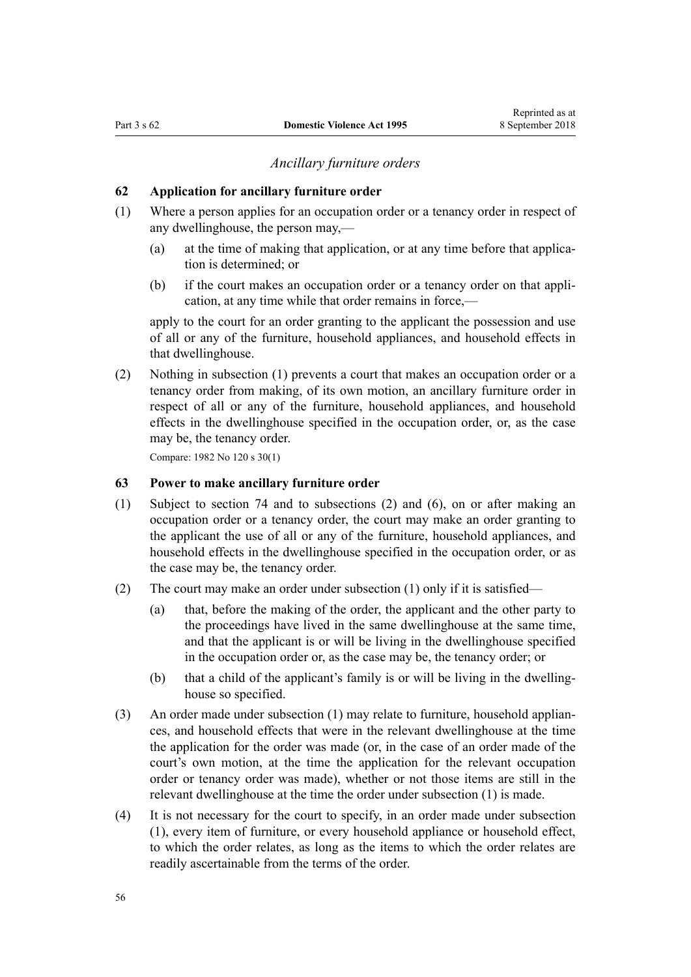## *Ancillary furniture orders*

#### <span id="page-55-0"></span>**62 Application for ancillary furniture order**

- (1) Where a person applies for an occupation order or a tenancy order in respect of any dwellinghouse, the person may,—
	- (a) at the time of making that application, or at any time before that application is determined; or
	- (b) if the court makes an occupation order or a tenancy order on that application, at any time while that order remains in force,—

apply to the court for an order granting to the applicant the possession and use of all or any of the furniture, household appliances, and household effects in that dwellinghouse.

(2) Nothing in subsection (1) prevents a court that makes an occupation order or a tenancy order from making, of its own motion, an ancillary furniture order in respect of all or any of the furniture, household appliances, and household effects in the dwellinghouse specified in the occupation order, or, as the case may be, the tenancy order.

Compare: 1982 No 120 s 30(1)

## **63 Power to make ancillary furniture order**

- (1) Subject to [section 74](#page-61-0) and to subsections (2) and (6), on or after making an occupation order or a tenancy order, the court may make an order granting to the applicant the use of all or any of the furniture, household appliances, and household effects in the dwellinghouse specified in the occupation order, or as the case may be, the tenancy order.
- (2) The court may make an order under subsection (1) only if it is satisfied—
	- (a) that, before the making of the order, the applicant and the other party to the proceedings have lived in the same dwellinghouse at the same time, and that the applicant is or will be living in the dwellinghouse specified in the occupation order or, as the case may be, the tenancy order; or
	- (b) that a child of the applicant's family is or will be living in the dwellinghouse so specified.
- (3) An order made under subsection (1) may relate to furniture, household appliances, and household effects that were in the relevant dwellinghouse at the time the application for the order was made (or, in the case of an order made of the court's own motion, at the time the application for the relevant occupation order or tenancy order was made), whether or not those items are still in the relevant dwellinghouse at the time the order under subsection (1) is made.
- (4) It is not necessary for the court to specify, in an order made under subsection (1), every item of furniture, or every household appliance or household effect, to which the order relates, as long as the items to which the order relates are readily ascertainable from the terms of the order.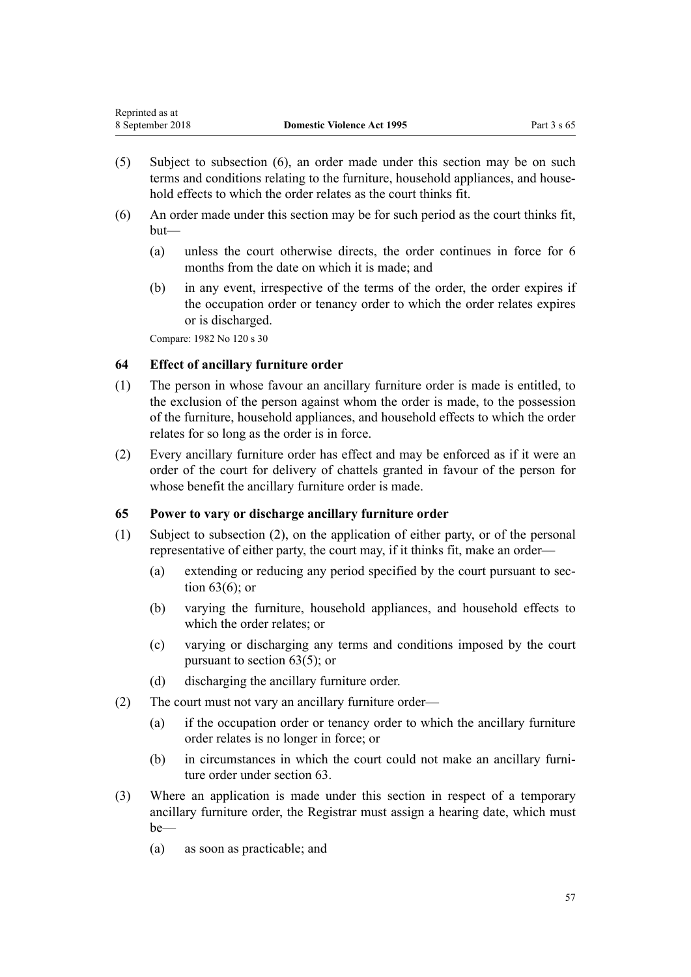- <span id="page-56-0"></span>(5) Subject to subsection (6), an order made under this section may be on such terms and conditions relating to the furniture, household appliances, and household effects to which the order relates as the court thinks fit.
- (6) An order made under this section may be for such period as the court thinks fit, but—
	- (a) unless the court otherwise directs, the order continues in force for 6 months from the date on which it is made; and
	- (b) in any event, irrespective of the terms of the order, the order expires if the occupation order or tenancy order to which the order relates expires or is discharged.

Compare: 1982 No 120 s 30

## **64 Effect of ancillary furniture order**

- (1) The person in whose favour an ancillary furniture order is made is entitled, to the exclusion of the person against whom the order is made, to the possession of the furniture, household appliances, and household effects to which the order relates for so long as the order is in force.
- (2) Every ancillary furniture order has effect and may be enforced as if it were an order of the court for delivery of chattels granted in favour of the person for whose benefit the ancillary furniture order is made.

## **65 Power to vary or discharge ancillary furniture order**

- (1) Subject to subsection (2), on the application of either party, or of the personal representative of either party, the court may, if it thinks fit, make an order—
	- (a) extending or reducing any period specified by the court pursuant to [sec](#page-55-0)[tion 63\(6\);](#page-55-0) or
	- (b) varying the furniture, household appliances, and household effects to which the order relates; or
	- (c) varying or discharging any terms and conditions imposed by the court pursuant to [section 63\(5\);](#page-55-0) or
	- (d) discharging the ancillary furniture order.
- (2) The court must not vary an ancillary furniture order—
	- (a) if the occupation order or tenancy order to which the ancillary furniture order relates is no longer in force; or
	- (b) in circumstances in which the court could not make an ancillary furniture order under [section 63](#page-55-0).
- (3) Where an application is made under this section in respect of a temporary ancillary furniture order, the Registrar must assign a hearing date, which must be—
	- (a) as soon as practicable; and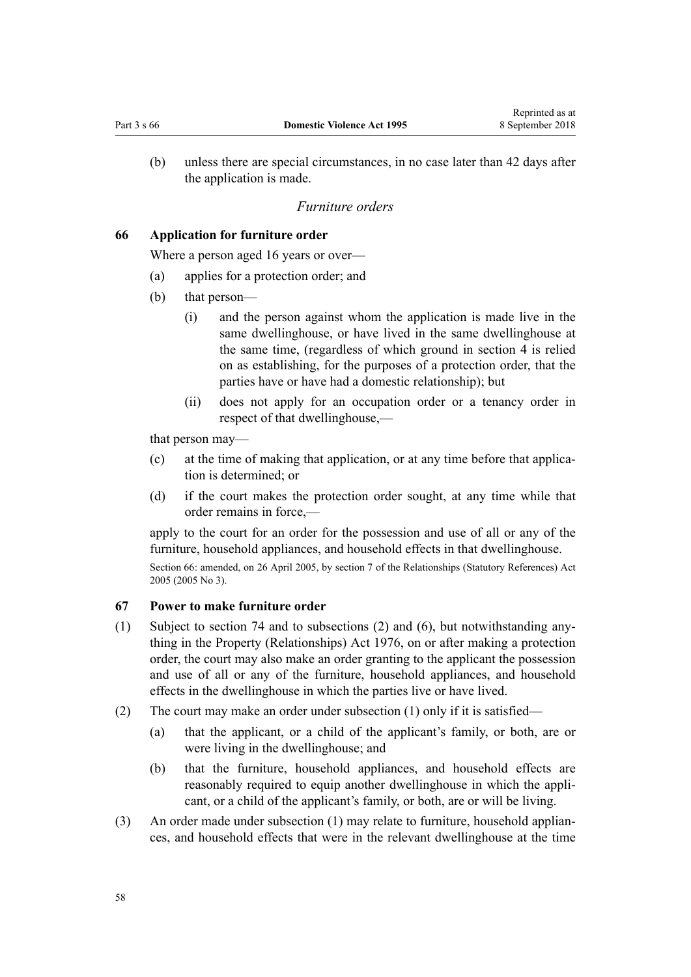<span id="page-57-0"></span>(b) unless there are special circumstances, in no case later than 42 days after the application is made.

#### *Furniture orders*

## **66 Application for furniture order**

Where a person aged 16 years or over—

- (a) applies for a protection order; and
- (b) that person—
	- (i) and the person against whom the application is made live in the same dwellinghouse, or have lived in the same dwellinghouse at the same time, (regardless of which ground in [section 4](#page-13-0) is relied on as establishing, for the purposes of a protection order, that the parties have or have had a domestic relationship); but
	- (ii) does not apply for an occupation order or a tenancy order in respect of that dwellinghouse,—

that person may—

- (c) at the time of making that application, or at any time before that application is determined; or
- (d) if the court makes the protection order sought, at any time while that order remains in force,—

apply to the court for an order for the possession and use of all or any of the furniture, household appliances, and household effects in that dwellinghouse.

Section 66: amended, on 26 April 2005, by [section 7](http://prd-lgnz-nlb.prd.pco.net.nz/pdflink.aspx?id=DLM333795) of the Relationships (Statutory References) Act 2005 (2005 No 3).

## **67 Power to make furniture order**

- (1) Subject to [section 74](#page-61-0) and to subsections (2) and (6), but notwithstanding anything in the [Property \(Relationships\) Act 1976](http://prd-lgnz-nlb.prd.pco.net.nz/pdflink.aspx?id=DLM440944), on or after making a protection order, the court may also make an order granting to the applicant the possession and use of all or any of the furniture, household appliances, and household effects in the dwellinghouse in which the parties live or have lived.
- (2) The court may make an order under subsection (1) only if it is satisfied—
	- (a) that the applicant, or a child of the applicant's family, or both, are or were living in the dwellinghouse; and
	- (b) that the furniture, household appliances, and household effects are reasonably required to equip another dwellinghouse in which the applicant, or a child of the applicant's family, or both, are or will be living.
- (3) An order made under subsection (1) may relate to furniture, household appliances, and household effects that were in the relevant dwellinghouse at the time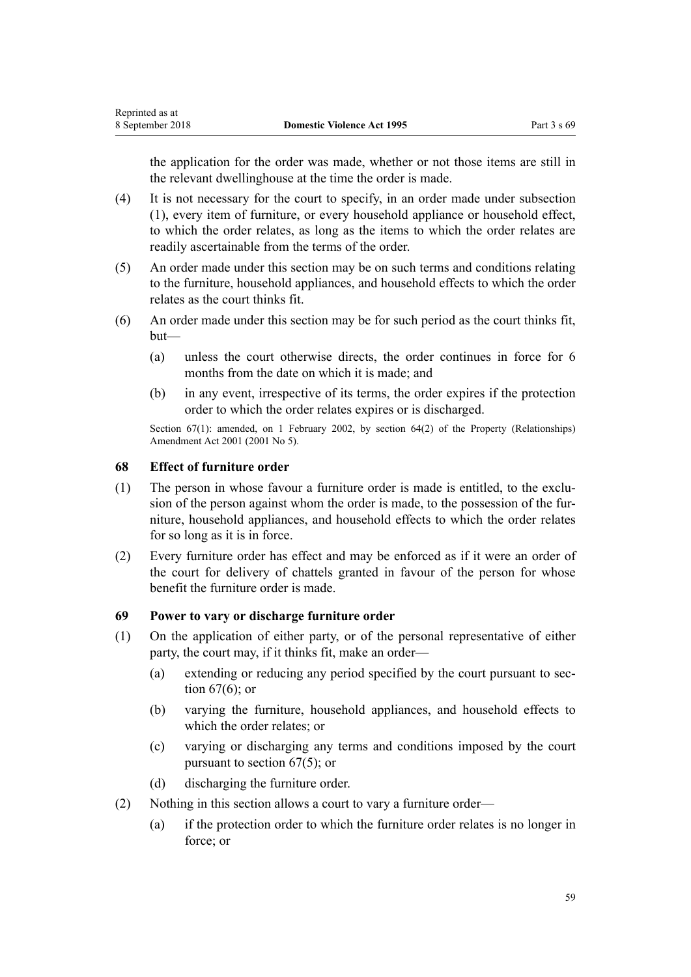<span id="page-58-0"></span>the application for the order was made, whether or not those items are still in the relevant dwellinghouse at the time the order is made.

- (4) It is not necessary for the court to specify, in an order made under subsection (1), every item of furniture, or every household appliance or household effect, to which the order relates, as long as the items to which the order relates are readily ascertainable from the terms of the order.
- (5) An order made under this section may be on such terms and conditions relating to the furniture, household appliances, and household effects to which the order relates as the court thinks fit.
- (6) An order made under this section may be for such period as the court thinks fit, but—
	- (a) unless the court otherwise directs, the order continues in force for 6 months from the date on which it is made; and
	- (b) in any event, irrespective of its terms, the order expires if the protection order to which the order relates expires or is discharged.

Section 67(1): amended, on 1 February 2002, by [section 64\(2\)](http://prd-lgnz-nlb.prd.pco.net.nz/pdflink.aspx?id=DLM87570) of the Property (Relationships) Amendment Act 2001 (2001 No 5).

## **68 Effect of furniture order**

- (1) The person in whose favour a furniture order is made is entitled, to the exclusion of the person against whom the order is made, to the possession of the furniture, household appliances, and household effects to which the order relates for so long as it is in force.
- (2) Every furniture order has effect and may be enforced as if it were an order of the court for delivery of chattels granted in favour of the person for whose benefit the furniture order is made.

## **69 Power to vary or discharge furniture order**

- (1) On the application of either party, or of the personal representative of either party, the court may, if it thinks fit, make an order—
	- (a) extending or reducing any period specified by the court pursuant to [sec](#page-57-0)[tion 67\(6\);](#page-57-0) or
	- (b) varying the furniture, household appliances, and household effects to which the order relates; or
	- (c) varying or discharging any terms and conditions imposed by the court pursuant to [section 67\(5\);](#page-57-0) or
	- (d) discharging the furniture order.
- (2) Nothing in this section allows a court to vary a furniture order—
	- (a) if the protection order to which the furniture order relates is no longer in force; or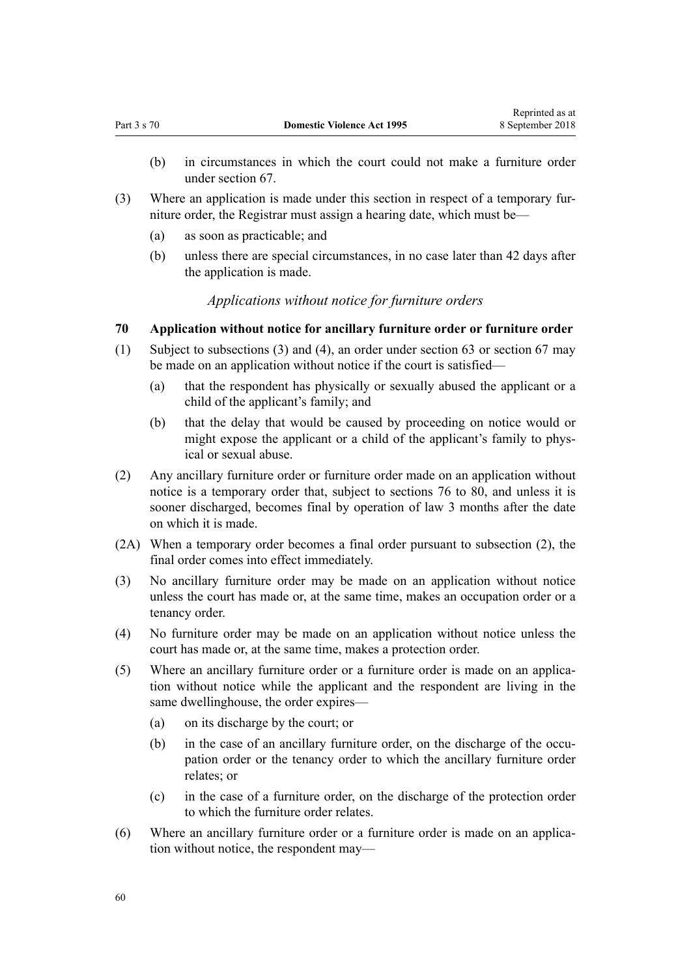- (b) in circumstances in which the court could not make a furniture order under [section 67](#page-57-0).
- (3) Where an application is made under this section in respect of a temporary furniture order, the Registrar must assign a hearing date, which must be—
	- (a) as soon as practicable; and
	- (b) unless there are special circumstances, in no case later than 42 days after the application is made.

## *Applications without notice for furniture orders*

## **70 Application without notice for ancillary furniture order or furniture order**

- (1) Subject to subsections (3) and (4), an order under [section 63](#page-55-0) or [section 67](#page-57-0) may be made on an application without notice if the court is satisfied—
	- (a) that the respondent has physically or sexually abused the applicant or a child of the applicant's family; and
	- (b) that the delay that would be caused by proceeding on notice would or might expose the applicant or a child of the applicant's family to physical or sexual abuse.
- (2) Any ancillary furniture order or furniture order made on an application without notice is a temporary order that, subject to [sections 76 to 80](#page-61-0), and unless it is sooner discharged, becomes final by operation of law 3 months after the date on which it is made.
- (2A) When a temporary order becomes a final order pursuant to subsection (2), the final order comes into effect immediately.
- (3) No ancillary furniture order may be made on an application without notice unless the court has made or, at the same time, makes an occupation order or a tenancy order.
- (4) No furniture order may be made on an application without notice unless the court has made or, at the same time, makes a protection order.
- (5) Where an ancillary furniture order or a furniture order is made on an application without notice while the applicant and the respondent are living in the same dwellinghouse, the order expires—
	- (a) on its discharge by the court; or
	- (b) in the case of an ancillary furniture order, on the discharge of the occupation order or the tenancy order to which the ancillary furniture order relates; or
	- (c) in the case of a furniture order, on the discharge of the protection order to which the furniture order relates.
- (6) Where an ancillary furniture order or a furniture order is made on an application without notice, the respondent may—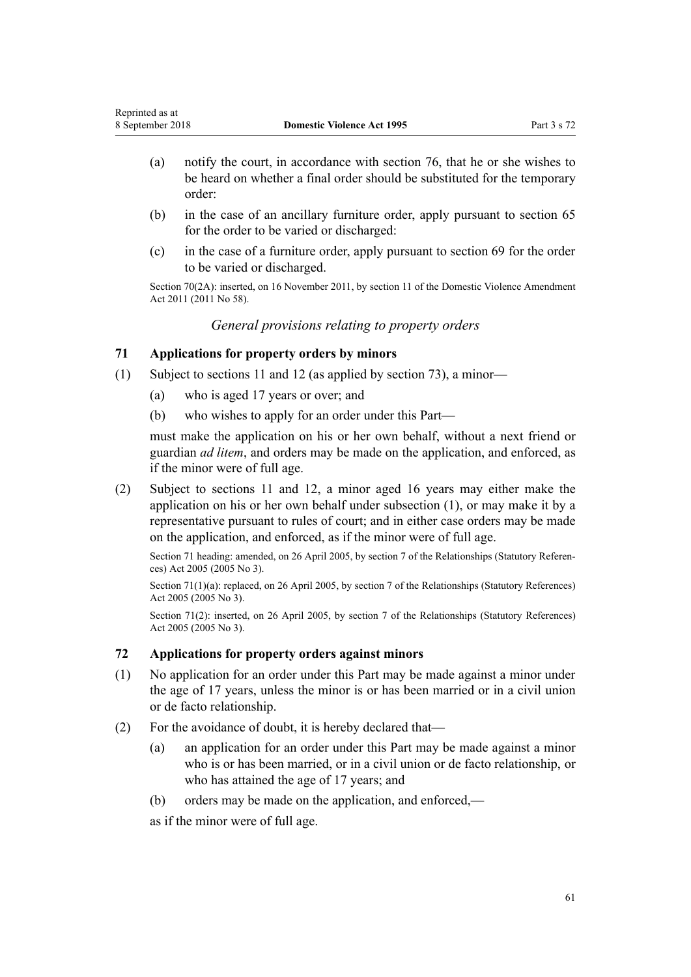- (a) notify the court, in accordance with [section 76](#page-61-0), that he or she wishes to be heard on whether a final order should be substituted for the temporary order:
- (b) in the case of an ancillary furniture order, apply pursuant to [section 65](#page-56-0) for the order to be varied or discharged:
- (c) in the case of a furniture order, apply pursuant to [section 69](#page-58-0) for the order to be varied or discharged.

Section 70(2A): inserted, on 16 November 2011, by [section 11](http://prd-lgnz-nlb.prd.pco.net.nz/pdflink.aspx?id=DLM1955524) of the Domestic Violence Amendment Act 2011 (2011 No 58).

*General provisions relating to property orders*

## **71 Applications for property orders by minors**

- (1) Subject to [sections 11](#page-17-0) and [12](#page-17-0) (as applied by [section 73](#page-61-0)), a minor—
	- (a) who is aged 17 years or over; and
	- (b) who wishes to apply for an order under this Part—

must make the application on his or her own behalf, without a next friend or guardian *ad litem*, and orders may be made on the application, and enforced, as if the minor were of full age.

(2) Subject to [sections 11](#page-17-0) and [12,](#page-17-0) a minor aged 16 years may either make the application on his or her own behalf under subsection (1), or may make it by a representative pursuant to rules of court; and in either case orders may be made on the application, and enforced, as if the minor were of full age.

Section 71 heading: amended, on 26 April 2005, by [section 7](http://prd-lgnz-nlb.prd.pco.net.nz/pdflink.aspx?id=DLM333795) of the Relationships (Statutory References) Act 2005 (2005 No 3).

Section 71(1)(a): replaced, on 26 April 2005, by [section 7](http://prd-lgnz-nlb.prd.pco.net.nz/pdflink.aspx?id=DLM333795) of the Relationships (Statutory References) Act 2005 (2005 No 3).

Section 71(2): inserted, on 26 April 2005, by [section 7](http://prd-lgnz-nlb.prd.pco.net.nz/pdflink.aspx?id=DLM333795) of the Relationships (Statutory References) Act 2005 (2005 No 3).

## **72 Applications for property orders against minors**

- (1) No application for an order under this Part may be made against a minor under the age of 17 years, unless the minor is or has been married or in a civil union or de facto relationship.
- (2) For the avoidance of doubt, it is hereby declared that—
	- (a) an application for an order under this Part may be made against a minor who is or has been married, or in a civil union or de facto relationship, or who has attained the age of 17 years; and
	- (b) orders may be made on the application, and enforced,—

as if the minor were of full age.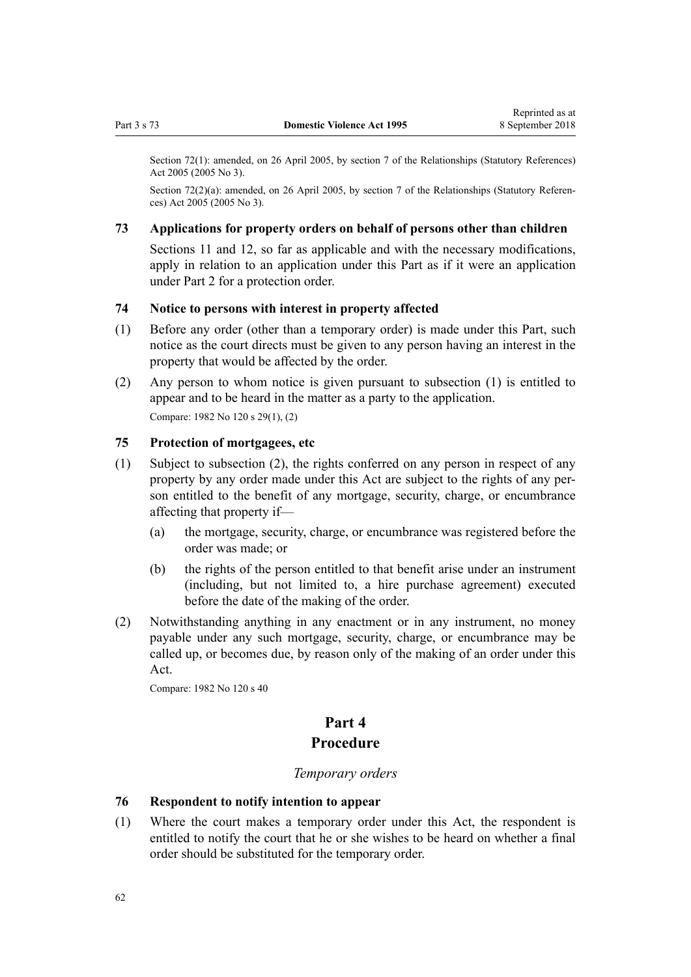<span id="page-61-0"></span>Section 72(1): amended, on 26 April 2005, by [section 7](http://prd-lgnz-nlb.prd.pco.net.nz/pdflink.aspx?id=DLM333795) of the Relationships (Statutory References) Act 2005 (2005 No 3).

Section 72(2)(a): amended, on 26 April 2005, by [section 7](http://prd-lgnz-nlb.prd.pco.net.nz/pdflink.aspx?id=DLM333795) of the Relationships (Statutory References) Act 2005 (2005 No 3).

## **73 Applications for property orders on behalf of persons other than children**

[Sections 11](#page-17-0) and [12](#page-17-0), so far as applicable and with the necessary modifications, apply in relation to an application under this Part as if it were an application under [Part 2](#page-15-0) for a protection order.

#### **74 Notice to persons with interest in property affected**

- (1) Before any order (other than a temporary order) is made under this Part, such notice as the court directs must be given to any person having an interest in the property that would be affected by the order.
- (2) Any person to whom notice is given pursuant to subsection (1) is entitled to appear and to be heard in the matter as a party to the application. Compare: 1982 No 120 s 29(1), (2)

## **75 Protection of mortgagees, etc**

- (1) Subject to subsection (2), the rights conferred on any person in respect of any property by any order made under this Act are subject to the rights of any person entitled to the benefit of any mortgage, security, charge, or encumbrance affecting that property if—
	- (a) the mortgage, security, charge, or encumbrance was registered before the order was made; or
	- (b) the rights of the person entitled to that benefit arise under an instrument (including, but not limited to, a hire purchase agreement) executed before the date of the making of the order.
- (2) Notwithstanding anything in any enactment or in any instrument, no money payable under any such mortgage, security, charge, or encumbrance may be called up, or becomes due, by reason only of the making of an order under this Act.

Compare: 1982 No 120 s 40

# **Part 4 Procedure**

#### *Temporary orders*

#### **76 Respondent to notify intention to appear**

(1) Where the court makes a temporary order under this Act, the respondent is entitled to notify the court that he or she wishes to be heard on whether a final order should be substituted for the temporary order.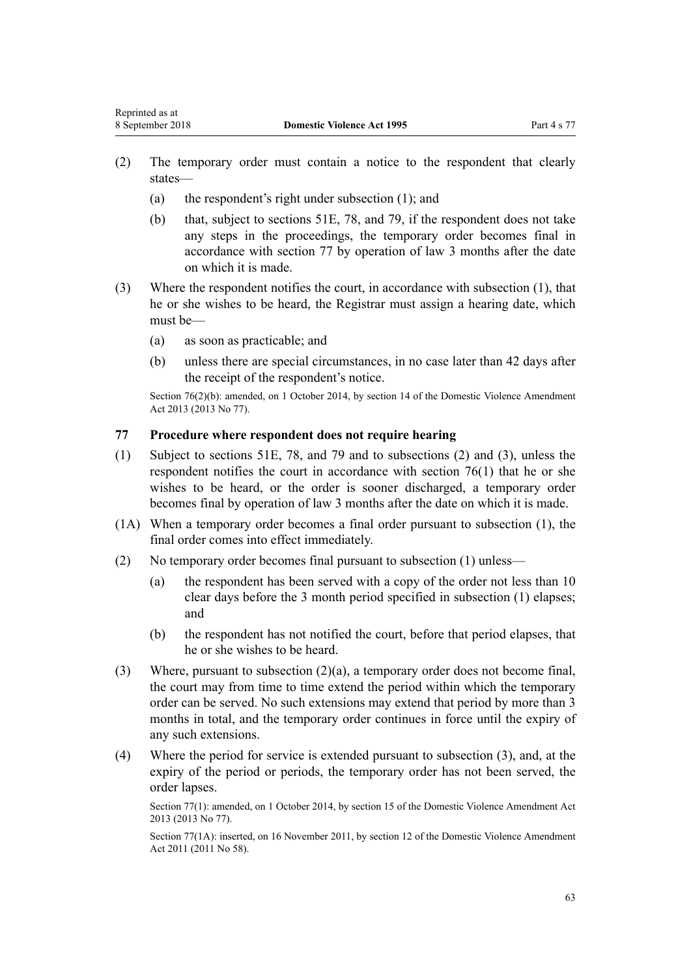- <span id="page-62-0"></span>(2) The temporary order must contain a notice to the respondent that clearly states—
	- (a) the respondent's right under subsection (1); and
	- (b) that, subject to [sections 51E](#page-42-0), [78](#page-63-0), and [79,](#page-63-0) if the respondent does not take any steps in the proceedings, the temporary order becomes final in accordance with section 77 by operation of law 3 months after the date on which it is made.
- (3) Where the respondent notifies the court, in accordance with subsection (1), that he or she wishes to be heard, the Registrar must assign a hearing date, which must be—
	- (a) as soon as practicable; and
	- (b) unless there are special circumstances, in no case later than 42 days after the receipt of the respondent's notice.

Section 76(2)(b): amended, on 1 October 2014, by [section 14](http://prd-lgnz-nlb.prd.pco.net.nz/pdflink.aspx?id=DLM5616703) of the Domestic Violence Amendment Act 2013 (2013 No 77).

## **77 Procedure where respondent does not require hearing**

- (1) Subject to [sections 51E,](#page-42-0) [78](#page-63-0), and [79](#page-63-0) and to subsections (2) and (3), unless the respondent notifies the court in accordance with [section 76\(1\)](#page-61-0) that he or she wishes to be heard, or the order is sooner discharged, a temporary order becomes final by operation of law 3 months after the date on which it is made.
- (1A) When a temporary order becomes a final order pursuant to subsection (1), the final order comes into effect immediately.
- (2) No temporary order becomes final pursuant to subsection (1) unless—
	- (a) the respondent has been served with a copy of the order not less than 10 clear days before the 3 month period specified in subsection (1) elapses; and
	- (b) the respondent has not notified the court, before that period elapses, that he or she wishes to be heard.
- (3) Where, pursuant to subsection (2)(a), a temporary order does not become final, the court may from time to time extend the period within which the temporary order can be served. No such extensions may extend that period by more than 3 months in total, and the temporary order continues in force until the expiry of any such extensions.
- (4) Where the period for service is extended pursuant to subsection (3), and, at the expiry of the period or periods, the temporary order has not been served, the order lapses.

Section 77(1): amended, on 1 October 2014, by [section 15](http://prd-lgnz-nlb.prd.pco.net.nz/pdflink.aspx?id=DLM5616704) of the Domestic Violence Amendment Act 2013 (2013 No 77).

Section 77(1A): inserted, on 16 November 2011, by [section 12](http://prd-lgnz-nlb.prd.pco.net.nz/pdflink.aspx?id=DLM1955525) of the Domestic Violence Amendment Act 2011 (2011 No 58).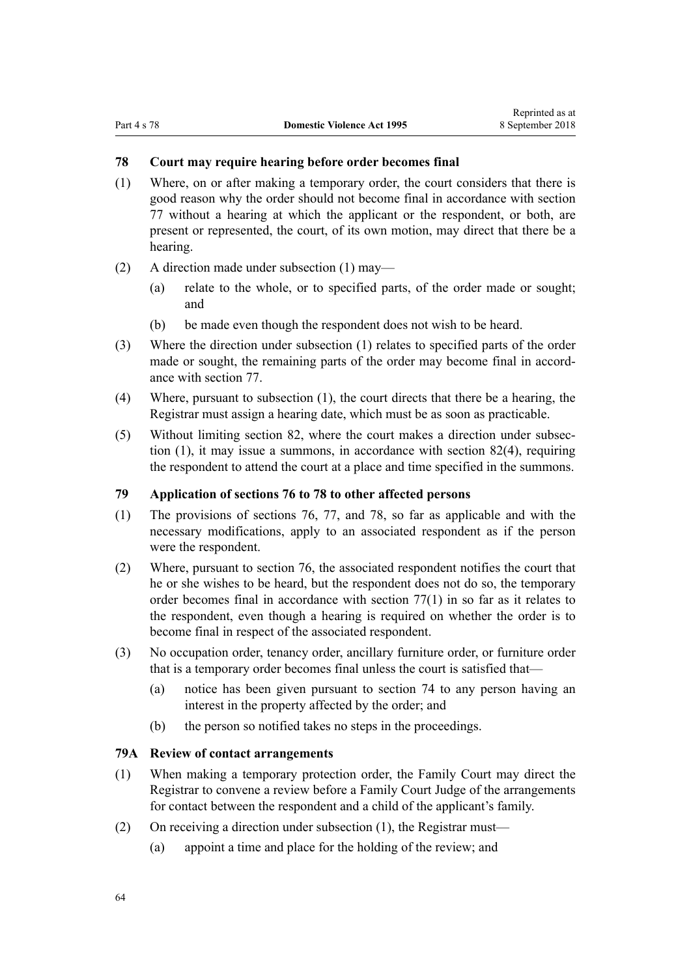## <span id="page-63-0"></span>**78 Court may require hearing before order becomes final**

- (1) Where, on or after making a temporary order, the court considers that there is good reason why the order should not become final in accordance with [section](#page-62-0) [77](#page-62-0) without a hearing at which the applicant or the respondent, or both, are present or represented, the court, of its own motion, may direct that there be a hearing.
- (2) A direction made under subsection (1) may—
	- (a) relate to the whole, or to specified parts, of the order made or sought; and
	- (b) be made even though the respondent does not wish to be heard.
- (3) Where the direction under subsection (1) relates to specified parts of the order made or sought, the remaining parts of the order may become final in accordance with [section 77](#page-62-0).
- (4) Where, pursuant to subsection (1), the court directs that there be a hearing, the Registrar must assign a hearing date, which must be as soon as practicable.
- (5) Without limiting [section 82](#page-67-0), where the court makes a direction under subsection (1), it may issue a summons, in accordance with [section 82\(4\),](#page-67-0) requiring the respondent to attend the court at a place and time specified in the summons.

## **79 Application of sections 76 to 78 to other affected persons**

- (1) The provisions of [sections 76](#page-61-0), [77](#page-62-0), and 78, so far as applicable and with the necessary modifications, apply to an associated respondent as if the person were the respondent.
- (2) Where, pursuant to [section 76,](#page-61-0) the associated respondent notifies the court that he or she wishes to be heard, but the respondent does not do so, the temporary order becomes final in accordance with [section 77\(1\)](#page-62-0) in so far as it relates to the respondent, even though a hearing is required on whether the order is to become final in respect of the associated respondent.
- (3) No occupation order, tenancy order, ancillary furniture order, or furniture order that is a temporary order becomes final unless the court is satisfied that—
	- (a) notice has been given pursuant to [section 74](#page-61-0) to any person having an interest in the property affected by the order; and
	- (b) the person so notified takes no steps in the proceedings.

## **79A Review of contact arrangements**

- (1) When making a temporary protection order, the Family Court may direct the Registrar to convene a review before a Family Court Judge of the arrangements for contact between the respondent and a child of the applicant's family.
- (2) On receiving a direction under subsection (1), the Registrar must—
	- (a) appoint a time and place for the holding of the review; and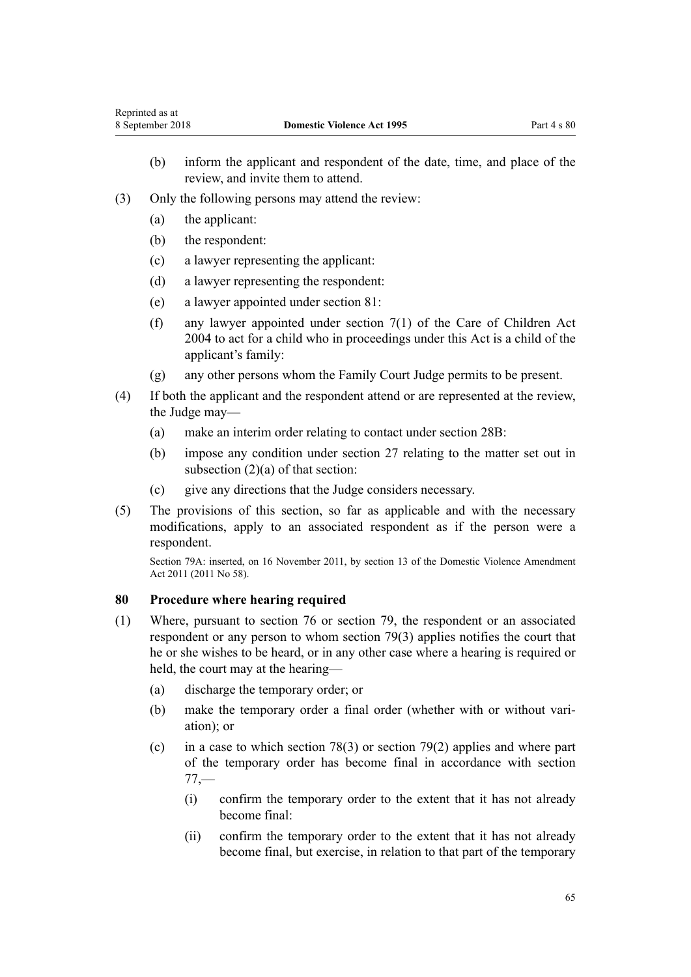- <span id="page-64-0"></span>(b) inform the applicant and respondent of the date, time, and place of the review, and invite them to attend.
- (3) Only the following persons may attend the review:
	- (a) the applicant:
	- (b) the respondent:
	- (c) a lawyer representing the applicant:
	- (d) a lawyer representing the respondent:
	- (e) a lawyer appointed under [section 81:](#page-65-0)
	- (f) any lawyer appointed under [section 7\(1\)](http://prd-lgnz-nlb.prd.pco.net.nz/pdflink.aspx?id=DLM317243) of the Care of Children Act 2004 to act for a child who in proceedings under this Act is a child of the applicant's family:
	- (g) any other persons whom the Family Court Judge permits to be present.
- (4) If both the applicant and the respondent attend or are represented at the review, the Judge may—
	- (a) make an interim order relating to contact under [section 28B:](#page-33-0)
	- (b) impose any condition under [section 27](#page-32-0) relating to the matter set out in subsection (2)(a) of that section:
	- (c) give any directions that the Judge considers necessary.
- (5) The provisions of this section, so far as applicable and with the necessary modifications, apply to an associated respondent as if the person were a respondent.

Section 79A: inserted, on 16 November 2011, by [section 13](http://prd-lgnz-nlb.prd.pco.net.nz/pdflink.aspx?id=DLM1955526) of the Domestic Violence Amendment Act 2011 (2011 No 58).

## **80 Procedure where hearing required**

- (1) Where, pursuant to [section 76](#page-61-0) or section [79](#page-63-0), the respondent or an associated respondent or any person to whom section 79(3) applies notifies the court that he or she wishes to be heard, or in any other case where a hearing is required or held, the court may at the hearing—
	- (a) discharge the temporary order; or
	- (b) make the temporary order a final order (whether with or without variation); or
	- (c) in a case to which [section 78\(3\)](#page-63-0) or [section 79\(2\)](#page-63-0) applies and where part of the temporary order has become final in accordance with [section](#page-62-0) [77,](#page-62-0)—
		- (i) confirm the temporary order to the extent that it has not already become final:
		- (ii) confirm the temporary order to the extent that it has not already become final, but exercise, in relation to that part of the temporary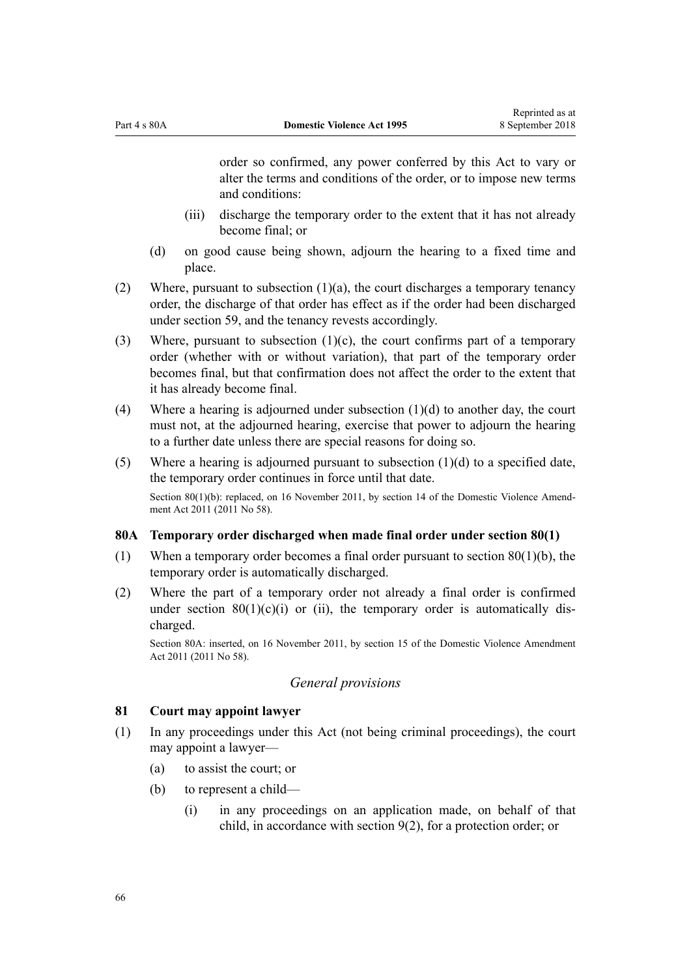<span id="page-65-0"></span>order so confirmed, any power conferred by this Act to vary or alter the terms and conditions of the order, or to impose new terms and conditions:

- (iii) discharge the temporary order to the extent that it has not already become final; or
- (d) on good cause being shown, adjourn the hearing to a fixed time and place.
- (2) Where, pursuant to subsection  $(1)(a)$ , the court discharges a temporary tenancy order, the discharge of that order has effect as if the order had been discharged under [section 59](#page-53-0), and the tenancy revests accordingly.
- (3) Where, pursuant to subsection  $(1)(c)$ , the court confirms part of a temporary order (whether with or without variation), that part of the temporary order becomes final, but that confirmation does not affect the order to the extent that it has already become final.
- (4) Where a hearing is adjourned under subsection (1)(d) to another day, the court must not, at the adjourned hearing, exercise that power to adjourn the hearing to a further date unless there are special reasons for doing so.
- (5) Where a hearing is adjourned pursuant to subsection (1)(d) to a specified date, the temporary order continues in force until that date. Section 80(1)(b): replaced, on 16 November 2011, by [section 14](http://prd-lgnz-nlb.prd.pco.net.nz/pdflink.aspx?id=DLM1955528) of the Domestic Violence Amendment Act 2011 (2011 No 58).

#### **80A Temporary order discharged when made final order under section 80(1)**

- (1) When a temporary order becomes a final order pursuant to [section 80\(1\)\(b\)](#page-64-0), the temporary order is automatically discharged.
- (2) Where the part of a temporary order not already a final order is confirmed under section  $80(1)(c)(i)$  or (ii), the temporary order is automatically discharged.

Section 80A: inserted, on 16 November 2011, by [section 15](http://prd-lgnz-nlb.prd.pco.net.nz/pdflink.aspx?id=DLM1955529) of the Domestic Violence Amendment Act 2011 (2011 No 58).

## *General provisions*

## **81 Court may appoint lawyer**

- (1) In any proceedings under this Act (not being criminal proceedings), the court may appoint a lawyer—
	- (a) to assist the court; or
	- (b) to represent a child—
		- (i) in any proceedings on an application made, on behalf of that child, in accordance with [section 9\(2\)](#page-15-0), for a protection order; or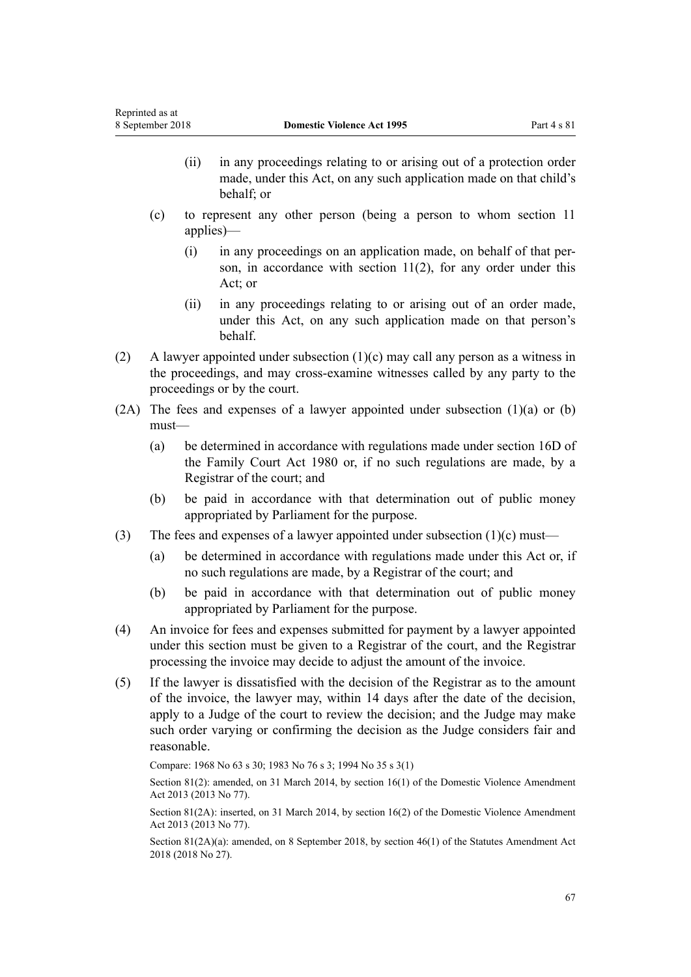- (ii) in any proceedings relating to or arising out of a protection order made, under this Act, on any such application made on that child's behalf; or
- (c) to represent any other person (being a person to whom [section 11](#page-17-0) applies)—
	- (i) in any proceedings on an application made, on behalf of that person, in accordance with section  $11(2)$ , for any order under this Act; or
	- (ii) in any proceedings relating to or arising out of an order made, under this Act, on any such application made on that person's behalf.
- (2) A lawyer appointed under subsection (1)(c) may call any person as a witness in the proceedings, and may cross-examine witnesses called by any party to the proceedings or by the court.
- $(2A)$  The fees and expenses of a lawyer appointed under subsection  $(1)(a)$  or  $(b)$ must—
	- (a) be determined in accordance with regulations made under [section 16D](http://prd-lgnz-nlb.prd.pco.net.nz/pdflink.aspx?id=DLM6025512) of the Family Court Act 1980 or, if no such regulations are made, by a Registrar of the court; and
	- (b) be paid in accordance with that determination out of public money appropriated by Parliament for the purpose.
- (3) The fees and expenses of a lawyer appointed under subsection  $(1)(c)$  must—
	- (a) be determined in accordance with regulations made under this Act or, if no such regulations are made, by a Registrar of the court; and
	- (b) be paid in accordance with that determination out of public money appropriated by Parliament for the purpose.
- (4) An invoice for fees and expenses submitted for payment by a lawyer appointed under this section must be given to a Registrar of the court, and the Registrar processing the invoice may decide to adjust the amount of the invoice.
- (5) If the lawyer is dissatisfied with the decision of the Registrar as to the amount of the invoice, the lawyer may, within 14 days after the date of the decision, apply to a Judge of the court to review the decision; and the Judge may make such order varying or confirming the decision as the Judge considers fair and reasonable.

Compare: 1968 No 63 s 30; 1983 No 76 s 3; 1994 No 35 [s 3\(1\)](http://prd-lgnz-nlb.prd.pco.net.nz/pdflink.aspx?id=DLM185488)

Section 81(2): amended, on 31 March 2014, by [section 16\(1\)](http://prd-lgnz-nlb.prd.pco.net.nz/pdflink.aspx?id=DLM5616705) of the Domestic Violence Amendment Act 2013 (2013 No 77).

Section 81(2A): inserted, on 31 March 2014, by [section 16\(2\)](http://prd-lgnz-nlb.prd.pco.net.nz/pdflink.aspx?id=DLM5616705) of the Domestic Violence Amendment Act 2013 (2013 No 77).

Section 81(2A)(a): amended, on 8 September 2018, by [section 46\(1\)](http://prd-lgnz-nlb.prd.pco.net.nz/pdflink.aspx?id=DLM7227112) of the Statutes Amendment Act 2018 (2018 No 27).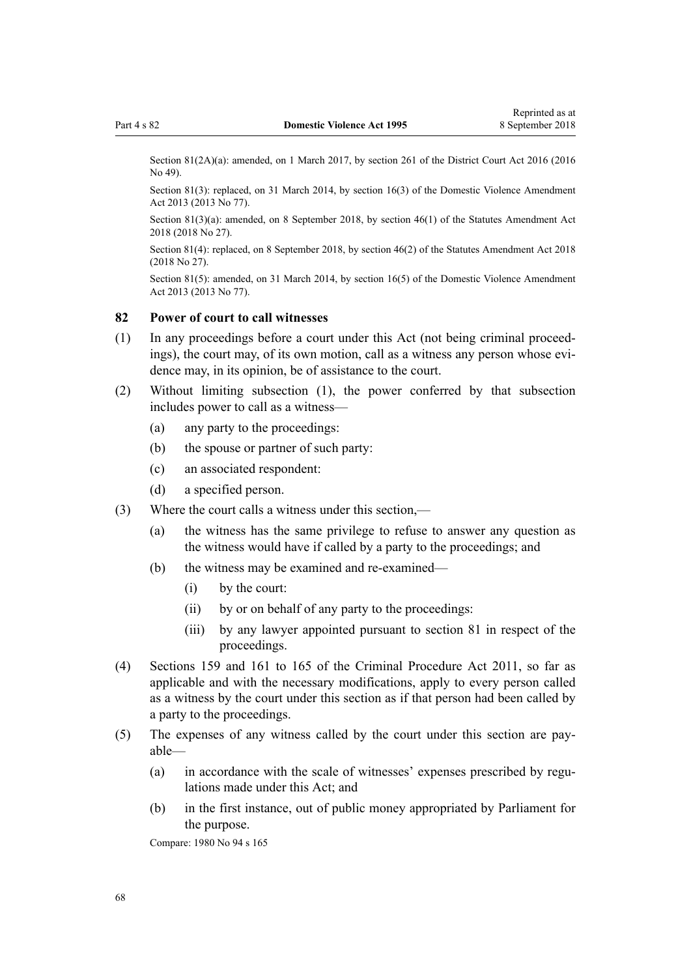<span id="page-67-0"></span>Section 81(2A)(a): amended, on 1 March 2017, by [section 261](http://prd-lgnz-nlb.prd.pco.net.nz/pdflink.aspx?id=DLM6942680) of the District Court Act 2016 (2016) No 49).

Section 81(3): replaced, on 31 March 2014, by [section 16\(3\)](http://prd-lgnz-nlb.prd.pco.net.nz/pdflink.aspx?id=DLM5616705) of the Domestic Violence Amendment Act 2013 (2013 No 77).

Section 81(3)(a): amended, on 8 September 2018, by [section 46\(1\)](http://prd-lgnz-nlb.prd.pco.net.nz/pdflink.aspx?id=DLM7227112) of the Statutes Amendment Act 2018 (2018 No 27).

Section 81(4): replaced, on 8 September 2018, by [section 46\(2\)](http://prd-lgnz-nlb.prd.pco.net.nz/pdflink.aspx?id=DLM7227112) of the Statutes Amendment Act 2018 (2018 No 27).

Section 81(5): amended, on 31 March 2014, by [section 16\(5\)](http://prd-lgnz-nlb.prd.pco.net.nz/pdflink.aspx?id=DLM5616705) of the Domestic Violence Amendment Act 2013 (2013 No 77).

## **82 Power of court to call witnesses**

- (1) In any proceedings before a court under this Act (not being criminal proceedings), the court may, of its own motion, call as a witness any person whose evidence may, in its opinion, be of assistance to the court.
- (2) Without limiting subsection (1), the power conferred by that subsection includes power to call as a witness—
	- (a) any party to the proceedings:
	- (b) the spouse or partner of such party:
	- (c) an associated respondent:
	- (d) a specified person.
- (3) Where the court calls a witness under this section,—
	- (a) the witness has the same privilege to refuse to answer any question as the witness would have if called by a party to the proceedings; and
	- (b) the witness may be examined and re-examined—
		- (i) by the court:
		- (ii) by or on behalf of any party to the proceedings:
		- (iii) by any lawyer appointed pursuant to [section 81](#page-65-0) in respect of the proceedings.
- (4) [Sections 159](http://prd-lgnz-nlb.prd.pco.net.nz/pdflink.aspx?id=DLM3360276) and [161 to 165](http://prd-lgnz-nlb.prd.pco.net.nz/pdflink.aspx?id=DLM3360278) of the Criminal Procedure Act 2011, so far as applicable and with the necessary modifications, apply to every person called as a witness by the court under this section as if that person had been called by a party to the proceedings.
- (5) The expenses of any witness called by the court under this section are payable—
	- (a) in accordance with the scale of witnesses' expenses prescribed by regulations made under this Act; and
	- (b) in the first instance, out of public money appropriated by Parliament for the purpose.

Compare: 1980 No 94 [s 165](http://prd-lgnz-nlb.prd.pco.net.nz/pdflink.aspx?id=DLM41848)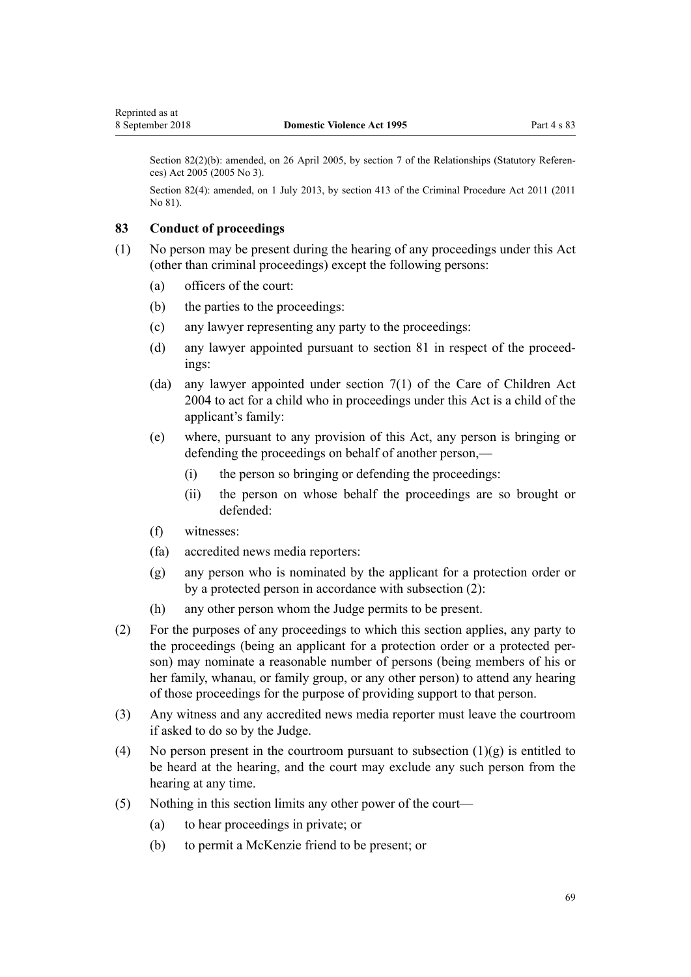Section 82(2)(b): amended, on 26 April 2005, by [section 7](http://prd-lgnz-nlb.prd.pco.net.nz/pdflink.aspx?id=DLM333795) of the Relationships (Statutory References) Act 2005 (2005 No 3).

Section 82(4): amended, on 1 July 2013, by [section 413](http://prd-lgnz-nlb.prd.pco.net.nz/pdflink.aspx?id=DLM3360714) of the Criminal Procedure Act 2011 (2011 No 81).

## **83 Conduct of proceedings**

- (1) No person may be present during the hearing of any proceedings under this Act (other than criminal proceedings) except the following persons:
	- (a) officers of the court:
	- (b) the parties to the proceedings:
	- (c) any lawyer representing any party to the proceedings:
	- (d) any lawyer appointed pursuant to [section 81](#page-65-0) in respect of the proceedings:
	- (da) any lawyer appointed under [section 7\(1\)](http://prd-lgnz-nlb.prd.pco.net.nz/pdflink.aspx?id=DLM317243) of the Care of Children Act 2004 to act for a child who in proceedings under this Act is a child of the applicant's family:
	- (e) where, pursuant to any provision of this Act, any person is bringing or defending the proceedings on behalf of another person,—
		- (i) the person so bringing or defending the proceedings:
		- (ii) the person on whose behalf the proceedings are so brought or defended:
	- (f) witnesses:
	- (fa) accredited news media reporters:
	- (g) any person who is nominated by the applicant for a protection order or by a protected person in accordance with subsection (2):
	- (h) any other person whom the Judge permits to be present.
- (2) For the purposes of any proceedings to which this section applies, any party to the proceedings (being an applicant for a protection order or a protected person) may nominate a reasonable number of persons (being members of his or her family, whanau, or family group, or any other person) to attend any hearing of those proceedings for the purpose of providing support to that person.
- (3) Any witness and any accredited news media reporter must leave the courtroom if asked to do so by the Judge.
- (4) No person present in the courtroom pursuant to subsection  $(1)(g)$  is entitled to be heard at the hearing, and the court may exclude any such person from the hearing at any time.
- (5) Nothing in this section limits any other power of the court—
	- (a) to hear proceedings in private; or
	- (b) to permit a McKenzie friend to be present; or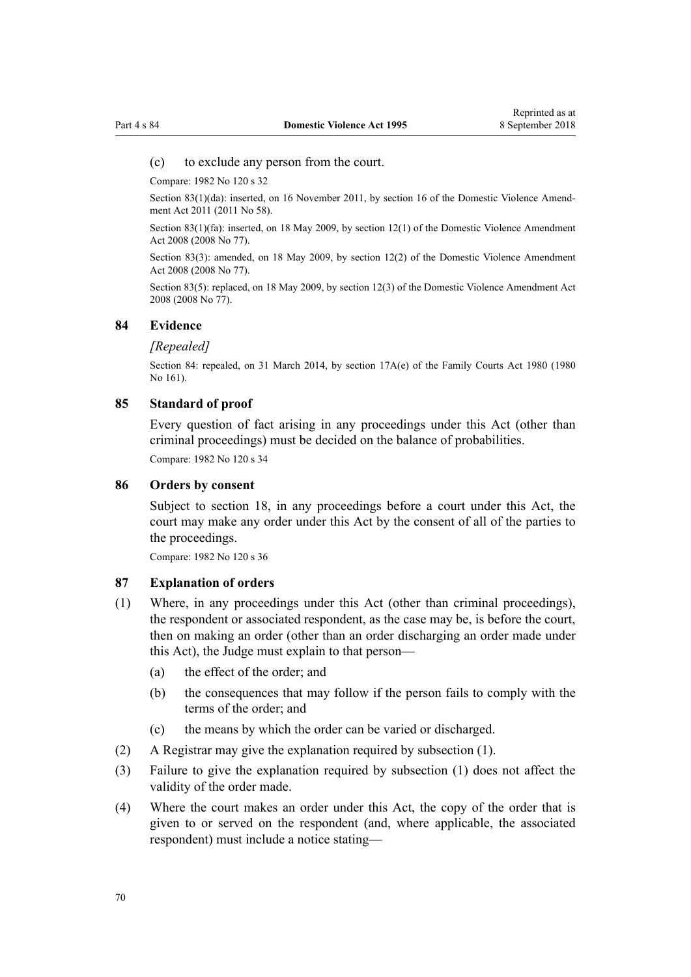#### (c) to exclude any person from the court.

Compare: 1982 No 120 s 32

Section 83(1)(da): inserted, on 16 November 2011, by [section 16](http://prd-lgnz-nlb.prd.pco.net.nz/pdflink.aspx?id=DLM1955531) of the Domestic Violence Amendment Act 2011 (2011 No 58).

Section 83(1)(fa): inserted, on 18 May 2009, by [section 12\(1\)](http://prd-lgnz-nlb.prd.pco.net.nz/pdflink.aspx?id=DLM1302124) of the Domestic Violence Amendment Act 2008 (2008 No 77).

Section 83(3): amended, on 18 May 2009, by [section 12\(2\)](http://prd-lgnz-nlb.prd.pco.net.nz/pdflink.aspx?id=DLM1302124) of the Domestic Violence Amendment Act 2008 (2008 No 77).

Section 83(5): replaced, on 18 May 2009, by [section 12\(3\)](http://prd-lgnz-nlb.prd.pco.net.nz/pdflink.aspx?id=DLM1302124) of the Domestic Violence Amendment Act 2008 (2008 No 77).

#### **84 Evidence**

#### *[Repealed]*

Section 84: repealed, on 31 March 2014, by [section 17A\(e\)](http://prd-lgnz-nlb.prd.pco.net.nz/pdflink.aspx?id=DLM6025517) of the Family Courts Act 1980 (1980) No 161).

#### **85 Standard of proof**

Every question of fact arising in any proceedings under this Act (other than criminal proceedings) must be decided on the balance of probabilities. Compare: 1982 No 120 s 34

## **86 Orders by consent**

Subject to [section 18,](#page-22-0) in any proceedings before a court under this Act, the court may make any order under this Act by the consent of all of the parties to the proceedings.

Compare: 1982 No 120 s 36

#### **87 Explanation of orders**

- (1) Where, in any proceedings under this Act (other than criminal proceedings), the respondent or associated respondent, as the case may be, is before the court, then on making an order (other than an order discharging an order made under this Act), the Judge must explain to that person—
	- (a) the effect of the order; and
	- (b) the consequences that may follow if the person fails to comply with the terms of the order; and
	- (c) the means by which the order can be varied or discharged.
- (2) A Registrar may give the explanation required by subsection (1).
- (3) Failure to give the explanation required by subsection (1) does not affect the validity of the order made.
- (4) Where the court makes an order under this Act, the copy of the order that is given to or served on the respondent (and, where applicable, the associated respondent) must include a notice stating—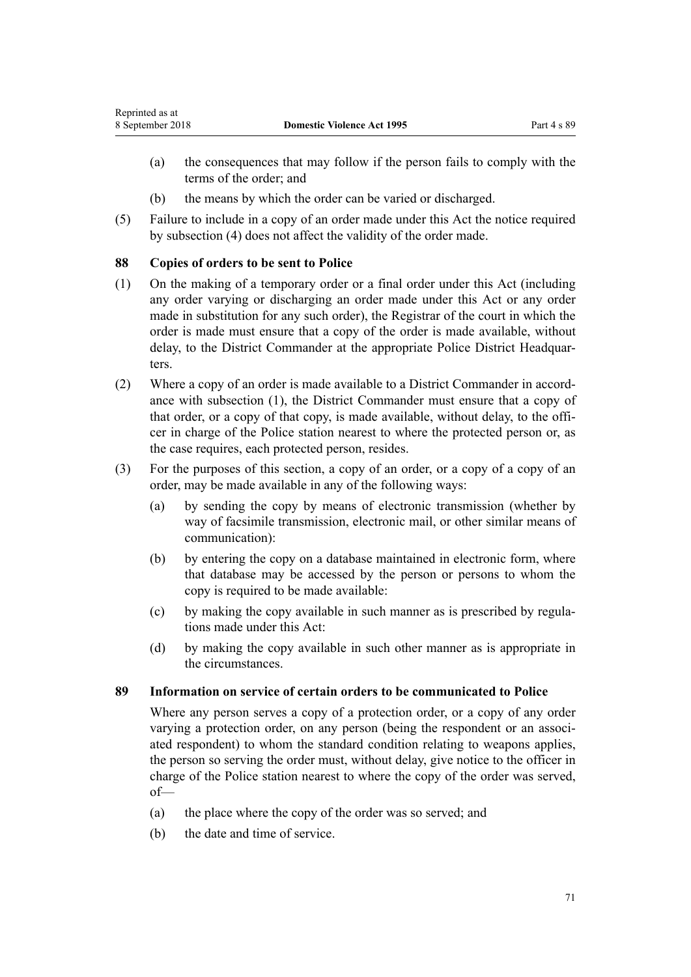- <span id="page-70-0"></span>(a) the consequences that may follow if the person fails to comply with the terms of the order; and
- (b) the means by which the order can be varied or discharged.
- (5) Failure to include in a copy of an order made under this Act the notice required by subsection (4) does not affect the validity of the order made.

## **88 Copies of orders to be sent to Police**

- (1) On the making of a temporary order or a final order under this Act (including any order varying or discharging an order made under this Act or any order made in substitution for any such order), the Registrar of the court in which the order is made must ensure that a copy of the order is made available, without delay, to the District Commander at the appropriate Police District Headquarters.
- (2) Where a copy of an order is made available to a District Commander in accordance with subsection (1), the District Commander must ensure that a copy of that order, or a copy of that copy, is made available, without delay, to the officer in charge of the Police station nearest to where the protected person or, as the case requires, each protected person, resides.
- (3) For the purposes of this section, a copy of an order, or a copy of a copy of an order, may be made available in any of the following ways:
	- (a) by sending the copy by means of electronic transmission (whether by way of facsimile transmission, electronic mail, or other similar means of communication):
	- (b) by entering the copy on a database maintained in electronic form, where that database may be accessed by the person or persons to whom the copy is required to be made available:
	- (c) by making the copy available in such manner as is prescribed by regulations made under this Act:
	- (d) by making the copy available in such other manner as is appropriate in the circumstances.

## **89 Information on service of certain orders to be communicated to Police**

Where any person serves a copy of a protection order, or a copy of any order varying a protection order, on any person (being the respondent or an associated respondent) to whom the standard condition relating to weapons applies, the person so serving the order must, without delay, give notice to the officer in charge of the Police station nearest to where the copy of the order was served, of—

- (a) the place where the copy of the order was so served; and
- (b) the date and time of service.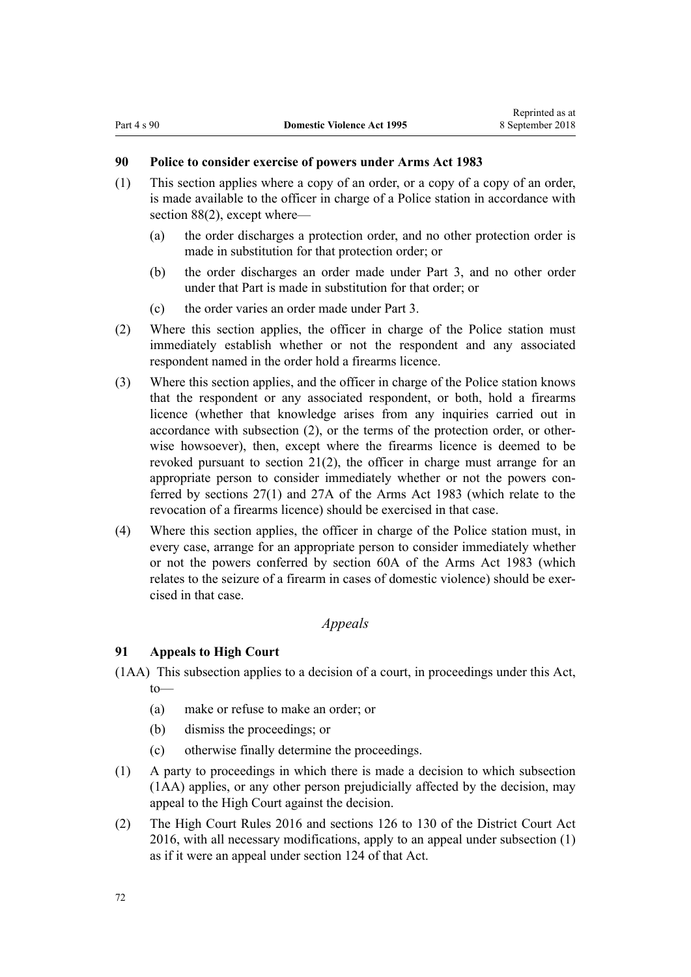## **90 Police to consider exercise of powers under Arms Act 1983**

- (1) This section applies where a copy of an order, or a copy of a copy of an order, is made available to the officer in charge of a Police station in accordance with [section 88\(2\),](#page-70-0) except where—
	- (a) the order discharges a protection order, and no other protection order is made in substitution for that protection order; or
	- (b) the order discharges an order made under [Part 3,](#page-50-0) and no other order under that Part is made in substitution for that order; or
	- (c) the order varies an order made under [Part 3](#page-50-0).
- (2) Where this section applies, the officer in charge of the Police station must immediately establish whether or not the respondent and any associated respondent named in the order hold a firearms licence.
- (3) Where this section applies, and the officer in charge of the Police station knows that the respondent or any associated respondent, or both, hold a firearms licence (whether that knowledge arises from any inquiries carried out in accordance with subsection (2), or the terms of the protection order, or otherwise howsoever), then, except where the firearms licence is deemed to be revoked pursuant to [section 21\(2\),](#page-25-0) the officer in charge must arrange for an appropriate person to consider immediately whether or not the powers conferred by [sections 27\(1\)](http://prd-lgnz-nlb.prd.pco.net.nz/pdflink.aspx?id=DLM72928) and [27A](http://prd-lgnz-nlb.prd.pco.net.nz/pdflink.aspx?id=DLM72929) of the Arms Act 1983 (which relate to the revocation of a firearms licence) should be exercised in that case.
- (4) Where this section applies, the officer in charge of the Police station must, in every case, arrange for an appropriate person to consider immediately whether or not the powers conferred by [section 60A](http://prd-lgnz-nlb.prd.pco.net.nz/pdflink.aspx?id=DLM73314) of the Arms Act 1983 (which relates to the seizure of a firearm in cases of domestic violence) should be exercised in that case.

## *Appeals*

## **91 Appeals to High Court**

- (1AA) This subsection applies to a decision of a court, in proceedings under this Act, to—
	- (a) make or refuse to make an order; or
	- (b) dismiss the proceedings; or
	- (c) otherwise finally determine the proceedings.
- (1) A party to proceedings in which there is made a decision to which subsection (1AA) applies, or any other person prejudicially affected by the decision, may appeal to the High Court against the decision.
- (2) The [High Court Rules 2016](http://prd-lgnz-nlb.prd.pco.net.nz/pdflink.aspx?id=DLM6959800) and [sections 126 to 130](http://prd-lgnz-nlb.prd.pco.net.nz/pdflink.aspx?id=DLM6942449) of the District Court Act 2016, with all necessary modifications, apply to an appeal under subsection (1) as if it were an appeal under [section 124](http://prd-lgnz-nlb.prd.pco.net.nz/pdflink.aspx?id=DLM6942447) of that Act.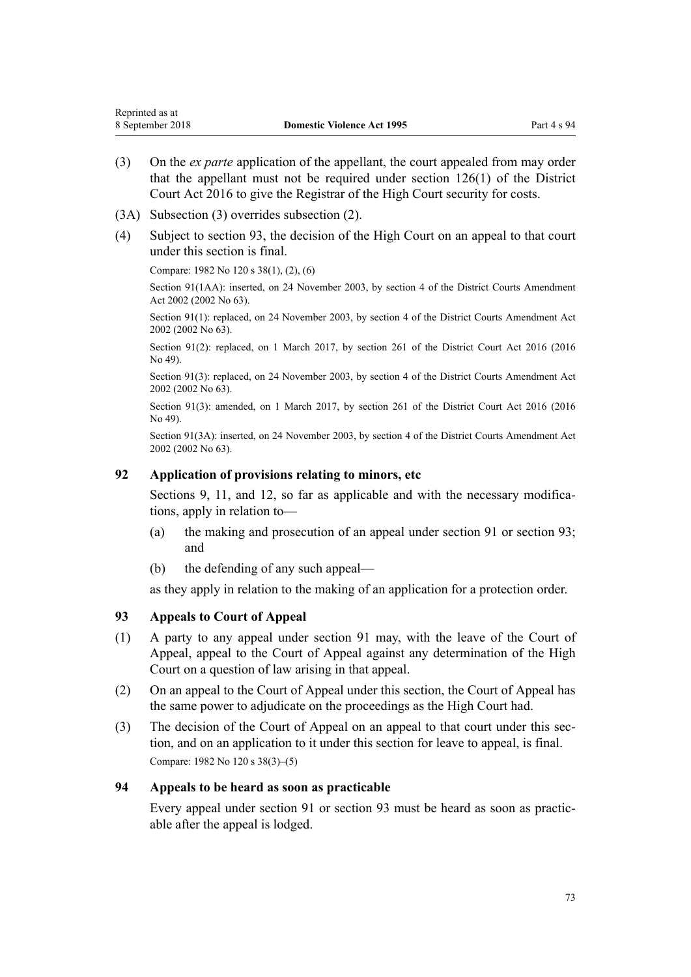- <span id="page-72-0"></span>(3) On the *ex parte* application of the appellant, the court appealed from may order that the appellant must not be required under [section 126\(1\)](http://prd-lgnz-nlb.prd.pco.net.nz/pdflink.aspx?id=DLM6942449) of the District Court Act 2016 to give the Registrar of the High Court security for costs.
- (3A) Subsection (3) overrides subsection (2).
- (4) Subject to section 93, the decision of the High Court on an appeal to that court under this section is final.

Compare: 1982 No 120 s 38(1), (2), (6)

Section 91(1AA): inserted, on 24 November 2003, by [section 4](http://prd-lgnz-nlb.prd.pco.net.nz/pdflink.aspx?id=DLM168713) of the District Courts Amendment Act 2002 (2002 No 63).

Section 91(1): replaced, on 24 November 2003, by [section 4](http://prd-lgnz-nlb.prd.pco.net.nz/pdflink.aspx?id=DLM168713) of the District Courts Amendment Act 2002 (2002 No 63).

Section 91(2): replaced, on 1 March 2017, by [section 261](http://prd-lgnz-nlb.prd.pco.net.nz/pdflink.aspx?id=DLM6942680) of the District Court Act 2016 (2016) No 49).

Section 91(3): replaced, on 24 November 2003, by [section 4](http://prd-lgnz-nlb.prd.pco.net.nz/pdflink.aspx?id=DLM168713) of the District Courts Amendment Act 2002 (2002 No 63).

Section 91(3): amended, on 1 March 2017, by [section 261](http://prd-lgnz-nlb.prd.pco.net.nz/pdflink.aspx?id=DLM6942680) of the District Court Act 2016 (2016) No 49).

Section 91(3A): inserted, on 24 November 2003, by [section 4](http://prd-lgnz-nlb.prd.pco.net.nz/pdflink.aspx?id=DLM168713) of the District Courts Amendment Act 2002 (2002 No 63).

### **92 Application of provisions relating to minors, etc**

[Sections 9](#page-15-0), [11](#page-17-0), and [12](#page-17-0), so far as applicable and with the necessary modifications, apply in relation to—

- (a) the making and prosecution of an appeal under [section 91](#page-71-0) or section 93; and
- (b) the defending of any such appeal—

as they apply in relation to the making of an application for a protection order.

### **93 Appeals to Court of Appeal**

- (1) A party to any appeal under [section 91](#page-71-0) may, with the leave of the Court of Appeal, appeal to the Court of Appeal against any determination of the High Court on a question of law arising in that appeal.
- (2) On an appeal to the Court of Appeal under this section, the Court of Appeal has the same power to adjudicate on the proceedings as the High Court had.
- (3) The decision of the Court of Appeal on an appeal to that court under this section, and on an application to it under this section for leave to appeal, is final. Compare: 1982 No 120 s 38(3)–(5)

### **94 Appeals to be heard as soon as practicable**

Every appeal under [section 91](#page-71-0) or section 93 must be heard as soon as practicable after the appeal is lodged.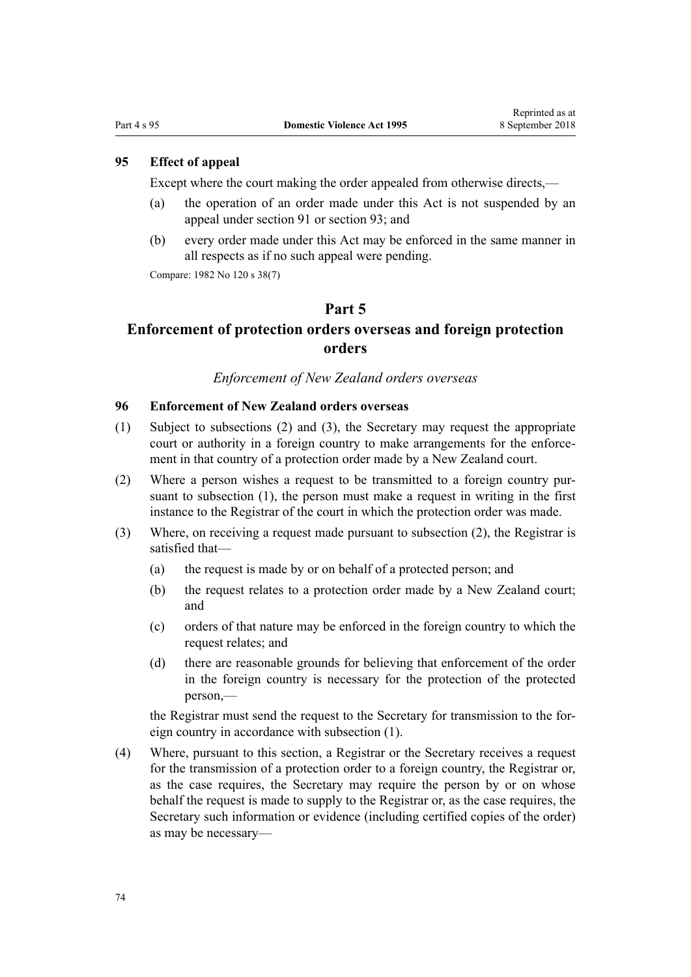## <span id="page-73-0"></span>**95 Effect of appeal**

Except where the court making the order appealed from otherwise directs,—

- (a) the operation of an order made under this Act is not suspended by an appeal under [section 91](#page-71-0) or [section 93](#page-72-0); and
- (b) every order made under this Act may be enforced in the same manner in all respects as if no such appeal were pending.

Compare: 1982 No 120 s 38(7)

### **Part 5**

# **Enforcement of protection orders overseas and foreign protection orders**

## *Enforcement of New Zealand orders overseas*

## **96 Enforcement of New Zealand orders overseas**

- (1) Subject to subsections (2) and (3), the Secretary may request the appropriate court or authority in a foreign country to make arrangements for the enforcement in that country of a protection order made by a New Zealand court.
- (2) Where a person wishes a request to be transmitted to a foreign country pursuant to subsection (1), the person must make a request in writing in the first instance to the Registrar of the court in which the protection order was made.
- (3) Where, on receiving a request made pursuant to subsection (2), the Registrar is satisfied that—
	- (a) the request is made by or on behalf of a protected person; and
	- (b) the request relates to a protection order made by a New Zealand court; and
	- (c) orders of that nature may be enforced in the foreign country to which the request relates; and
	- (d) there are reasonable grounds for believing that enforcement of the order in the foreign country is necessary for the protection of the protected person,—

the Registrar must send the request to the Secretary for transmission to the foreign country in accordance with subsection (1).

(4) Where, pursuant to this section, a Registrar or the Secretary receives a request for the transmission of a protection order to a foreign country, the Registrar or, as the case requires, the Secretary may require the person by or on whose behalf the request is made to supply to the Registrar or, as the case requires, the Secretary such information or evidence (including certified copies of the order) as may be necessary—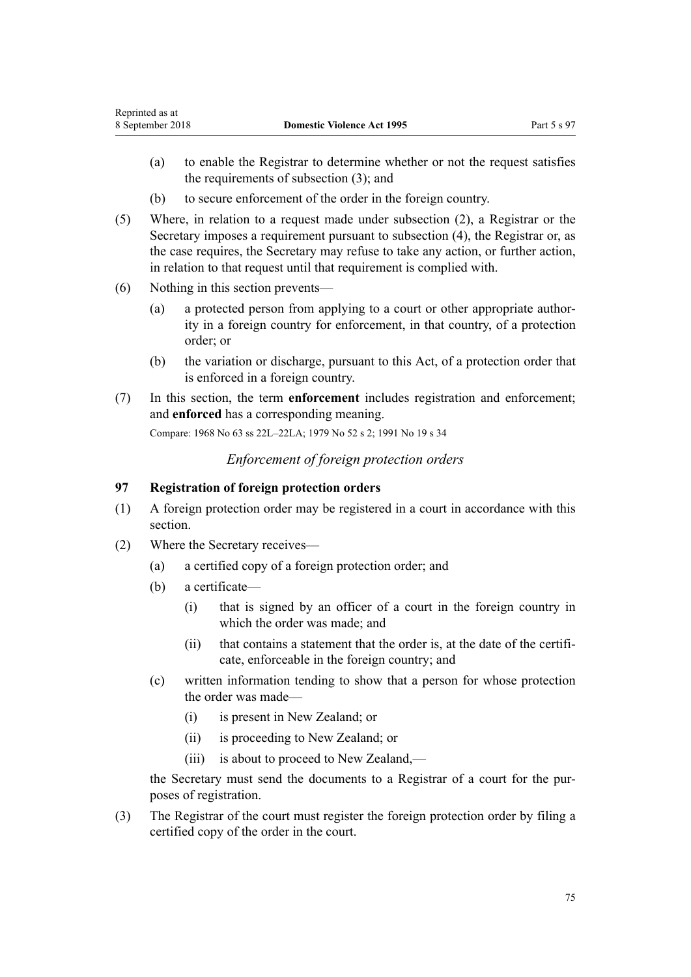- <span id="page-74-0"></span>(a) to enable the Registrar to determine whether or not the request satisfies the requirements of subsection (3); and
- (b) to secure enforcement of the order in the foreign country.
- (5) Where, in relation to a request made under subsection (2), a Registrar or the Secretary imposes a requirement pursuant to subsection (4), the Registrar or, as the case requires, the Secretary may refuse to take any action, or further action, in relation to that request until that requirement is complied with.
- (6) Nothing in this section prevents—
	- (a) a protected person from applying to a court or other appropriate authority in a foreign country for enforcement, in that country, of a protection order; or
	- (b) the variation or discharge, pursuant to this Act, of a protection order that is enforced in a foreign country.
- (7) In this section, the term **enforcement** includes registration and enforcement; and **enforced** has a corresponding meaning.

Compare: 1968 No 63 ss 22L–22LA; 1979 No 52 s 2; 1991 No 19 s 34

*Enforcement of foreign protection orders*

## **97 Registration of foreign protection orders**

- (1) A foreign protection order may be registered in a court in accordance with this section.
- (2) Where the Secretary receives—
	- (a) a certified copy of a foreign protection order; and
	- (b) a certificate—
		- (i) that is signed by an officer of a court in the foreign country in which the order was made; and
		- (ii) that contains a statement that the order is, at the date of the certificate, enforceable in the foreign country; and
	- (c) written information tending to show that a person for whose protection the order was made—
		- (i) is present in New Zealand; or
		- (ii) is proceeding to New Zealand; or
		- (iii) is about to proceed to New Zealand,—

the Secretary must send the documents to a Registrar of a court for the purposes of registration.

(3) The Registrar of the court must register the foreign protection order by filing a certified copy of the order in the court.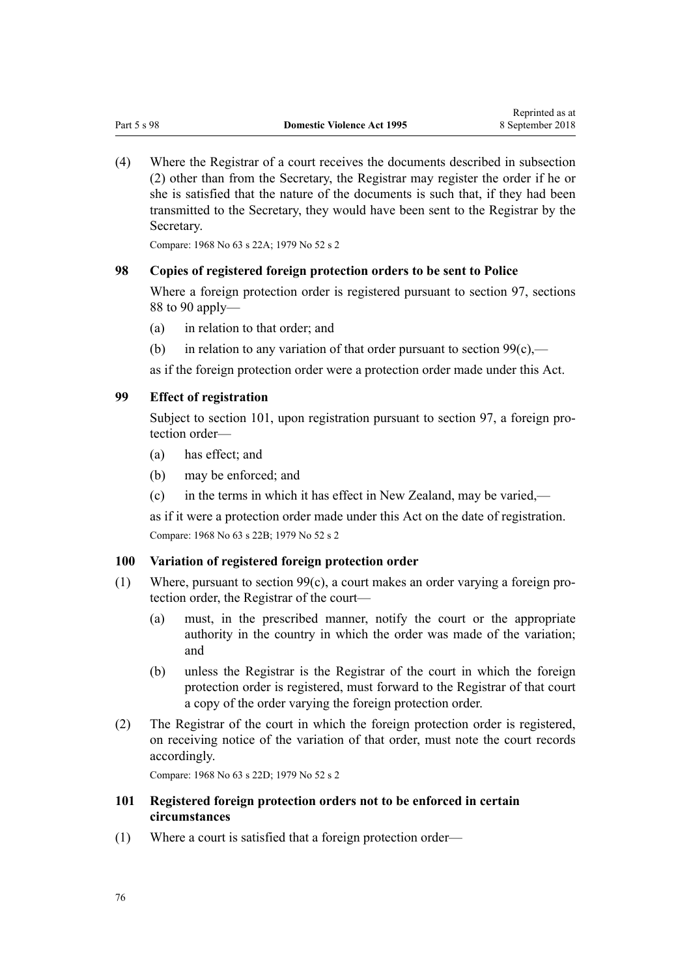<span id="page-75-0"></span>(4) Where the Registrar of a court receives the documents described in subsection (2) other than from the Secretary, the Registrar may register the order if he or she is satisfied that the nature of the documents is such that, if they had been transmitted to the Secretary, they would have been sent to the Registrar by the Secretary.

Compare: 1968 No 63 s 22A; 1979 No 52 s 2

### **98 Copies of registered foreign protection orders to be sent to Police**

Where a foreign protection order is registered pursuant to [section 97](#page-74-0), [sections](#page-70-0) [88 to 90](#page-70-0) apply—

- (a) in relation to that order; and
- (b) in relation to any variation of that order pursuant to section  $99(c)$ ,—

as if the foreign protection order were a protection order made under this Act.

#### **99 Effect of registration**

Subject to section 101, upon registration pursuant to [section 97](#page-74-0), a foreign protection order—

- (a) has effect; and
- (b) may be enforced; and
- (c) in the terms in which it has effect in New Zealand, may be varied,—

as if it were a protection order made under this Act on the date of registration. Compare: 1968 No 63 s 22B; 1979 No 52 s 2

#### **100 Variation of registered foreign protection order**

- (1) Where, pursuant to section 99(c), a court makes an order varying a foreign protection order, the Registrar of the court—
	- (a) must, in the prescribed manner, notify the court or the appropriate authority in the country in which the order was made of the variation; and
	- (b) unless the Registrar is the Registrar of the court in which the foreign protection order is registered, must forward to the Registrar of that court a copy of the order varying the foreign protection order.
- (2) The Registrar of the court in which the foreign protection order is registered, on receiving notice of the variation of that order, must note the court records accordingly.

Compare: 1968 No 63 s 22D; 1979 No 52 s 2

## **101 Registered foreign protection orders not to be enforced in certain circumstances**

(1) Where a court is satisfied that a foreign protection order—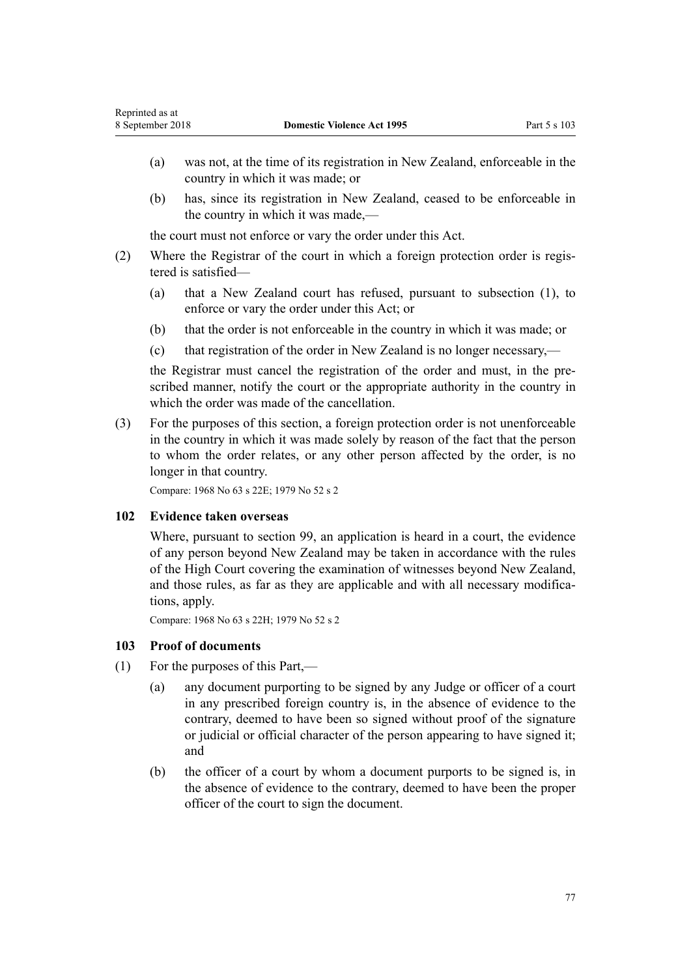- (a) was not, at the time of its registration in New Zealand, enforceable in the country in which it was made; or
- (b) has, since its registration in New Zealand, ceased to be enforceable in the country in which it was made,—

the court must not enforce or vary the order under this Act.

- (2) Where the Registrar of the court in which a foreign protection order is registered is satisfied—
	- (a) that a New Zealand court has refused, pursuant to subsection (1), to enforce or vary the order under this Act; or
	- (b) that the order is not enforceable in the country in which it was made; or
	- (c) that registration of the order in New Zealand is no longer necessary,—

the Registrar must cancel the registration of the order and must, in the prescribed manner, notify the court or the appropriate authority in the country in which the order was made of the cancellation.

(3) For the purposes of this section, a foreign protection order is not unenforceable in the country in which it was made solely by reason of the fact that the person to whom the order relates, or any other person affected by the order, is no longer in that country.

Compare: 1968 No 63 s 22E; 1979 No 52 s 2

### **102 Evidence taken overseas**

Where, pursuant to [section 99,](#page-75-0) an application is heard in a court, the evidence of any person beyond New Zealand may be taken in accordance with the rules of the High Court covering the examination of witnesses beyond New Zealand, and those rules, as far as they are applicable and with all necessary modifications, apply.

Compare: 1968 No 63 s 22H; 1979 No 52 s 2

### **103 Proof of documents**

- (1) For the purposes of this Part,—
	- (a) any document purporting to be signed by any Judge or officer of a court in any prescribed foreign country is, in the absence of evidence to the contrary, deemed to have been so signed without proof of the signature or judicial or official character of the person appearing to have signed it; and
	- (b) the officer of a court by whom a document purports to be signed is, in the absence of evidence to the contrary, deemed to have been the proper officer of the court to sign the document.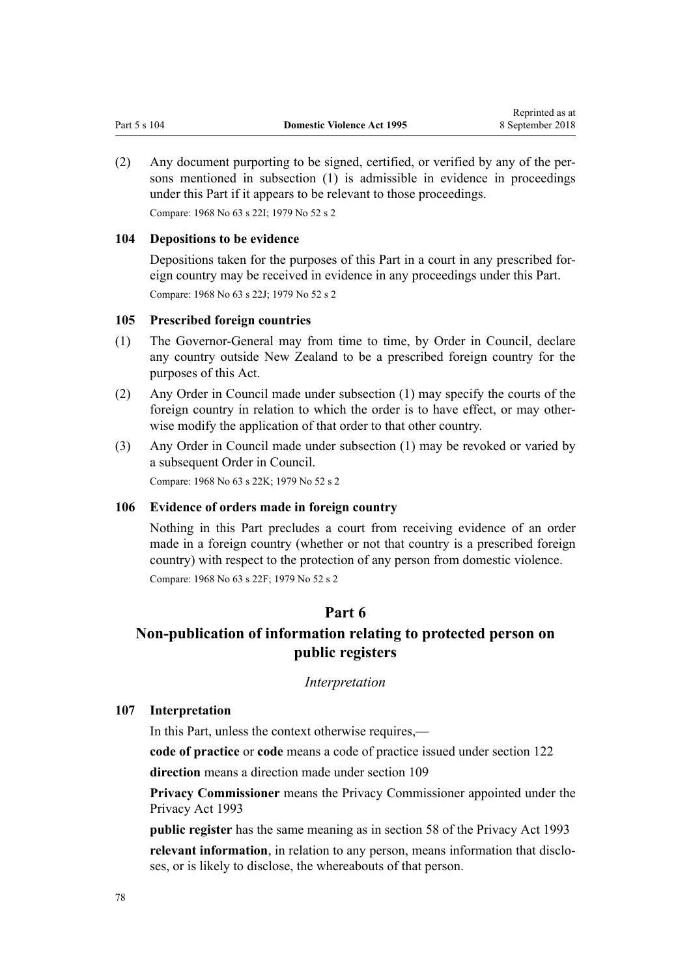(2) Any document purporting to be signed, certified, or verified by any of the persons mentioned in subsection (1) is admissible in evidence in proceedings under this Part if it appears to be relevant to those proceedings. Compare: 1968 No 63 s 22I; 1979 No 52 s 2

### **104 Depositions to be evidence**

Depositions taken for the purposes of this Part in a court in any prescribed foreign country may be received in evidence in any proceedings under this Part. Compare: 1968 No 63 s 22J; 1979 No 52 s 2

### **105 Prescribed foreign countries**

- (1) The Governor-General may from time to time, by Order in Council, declare any country outside New Zealand to be a prescribed foreign country for the purposes of this Act.
- (2) Any Order in Council made under subsection (1) may specify the courts of the foreign country in relation to which the order is to have effect, or may otherwise modify the application of that order to that other country.
- (3) Any Order in Council made under subsection (1) may be revoked or varied by a subsequent Order in Council.

Compare: 1968 No 63 s 22K; 1979 No 52 s 2

#### **106 Evidence of orders made in foreign country**

Nothing in this Part precludes a court from receiving evidence of an order made in a foreign country (whether or not that country is a prescribed foreign country) with respect to the protection of any person from domestic violence. Compare: 1968 No 63 s 22F; 1979 No 52 s 2

## **Part 6**

# **Non-publication of information relating to protected person on public registers**

#### *Interpretation*

#### **107 Interpretation**

In this Part, unless the context otherwise requires,—

**code of practice** or **code** means a code of practice issued under [section 122](#page-84-0)

**direction** means a direction made under [section 109](#page-78-0)

**Privacy Commissioner** means the Privacy Commissioner appointed under the [Privacy Act 1993](http://prd-lgnz-nlb.prd.pco.net.nz/pdflink.aspx?id=DLM296638)

**public register** has the same meaning as in [section 58](http://prd-lgnz-nlb.prd.pco.net.nz/pdflink.aspx?id=DLM297424) of the Privacy Act 1993 **relevant information**, in relation to any person, means information that discloses, or is likely to disclose, the whereabouts of that person.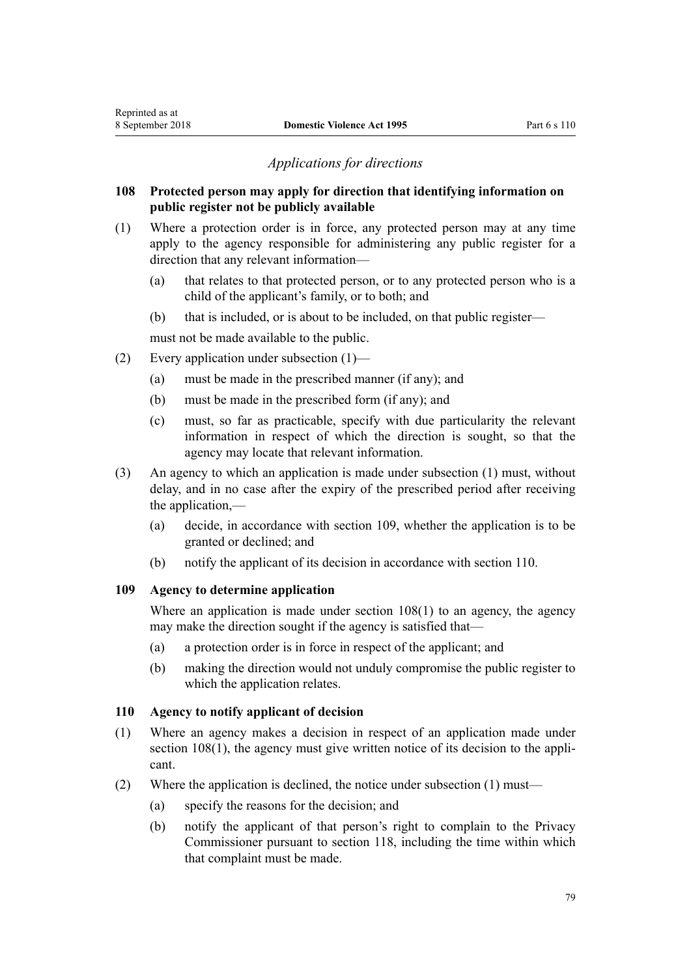## *Applications for directions*

## <span id="page-78-0"></span>**108 Protected person may apply for direction that identifying information on public register not be publicly available**

- (1) Where a protection order is in force, any protected person may at any time apply to the agency responsible for administering any public register for a direction that any relevant information—
	- (a) that relates to that protected person, or to any protected person who is a child of the applicant's family, or to both; and
	- (b) that is included, or is about to be included, on that public register—

must not be made available to the public.

- (2) Every application under subsection (1)—
	- (a) must be made in the prescribed manner (if any); and
	- (b) must be made in the prescribed form (if any); and
	- (c) must, so far as practicable, specify with due particularity the relevant information in respect of which the direction is sought, so that the agency may locate that relevant information.
- (3) An agency to which an application is made under subsection (1) must, without delay, and in no case after the expiry of the prescribed period after receiving the application,—
	- (a) decide, in accordance with section 109, whether the application is to be granted or declined; and
	- (b) notify the applicant of its decision in accordance with section 110.

### **109 Agency to determine application**

Where an application is made under section 108(1) to an agency, the agency may make the direction sought if the agency is satisfied that—

- (a) a protection order is in force in respect of the applicant; and
- (b) making the direction would not unduly compromise the public register to which the application relates.

## **110 Agency to notify applicant of decision**

- (1) Where an agency makes a decision in respect of an application made under section 108(1), the agency must give written notice of its decision to the applicant.
- (2) Where the application is declined, the notice under subsection (1) must—
	- (a) specify the reasons for the decision; and
	- (b) notify the applicant of that person's right to complain to the Privacy Commissioner pursuant to [section 118](#page-82-0), including the time within which that complaint must be made.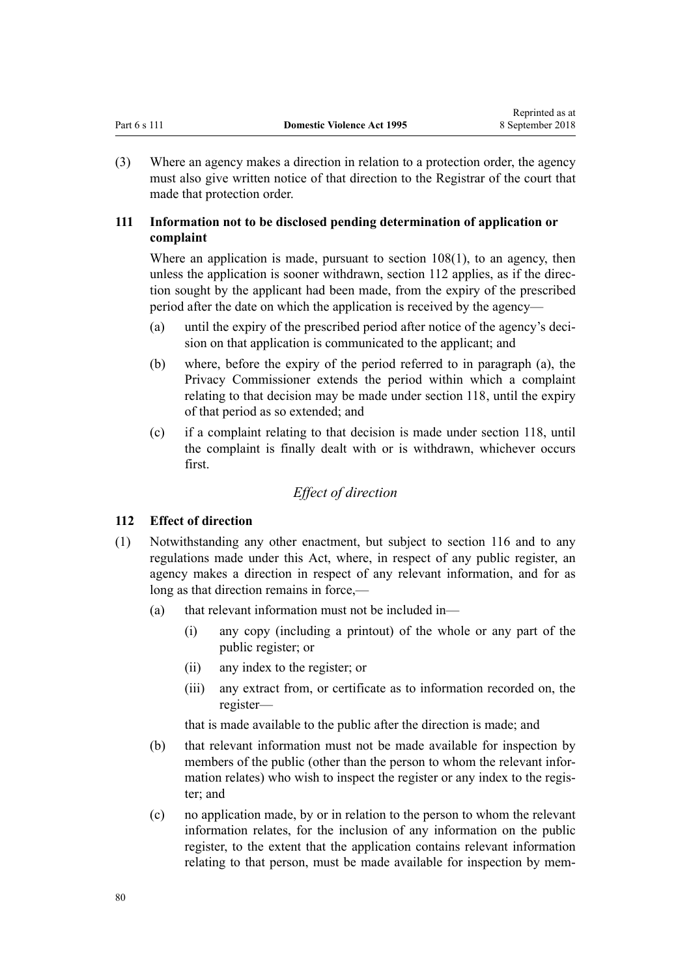<span id="page-79-0"></span>(3) Where an agency makes a direction in relation to a protection order, the agency must also give written notice of that direction to the Registrar of the court that made that protection order.

## **111 Information not to be disclosed pending determination of application or complaint**

Where an application is made, pursuant to [section 108\(1\)](#page-78-0), to an agency, then unless the application is sooner withdrawn, section 112 applies, as if the direction sought by the applicant had been made, from the expiry of the prescribed period after the date on which the application is received by the agency—

- (a) until the expiry of the prescribed period after notice of the agency's decision on that application is communicated to the applicant; and
- (b) where, before the expiry of the period referred to in paragraph (a), the Privacy Commissioner extends the period within which a complaint relating to that decision may be made under [section 118](#page-82-0), until the expiry of that period as so extended; and
- (c) if a complaint relating to that decision is made under [section 118](#page-82-0), until the complaint is finally dealt with or is withdrawn, whichever occurs first.

## *Effect of direction*

## **112 Effect of direction**

- (1) Notwithstanding any other enactment, but subject to [section 116](#page-82-0) and to any regulations made under this Act, where, in respect of any public register, an agency makes a direction in respect of any relevant information, and for as long as that direction remains in force,—
	- (a) that relevant information must not be included in—
		- (i) any copy (including a printout) of the whole or any part of the public register; or
		- (ii) any index to the register; or
		- (iii) any extract from, or certificate as to information recorded on, the register—

that is made available to the public after the direction is made; and

- (b) that relevant information must not be made available for inspection by members of the public (other than the person to whom the relevant information relates) who wish to inspect the register or any index to the register; and
- (c) no application made, by or in relation to the person to whom the relevant information relates, for the inclusion of any information on the public register, to the extent that the application contains relevant information relating to that person, must be made available for inspection by mem-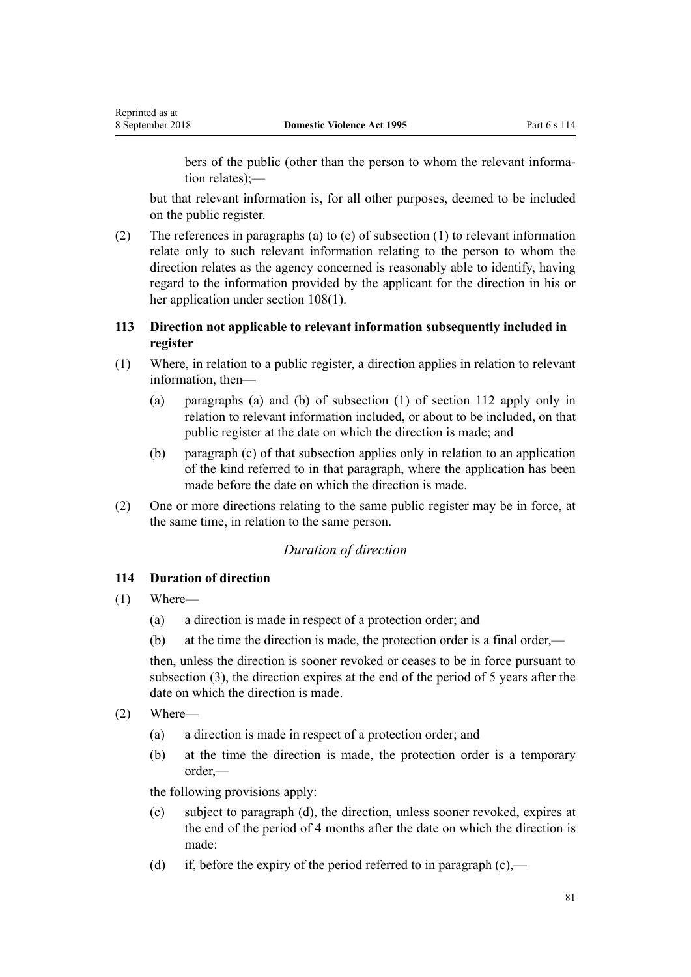<span id="page-80-0"></span>bers of the public (other than the person to whom the relevant information relates);—

but that relevant information is, for all other purposes, deemed to be included on the public register.

(2) The references in paragraphs (a) to (c) of subsection (1) to relevant information relate only to such relevant information relating to the person to whom the direction relates as the agency concerned is reasonably able to identify, having regard to the information provided by the applicant for the direction in his or her application under [section 108\(1\).](#page-78-0)

## **113 Direction not applicable to relevant information subsequently included in register**

- (1) Where, in relation to a public register, a direction applies in relation to relevant information, then—
	- (a) paragraphs (a) and (b) of subsection (1) of [section 112](#page-79-0) apply only in relation to relevant information included, or about to be included, on that public register at the date on which the direction is made; and
	- (b) paragraph (c) of that subsection applies only in relation to an application of the kind referred to in that paragraph, where the application has been made before the date on which the direction is made.
- (2) One or more directions relating to the same public register may be in force, at the same time, in relation to the same person.

## *Duration of direction*

## **114 Duration of direction**

- (1) Where—
	- (a) a direction is made in respect of a protection order; and
	- (b) at the time the direction is made, the protection order is a final order,—

then, unless the direction is sooner revoked or ceases to be in force pursuant to subsection (3), the direction expires at the end of the period of 5 years after the date on which the direction is made.

- (2) Where—
	- (a) a direction is made in respect of a protection order; and
	- (b) at the time the direction is made, the protection order is a temporary order,—

the following provisions apply:

- (c) subject to paragraph (d), the direction, unless sooner revoked, expires at the end of the period of 4 months after the date on which the direction is made:
- (d) if, before the expiry of the period referred to in paragraph  $(c)$ ,—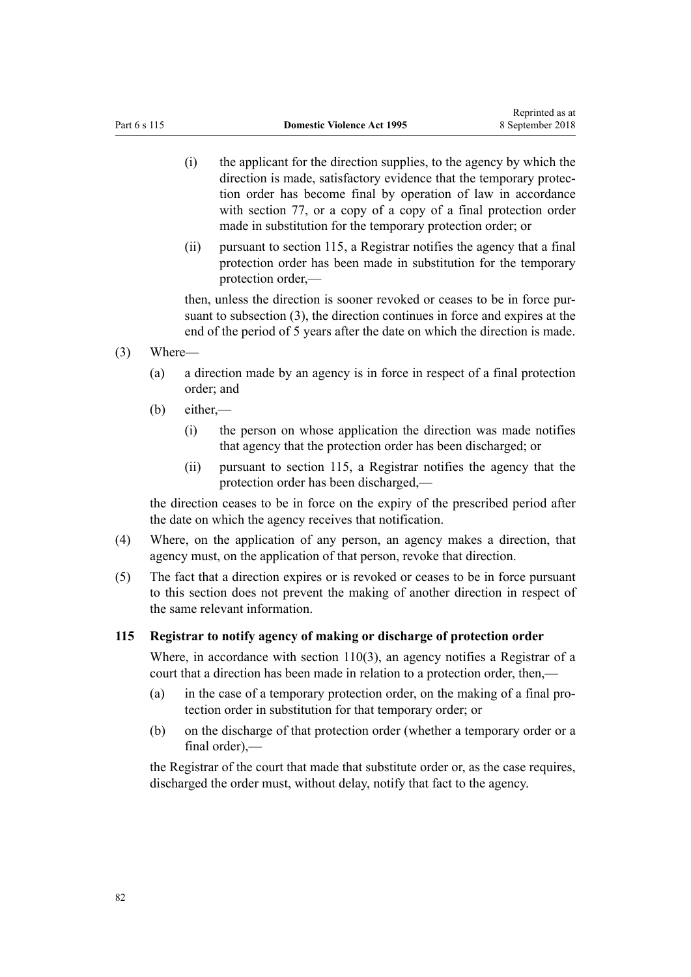- (i) the applicant for the direction supplies, to the agency by which the direction is made, satisfactory evidence that the temporary protection order has become final by operation of law in accordance with [section 77,](#page-62-0) or a copy of a copy of a final protection order made in substitution for the temporary protection order; or
- (ii) pursuant to section 115, a Registrar notifies the agency that a final protection order has been made in substitution for the temporary protection order,—

then, unless the direction is sooner revoked or ceases to be in force pursuant to subsection (3), the direction continues in force and expires at the end of the period of 5 years after the date on which the direction is made.

- (3) Where—
	- (a) a direction made by an agency is in force in respect of a final protection order; and
	- (b) either,—
		- (i) the person on whose application the direction was made notifies that agency that the protection order has been discharged; or
		- (ii) pursuant to section 115, a Registrar notifies the agency that the protection order has been discharged,—

the direction ceases to be in force on the expiry of the prescribed period after the date on which the agency receives that notification.

- (4) Where, on the application of any person, an agency makes a direction, that agency must, on the application of that person, revoke that direction.
- (5) The fact that a direction expires or is revoked or ceases to be in force pursuant to this section does not prevent the making of another direction in respect of the same relevant information.

#### **115 Registrar to notify agency of making or discharge of protection order**

Where, in accordance with [section 110\(3\)](#page-78-0), an agency notifies a Registrar of a court that a direction has been made in relation to a protection order, then,—

- (a) in the case of a temporary protection order, on the making of a final protection order in substitution for that temporary order; or
- (b) on the discharge of that protection order (whether a temporary order or a  $final order)$  —

the Registrar of the court that made that substitute order or, as the case requires, discharged the order must, without delay, notify that fact to the agency.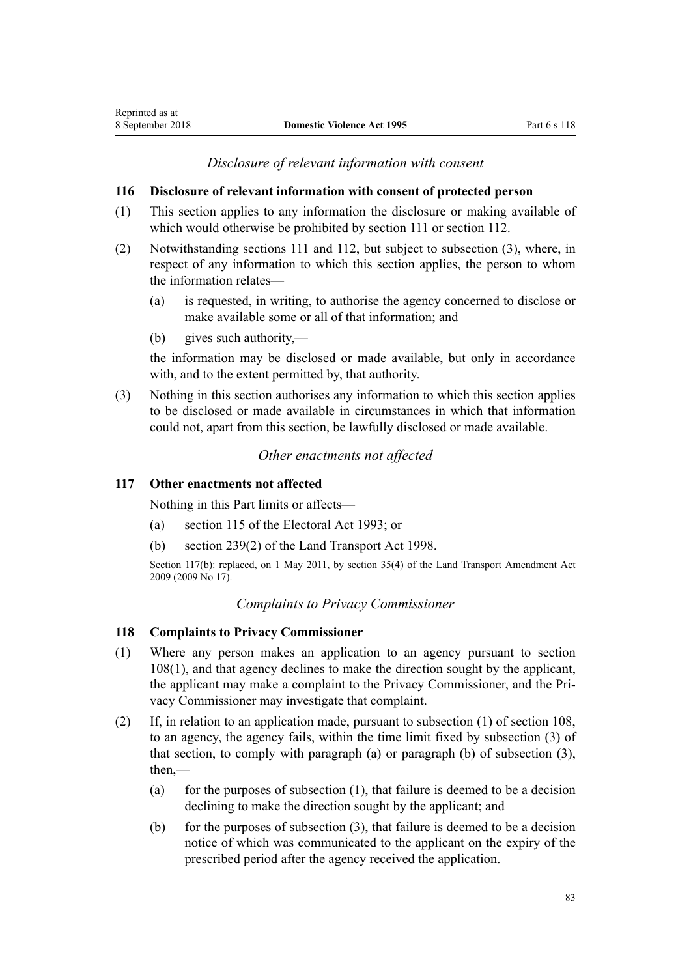## *Disclosure of relevant information with consent*

### <span id="page-82-0"></span>**116 Disclosure of relevant information with consent of protected person**

- (1) This section applies to any information the disclosure or making available of which would otherwise be prohibited by [section 111](#page-79-0) or [section 112](#page-79-0).
- (2) Notwithstanding [sections 111](#page-79-0) and [112](#page-79-0), but subject to subsection (3), where, in respect of any information to which this section applies, the person to whom the information relates—
	- (a) is requested, in writing, to authorise the agency concerned to disclose or make available some or all of that information; and
	- (b) gives such authority,—

the information may be disclosed or made available, but only in accordance with, and to the extent permitted by, that authority.

(3) Nothing in this section authorises any information to which this section applies to be disclosed or made available in circumstances in which that information could not, apart from this section, be lawfully disclosed or made available.

## *Other enactments not affected*

## **117 Other enactments not affected**

Nothing in this Part limits or affects—

- (a) [section 115](http://prd-lgnz-nlb.prd.pco.net.nz/pdflink.aspx?id=DLM309404) of the Electoral Act 1993; or
- (b) [section 239\(2\)](http://prd-lgnz-nlb.prd.pco.net.nz/pdflink.aspx?id=DLM3701415) of the Land Transport Act 1998.

Section 117(b): replaced, on 1 May 2011, by [section 35\(4\)](http://prd-lgnz-nlb.prd.pco.net.nz/pdflink.aspx?id=DLM2015063) of the Land Transport Amendment Act 2009 (2009 No 17).

## *Complaints to Privacy Commissioner*

### **118 Complaints to Privacy Commissioner**

- (1) Where any person makes an application to an agency pursuant to [section](#page-78-0) [108\(1\),](#page-78-0) and that agency declines to make the direction sought by the applicant, the applicant may make a complaint to the Privacy Commissioner, and the Privacy Commissioner may investigate that complaint.
- (2) If, in relation to an application made, pursuant to subsection (1) of [section 108](#page-78-0), to an agency, the agency fails, within the time limit fixed by subsection (3) of that section, to comply with paragraph (a) or paragraph (b) of subsection (3), then $-$ 
	- (a) for the purposes of subsection  $(1)$ , that failure is deemed to be a decision declining to make the direction sought by the applicant; and
	- (b) for the purposes of subsection  $(3)$ , that failure is deemed to be a decision notice of which was communicated to the applicant on the expiry of the prescribed period after the agency received the application.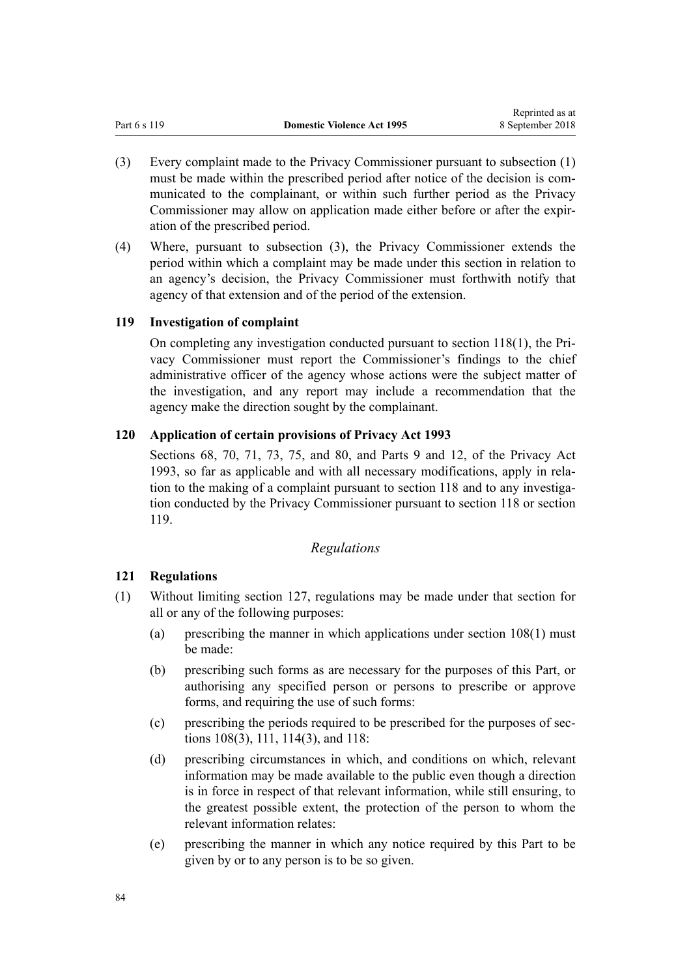- <span id="page-83-0"></span>(3) Every complaint made to the Privacy Commissioner pursuant to subsection (1) must be made within the prescribed period after notice of the decision is communicated to the complainant, or within such further period as the Privacy Commissioner may allow on application made either before or after the expiration of the prescribed period.
- (4) Where, pursuant to subsection (3), the Privacy Commissioner extends the period within which a complaint may be made under this section in relation to an agency's decision, the Privacy Commissioner must forthwith notify that agency of that extension and of the period of the extension.

## **119 Investigation of complaint**

On completing any investigation conducted pursuant to [section 118\(1\)](#page-82-0), the Privacy Commissioner must report the Commissioner's findings to the chief administrative officer of the agency whose actions were the subject matter of the investigation, and any report may include a recommendation that the agency make the direction sought by the complainant.

## **120 Application of certain provisions of Privacy Act 1993**

[Sections 68](http://prd-lgnz-nlb.prd.pco.net.nz/pdflink.aspx?id=DLM297444), [70](http://prd-lgnz-nlb.prd.pco.net.nz/pdflink.aspx?id=DLM297447), [71](http://prd-lgnz-nlb.prd.pco.net.nz/pdflink.aspx?id=DLM297448), [73](http://prd-lgnz-nlb.prd.pco.net.nz/pdflink.aspx?id=DLM297455), [75](http://prd-lgnz-nlb.prd.pco.net.nz/pdflink.aspx?id=DLM297457), and [80](http://prd-lgnz-nlb.prd.pco.net.nz/pdflink.aspx?id=DLM297463), and [Parts 9](http://prd-lgnz-nlb.prd.pco.net.nz/pdflink.aspx?id=DLM297902) and [12](http://prd-lgnz-nlb.prd.pco.net.nz/pdflink.aspx?id=DLM298408), of the Privacy Act 1993, so far as applicable and with all necessary modifications, apply in relation to the making of a complaint pursuant to [section 118](#page-82-0) and to any investigation conducted by the Privacy Commissioner pursuant to section 118 or section 119.

# *Regulations*

# **121 Regulations**

- (1) Without limiting [section 127,](#page-96-0) regulations may be made under that section for all or any of the following purposes:
	- (a) prescribing the manner in which applications under [section 108\(1\)](#page-78-0) must be made:
	- (b) prescribing such forms as are necessary for the purposes of this Part, or authorising any specified person or persons to prescribe or approve forms, and requiring the use of such forms:
	- (c) prescribing the periods required to be prescribed for the purposes of [sec](#page-78-0)[tions 108\(3\)](#page-78-0), [111](#page-79-0), [114\(3\)](#page-80-0), and [118](#page-82-0):
	- (d) prescribing circumstances in which, and conditions on which, relevant information may be made available to the public even though a direction is in force in respect of that relevant information, while still ensuring, to the greatest possible extent, the protection of the person to whom the relevant information relates:
	- (e) prescribing the manner in which any notice required by this Part to be given by or to any person is to be so given.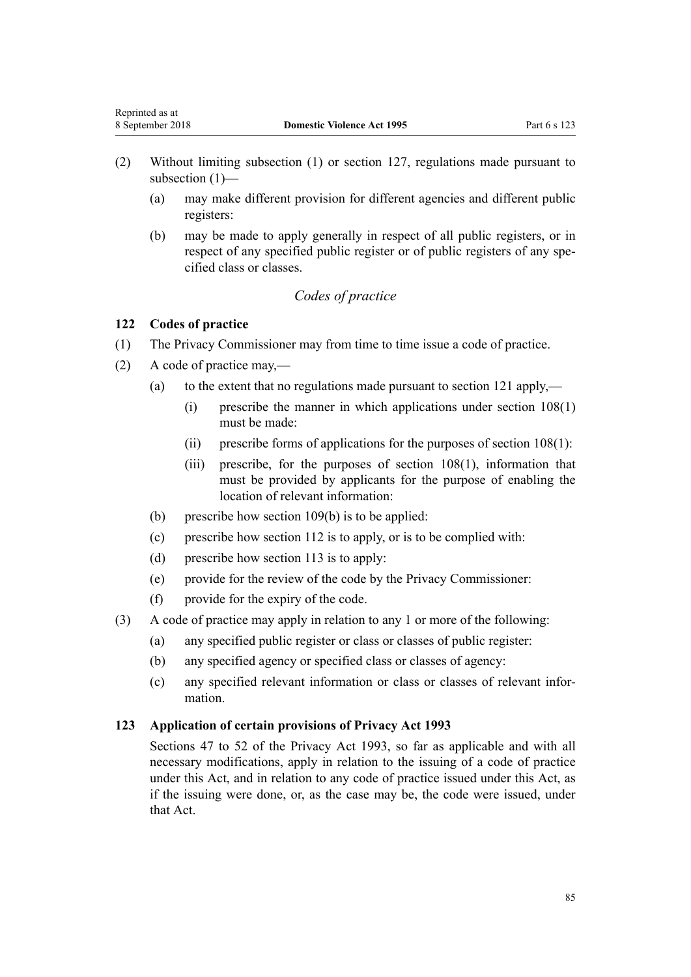- (2) Without limiting subsection (1) or [section 127,](#page-96-0) regulations made pursuant to subsection (1)—
	- (a) may make different provision for different agencies and different public registers:
	- (b) may be made to apply generally in respect of all public registers, or in respect of any specified public register or of public registers of any specified class or classes.

## *Codes of practice*

## **122 Codes of practice**

<span id="page-84-0"></span>Reprinted as at

- (1) The Privacy Commissioner may from time to time issue a code of practice.
- (2) A code of practice may,—
	- (a) to the extent that no regulations made pursuant to [section 121](#page-83-0) apply,—
		- (i) prescribe the manner in which applications under [section 108\(1\)](#page-78-0) must be made:
		- (ii) prescribe forms of applications for the purposes of [section 108\(1\)](#page-78-0):
		- (iii) prescribe, for the purposes of [section 108\(1\)](#page-78-0), information that must be provided by applicants for the purpose of enabling the location of relevant information:
	- (b) prescribe how [section 109\(b\)](#page-78-0) is to be applied:
	- (c) prescribe how [section 112](#page-79-0) is to apply, or is to be complied with:
	- (d) prescribe how [section 113](#page-80-0) is to apply:
	- (e) provide for the review of the code by the Privacy Commissioner:
	- (f) provide for the expiry of the code.
- (3) A code of practice may apply in relation to any 1 or more of the following:
	- (a) any specified public register or class or classes of public register:
	- (b) any specified agency or specified class or classes of agency:
	- (c) any specified relevant information or class or classes of relevant information.

#### **123 Application of certain provisions of Privacy Act 1993**

[Sections 47 to 52](http://prd-lgnz-nlb.prd.pco.net.nz/pdflink.aspx?id=DLM297411) of the Privacy Act 1993, so far as applicable and with all necessary modifications, apply in relation to the issuing of a code of practice under this Act, and in relation to any code of practice issued under this Act, as if the issuing were done, or, as the case may be, the code were issued, under that Act.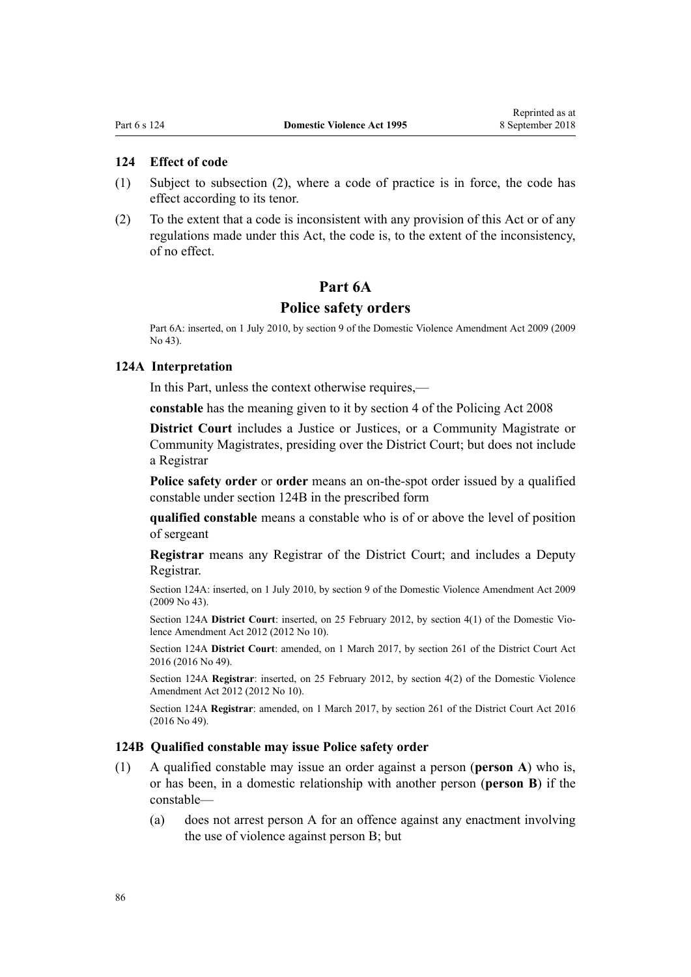## <span id="page-85-0"></span>**124 Effect of code**

- (1) Subject to subsection (2), where a code of practice is in force, the code has effect according to its tenor.
- (2) To the extent that a code is inconsistent with any provision of this Act or of any regulations made under this Act, the code is, to the extent of the inconsistency, of no effect.

## **Part 6A**

#### **Police safety orders**

Part 6A: inserted, on 1 July 2010, by [section 9](http://prd-lgnz-nlb.prd.pco.net.nz/pdflink.aspx?id=DLM1774218) of the Domestic Violence Amendment Act 2009 (2009 No 43).

#### **124A Interpretation**

In this Part, unless the context otherwise requires,—

**constable** has the meaning given to it by [section 4](http://prd-lgnz-nlb.prd.pco.net.nz/pdflink.aspx?id=DLM1102132) of the Policing Act 2008

**District Court** includes a Justice or Justices, or a Community Magistrate or Community Magistrates, presiding over the District Court; but does not include a Registrar

**Police safety order** or **order** means an on-the-spot order issued by a qualified constable under section 124B in the prescribed form

**qualified constable** means a constable who is of or above the level of position of sergeant

**Registrar** means any Registrar of the District Court; and includes a Deputy Registrar.

Section 124A: inserted, on 1 July 2010, by [section 9](http://prd-lgnz-nlb.prd.pco.net.nz/pdflink.aspx?id=DLM1774218) of the Domestic Violence Amendment Act 2009 (2009 No 43).

Section 124A **District Court**: inserted, on 25 February 2012, by [section 4\(1\)](http://prd-lgnz-nlb.prd.pco.net.nz/pdflink.aspx?id=DLM4014207) of the Domestic Violence Amendment Act 2012 (2012 No 10).

Section 124A **District Court**: amended, on 1 March 2017, by [section 261](http://prd-lgnz-nlb.prd.pco.net.nz/pdflink.aspx?id=DLM6942680) of the District Court Act 2016 (2016 No 49).

Section 124A **Registrar**: inserted, on 25 February 2012, by [section 4\(2\)](http://prd-lgnz-nlb.prd.pco.net.nz/pdflink.aspx?id=DLM4014207) of the Domestic Violence Amendment Act 2012 (2012 No 10).

Section 124A **Registrar**: amended, on 1 March 2017, by [section 261](http://prd-lgnz-nlb.prd.pco.net.nz/pdflink.aspx?id=DLM6942680) of the District Court Act 2016 (2016 No 49).

#### **124B Qualified constable may issue Police safety order**

- (1) A qualified constable may issue an order against a person (**person A**) who is, or has been, in a domestic relationship with another person (**person B**) if the constable—
	- (a) does not arrest person A for an offence against any enactment involving the use of violence against person B; but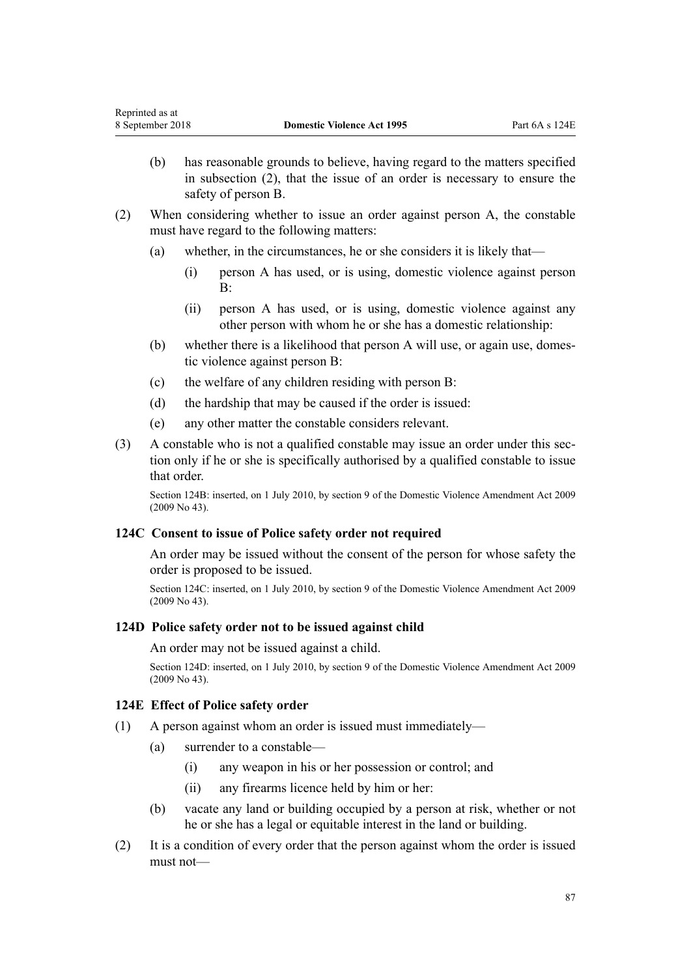- (b) has reasonable grounds to believe, having regard to the matters specified in subsection (2), that the issue of an order is necessary to ensure the safety of person B.
- (2) When considering whether to issue an order against person A, the constable must have regard to the following matters:
	- (a) whether, in the circumstances, he or she considers it is likely that—
		- (i) person A has used, or is using, domestic violence against person  $B^{\cdot}$
		- (ii) person A has used, or is using, domestic violence against any other person with whom he or she has a domestic relationship:
	- (b) whether there is a likelihood that person A will use, or again use, domestic violence against person B:
	- (c) the welfare of any children residing with person B:
	- (d) the hardship that may be caused if the order is issued:
	- (e) any other matter the constable considers relevant.
- (3) A constable who is not a qualified constable may issue an order under this section only if he or she is specifically authorised by a qualified constable to issue that order.

Section 124B: inserted, on 1 July 2010, by [section 9](http://prd-lgnz-nlb.prd.pco.net.nz/pdflink.aspx?id=DLM1774218) of the Domestic Violence Amendment Act 2009 (2009 No 43).

### **124C Consent to issue of Police safety order not required**

An order may be issued without the consent of the person for whose safety the order is proposed to be issued.

Section 124C: inserted, on 1 July 2010, by [section 9](http://prd-lgnz-nlb.prd.pco.net.nz/pdflink.aspx?id=DLM1774218) of the Domestic Violence Amendment Act 2009 (2009 No 43).

## **124D Police safety order not to be issued against child**

#### An order may not be issued against a child.

Section 124D: inserted, on 1 July 2010, by [section 9](http://prd-lgnz-nlb.prd.pco.net.nz/pdflink.aspx?id=DLM1774218) of the Domestic Violence Amendment Act 2009 (2009 No 43).

### **124E Effect of Police safety order**

- (1) A person against whom an order is issued must immediately—
	- (a) surrender to a constable—
		- (i) any weapon in his or her possession or control; and
		- (ii) any firearms licence held by him or her:
	- (b) vacate any land or building occupied by a person at risk, whether or not he or she has a legal or equitable interest in the land or building.
- (2) It is a condition of every order that the person against whom the order is issued must not—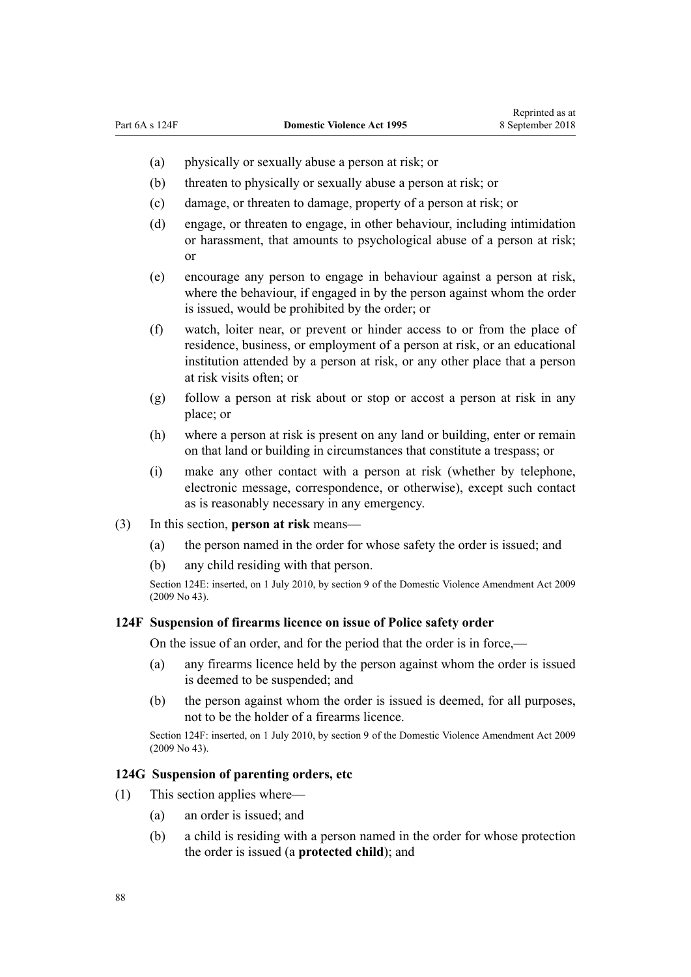- (a) physically or sexually abuse a person at risk; or
- (b) threaten to physically or sexually abuse a person at risk; or
- (c) damage, or threaten to damage, property of a person at risk; or
- (d) engage, or threaten to engage, in other behaviour, including intimidation or harassment, that amounts to psychological abuse of a person at risk; or
- (e) encourage any person to engage in behaviour against a person at risk, where the behaviour, if engaged in by the person against whom the order is issued, would be prohibited by the order; or
- (f) watch, loiter near, or prevent or hinder access to or from the place of residence, business, or employment of a person at risk, or an educational institution attended by a person at risk, or any other place that a person at risk visits often; or
- (g) follow a person at risk about or stop or accost a person at risk in any place; or
- (h) where a person at risk is present on any land or building, enter or remain on that land or building in circumstances that constitute a trespass; or
- (i) make any other contact with a person at risk (whether by telephone, electronic message, correspondence, or otherwise), except such contact as is reasonably necessary in any emergency.
- (3) In this section, **person at risk** means—
	- (a) the person named in the order for whose safety the order is issued; and
	- (b) any child residing with that person.

Section 124E: inserted, on 1 July 2010, by [section 9](http://prd-lgnz-nlb.prd.pco.net.nz/pdflink.aspx?id=DLM1774218) of the Domestic Violence Amendment Act 2009 (2009 No 43).

#### **124F Suspension of firearms licence on issue of Police safety order**

On the issue of an order, and for the period that the order is in force,—

- (a) any firearms licence held by the person against whom the order is issued is deemed to be suspended; and
- (b) the person against whom the order is issued is deemed, for all purposes, not to be the holder of a firearms licence.

Section 124F: inserted, on 1 July 2010, by [section 9](http://prd-lgnz-nlb.prd.pco.net.nz/pdflink.aspx?id=DLM1774218) of the Domestic Violence Amendment Act 2009 (2009 No 43).

#### **124G Suspension of parenting orders, etc**

- (1) This section applies where—
	- (a) an order is issued; and
	- (b) a child is residing with a person named in the order for whose protection the order is issued (a **protected child**); and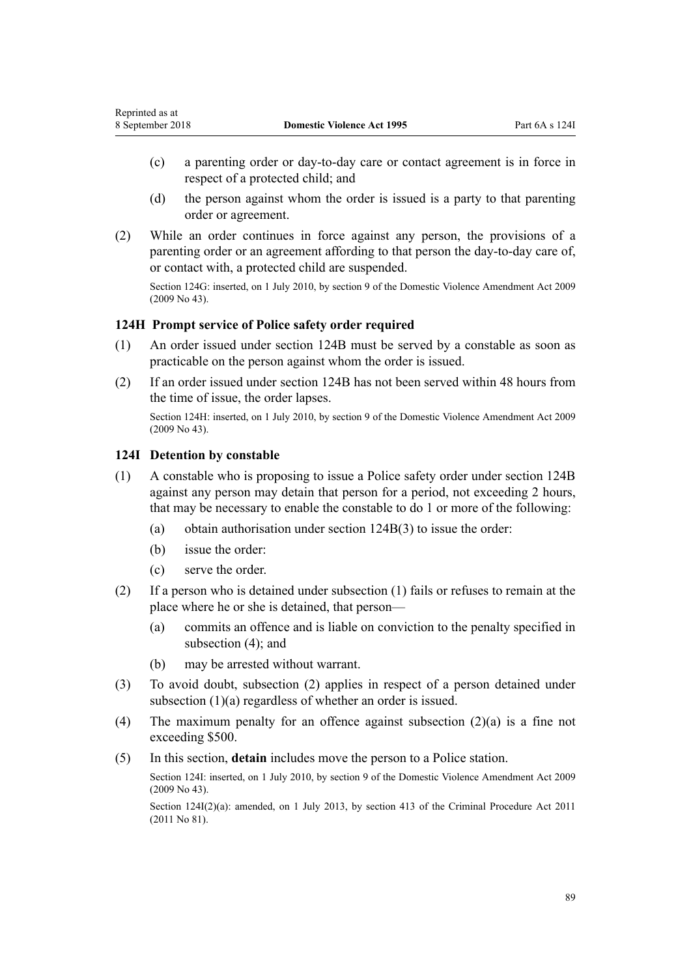- (c) a parenting order or day-to-day care or contact agreement is in force in respect of a protected child; and
- (d) the person against whom the order is issued is a party to that parenting order or agreement.
- (2) While an order continues in force against any person, the provisions of a parenting order or an agreement affording to that person the day-to-day care of, or contact with, a protected child are suspended.

Section 124G: inserted, on 1 July 2010, by [section 9](http://prd-lgnz-nlb.prd.pco.net.nz/pdflink.aspx?id=DLM1774218) of the Domestic Violence Amendment Act 2009 (2009 No 43).

## **124H Prompt service of Police safety order required**

- (1) An order issued under [section 124B](#page-85-0) must be served by a constable as soon as practicable on the person against whom the order is issued.
- (2) If an order issued under [section 124B](#page-85-0) has not been served within 48 hours from the time of issue, the order lapses.

Section 124H: inserted, on 1 July 2010, by [section 9](http://prd-lgnz-nlb.prd.pco.net.nz/pdflink.aspx?id=DLM1774218) of the Domestic Violence Amendment Act 2009 (2009 No 43).

## **124I Detention by constable**

- (1) A constable who is proposing to issue a Police safety order under [section 124B](#page-85-0) against any person may detain that person for a period, not exceeding 2 hours, that may be necessary to enable the constable to do 1 or more of the following:
	- (a) obtain authorisation under [section 124B\(3\)](#page-85-0) to issue the order:
	- (b) issue the order:
	- (c) serve the order.
- (2) If a person who is detained under subsection (1) fails or refuses to remain at the place where he or she is detained, that person—
	- (a) commits an offence and is liable on conviction to the penalty specified in subsection  $(4)$ ; and
	- (b) may be arrested without warrant.
- (3) To avoid doubt, subsection (2) applies in respect of a person detained under subsection (1)(a) regardless of whether an order is issued.
- (4) The maximum penalty for an offence against subsection (2)(a) is a fine not exceeding \$500.
- (5) In this section, **detain** includes move the person to a Police station.

Section 124I: inserted, on 1 July 2010, by [section 9](http://prd-lgnz-nlb.prd.pco.net.nz/pdflink.aspx?id=DLM1774218) of the Domestic Violence Amendment Act 2009 (2009 No 43).

Section 124I(2)(a): amended, on 1 July 2013, by [section 413](http://prd-lgnz-nlb.prd.pco.net.nz/pdflink.aspx?id=DLM3360714) of the Criminal Procedure Act 2011 (2011 No 81).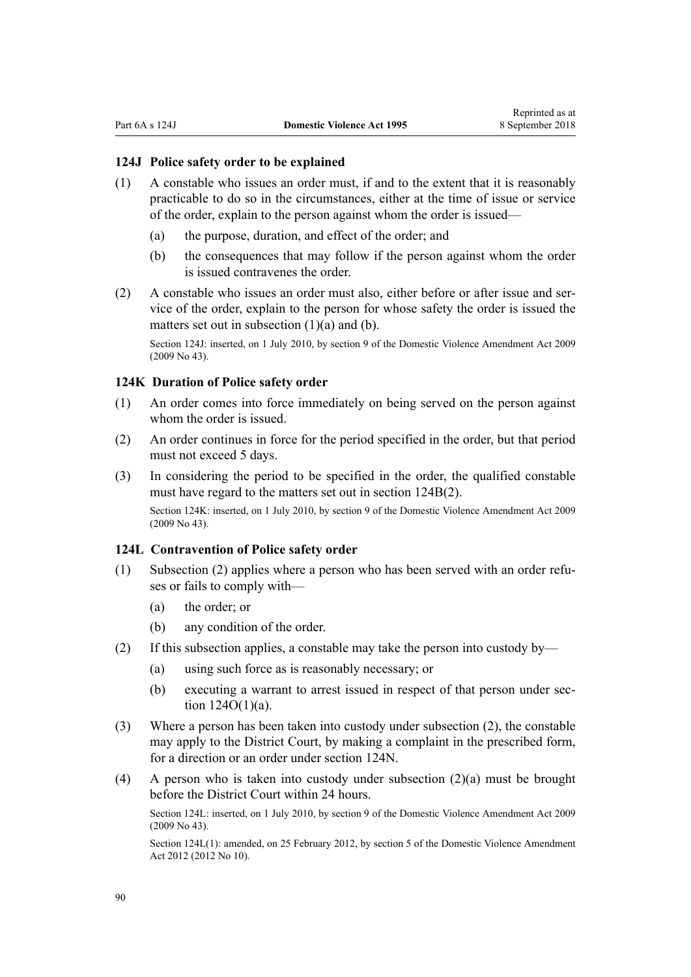#### <span id="page-89-0"></span>**124J Police safety order to be explained**

- (1) A constable who issues an order must, if and to the extent that it is reasonably practicable to do so in the circumstances, either at the time of issue or service of the order, explain to the person against whom the order is issued—
	- (a) the purpose, duration, and effect of the order; and
	- (b) the consequences that may follow if the person against whom the order is issued contravenes the order.
- (2) A constable who issues an order must also, either before or after issue and service of the order, explain to the person for whose safety the order is issued the matters set out in subsection (1)(a) and (b).

Section 124J: inserted, on 1 July 2010, by [section 9](http://prd-lgnz-nlb.prd.pco.net.nz/pdflink.aspx?id=DLM1774218) of the Domestic Violence Amendment Act 2009 (2009 No 43).

## **124K Duration of Police safety order**

- (1) An order comes into force immediately on being served on the person against whom the order is issued.
- (2) An order continues in force for the period specified in the order, but that period must not exceed 5 days.
- (3) In considering the period to be specified in the order, the qualified constable must have regard to the matters set out in [section 124B\(2\).](#page-85-0) Section 124K: inserted, on 1 July 2010, by [section 9](http://prd-lgnz-nlb.prd.pco.net.nz/pdflink.aspx?id=DLM1774218) of the Domestic Violence Amendment Act 2009 (2009 No 43).

#### **124L Contravention of Police safety order**

- (1) Subsection (2) applies where a person who has been served with an order refuses or fails to comply with—
	- (a) the order; or
	- (b) any condition of the order.
- (2) If this subsection applies, a constable may take the person into custody by—
	- (a) using such force as is reasonably necessary; or
	- (b) executing a warrant to arrest issued in respect of that person under [sec](#page-92-0)[tion 124O\(1\)\(a\).](#page-92-0)
- (3) Where a person has been taken into custody under subsection (2), the constable may apply to the District Court, by making a complaint in the prescribed form, for a direction or an order under [section 124N.](#page-90-0)
- (4) A person who is taken into custody under subsection (2)(a) must be brought before the District Court within 24 hours.

Section 124L: inserted, on 1 July 2010, by [section 9](http://prd-lgnz-nlb.prd.pco.net.nz/pdflink.aspx?id=DLM1774218) of the Domestic Violence Amendment Act 2009 (2009 No 43).

Section 124L(1): amended, on 25 February 2012, by [section 5](http://prd-lgnz-nlb.prd.pco.net.nz/pdflink.aspx?id=DLM4014212) of the Domestic Violence Amendment Act 2012 (2012 No 10).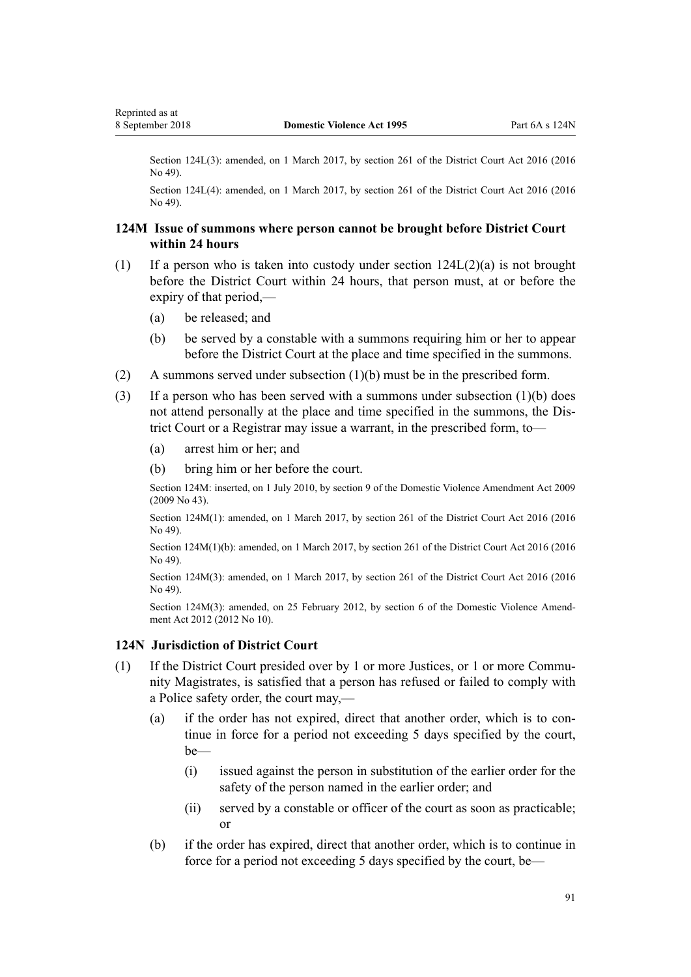<span id="page-90-0"></span>Section 124L(3): amended, on 1 March 2017, by [section 261](http://prd-lgnz-nlb.prd.pco.net.nz/pdflink.aspx?id=DLM6942680) of the District Court Act 2016 (2016) No 49).

Section 124L(4): amended, on 1 March 2017, by [section 261](http://prd-lgnz-nlb.prd.pco.net.nz/pdflink.aspx?id=DLM6942680) of the District Court Act 2016 (2016) No 49).

## **124M Issue of summons where person cannot be brought before District Court within 24 hours**

- (1) If a person who is taken into custody under [section 124L\(2\)\(a\)](#page-89-0) is not brought before the District Court within 24 hours, that person must, at or before the expiry of that period,—
	- (a) be released; and
	- (b) be served by a constable with a summons requiring him or her to appear before the District Court at the place and time specified in the summons.
- (2) A summons served under subsection (1)(b) must be in the prescribed form.
- (3) If a person who has been served with a summons under subsection (1)(b) does not attend personally at the place and time specified in the summons, the District Court or a Registrar may issue a warrant, in the prescribed form, to—
	- (a) arrest him or her; and
	- (b) bring him or her before the court.

Section 124M: inserted, on 1 July 2010, by [section 9](http://prd-lgnz-nlb.prd.pco.net.nz/pdflink.aspx?id=DLM1774218) of the Domestic Violence Amendment Act 2009 (2009 No 43).

Section 124M(1): amended, on 1 March 2017, by [section 261](http://prd-lgnz-nlb.prd.pco.net.nz/pdflink.aspx?id=DLM6942680) of the District Court Act 2016 (2016 No 49).

Section 124M(1)(b): amended, on 1 March 2017, by [section 261](http://prd-lgnz-nlb.prd.pco.net.nz/pdflink.aspx?id=DLM6942680) of the District Court Act 2016 (2016 No 49).

Section 124M(3): amended, on 1 March 2017, by [section 261](http://prd-lgnz-nlb.prd.pco.net.nz/pdflink.aspx?id=DLM6942680) of the District Court Act 2016 (2016) No 49).

Section 124M(3): amended, on 25 February 2012, by [section 6](http://prd-lgnz-nlb.prd.pco.net.nz/pdflink.aspx?id=DLM4014213) of the Domestic Violence Amendment Act 2012 (2012 No 10).

#### **124N Jurisdiction of District Court**

- (1) If the District Court presided over by 1 or more Justices, or 1 or more Community Magistrates, is satisfied that a person has refused or failed to comply with a Police safety order, the court may,—
	- (a) if the order has not expired, direct that another order, which is to continue in force for a period not exceeding 5 days specified by the court, be—
		- (i) issued against the person in substitution of the earlier order for the safety of the person named in the earlier order; and
		- (ii) served by a constable or officer of the court as soon as practicable; or
	- (b) if the order has expired, direct that another order, which is to continue in force for a period not exceeding 5 days specified by the court, be—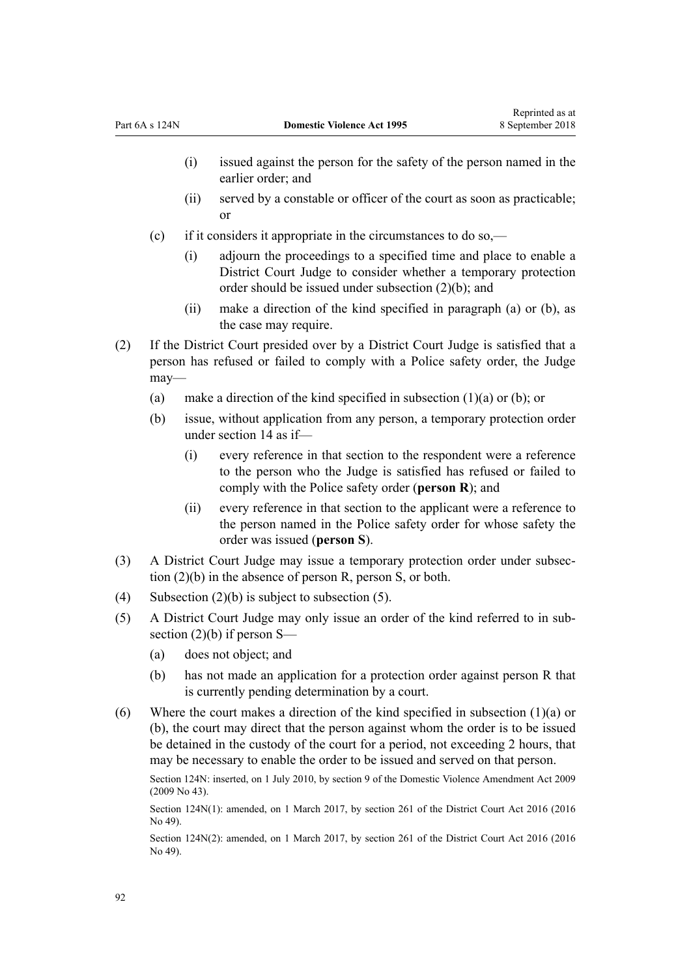- (i) issued against the person for the safety of the person named in the earlier order; and
- (ii) served by a constable or officer of the court as soon as practicable; or
- (c) if it considers it appropriate in the circumstances to do so,—
	- (i) adjourn the proceedings to a specified time and place to enable a District Court Judge to consider whether a temporary protection order should be issued under subsection (2)(b); and
	- (ii) make a direction of the kind specified in paragraph (a) or (b), as the case may require.
- (2) If the District Court presided over by a District Court Judge is satisfied that a person has refused or failed to comply with a Police safety order, the Judge may—
	- (a) make a direction of the kind specified in subsection  $(1)(a)$  or  $(b)$ ; or
	- (b) issue, without application from any person, a temporary protection order under [section 14](#page-20-0) as if—
		- (i) every reference in that section to the respondent were a reference to the person who the Judge is satisfied has refused or failed to comply with the Police safety order (**person R**); and
		- (ii) every reference in that section to the applicant were a reference to the person named in the Police safety order for whose safety the order was issued (**person S**).
- (3) A District Court Judge may issue a temporary protection order under subsection (2)(b) in the absence of person R, person S, or both.
- (4) Subsection  $(2)(b)$  is subject to subsection (5).
- (5) A District Court Judge may only issue an order of the kind referred to in subsection (2)(b) if person S—
	- (a) does not object; and
	- (b) has not made an application for a protection order against person R that is currently pending determination by a court.
- (6) Where the court makes a direction of the kind specified in subsection (1)(a) or (b), the court may direct that the person against whom the order is to be issued be detained in the custody of the court for a period, not exceeding 2 hours, that may be necessary to enable the order to be issued and served on that person.

Section 124N: inserted, on 1 July 2010, by [section 9](http://prd-lgnz-nlb.prd.pco.net.nz/pdflink.aspx?id=DLM1774218) of the Domestic Violence Amendment Act 2009 (2009 No 43).

Section 124N(1): amended, on 1 March 2017, by [section 261](http://prd-lgnz-nlb.prd.pco.net.nz/pdflink.aspx?id=DLM6942680) of the District Court Act 2016 (2016 No 49).

Section 124N(2): amended, on 1 March 2017, by [section 261](http://prd-lgnz-nlb.prd.pco.net.nz/pdflink.aspx?id=DLM6942680) of the District Court Act 2016 (2016 No 49).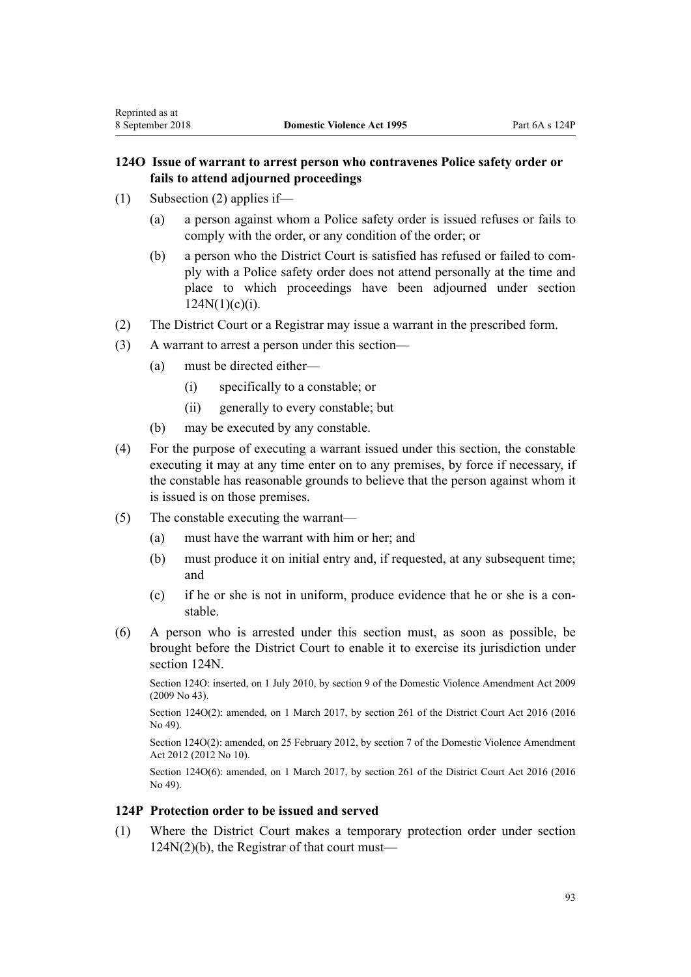(1) Subsection (2) applies if—

<span id="page-92-0"></span>Reprinted as at

- (a) a person against whom a Police safety order is issued refuses or fails to comply with the order, or any condition of the order; or
- (b) a person who the District Court is satisfied has refused or failed to comply with a Police safety order does not attend personally at the time and place to which proceedings have been adjourned under [section](#page-90-0)  $124N(1)(c)(i)$ .
- (2) The District Court or a Registrar may issue a warrant in the prescribed form.
- (3) A warrant to arrest a person under this section—
	- (a) must be directed either—
		- (i) specifically to a constable; or
		- (ii) generally to every constable; but
	- (b) may be executed by any constable.
- (4) For the purpose of executing a warrant issued under this section, the constable executing it may at any time enter on to any premises, by force if necessary, if the constable has reasonable grounds to believe that the person against whom it is issued is on those premises.
- (5) The constable executing the warrant—
	- (a) must have the warrant with him or her; and
	- (b) must produce it on initial entry and, if requested, at any subsequent time; and
	- (c) if he or she is not in uniform, produce evidence that he or she is a constable.
- (6) A person who is arrested under this section must, as soon as possible, be brought before the District Court to enable it to exercise its jurisdiction under [section 124N](#page-90-0).

Section 124O: inserted, on 1 July 2010, by [section 9](http://prd-lgnz-nlb.prd.pco.net.nz/pdflink.aspx?id=DLM1774218) of the Domestic Violence Amendment Act 2009 (2009 No 43).

Section 124O(2): amended, on 1 March 2017, by [section 261](http://prd-lgnz-nlb.prd.pco.net.nz/pdflink.aspx?id=DLM6942680) of the District Court Act 2016 (2016) No 49).

Section 124O(2): amended, on 25 February 2012, by [section 7](http://prd-lgnz-nlb.prd.pco.net.nz/pdflink.aspx?id=DLM4014214) of the Domestic Violence Amendment Act 2012 (2012 No 10).

Section 124O(6): amended, on 1 March 2017, by [section 261](http://prd-lgnz-nlb.prd.pco.net.nz/pdflink.aspx?id=DLM6942680) of the District Court Act 2016 (2016 No 49).

### **124P Protection order to be issued and served**

(1) Where the District Court makes a temporary protection order under [section](#page-90-0) [124N\(2\)\(b\),](#page-90-0) the Registrar of that court must—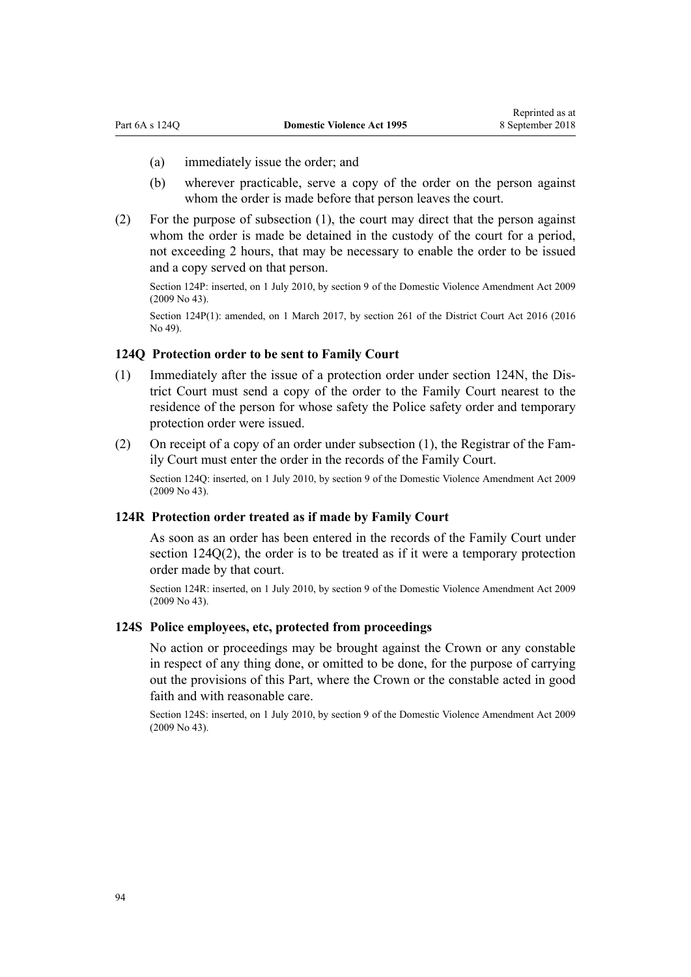- (a) immediately issue the order; and
- (b) wherever practicable, serve a copy of the order on the person against whom the order is made before that person leaves the court.
- (2) For the purpose of subsection (1), the court may direct that the person against whom the order is made be detained in the custody of the court for a period, not exceeding 2 hours, that may be necessary to enable the order to be issued and a copy served on that person.

Section 124P: inserted, on 1 July 2010, by [section 9](http://prd-lgnz-nlb.prd.pco.net.nz/pdflink.aspx?id=DLM1774218) of the Domestic Violence Amendment Act 2009 (2009 No 43).

Section 124P(1): amended, on 1 March 2017, by [section 261](http://prd-lgnz-nlb.prd.pco.net.nz/pdflink.aspx?id=DLM6942680) of the District Court Act 2016 (2016) No 49).

## **124Q Protection order to be sent to Family Court**

- (1) Immediately after the issue of a protection order under [section 124N](#page-90-0), the District Court must send a copy of the order to the Family Court nearest to the residence of the person for whose safety the Police safety order and temporary protection order were issued.
- (2) On receipt of a copy of an order under subsection (1), the Registrar of the Family Court must enter the order in the records of the Family Court.

Section 124Q: inserted, on 1 July 2010, by [section 9](http://prd-lgnz-nlb.prd.pco.net.nz/pdflink.aspx?id=DLM1774218) of the Domestic Violence Amendment Act 2009 (2009 No 43).

#### **124R Protection order treated as if made by Family Court**

As soon as an order has been entered in the records of the Family Court under section 124Q(2), the order is to be treated as if it were a temporary protection order made by that court.

Section 124R: inserted, on 1 July 2010, by [section 9](http://prd-lgnz-nlb.prd.pco.net.nz/pdflink.aspx?id=DLM1774218) of the Domestic Violence Amendment Act 2009 (2009 No 43).

### **124S Police employees, etc, protected from proceedings**

No action or proceedings may be brought against the Crown or any constable in respect of any thing done, or omitted to be done, for the purpose of carrying out the provisions of this Part, where the Crown or the constable acted in good faith and with reasonable care.

Section 124S: inserted, on 1 July 2010, by [section 9](http://prd-lgnz-nlb.prd.pco.net.nz/pdflink.aspx?id=DLM1774218) of the Domestic Violence Amendment Act 2009 (2009 No 43).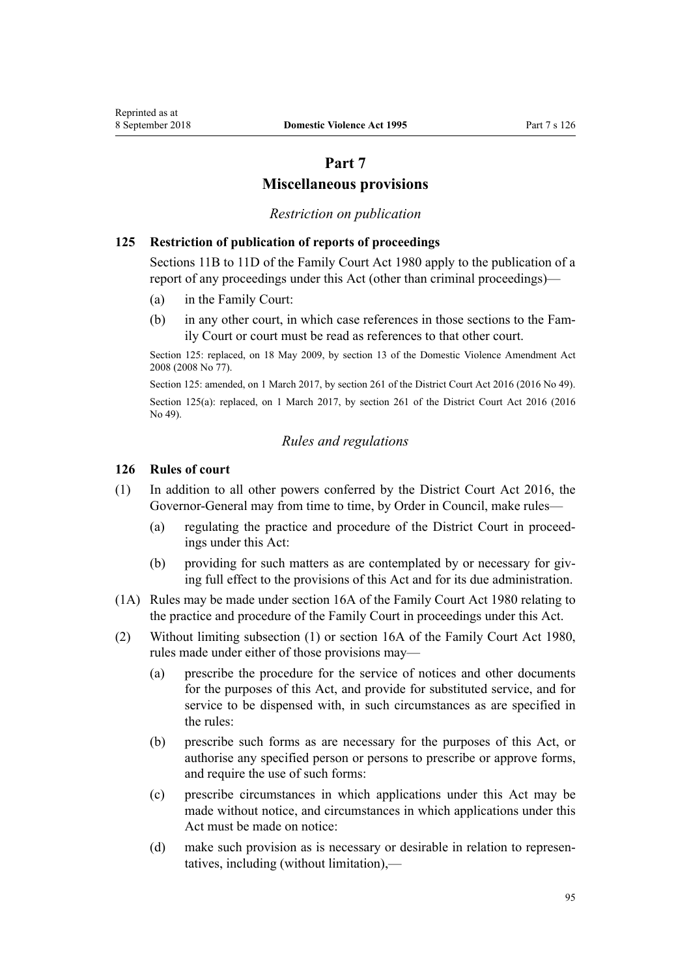# **Part 7**

## **Miscellaneous provisions**

### *Restriction on publication*

## **125 Restriction of publication of reports of proceedings**

[Sections 11B to 11D](http://prd-lgnz-nlb.prd.pco.net.nz/pdflink.aspx?id=DLM2061203) of the Family Court Act 1980 apply to the publication of a report of any proceedings under this Act (other than criminal proceedings)—

- (a) in the Family Court:
- (b) in any other court, in which case references in those sections to the Family Court or court must be read as references to that other court.

Section 125: replaced, on 18 May 2009, by [section 13](http://prd-lgnz-nlb.prd.pco.net.nz/pdflink.aspx?id=DLM1302125) of the Domestic Violence Amendment Act 2008 (2008 No 77).

Section 125: amended, on 1 March 2017, by [section 261](http://prd-lgnz-nlb.prd.pco.net.nz/pdflink.aspx?id=DLM6942680) of the District Court Act 2016 (2016 No 49). Section 125(a): replaced, on 1 March 2017, by [section 261](http://prd-lgnz-nlb.prd.pco.net.nz/pdflink.aspx?id=DLM6942680) of the District Court Act 2016 (2016) No 49).

### *Rules and regulations*

### **126 Rules of court**

- (1) In addition to all other powers conferred by the [District Court Act 2016,](http://prd-lgnz-nlb.prd.pco.net.nz/pdflink.aspx?id=DLM6942200) the Governor-General may from time to time, by Order in Council, make rules—
	- (a) regulating the practice and procedure of the District Court in proceedings under this Act:
	- (b) providing for such matters as are contemplated by or necessary for giving full effect to the provisions of this Act and for its due administration.
- (1A) Rules may be made under [section 16A](http://prd-lgnz-nlb.prd.pco.net.nz/pdflink.aspx?id=DLM42296) of the Family Court Act 1980 relating to the practice and procedure of the Family Court in proceedings under this Act.
- (2) Without limiting subsection (1) or [section 16A](http://prd-lgnz-nlb.prd.pco.net.nz/pdflink.aspx?id=DLM42296) of the Family Court Act 1980, rules made under either of those provisions may—
	- (a) prescribe the procedure for the service of notices and other documents for the purposes of this Act, and provide for substituted service, and for service to be dispensed with, in such circumstances as are specified in the rules:
	- (b) prescribe such forms as are necessary for the purposes of this Act, or authorise any specified person or persons to prescribe or approve forms, and require the use of such forms:
	- (c) prescribe circumstances in which applications under this Act may be made without notice, and circumstances in which applications under this Act must be made on notice:
	- (d) make such provision as is necessary or desirable in relation to representatives, including (without limitation),—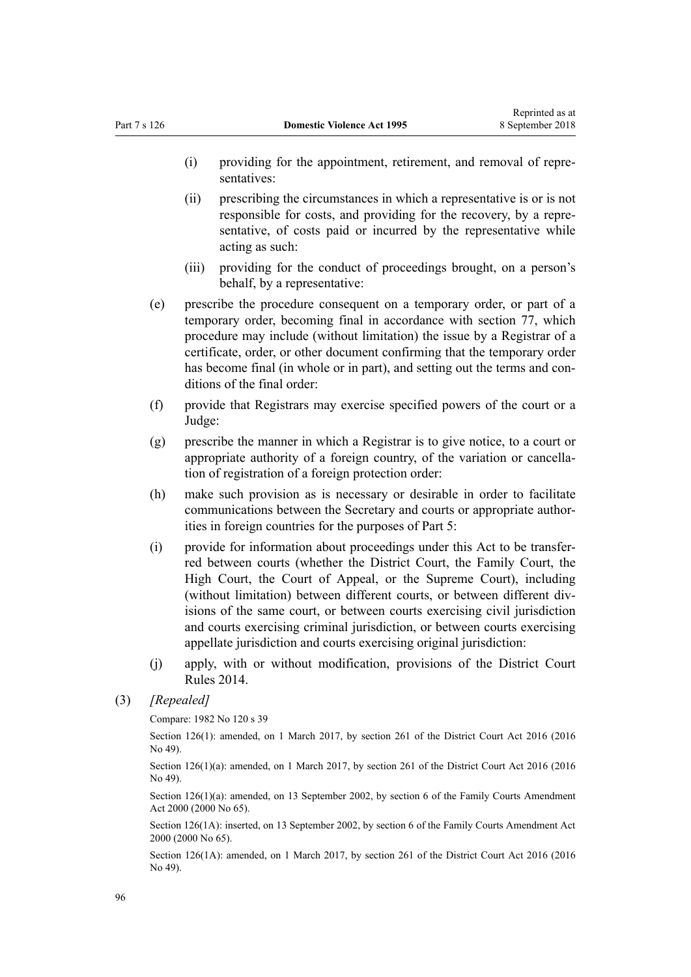- (i) providing for the appointment, retirement, and removal of representatives:
- (ii) prescribing the circumstances in which a representative is or is not responsible for costs, and providing for the recovery, by a representative, of costs paid or incurred by the representative while acting as such:
- (iii) providing for the conduct of proceedings brought, on a person's behalf, by a representative:
- (e) prescribe the procedure consequent on a temporary order, or part of a temporary order, becoming final in accordance with [section 77,](#page-62-0) which procedure may include (without limitation) the issue by a Registrar of a certificate, order, or other document confirming that the temporary order has become final (in whole or in part), and setting out the terms and conditions of the final order:
- (f) provide that Registrars may exercise specified powers of the court or a Judge:
- (g) prescribe the manner in which a Registrar is to give notice, to a court or appropriate authority of a foreign country, of the variation or cancellation of registration of a foreign protection order:
- (h) make such provision as is necessary or desirable in order to facilitate communications between the Secretary and courts or appropriate authorities in foreign countries for the purposes of [Part 5:](#page-73-0)
- (i) provide for information about proceedings under this Act to be transferred between courts (whether the District Court, the Family Court, the High Court, the Court of Appeal, or the Supreme Court), including (without limitation) between different courts, or between different divisions of the same court, or between courts exercising civil jurisdiction and courts exercising criminal jurisdiction, or between courts exercising appellate jurisdiction and courts exercising original jurisdiction:
- (j) apply, with or without modification, provisions of the [District Court](http://prd-lgnz-nlb.prd.pco.net.nz/pdflink.aspx?id=DLM6129566) [Rules 2014](http://prd-lgnz-nlb.prd.pco.net.nz/pdflink.aspx?id=DLM6129566).

Compare: 1982 No 120 s 39

Section 126(1): amended, on 1 March 2017, by [section 261](http://prd-lgnz-nlb.prd.pco.net.nz/pdflink.aspx?id=DLM6942680) of the District Court Act 2016 (2016) No 49).

Section 126(1)(a): amended, on 1 March 2017, by [section 261](http://prd-lgnz-nlb.prd.pco.net.nz/pdflink.aspx?id=DLM6942680) of the District Court Act 2016 (2016 No 49).

Section 126(1)(a): amended, on 13 September 2002, by [section 6](http://prd-lgnz-nlb.prd.pco.net.nz/pdflink.aspx?id=DLM76831) of the Family Courts Amendment Act 2000 (2000 No 65).

Section 126(1A): inserted, on 13 September 2002, by [section 6](http://prd-lgnz-nlb.prd.pco.net.nz/pdflink.aspx?id=DLM76831) of the Family Courts Amendment Act 2000 (2000 No 65).

Section 126(1A): amended, on 1 March 2017, by [section 261](http://prd-lgnz-nlb.prd.pco.net.nz/pdflink.aspx?id=DLM6942680) of the District Court Act 2016 (2016 No 49).

<sup>(3)</sup> *[Repealed]*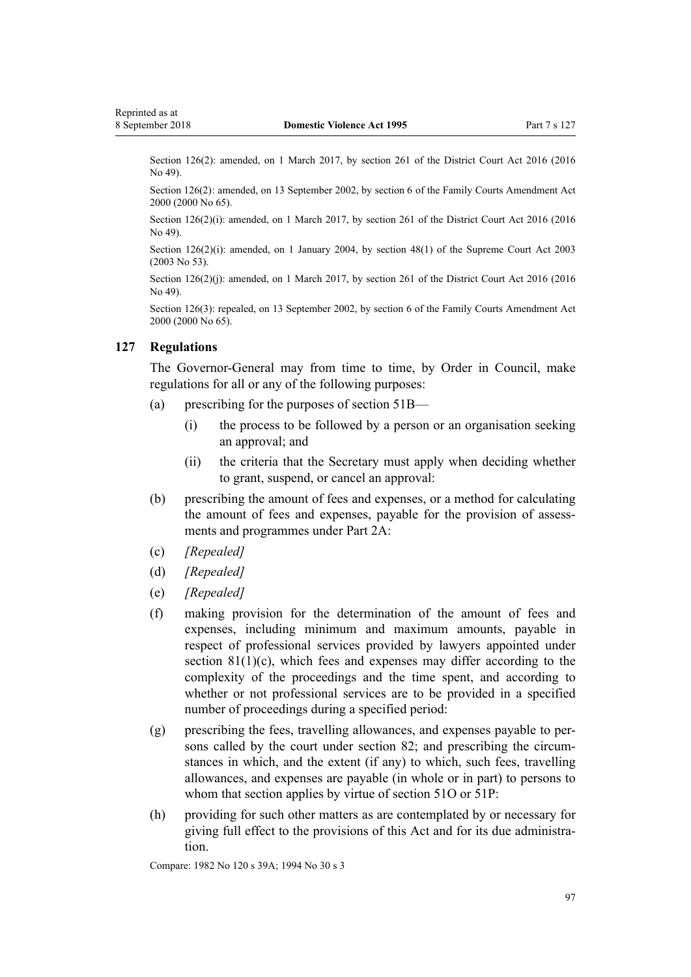<span id="page-96-0"></span>Section 126(2): amended, on 1 March 2017, by [section 261](http://prd-lgnz-nlb.prd.pco.net.nz/pdflink.aspx?id=DLM6942680) of the District Court Act 2016 (2016) No 49).

Section 126(2): amended, on 13 September 2002, by [section 6](http://prd-lgnz-nlb.prd.pco.net.nz/pdflink.aspx?id=DLM76831) of the Family Courts Amendment Act 2000 (2000 No 65).

Section 126(2)(i): amended, on 1 March 2017, by [section 261](http://prd-lgnz-nlb.prd.pco.net.nz/pdflink.aspx?id=DLM6942680) of the District Court Act 2016 (2016 No 49).

Section 126(2)(i): amended, on 1 January 2004, by [section 48\(1\)](http://prd-lgnz-nlb.prd.pco.net.nz/pdflink.aspx?id=DLM214522) of the Supreme Court Act 2003 (2003 No 53).

Section 126(2)(j): amended, on 1 March 2017, by [section 261](http://prd-lgnz-nlb.prd.pco.net.nz/pdflink.aspx?id=DLM6942680) of the District Court Act 2016 (2016) No 49).

Section 126(3): repealed, on 13 September 2002, by [section 6](http://prd-lgnz-nlb.prd.pco.net.nz/pdflink.aspx?id=DLM76831) of the Family Courts Amendment Act 2000 (2000 No 65).

#### **127 Regulations**

The Governor-General may from time to time, by Order in Council, make regulations for all or any of the following purposes:

- (a) prescribing for the purposes of [section 51B—](#page-41-0)
	- (i) the process to be followed by a person or an organisation seeking an approval; and
	- (ii) the criteria that the Secretary must apply when deciding whether to grant, suspend, or cancel an approval:
- (b) prescribing the amount of fees and expenses, or a method for calculating the amount of fees and expenses, payable for the provision of assessments and programmes under [Part 2A:](#page-40-0)
- (c) *[Repealed]*
- (d) *[Repealed]*
- (e) *[Repealed]*
- (f) making provision for the determination of the amount of fees and expenses, including minimum and maximum amounts, payable in respect of professional services provided by lawyers appointed under section  $81(1)(c)$ , which fees and expenses may differ according to the complexity of the proceedings and the time spent, and according to whether or not professional services are to be provided in a specified number of proceedings during a specified period:
- (g) prescribing the fees, travelling allowances, and expenses payable to persons called by the court under [section 82](#page-67-0); and prescribing the circumstances in which, and the extent (if any) to which, such fees, travelling allowances, and expenses are payable (in whole or in part) to persons to whom that section applies by virtue of [section 51O](#page-47-0) or [51P:](#page-47-0)
- (h) providing for such other matters as are contemplated by or necessary for giving full effect to the provisions of this Act and for its due administration.

Compare: 1982 No 120 s 39A; 1994 No 30 s 3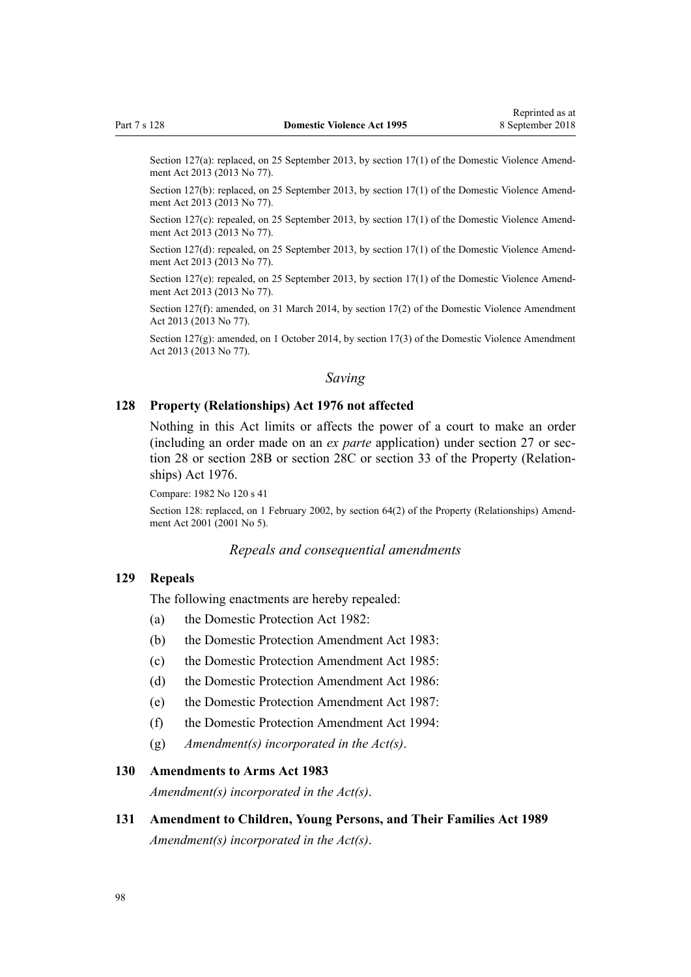Section 127(a): replaced, on 25 September 2013, by [section 17\(1\)](http://prd-lgnz-nlb.prd.pco.net.nz/pdflink.aspx?id=DLM5616706) of the Domestic Violence Amendment Act 2013 (2013 No 77).

Section 127(b): replaced, on 25 September 2013, by [section 17\(1\)](http://prd-lgnz-nlb.prd.pco.net.nz/pdflink.aspx?id=DLM5616706) of the Domestic Violence Amendment Act 2013 (2013 No 77).

Section 127(c): repealed, on 25 September 2013, by [section 17\(1\)](http://prd-lgnz-nlb.prd.pco.net.nz/pdflink.aspx?id=DLM5616706) of the Domestic Violence Amendment Act 2013 (2013 No 77).

Section 127(d): repealed, on 25 September 2013, by [section 17\(1\)](http://prd-lgnz-nlb.prd.pco.net.nz/pdflink.aspx?id=DLM5616706) of the Domestic Violence Amendment Act 2013 (2013 No 77).

Section 127(e): repealed, on 25 September 2013, by [section 17\(1\)](http://prd-lgnz-nlb.prd.pco.net.nz/pdflink.aspx?id=DLM5616706) of the Domestic Violence Amendment Act 2013 (2013 No 77).

Section 127(f): amended, on 31 March 2014, by [section 17\(2\)](http://prd-lgnz-nlb.prd.pco.net.nz/pdflink.aspx?id=DLM5616706) of the Domestic Violence Amendment Act 2013 (2013 No 77).

Section 127(g): amended, on 1 October 2014, by [section 17\(3\)](http://prd-lgnz-nlb.prd.pco.net.nz/pdflink.aspx?id=DLM5616706) of the Domestic Violence Amendment Act 2013 (2013 No 77).

### *Saving*

#### **128 Property (Relationships) Act 1976 not affected**

Nothing in this Act limits or affects the power of a court to make an order (including an order made on an *ex parte* application) under [section 27](http://prd-lgnz-nlb.prd.pco.net.nz/pdflink.aspx?id=DLM441483) or [sec](http://prd-lgnz-nlb.prd.pco.net.nz/pdflink.aspx?id=DLM441495)[tion 28](http://prd-lgnz-nlb.prd.pco.net.nz/pdflink.aspx?id=DLM441495) or [section 28B](http://prd-lgnz-nlb.prd.pco.net.nz/pdflink.aspx?id=DLM441616) or [section 28C](http://prd-lgnz-nlb.prd.pco.net.nz/pdflink.aspx?id=DLM441619) or [section 33](http://prd-lgnz-nlb.prd.pco.net.nz/pdflink.aspx?id=DLM441660) of the Property (Relationships) Act 1976.

Compare: 1982 No 120 s 41

Section 128: replaced, on 1 February 2002, by [section 64\(2\)](http://prd-lgnz-nlb.prd.pco.net.nz/pdflink.aspx?id=DLM87570) of the Property (Relationships) Amendment Act 2001 (2001 No 5).

#### *Repeals and consequential amendments*

### **129 Repeals**

The following enactments are hereby repealed:

- (a) the Domestic Protection Act 1982:
- (b) the Domestic Protection Amendment Act 1983:
- (c) the Domestic Protection Amendment Act 1985:
- (d) the Domestic Protection Amendment Act 1986:
- (e) the Domestic Protection Amendment Act 1987:
- (f) the Domestic Protection Amendment Act 1994:
- (g) *Amendment(s) incorporated in the [Act\(s\)](http://prd-lgnz-nlb.prd.pco.net.nz/pdflink.aspx?id=DLM367240)*.

#### **130 Amendments to Arms Act 1983**

*Amendment(s) incorporated in the [Act\(s\)](http://prd-lgnz-nlb.prd.pco.net.nz/pdflink.aspx?id=DLM72929)*.

**131 Amendment to Children, Young Persons, and Their Families Act 1989** *Amendment(s) incorporated in the [Act\(s\)](http://prd-lgnz-nlb.prd.pco.net.nz/pdflink.aspx?id=DLM151079)*.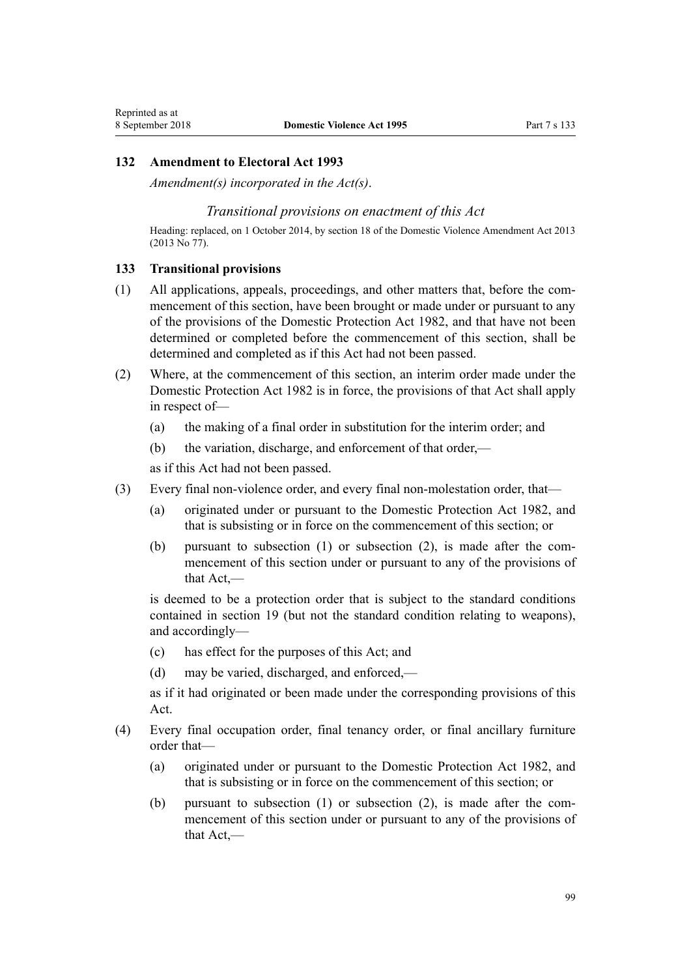#### **132 Amendment to Electoral Act 1993**

*Amendment(s) incorporated in the [Act\(s\)](http://prd-lgnz-nlb.prd.pco.net.nz/pdflink.aspx?id=DLM309404)*.

#### *Transitional provisions on enactment of this Act*

Heading: replaced, on 1 October 2014, by [section 18](http://prd-lgnz-nlb.prd.pco.net.nz/pdflink.aspx?id=DLM5616707) of the Domestic Violence Amendment Act 2013 (2013 No 77).

#### **133 Transitional provisions**

Reprinted as at

- (1) All applications, appeals, proceedings, and other matters that, before the commencement of this section, have been brought or made under or pursuant to any of the provisions of the Domestic Protection Act 1982, and that have not been determined or completed before the commencement of this section, shall be determined and completed as if this Act had not been passed.
- (2) Where, at the commencement of this section, an interim order made under the Domestic Protection Act 1982 is in force, the provisions of that Act shall apply in respect of—
	- (a) the making of a final order in substitution for the interim order; and
	- (b) the variation, discharge, and enforcement of that order,—

as if this Act had not been passed.

- (3) Every final non-violence order, and every final non-molestation order, that—
	- (a) originated under or pursuant to the Domestic Protection Act 1982, and that is subsisting or in force on the commencement of this section; or
	- (b) pursuant to subsection (1) or subsection (2), is made after the commencement of this section under or pursuant to any of the provisions of that Act,—

is deemed to be a protection order that is subject to the standard conditions contained in [section 19](#page-23-0) (but not the standard condition relating to weapons), and accordingly—

- (c) has effect for the purposes of this Act; and
- (d) may be varied, discharged, and enforced,—

as if it had originated or been made under the corresponding provisions of this Act.

- (4) Every final occupation order, final tenancy order, or final ancillary furniture order that—
	- (a) originated under or pursuant to the Domestic Protection Act 1982, and that is subsisting or in force on the commencement of this section; or
	- (b) pursuant to subsection (1) or subsection (2), is made after the commencement of this section under or pursuant to any of the provisions of that Act,—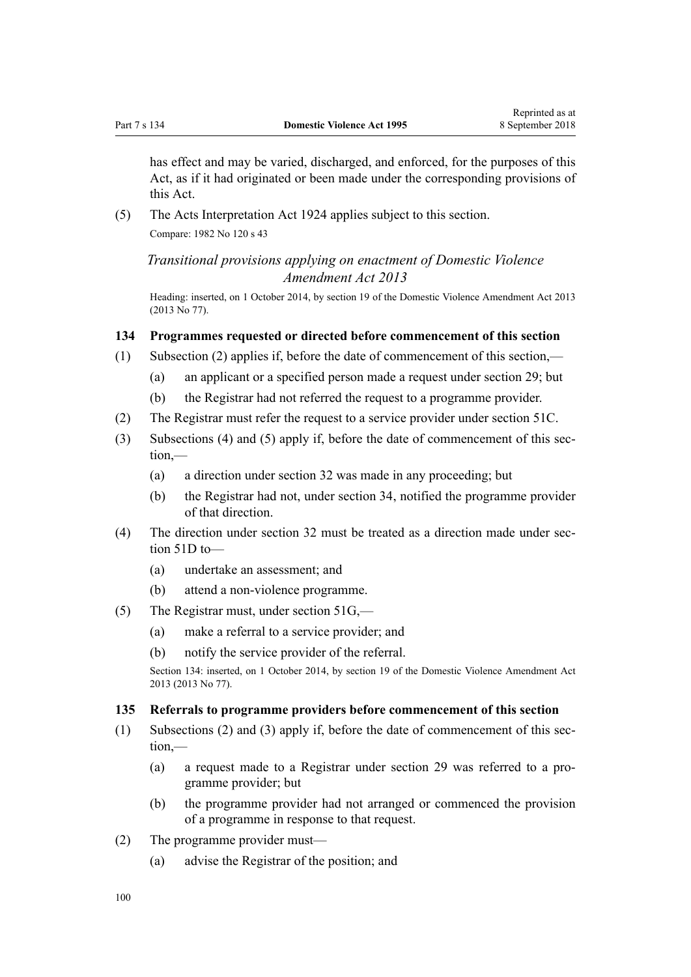has effect and may be varied, discharged, and enforced, for the purposes of this Act, as if it had originated or been made under the corresponding provisions of this Act.

(5) The Acts Interpretation Act 1924 applies subject to this section. Compare: 1982 No 120 s 43

*Transitional provisions applying on enactment of Domestic Violence Amendment Act 2013*

Heading: inserted, on 1 October 2014, by [section 19](http://prd-lgnz-nlb.prd.pco.net.nz/pdflink.aspx?id=DLM5616709) of the Domestic Violence Amendment Act 2013 (2013 No 77).

### **134 Programmes requested or directed before commencement of this section**

- (1) Subsection (2) applies if, before the date of commencement of this section,—
	- (a) an applicant or a specified person made a request under [section 29](#page-34-0); but
	- (b) the Registrar had not referred the request to a programme provider.
- (2) The Registrar must refer the request to a service provider under [section 51C.](#page-41-0)
- (3) Subsections (4) and (5) apply if, before the date of commencement of this section,—
	- (a) a direction under [section 32](#page-35-0) was made in any proceeding; but
	- (b) the Registrar had not, under [section 34,](#page-35-0) notified the programme provider of that direction.
- (4) The direction under [section 32](#page-35-0) must be treated as a direction made under [sec](#page-42-0)[tion 51D](#page-42-0) to—
	- (a) undertake an assessment; and
	- (b) attend a non-violence programme.
- (5) The Registrar must, under [section 51G](#page-43-0),—
	- (a) make a referral to a service provider; and
	- (b) notify the service provider of the referral.

Section 134: inserted, on 1 October 2014, by [section 19](http://prd-lgnz-nlb.prd.pco.net.nz/pdflink.aspx?id=DLM5616709) of the Domestic Violence Amendment Act 2013 (2013 No 77).

#### **135 Referrals to programme providers before commencement of this section**

- (1) Subsections (2) and (3) apply if, before the date of commencement of this section,—
	- (a) a request made to a Registrar under [section 29](#page-34-0) was referred to a programme provider; but
	- (b) the programme provider had not arranged or commenced the provision of a programme in response to that request.
- (2) The programme provider must—
	- (a) advise the Registrar of the position; and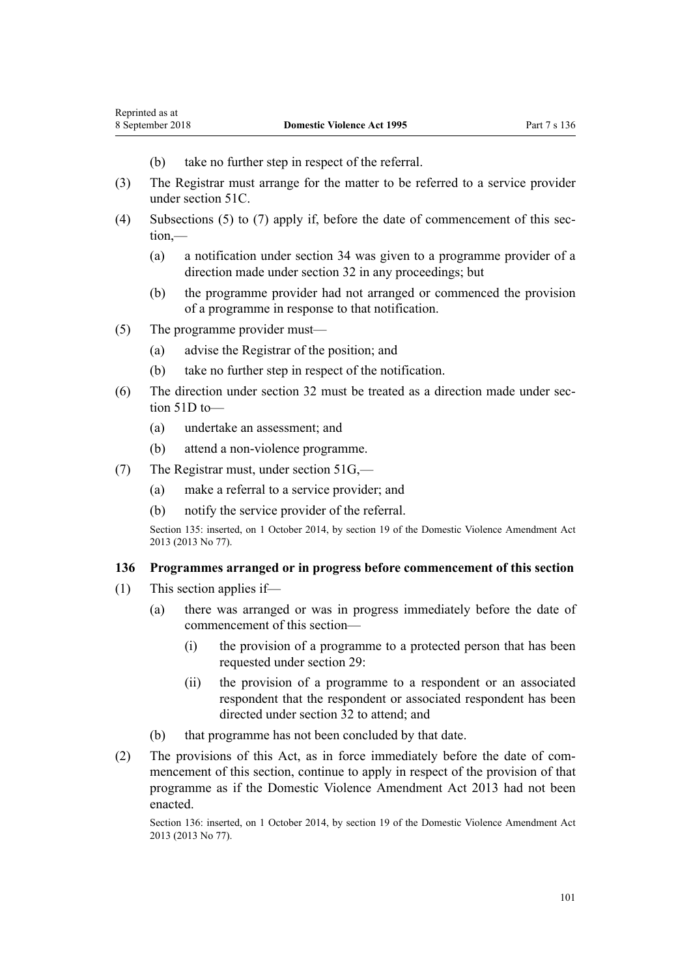- (b) take no further step in respect of the referral.
- (3) The Registrar must arrange for the matter to be referred to a service provider under [section 51C.](#page-41-0)
- (4) Subsections (5) to (7) apply if, before the date of commencement of this section,—
	- (a) a notification under [section 34](#page-35-0) was given to a programme provider of a direction made under [section 32](#page-35-0) in any proceedings; but
	- (b) the programme provider had not arranged or commenced the provision of a programme in response to that notification.
- (5) The programme provider must—
	- (a) advise the Registrar of the position; and
	- (b) take no further step in respect of the notification.
- (6) The direction under [section 32](#page-35-0) must be treated as a direction made under [sec](#page-42-0)[tion 51D](#page-42-0) to—
	- (a) undertake an assessment; and
	- (b) attend a non-violence programme.
- (7) The Registrar must, under [section 51G](#page-43-0),—
	- (a) make a referral to a service provider; and
	- (b) notify the service provider of the referral.

Section 135: inserted, on 1 October 2014, by [section 19](http://prd-lgnz-nlb.prd.pco.net.nz/pdflink.aspx?id=DLM5616709) of the Domestic Violence Amendment Act 2013 (2013 No 77).

### **136 Programmes arranged or in progress before commencement of this section**

- (1) This section applies if—
	- (a) there was arranged or was in progress immediately before the date of commencement of this section—
		- (i) the provision of a programme to a protected person that has been requested under [section 29](#page-34-0):
		- (ii) the provision of a programme to a respondent or an associated respondent that the respondent or associated respondent has been directed under [section 32](#page-35-0) to attend; and
	- (b) that programme has not been concluded by that date.
- (2) The provisions of this Act, as in force immediately before the date of commencement of this section, continue to apply in respect of the provision of that programme as if the [Domestic Violence Amendment Act 2013](http://prd-lgnz-nlb.prd.pco.net.nz/pdflink.aspx?id=DLM5615636) had not been enacted.

Section 136: inserted, on 1 October 2014, by [section 19](http://prd-lgnz-nlb.prd.pco.net.nz/pdflink.aspx?id=DLM5616709) of the Domestic Violence Amendment Act 2013 (2013 No 77).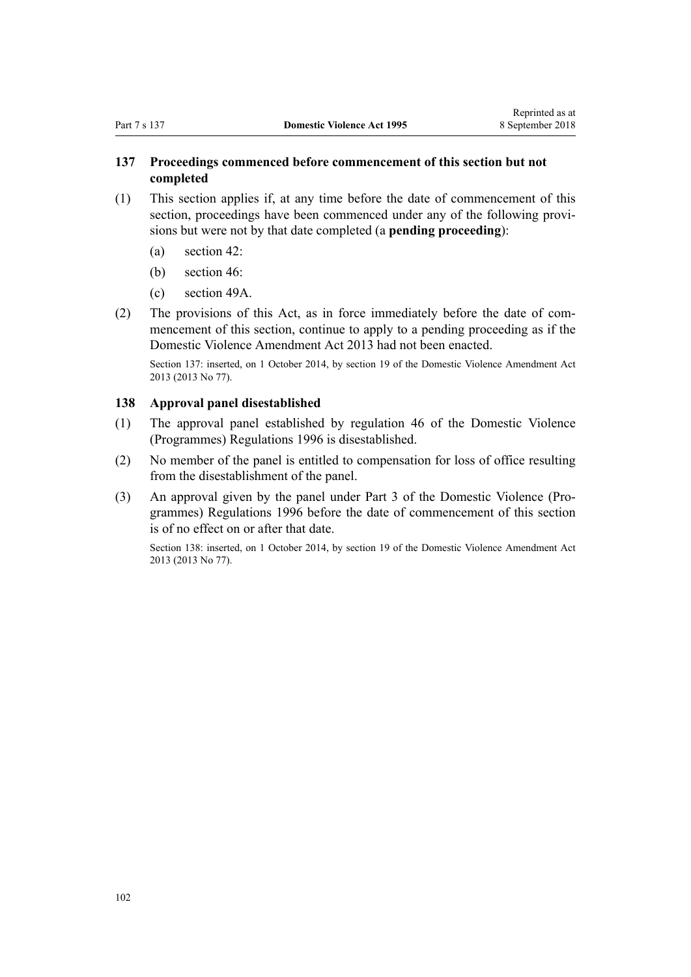## **137 Proceedings commenced before commencement of this section but not completed**

- (1) This section applies if, at any time before the date of commencement of this section, proceedings have been commenced under any of the following provisions but were not by that date completed (a **pending proceeding**):
	- (a) [section 42](#page-36-0):
	- (b) [section 46](#page-37-0):
	- (c) [section 49A](#page-39-0).
- (2) The provisions of this Act, as in force immediately before the date of commencement of this section, continue to apply to a pending proceeding as if the [Domestic Violence Amendment Act 2013](http://prd-lgnz-nlb.prd.pco.net.nz/pdflink.aspx?id=DLM5615636) had not been enacted.

Section 137: inserted, on 1 October 2014, by [section 19](http://prd-lgnz-nlb.prd.pco.net.nz/pdflink.aspx?id=DLM5616709) of the Domestic Violence Amendment Act 2013 (2013 No 77).

### **138 Approval panel disestablished**

- (1) The approval panel established by [regulation 46](http://prd-lgnz-nlb.prd.pco.net.nz/pdflink.aspx?id=DLM214897) of the Domestic Violence (Programmes) Regulations 1996 is disestablished.
- (2) No member of the panel is entitled to compensation for loss of office resulting from the disestablishment of the panel.
- (3) An approval given by the panel under [Part 3](http://prd-lgnz-nlb.prd.pco.net.nz/pdflink.aspx?id=DLM214806) of the Domestic Violence (Programmes) Regulations 1996 before the date of commencement of this section is of no effect on or after that date.

Section 138: inserted, on 1 October 2014, by [section 19](http://prd-lgnz-nlb.prd.pco.net.nz/pdflink.aspx?id=DLM5616709) of the Domestic Violence Amendment Act 2013 (2013 No 77).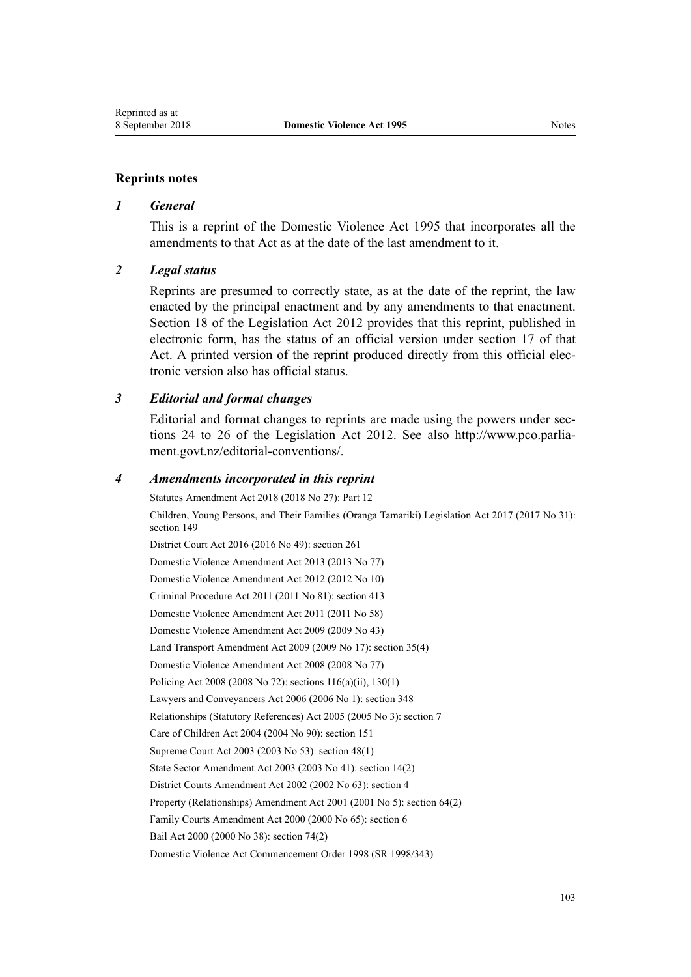#### **Reprints notes**

#### *1 General*

This is a reprint of the Domestic Violence Act 1995 that incorporates all the amendments to that Act as at the date of the last amendment to it.

#### *2 Legal status*

Reprints are presumed to correctly state, as at the date of the reprint, the law enacted by the principal enactment and by any amendments to that enactment. [Section 18](http://prd-lgnz-nlb.prd.pco.net.nz/pdflink.aspx?id=DLM2998516) of the Legislation Act 2012 provides that this reprint, published in electronic form, has the status of an official version under [section 17](http://prd-lgnz-nlb.prd.pco.net.nz/pdflink.aspx?id=DLM2998515) of that Act. A printed version of the reprint produced directly from this official electronic version also has official status.

#### *3 Editorial and format changes*

Editorial and format changes to reprints are made using the powers under [sec](http://prd-lgnz-nlb.prd.pco.net.nz/pdflink.aspx?id=DLM2998532)[tions 24 to 26](http://prd-lgnz-nlb.prd.pco.net.nz/pdflink.aspx?id=DLM2998532) of the Legislation Act 2012. See also [http://www.pco.parlia](http://www.pco.parliament.govt.nz/editorial-conventions/)[ment.govt.nz/editorial-conventions/](http://www.pco.parliament.govt.nz/editorial-conventions/).

#### *4 Amendments incorporated in this reprint*

Statutes Amendment Act 2018 (2018 No 27): [Part 12](http://prd-lgnz-nlb.prd.pco.net.nz/pdflink.aspx?id=DLM7227109) Children, Young Persons, and Their Families (Oranga Tamariki) Legislation Act 2017 (2017 No 31): [section 149](http://prd-lgnz-nlb.prd.pco.net.nz/pdflink.aspx?id=DLM7287401) District Court Act 2016 (2016 No 49): [section 261](http://prd-lgnz-nlb.prd.pco.net.nz/pdflink.aspx?id=DLM6942680) [Domestic Violence Amendment Act 2013](http://prd-lgnz-nlb.prd.pco.net.nz/pdflink.aspx?id=DLM5615636) (2013 No 77) [Domestic Violence Amendment Act 2012](http://prd-lgnz-nlb.prd.pco.net.nz/pdflink.aspx?id=DLM4014200) (2012 No 10) Criminal Procedure Act 2011 (2011 No 81): [section 413](http://prd-lgnz-nlb.prd.pco.net.nz/pdflink.aspx?id=DLM3360714) [Domestic Violence Amendment Act 2011](http://prd-lgnz-nlb.prd.pco.net.nz/pdflink.aspx?id=DLM2295900) (2011 No 58) [Domestic Violence Amendment Act 2009](http://prd-lgnz-nlb.prd.pco.net.nz/pdflink.aspx?id=DLM1774200) (2009 No 43) Land Transport Amendment Act 2009 (2009 No 17): [section 35\(4\)](http://prd-lgnz-nlb.prd.pco.net.nz/pdflink.aspx?id=DLM2015063) [Domestic Violence Amendment Act 2008](http://prd-lgnz-nlb.prd.pco.net.nz/pdflink.aspx?id=DLM1302102) (2008 No 77) Policing Act 2008 (2008 No 72): [sections 116\(a\)\(ii\),](http://prd-lgnz-nlb.prd.pco.net.nz/pdflink.aspx?id=DLM1102349) [130\(1\)](http://prd-lgnz-nlb.prd.pco.net.nz/pdflink.aspx?id=DLM1102383) Lawyers and Conveyancers Act 2006 (2006 No 1): [section 348](http://prd-lgnz-nlb.prd.pco.net.nz/pdflink.aspx?id=DLM367849) Relationships (Statutory References) Act 2005 (2005 No 3): [section 7](http://prd-lgnz-nlb.prd.pco.net.nz/pdflink.aspx?id=DLM333795) Care of Children Act 2004 (2004 No 90): [section 151](http://prd-lgnz-nlb.prd.pco.net.nz/pdflink.aspx?id=DLM317988) Supreme Court Act 2003 (2003 No 53): [section 48\(1\)](http://prd-lgnz-nlb.prd.pco.net.nz/pdflink.aspx?id=DLM214522) State Sector Amendment Act 2003 (2003 No 41): [section 14\(2\)](http://prd-lgnz-nlb.prd.pco.net.nz/pdflink.aspx?id=DLM201378) District Courts Amendment Act 2002 (2002 No 63): [section 4](http://prd-lgnz-nlb.prd.pco.net.nz/pdflink.aspx?id=DLM168713) Property (Relationships) Amendment Act 2001 (2001 No 5): [section 64\(2\)](http://prd-lgnz-nlb.prd.pco.net.nz/pdflink.aspx?id=DLM87570) Family Courts Amendment Act 2000 (2000 No 65): [section 6](http://prd-lgnz-nlb.prd.pco.net.nz/pdflink.aspx?id=DLM76831) Bail Act 2000 (2000 No 38): [section 74\(2\)](http://prd-lgnz-nlb.prd.pco.net.nz/pdflink.aspx?id=DLM69643)

[Domestic Violence Act Commencement Order 1998](http://prd-lgnz-nlb.prd.pco.net.nz/pdflink.aspx?id=DLM264465) (SR 1998/343)